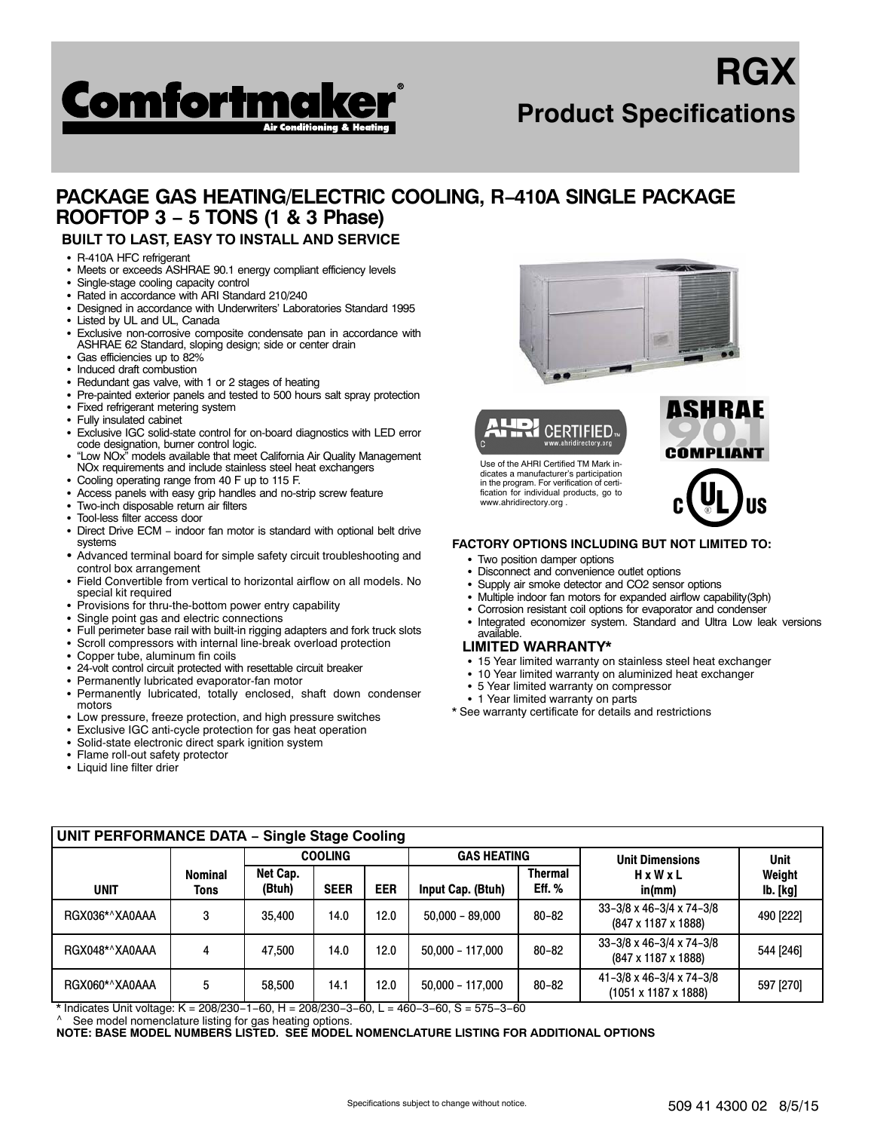

# **RGX Product Specifications**

# **PACKAGE GAS HEATING/ELECTRIC COOLING, R−410A SINGLE PACKAGE ROOFTOP 3 − 5 TONS (1 & 3 Phase)**

## **BUILT TO LAST, EASY TO INSTALL AND SERVICE**

- R-410A HFC refrigerant
- Meets or exceeds ASHRAE 90.1 energy compliant efficiency levels
- -Single-stage cooling capacity control
- Rated in accordance with ARI Standard 210/240
- Designed in accordance with Underwriters' Laboratories Standard 1995
- Listed by UL and UL, Canada
- Exclusive non-corrosive composite condensate pan in accordance with ASHRAE 62 Standard, sloping design; side or center drain
- Gas efficiencies up to 82%
- Induced draft combustion
- Redundant gas valve, with 1 or 2 stages of heating
- -Pre-painted exterior panels and tested to 500 hours salt spray protection
- -Fixed refrigerant metering system
- Fully insulated cabinet
- $\bullet$  Exclusive IGC solid-state control for on-board diagnostics with LED error code designation, burner control logic.
- - "Low NOx" models available that meet California Air Quality Management NOx requirements and include stainless steel heat exchangers
- -Cooling operating range from 40 F up to 115 F.
- Access panels with easy grip handles and no-strip screw feature
- -Two-inch disposable return air filters
- -Tool-less filter access door
- $\bullet$  Direct Drive ECM − indoor fan motor is standard with optional belt drive systems
- Advanced terminal board for simple safety circuit troubleshooting and control box arrangement
- - Field Convertible from vertical to horizontal airflow on all models. No special kit required
- $\bullet$ Provisions for thru-the-bottom power entry capability
- -Single point gas and electric connections
- -Full perimeter base rail with built-in rigging adapters and fork truck slots
- -Scroll compressors with internal line-break overload protection
- -Copper tube, aluminum fin coils
- 24-volt control circuit protected with resettable circuit breaker
- $\bullet$ Permanently lubricated evaporator-fan motor
- Permanently lubricated, totally enclosed, shaft down condenser motors
- Low pressure, freeze protection, and high pressure switches
- Exclusive IGC anti-cycle protection for gas heat operation
- Solid-state electronic direct spark ignition system
- Flame roll-out safety protector
- Liquid line filter drier





Use of the AHRI Certified TM Mark indicates a manufacturer's participation in the program. For verification of certification for individual products, go to www.ahridirectory.org .



- **FACTORY OPTIONS INCLUDING BUT NOT LIMITED TO:**
	- Two position damper options
	- Disconnect and convenience outlet options
	- Supply air smoke detector and CO2 sensor options
	- Multiple indoor fan motors for expanded airflow capability(3ph)
	- Corrosion resistant coil options for evaporator and condenser
	- - Integrated economizer system. Standard and Ultra Low leak versions available.

#### **LIMITED WARRANTY\***

- 15 Year limited warranty on stainless steel heat exchanger
- 10 Year limited warranty on aluminized heat exchanger
- 5 Year limited warranty on compressor
- 1 Year limited warranty on parts
- \* See warranty certificate for details and restrictions

| <b>UNIT PERFORMANCE DATA - Single Stage Cooling</b> |                        |                    |                                      |            |                        |                            |                                                                               |                           |  |  |  |
|-----------------------------------------------------|------------------------|--------------------|--------------------------------------|------------|------------------------|----------------------------|-------------------------------------------------------------------------------|---------------------------|--|--|--|
|                                                     |                        |                    | <b>COOLING</b><br><b>GAS HEATING</b> |            | <b>Unit Dimensions</b> | <b>Unit</b>                |                                                                               |                           |  |  |  |
| <b>UNIT</b>                                         | <b>Nominal</b><br>Tons | Net Cap.<br>(Btuh) | <b>SEER</b>                          | <b>EER</b> | Input Cap. (Btuh)      | <b>Thermal</b><br>Eff. $%$ | HxWxL<br>in/mm)                                                               | Weight<br><b>lb.</b> [kg] |  |  |  |
| RGX036*^XA0AAA                                      | 3                      | 35,400             | 14.0                                 | 12.0       | $50,000 - 89,000$      | $80 - 82$                  | $33-3/8 \times 46-3/4 \times 74-3/8$<br>$(847 \times 1187 \times 1888)$       | 490 [222]                 |  |  |  |
| RGX048*^XA0AAA                                      | 4                      | 47.500             | 14.0                                 | 12.0       | $50,000 - 117,000$     | $80 - 82$                  | $33 - 3/8 \times 46 - 3/4 \times 74 - 3/8$<br>$(847 \times 1187 \times 1888)$ | 544 [246]                 |  |  |  |
| RGX060*^XA0AAA                                      | 5                      | 58,500             | 14.1                                 | 12.0       | $50,000 - 117,000$     | $80 - 82$                  | $41 - 3/8 \times 46 - 3/4 \times 74 - 3/8$<br>(1051 x 1187 x 1888)            | 597 [270]                 |  |  |  |

\* Indicates Unit voltage: K = 208/230−1−60, H = 208/230−3−60, L = 460−3−60, S = 575−3−60<br>
<sup>^</sup> See model nomenclature listing for gas heating options.

**NOTE: BASE MODEL NUMBERS LISTED. SEE MODEL NOMENCLATURE LISTING FOR ADDITIONAL OPTIONS**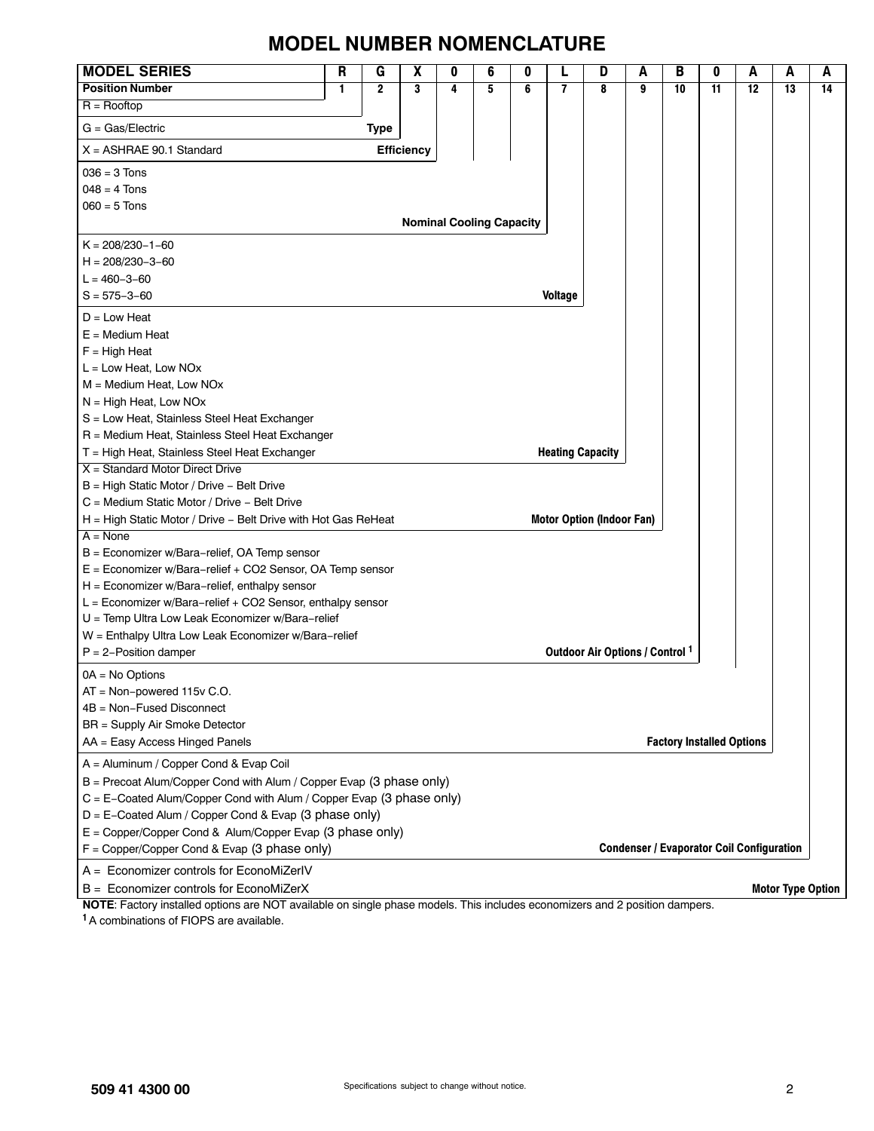# **MODEL NUMBER NOMENCLATURE**

| <b>MODEL SERIES</b>                                                  | R | G              | χ                 | 0 | 6                               | 0 |                         | D                                | Α | В                                | 0  | A                                                | А                        | A  |
|----------------------------------------------------------------------|---|----------------|-------------------|---|---------------------------------|---|-------------------------|----------------------------------|---|----------------------------------|----|--------------------------------------------------|--------------------------|----|
| <b>Position Number</b>                                               | 1 | $\overline{2}$ | 3                 | 4 | 5                               | 6 | 7                       | 8                                | g | 10                               | 11 | $\overline{12}$                                  | 13                       | 14 |
| $R =$ Rooftop                                                        |   |                |                   |   |                                 |   |                         |                                  |   |                                  |    |                                                  |                          |    |
| $G = Gas/Electric$                                                   |   | Type           |                   |   |                                 |   |                         |                                  |   |                                  |    |                                                  |                          |    |
| $X = ASHRAE 90.1 Standard$                                           |   |                | <b>Efficiency</b> |   |                                 |   |                         |                                  |   |                                  |    |                                                  |                          |    |
| $036 = 3$ Tons                                                       |   |                |                   |   |                                 |   |                         |                                  |   |                                  |    |                                                  |                          |    |
| $048 = 4$ Tons                                                       |   |                |                   |   |                                 |   |                         |                                  |   |                                  |    |                                                  |                          |    |
| $060 = 5$ Tons                                                       |   |                |                   |   |                                 |   |                         |                                  |   |                                  |    |                                                  |                          |    |
|                                                                      |   |                |                   |   | <b>Nominal Cooling Capacity</b> |   |                         |                                  |   |                                  |    |                                                  |                          |    |
| $K = 208/230 - 1 - 60$                                               |   |                |                   |   |                                 |   |                         |                                  |   |                                  |    |                                                  |                          |    |
| $H = 208/230 - 3 - 60$                                               |   |                |                   |   |                                 |   |                         |                                  |   |                                  |    |                                                  |                          |    |
| $L = 460 - 3 - 60$                                                   |   |                |                   |   |                                 |   |                         |                                  |   |                                  |    |                                                  |                          |    |
| $S = 575 - 3 - 60$                                                   |   |                |                   |   |                                 |   | <b>Voltage</b>          |                                  |   |                                  |    |                                                  |                          |    |
| $D = Low Heat$                                                       |   |                |                   |   |                                 |   |                         |                                  |   |                                  |    |                                                  |                          |    |
| $E =$ Medium Heat                                                    |   |                |                   |   |                                 |   |                         |                                  |   |                                  |    |                                                  |                          |    |
| $F = High Heat$                                                      |   |                |                   |   |                                 |   |                         |                                  |   |                                  |    |                                                  |                          |    |
| $L = Low Heat$ , Low NOx                                             |   |                |                   |   |                                 |   |                         |                                  |   |                                  |    |                                                  |                          |    |
| M = Medium Heat, Low NOx                                             |   |                |                   |   |                                 |   |                         |                                  |   |                                  |    |                                                  |                          |    |
| $N = High Heat$ , Low NOx                                            |   |                |                   |   |                                 |   |                         |                                  |   |                                  |    |                                                  |                          |    |
| S = Low Heat, Stainless Steel Heat Exchanger                         |   |                |                   |   |                                 |   |                         |                                  |   |                                  |    |                                                  |                          |    |
| R = Medium Heat, Stainless Steel Heat Exchanger                      |   |                |                   |   |                                 |   |                         |                                  |   |                                  |    |                                                  |                          |    |
| T = High Heat, Stainless Steel Heat Exchanger                        |   |                |                   |   |                                 |   | <b>Heating Capacity</b> |                                  |   |                                  |    |                                                  |                          |    |
| $X =$ Standard Motor Direct Drive                                    |   |                |                   |   |                                 |   |                         |                                  |   |                                  |    |                                                  |                          |    |
| B = High Static Motor / Drive - Belt Drive                           |   |                |                   |   |                                 |   |                         |                                  |   |                                  |    |                                                  |                          |    |
| C = Medium Static Motor / Drive - Belt Drive                         |   |                |                   |   |                                 |   |                         |                                  |   |                                  |    |                                                  |                          |    |
| H = High Static Motor / Drive - Belt Drive with Hot Gas ReHeat       |   |                |                   |   |                                 |   |                         | <b>Motor Option (Indoor Fan)</b> |   |                                  |    |                                                  |                          |    |
| $A = None$                                                           |   |                |                   |   |                                 |   |                         |                                  |   |                                  |    |                                                  |                          |    |
| B = Economizer w/Bara-relief, OA Temp sensor                         |   |                |                   |   |                                 |   |                         |                                  |   |                                  |    |                                                  |                          |    |
| E = Economizer w/Bara-relief + CO2 Sensor, OA Temp sensor            |   |                |                   |   |                                 |   |                         |                                  |   |                                  |    |                                                  |                          |    |
| H = Economizer w/Bara-relief, enthalpy sensor                        |   |                |                   |   |                                 |   |                         |                                  |   |                                  |    |                                                  |                          |    |
| L = Economizer w/Bara-relief + CO2 Sensor, enthalpy sensor           |   |                |                   |   |                                 |   |                         |                                  |   |                                  |    |                                                  |                          |    |
| U = Temp Ultra Low Leak Economizer w/Bara-relief                     |   |                |                   |   |                                 |   |                         |                                  |   |                                  |    |                                                  |                          |    |
| W = Enthalpy Ultra Low Leak Economizer w/Bara-relief                 |   |                |                   |   |                                 |   |                         |                                  |   |                                  |    |                                                  |                          |    |
| $P = 2$ -Position damper                                             |   |                |                   |   |                                 |   |                         | Outdoor Air Options / Control 1  |   |                                  |    |                                                  |                          |    |
| $OA = No$ Options                                                    |   |                |                   |   |                                 |   |                         |                                  |   |                                  |    |                                                  |                          |    |
| $AT = Non-powered 115v C.O.$                                         |   |                |                   |   |                                 |   |                         |                                  |   |                                  |    |                                                  |                          |    |
| 4B = Non-Fused Disconnect                                            |   |                |                   |   |                                 |   |                         |                                  |   |                                  |    |                                                  |                          |    |
| <b>BR</b> = Supply Air Smoke Detector                                |   |                |                   |   |                                 |   |                         |                                  |   |                                  |    |                                                  |                          |    |
| AA = Easy Access Hinged Panels                                       |   |                |                   |   |                                 |   |                         |                                  |   | <b>Factory Installed Options</b> |    |                                                  |                          |    |
| A = Aluminum / Copper Cond & Evap Coil                               |   |                |                   |   |                                 |   |                         |                                  |   |                                  |    |                                                  |                          |    |
| B = Precoat Alum/Copper Cond with Alum / Copper Evap (3 phase only)  |   |                |                   |   |                                 |   |                         |                                  |   |                                  |    |                                                  |                          |    |
| C = E-Coated Alum/Copper Cond with Alum / Copper Evap (3 phase only) |   |                |                   |   |                                 |   |                         |                                  |   |                                  |    |                                                  |                          |    |
| D = E-Coated Alum / Copper Cond & Evap (3 phase only)                |   |                |                   |   |                                 |   |                         |                                  |   |                                  |    |                                                  |                          |    |
| E = Copper/Copper Cond & Alum/Copper Evap (3 phase only)             |   |                |                   |   |                                 |   |                         |                                  |   |                                  |    |                                                  |                          |    |
| F = Copper/Copper Cond & Evap (3 phase only)                         |   |                |                   |   |                                 |   |                         |                                  |   |                                  |    | <b>Condenser / Evaporator Coil Configuration</b> |                          |    |
| A = Economizer controls for EconoMiZerlV                             |   |                |                   |   |                                 |   |                         |                                  |   |                                  |    |                                                  |                          |    |
| B = Economizer controls for EconoMiZerX                              |   |                |                   |   |                                 |   |                         |                                  |   |                                  |    |                                                  | <b>Motor Type Option</b> |    |

**NOTE**: Factory installed options are NOT available on single phase models. This includes economizers and 2 position dampers. **1** A combinations of FIOPS are available.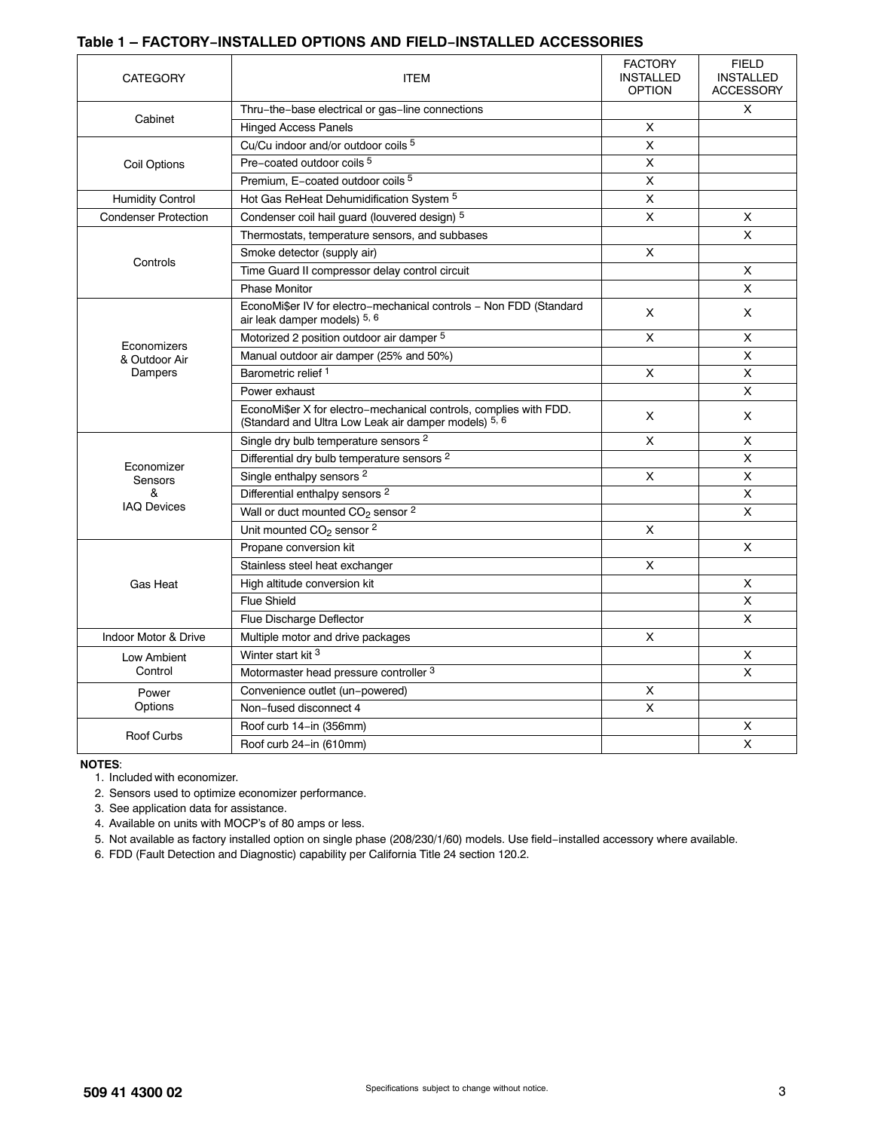#### **Table 1 – FACTORY−INSTALLED OPTIONS AND FIELD−INSTALLED ACCESSORIES**

| <b>CATEGORY</b>              | <b>ITEM</b>                                                                                                               | <b>FACTORY</b><br><b>INSTALLED</b><br><b>OPTION</b> | <b>FIELD</b><br><b>INSTALLED</b><br><b>ACCESSORY</b> |
|------------------------------|---------------------------------------------------------------------------------------------------------------------------|-----------------------------------------------------|------------------------------------------------------|
|                              | Thru-the-base electrical or gas-line connections                                                                          |                                                     | X                                                    |
| Cabinet                      | <b>Hinged Access Panels</b>                                                                                               | X                                                   |                                                      |
|                              | Cu/Cu indoor and/or outdoor coils 5                                                                                       | X                                                   |                                                      |
| Coil Options                 | Pre-coated outdoor coils 5                                                                                                | $\overline{\mathsf{x}}$                             |                                                      |
|                              | Premium, E-coated outdoor coils <sup>5</sup>                                                                              | X                                                   |                                                      |
| <b>Humidity Control</b>      | Hot Gas ReHeat Dehumidification System 5                                                                                  | X                                                   |                                                      |
| <b>Condenser Protection</b>  | Condenser coil hail guard (louvered design) 5                                                                             | X                                                   | X                                                    |
|                              | Thermostats, temperature sensors, and subbases                                                                            |                                                     | X                                                    |
|                              | Smoke detector (supply air)                                                                                               | X                                                   |                                                      |
| Controls                     | Time Guard II compressor delay control circuit                                                                            |                                                     | X                                                    |
|                              | <b>Phase Monitor</b>                                                                                                      |                                                     | X                                                    |
|                              | EconoMi\$er IV for electro-mechanical controls - Non FDD (Standard<br>air leak damper models) 5, 6                        | X                                                   | X                                                    |
|                              | Motorized 2 position outdoor air damper 5                                                                                 | X                                                   | X                                                    |
| Economizers<br>& Outdoor Air | Manual outdoor air damper (25% and 50%)                                                                                   |                                                     | X                                                    |
| Dampers                      | Barometric relief <sup>1</sup>                                                                                            | X                                                   | X                                                    |
|                              | Power exhaust                                                                                                             |                                                     | X                                                    |
|                              | EconoMi\$er X for electro-mechanical controls, complies with FDD.<br>(Standard and Ultra Low Leak air damper models) 5, 6 | X                                                   | X                                                    |
|                              | Single dry bulb temperature sensors <sup>2</sup>                                                                          | X                                                   | X                                                    |
| Economizer                   | Differential dry bulb temperature sensors <sup>2</sup>                                                                    |                                                     | X                                                    |
| Sensors                      | Single enthalpy sensors <sup>2</sup>                                                                                      | X                                                   | X                                                    |
| &                            | Differential enthalpy sensors <sup>2</sup>                                                                                |                                                     | X                                                    |
| <b>IAQ Devices</b>           | Wall or duct mounted CO <sub>2</sub> sensor <sup>2</sup>                                                                  |                                                     | $\pmb{\times}$                                       |
|                              | Unit mounted CO <sub>2</sub> sensor <sup>2</sup>                                                                          | X                                                   |                                                      |
|                              | Propane conversion kit                                                                                                    |                                                     | $\mathsf X$                                          |
|                              | Stainless steel heat exchanger                                                                                            | X                                                   |                                                      |
| Gas Heat                     | High altitude conversion kit                                                                                              |                                                     | X                                                    |
|                              | <b>Flue Shield</b>                                                                                                        |                                                     | X                                                    |
|                              | Flue Discharge Deflector                                                                                                  |                                                     | X                                                    |
| Indoor Motor & Drive         | Multiple motor and drive packages                                                                                         | X                                                   |                                                      |
| Low Ambient                  | Winter start kit <sup>3</sup>                                                                                             |                                                     | X                                                    |
| Control                      | Motormaster head pressure controller 3                                                                                    |                                                     | $\times$                                             |
| Power                        | Convenience outlet (un-powered)                                                                                           | x                                                   |                                                      |
| Options                      | Non-fused disconnect 4                                                                                                    | X                                                   |                                                      |
| <b>Roof Curbs</b>            | Roof curb 14–in (356mm)                                                                                                   |                                                     | х                                                    |
|                              | Roof curb 24-in (610mm)                                                                                                   |                                                     | $\mathsf{x}$                                         |

**NOTES**:

1. Included with economizer.

2. Sensors used to optimize economizer performance.

3. See application data for assistance.

4. Available on units with MOCP's of 80 amps or less.

5. Not available as factory installed option on single phase (208/230/1/60) models. Use field−installed accessory where available.

6. FDD (Fault Detection and Diagnostic) capability per California Title 24 section 120.2.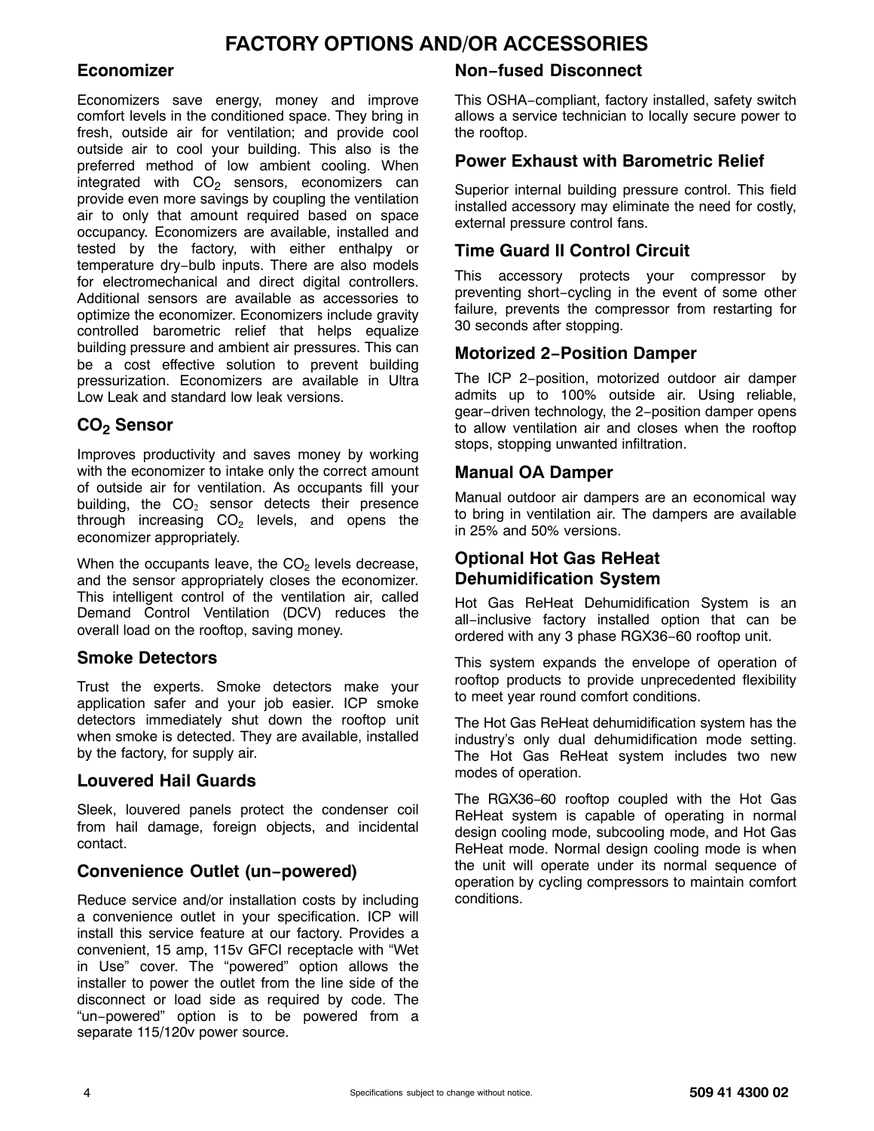# **FACTORY OPTIONS AND/OR ACCESSORIES**

# **Economizer**

Economizers save energy, money and improve comfort levels in the conditioned space. They bring in fresh, outside air for ventilation; and provide cool outside air to cool your building. This also is the preferred method of low ambient cooling. When integrated with  $CO<sub>2</sub>$  sensors, economizers can provide even more savings by coupling the ventilation air to only that amount required based on space occupancy. Economizers are available, installed and tested by the factory, with either enthalpy or temperature dry−bulb inputs. There are also models for electromechanical and direct digital controllers. Additional sensors are available as accessories to optimize the economizer. Economizers include gravity controlled barometric relief that helps equalize building pressure and ambient air pressures. This can be a cost effective solution to prevent building pressurization. Economizers are available in Ultra Low Leak and standard low leak versions.

# **CO2 Sensor**

Improves productivity and saves money by working with the economizer to intake only the correct amount of outside air for ventilation. As occupants fill your building, the  $CO<sub>2</sub>$  sensor detects their presence through increasing  $CO<sub>2</sub>$  levels, and opens the economizer appropriately.

When the occupants leave, the  $CO<sub>2</sub>$  levels decrease, and the sensor appropriately closes the economizer. This intelligent control of the ventilation air, called Demand Control Ventilation (DCV) reduces the overall load on the rooftop, saving money.

## **Smoke Detectors**

Trust the experts. Smoke detectors make your application safer and your job easier. ICP smoke detectors immediately shut down the rooftop unit when smoke is detected. They are available, installed by the factory, for supply air.

## **Louvered Hail Guards**

Sleek, louvered panels protect the condenser coil from hail damage, foreign objects, and incidental contact.

# **Convenience Outlet (un−powered)**

Reduce service and/or installation costs by including a convenience outlet in your specification. ICP will install this service feature at our factory. Provides a convenient, 15 amp, 115v GFCI receptacle with "Wet in Use" cover. The "powered" option allows the installer to power the outlet from the line side of the disconnect or load side as required by code. The "un−powered" option is to be powered from a separate 115/120v power source.

# **Non−fused Disconnect**

This OSHA−compliant, factory installed, safety switch allows a service technician to locally secure power to the rooftop.

## **Power Exhaust with Barometric Relief**

Superior internal building pressure control. This field installed accessory may eliminate the need for costly, external pressure control fans.

# **Time Guard II Control Circuit**

This accessory protects your compressor by preventing short−cycling in the event of some other failure, prevents the compressor from restarting for 30 seconds after stopping.

## **Motorized 2−Position Damper**

The ICP 2−position, motorized outdoor air damper admits up to 100% outside air. Using reliable, gear−driven technology, the 2−position damper opens to allow ventilation air and closes when the rooftop stops, stopping unwanted infiltration.

### **Manual OA Damper**

Manual outdoor air dampers are an economical way to bring in ventilation air. The dampers are available in 25% and 50% versions.

# **Optional Hot Gas ReHeat Dehumidification System**

Hot Gas ReHeat Dehumidification System is an all−inclusive factory installed option that can be ordered with any 3 phase RGX36−60 rooftop unit.

This system expands the envelope of operation of rooftop products to provide unprecedented flexibility to meet year round comfort conditions.

The Hot Gas ReHeat dehumidification system has the industry's only dual dehumidification mode setting. The Hot Gas ReHeat system includes two new modes of operation.

The RGX36−60 rooftop coupled with the Hot Gas ReHeat system is capable of operating in normal design cooling mode, subcooling mode, and Hot Gas ReHeat mode. Normal design cooling mode is when the unit will operate under its normal sequence of operation by cycling compressors to maintain comfort conditions.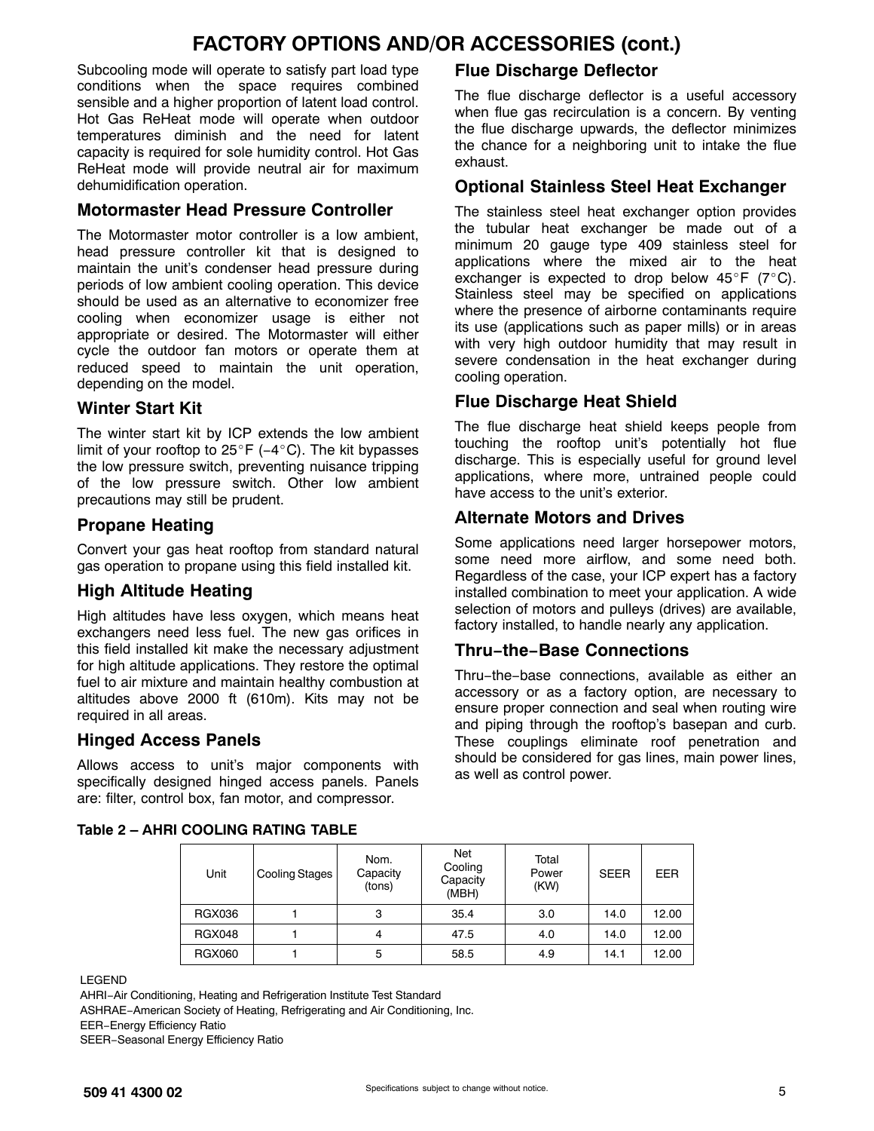# **FACTORY OPTIONS AND/OR ACCESSORIES (cont.)**

Subcooling mode will operate to satisfy part load type conditions when the space requires combined sensible and a higher proportion of latent load control. Hot Gas ReHeat mode will operate when outdoor temperatures diminish and the need for latent capacity is required for sole humidity control. Hot Gas ReHeat mode will provide neutral air for maximum dehumidification operation.

## **Motormaster Head Pressure Controller**

The Motormaster motor controller is a low ambient, head pressure controller kit that is designed to maintain the unit's condenser head pressure during periods of low ambient cooling operation. This device should be used as an alternative to economizer free cooling when economizer usage is either not appropriate or desired. The Motormaster will either cycle the outdoor fan motors or operate them at reduced speed to maintain the unit operation, depending on the model.

# **Winter Start Kit**

The winter start kit by ICP extends the low ambient limit of your rooftop to 25°F (−4°C). The kit bypasses the low pressure switch, preventing nuisance tripping of the low pressure switch. Other low ambient precautions may still be prudent.

# **Propane Heating**

Convert your gas heat rooftop from standard natural gas operation to propane using this field installed kit.

# **High Altitude Heating**

High altitudes have less oxygen, which means heat exchangers need less fuel. The new gas orifices in this field installed kit make the necessary adjustment for high altitude applications. They restore the optimal fuel to air mixture and maintain healthy combustion at altitudes above 2000 ft (610m). Kits may not be required in all areas.

## **Hinged Access Panels**

Allows access to unit's major components with specifically designed hinged access panels. Panels are: filter, control box, fan motor, and compressor.

# **Flue Discharge Deflector**

The flue discharge deflector is a useful accessory when flue gas recirculation is a concern. By venting the flue discharge upwards, the deflector minimizes the chance for a neighboring unit to intake the flue exhaust.

# **Optional Stainless Steel Heat Exchanger**

The stainless steel heat exchanger option provides the tubular heat exchanger be made out of a minimum 20 gauge type 409 stainless steel for applications where the mixed air to the heat exchanger is expected to drop below  $45^{\circ}F$  (7°C). Stainless steel may be specified on applications where the presence of airborne contaminants require its use (applications such as paper mills) or in areas with very high outdoor humidity that may result in severe condensation in the heat exchanger during cooling operation.

# **Flue Discharge Heat Shield**

The flue discharge heat shield keeps people from touching the rooftop unit's potentially hot flue discharge. This is especially useful for ground level applications, where more, untrained people could have access to the unit's exterior.

# **Alternate Motors and Drives**

Some applications need larger horsepower motors, some need more airflow, and some need both. Regardless of the case, your ICP expert has a factory installed combination to meet your application. A wide selection of motors and pulleys (drives) are available, factory installed, to handle nearly any application.

# **Thru−the−Base Connections**

Thru−the−base connections, available as either an accessory or as a factory option, are necessary to ensure proper connection and seal when routing wire and piping through the rooftop's basepan and curb. These couplings eliminate roof penetration and should be considered for gas lines, main power lines, as well as control power.

| Table 2 – AHRI COOLING RATING TABLE |  |  |  |  |  |
|-------------------------------------|--|--|--|--|--|
|-------------------------------------|--|--|--|--|--|

| Unit          | Cooling Stages | Nom.<br>Capacity<br>(tons) | Net<br>Cooling<br>Capacity<br>(MBH) | Total<br>Power<br>(KW) | <b>SEER</b> | EER   |
|---------------|----------------|----------------------------|-------------------------------------|------------------------|-------------|-------|
| <b>RGX036</b> |                | 3                          | 35.4                                | 3.0                    | 14.0        | 12.00 |
| <b>RGX048</b> |                | 4                          | 47.5                                | 4.0                    | 14.0        | 12.00 |
| <b>RGX060</b> |                | 5                          | 58.5                                | 4.9                    | 14.1        | 12.00 |

LEGEND

AHRI−Air Conditioning, Heating and Refrigeration Institute Test Standard ASHRAE−American Society of Heating, Refrigerating and Air Conditioning, Inc. EER−Energy Efficiency Ratio SEER−Seasonal Energy Efficiency Ratio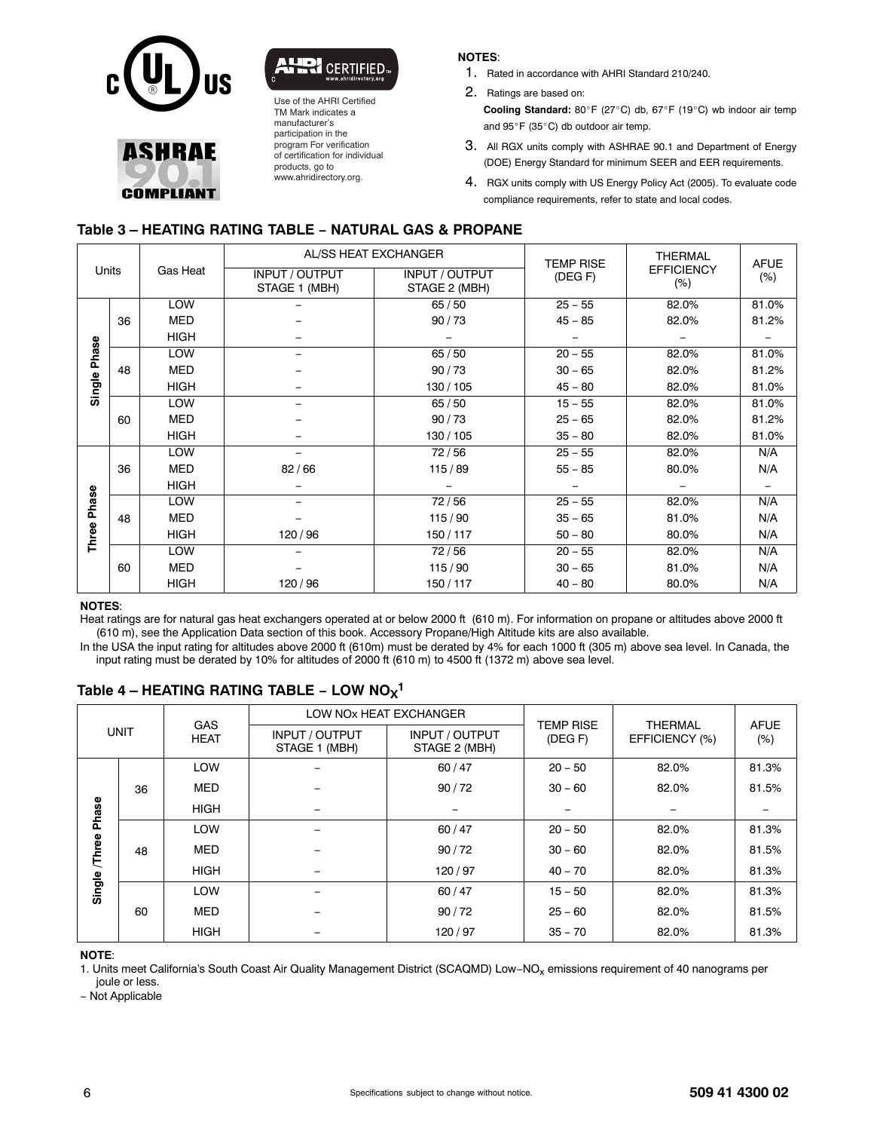

**ASHRAF** 

**COMPLIANT** 



Use of the AHRI Certified TM Mark indicates a manufacturer's participation in the program For verification of certification for individual products, go to www.ahridirectory.org.

#### **NOTES**:

- 1. Rated in accordance with AHRI Standard 210/240.
- 2. Ratings are based on:

**Cooling Standard:** 80°F (27°C) db, 67°F (19°C) wb indoor air temp and 95°F (35°C) db outdoor air temp.

- 3. All RGX units comply with ASHRAE 90.1 and Department of Energy (DOE) Energy Standard for minimum SEER and EER requirements.
- 4. RGX units comply with US Energy Policy Act (2005). To evaluate code compliance requirements, refer to state and local codes.

### **Table 3 – HEATING RATING TABLE − NATURAL GAS & PROPANE**

| Units        |    |             | AL/SS HEAT EXCHANGER                   |                                 | <b>TEMP RISE</b> | <b>THERMAL</b>              | <b>AFUE</b> |
|--------------|----|-------------|----------------------------------------|---------------------------------|------------------|-----------------------------|-------------|
|              |    | Gas Heat    | <b>INPUT / OUTPUT</b><br>STAGE 1 (MBH) | INPUT / OUTPUT<br>STAGE 2 (MBH) | (DEG F)          | <b>EFFICIENCY</b><br>$(\%)$ | $(\%)$      |
|              |    | <b>LOW</b>  |                                        | 65/50                           | $25 - 55$        | 82.0%                       | 81.0%       |
|              | 36 | <b>MED</b>  |                                        | 90/73                           | $45 - 85$        | 82.0%                       | 81.2%       |
|              |    | <b>HIGH</b> |                                        |                                 |                  |                             |             |
|              |    | LOW         |                                        | 65/50                           | $20 - 55$        | 82.0%                       | 81.0%       |
|              | 48 | <b>MED</b>  |                                        | 90/73                           | $30 - 65$        | 82.0%                       | 81.2%       |
| Single Phase |    | <b>HIGH</b> |                                        | 130 / 105                       | $45 - 80$        | 82.0%                       | 81.0%       |
|              |    | LOW         | -                                      | 65/50                           | $15 - 55$        | 82.0%                       | 81.0%       |
|              | 60 | <b>MED</b>  |                                        | 90/73                           | $25 - 65$        | 82.0%                       | 81.2%       |
|              |    | <b>HIGH</b> |                                        | 130 / 105                       | $35 - 80$        | 82.0%                       | 81.0%       |
|              |    | LOW         |                                        | 72/56                           | $25 - 55$        | 82.0%                       | N/A         |
|              | 36 | <b>MED</b>  | 82/66                                  | 115/89                          | $55 - 85$        | 80.0%                       | N/A         |
|              |    | HIGH        |                                        |                                 |                  |                             |             |
| Phase        |    | <b>LOW</b>  |                                        | 72/56                           | $25 - 55$        | 82.0%                       | N/A         |
|              | 48 | <b>MED</b>  |                                        | 115/90                          | $35 - 65$        | 81.0%                       | N/A         |
| Three I      |    | <b>HIGH</b> | 120/96                                 | 150/117                         | $50 - 80$        | 80.0%                       | N/A         |
|              |    | LOW         |                                        | 72/56                           | $20 - 55$        | 82.0%                       | N/A         |
|              | 60 | <b>MED</b>  |                                        | 115/90                          | $30 - 65$        | 81.0%                       | N/A         |
|              |    | <b>HIGH</b> | 120/96                                 | 150/117                         | $40 - 80$        | 80.0%                       | N/A         |

#### **NOTES**:

Heat ratings are for natural gas heat exchangers operated at or below 2000 ft (610 m). For information on propane or altitudes above 2000 ft (610 m), see the Application Data section of this book. Accessory Propane/High Altitude kits are also available.

In the USA the input rating for altitudes above 2000 ft (610m) must be derated by 4% for each 1000 ft (305 m) above sea level. In Canada, the input rating must be derated by 10% for altitudes of 2000 ft (610 m) to 4500 ft (1372 m) above sea level.

#### **Table 4 – HEATING RATING TABLE − LOW NOX1**

| <b>UNIT</b> |    |                           | LOW NOX HEAT EXCHANGER                 |                                 |                             | <b>THERMAL</b> |                       |
|-------------|----|---------------------------|----------------------------------------|---------------------------------|-----------------------------|----------------|-----------------------|
|             |    | <b>GAS</b><br><b>HEAT</b> | <b>INPUT / OUTPUT</b><br>STAGE 1 (MBH) | INPUT / OUTPUT<br>STAGE 2 (MBH) | <b>TEMP RISE</b><br>(DEG F) | EFFICIENCY (%) | <b>AFUE</b><br>$(\%)$ |
|             |    | LOW                       |                                        | 60 / 47                         | $20 - 50$                   | 82.0%          | 81.3%                 |
|             | 36 | <b>MED</b>                |                                        | 90/72                           | $30 - 60$                   | 82.0%          | 81.5%                 |
| Phase       |    | <b>HIGH</b>               |                                        |                                 |                             |                |                       |
|             |    | LOW                       |                                        | 60/47                           | $20 - 50$                   | 82.0%          | 81.3%                 |
| Three       | 48 | <b>MED</b>                |                                        | 90/72                           | $30 - 60$                   | 82.0%          | 81.5%                 |
|             |    | <b>HIGH</b>               |                                        | 120/97                          | $40 - 70$                   | 82.0%          | 81.3%                 |
| Single      |    | LOW                       |                                        | 60/47                           | $15 - 50$                   | 82.0%          | 81.3%                 |
|             | 60 | <b>MED</b>                |                                        | 90/72                           | $25 - 60$                   | 82.0%          | 81.5%                 |
|             |    | <b>HIGH</b>               |                                        | 120/97                          | $35 - 70$                   | 82.0%          | 81.3%                 |

**NOTE**:

1. Units meet California's South Coast Air Quality Management District (SCAQMD) Low−NOx emissions requirement of 40 nanograms per joule or less.

− Not Applicable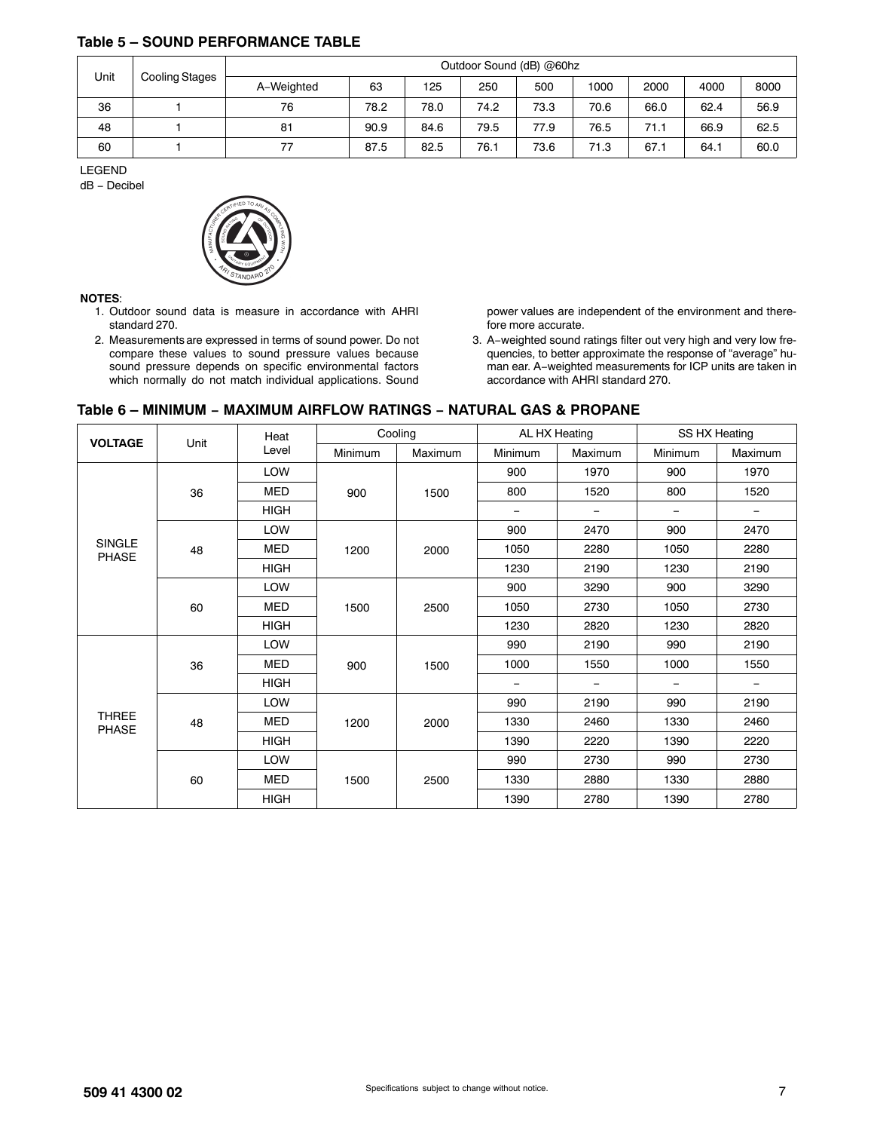### <span id="page-6-0"></span>**Table 5 – SOUND PERFORMANCE TABLE**

| Unit<br>Cooling Stages | Outdoor Sound (dB) @60hz |      |      |      |      |      |      |      |      |  |  |
|------------------------|--------------------------|------|------|------|------|------|------|------|------|--|--|
|                        | A-Weighted               | 63   | 125  | 250  | 500  | 1000 | 2000 | 4000 | 8000 |  |  |
| 36                     | 76                       | 78.2 | 78.0 | 74.2 | 73.3 | 70.6 | 66.0 | 62.4 | 56.9 |  |  |
| 48                     | 81                       | 90.9 | 84.6 | 79.5 | 77.9 | 76.5 | 71.1 | 66.9 | 62.5 |  |  |
| 60                     | 77                       | 87.5 | 82.5 | 76.  | 73.6 | 71.3 | 67.1 | 64.1 | 60.0 |  |  |

LEGEND

dB − Decibel



#### **NOTES**:

- 1. Outdoor sound data is measure in accordance with AHRI standard 270.
- 2. Measurements are expressed in terms of sound power. Do not compare these values to sound pressure values because sound pressure depends on specific environmental factors which normally do not match individual applications. Sound

power values are independent of the environment and therefore more accurate.

3. A−weighted sound ratings filter out very high and very low frequencies, to better approximate the response of "average" human ear. A−weighted measurements for ICP units are taken in accordance with AHRI standard 270.

#### **Table 6 – MINIMUM − MAXIMUM AIRFLOW RATINGS − NATURAL GAS & PROPANE**

| <b>VOLTAGE</b>                | Unit | Heat        |         | Cooling | AL HX Heating |         | SS HX Heating            |                          |
|-------------------------------|------|-------------|---------|---------|---------------|---------|--------------------------|--------------------------|
|                               |      | Level       | Minimum | Maximum | Minimum       | Maximum | Minimum                  | Maximum                  |
|                               |      | LOW         |         | 1500    | 900           | 1970    | 900                      | 1970                     |
|                               | 36   | <b>MED</b>  | 900     |         | 800           | 1520    | 800                      | 1520                     |
|                               |      | <b>HIGH</b> |         |         | -             |         | $\overline{\phantom{m}}$ | $\qquad \qquad -$        |
|                               |      | LOW         |         | 2000    | 900           | 2470    | 900                      | 2470                     |
| <b>SINGLE</b><br><b>PHASE</b> | 48   | <b>MED</b>  | 1200    |         | 1050          | 2280    | 1050                     | 2280                     |
|                               |      | <b>HIGH</b> |         |         | 1230          | 2190    | 1230                     | 2190                     |
|                               | 60   | LOW         | 1500    |         | 900           | 3290    | 900                      | 3290                     |
|                               |      | <b>MED</b>  |         | 2500    | 1050          | 2730    | 1050                     | 2730                     |
|                               |      | <b>HIGH</b> |         |         | 1230          | 2820    | 1230                     | 2820                     |
|                               |      | LOW         | 900     | 1500    | 990           | 2190    | 990                      | 2190                     |
|                               | 36   | <b>MED</b>  |         |         | 1000          | 1550    | 1000                     | 1550                     |
|                               |      | <b>HIGH</b> |         |         | -             | -       | $\qquad \qquad$          | $\overline{\phantom{m}}$ |
|                               |      | LOW         |         |         | 990           | 2190    | 990                      | 2190                     |
| <b>THREE</b><br><b>PHASE</b>  | 48   | <b>MED</b>  | 1200    | 2000    | 1330          | 2460    | 1330                     | 2460                     |
|                               |      | <b>HIGH</b> |         |         | 1390          | 2220    | 1390                     | 2220                     |
|                               |      | LOW         |         |         | 990           | 2730    | 990                      | 2730                     |
|                               | 60   | <b>MED</b>  | 1500    | 2500    | 1330          | 2880    | 1330                     | 2880                     |
|                               |      | <b>HIGH</b> |         |         | 1390          | 2780    | 1390                     | 2780                     |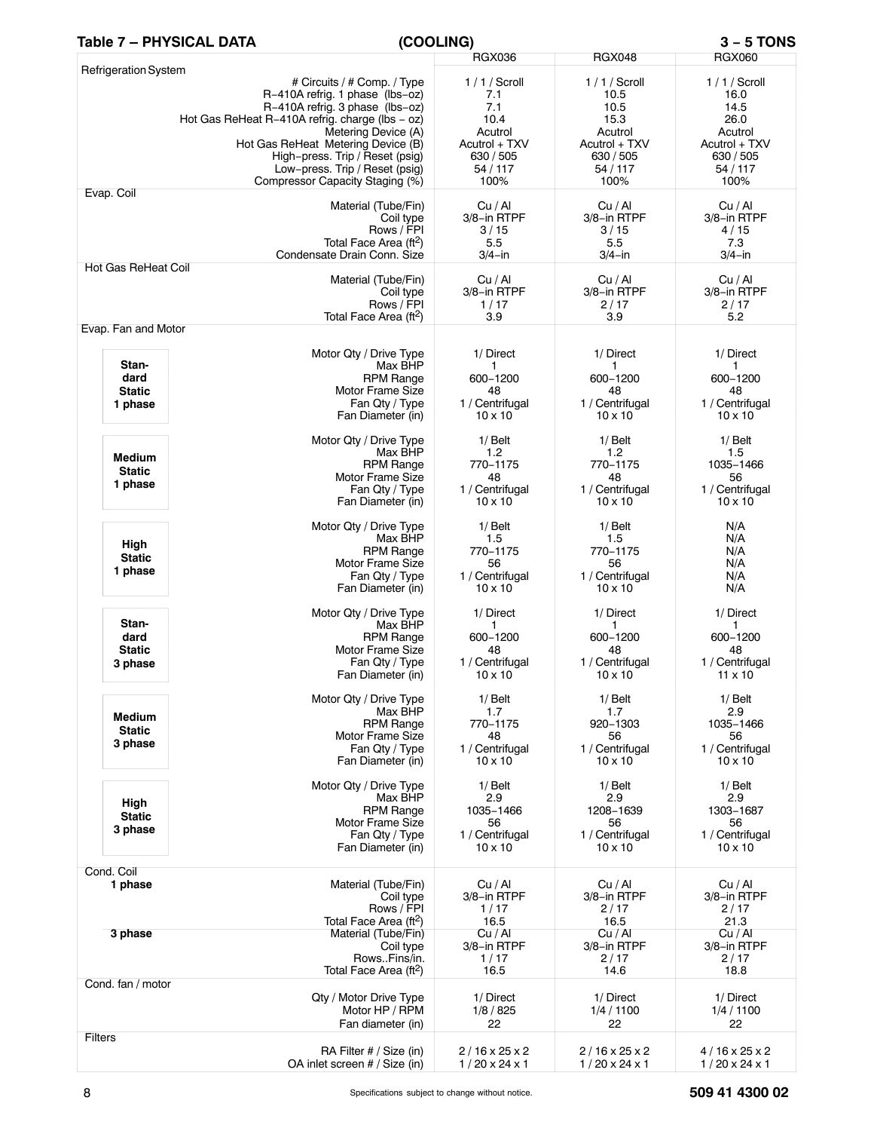## **Table 7 – PHYSICAL DATA (COOLING) 3 − 5 TONS**

|                                           |                                                                                                                                                                                                                                                                                                                           | <b>RGX036</b>                                                                                  | <b>RGX048</b>                                                                                    | <b>RGX060</b>                                                                                    |
|-------------------------------------------|---------------------------------------------------------------------------------------------------------------------------------------------------------------------------------------------------------------------------------------------------------------------------------------------------------------------------|------------------------------------------------------------------------------------------------|--------------------------------------------------------------------------------------------------|--------------------------------------------------------------------------------------------------|
| Refrigeration System                      | # Circuits / # Comp. / Type<br>R-410A refrig. 1 phase (lbs-oz)<br>R-410A refrig. 3 phase (lbs-oz)<br>Hot Gas ReHeat R-410A refrig. charge (lbs - oz)<br>Metering Device (A)<br>Hot Gas ReHeat Metering Device (B)<br>High-press. Trip / Reset (psig)<br>Low-press. Trip / Reset (psig)<br>Compressor Capacity Staging (%) | $1/1/S$ croll<br>7.1<br>7.1<br>10.4<br>Acutrol<br>Acutrol + TXV<br>630 / 505<br>54/117<br>100% | $1/1/S$ croll<br>10.5<br>10.5<br>15.3<br>Acutrol<br>Acutrol + TXV<br>630 / 505<br>54/117<br>100% | $1/1/$ Scroll<br>16.0<br>14.5<br>26.0<br>Acutrol<br>Acutrol + TXV<br>630 / 505<br>54/117<br>100% |
| Evap. Coil                                | Material (Tube/Fin)<br>Coil type<br>Rows / FPI<br>Total Face Area (ft <sup>2</sup> )<br>Condensate Drain Conn. Size                                                                                                                                                                                                       | Cu/Al<br>3/8-in RTPF<br>3/15<br>5.5<br>$3/4 - in$                                              | Cu / Al<br>3/8-in RTPF<br>3/15<br>5.5<br>$3/4$ -in                                               | Cu / Al<br>3/8-in RTPF<br>4/15<br>7.3<br>$3/4$ -in                                               |
| <b>Hot Gas ReHeat Coil</b>                | Material (Tube/Fin)<br>Coil type<br>Rows / FPI<br>Total Face Area (ft <sup>2</sup> )                                                                                                                                                                                                                                      | Cu / Al<br>3/8-in RTPF<br>1/17<br>3.9                                                          | Cu / Al<br>3/8-in RTPF<br>2/17<br>3.9                                                            | Cu / Al<br>3/8-in RTPF<br>2/17<br>5.2                                                            |
| Evap. Fan and Motor                       | Motor Qty / Drive Type                                                                                                                                                                                                                                                                                                    | 1/ Direct                                                                                      | 1/ Direct                                                                                        | 1/ Direct                                                                                        |
| Stan-<br>dard<br><b>Static</b><br>1 phase | Max BHP<br><b>RPM Range</b><br>Motor Frame Size<br>Fan Qty / Type<br>Fan Diameter (in)                                                                                                                                                                                                                                    | 1<br>600-1200<br>48<br>1 / Centrifugal<br>$10 \times 10$                                       | 1<br>600-1200<br>48<br>1 / Centrifugal<br>$10 \times 10$                                         | 1<br>600-1200<br>48<br>1 / Centrifugal<br>$10 \times 10$                                         |
| <b>Medium</b><br><b>Static</b><br>1 phase | Motor Qty / Drive Type<br>Max BHP<br><b>RPM Range</b><br>Motor Frame Size<br>Fan Qty / Type<br>Fan Diameter (in)                                                                                                                                                                                                          | $1/$ Belt<br>1.2<br>770-1175<br>48<br>1 / Centrifugal<br>$10 \times 10$                        | $1/$ Belt<br>1.2<br>770-1175<br>48<br>1 / Centrifugal<br>$10 \times 10$                          | $1/$ Belt<br>1.5<br>1035-1466<br>56<br>1 / Centrifugal<br>$10 \times 10$                         |
| High<br><b>Static</b><br>1 phase          | Motor Qty / Drive Type<br>Max BHP<br><b>RPM Range</b><br>Motor Frame Size<br>Fan Qty / Type<br>Fan Diameter (in)                                                                                                                                                                                                          | $1/$ Belt<br>1.5<br>770-1175<br>56<br>1 / Centrifugal<br>$10 \times 10$                        | $1/$ Belt<br>1.5<br>770-1175<br>56<br>1 / Centrifugal<br>$10 \times 10$                          | N/A<br>N/A<br>N/A<br>N/A<br>N/A<br>N/A                                                           |
| Stan-<br>dard<br><b>Static</b><br>3 phase | Motor Qty / Drive Type<br>Max BHP<br><b>RPM Range</b><br>Motor Frame Size<br>Fan Qty / Type<br>Fan Diameter (in)                                                                                                                                                                                                          | 1/ Direct<br>1<br>600-1200<br>48<br>1 / Centrifugal<br>$10 \times 10$                          | 1/ Direct<br>1<br>600-1200<br>48<br>1 / Centrifugal<br>$10 \times 10$                            | 1/ Direct<br>1<br>600-1200<br>48<br>1 / Centrifugal<br>$11 \times 10$                            |
| <b>Medium</b><br><b>Static</b><br>3 phase | Motor Qty / Drive Type<br>Max BHP<br><b>RPM Range</b><br><b>Motor Frame Size</b><br>Fan Qty / Type<br>Fan Diameter (in)                                                                                                                                                                                                   | $1/$ Belt<br>1.7<br>770-1175<br>48<br>1 / Centrifugal<br>$10 \times 10$                        | $1/$ Belt<br>1.7<br>920-1303<br>56<br>1 / Centrifugal<br>$10 \times 10$                          | $1/$ Belt<br>2.9<br>1035-1466<br>56<br>1 / Centrifugal<br>$10 \times 10$                         |
| High<br><b>Static</b><br>3 phase          | Motor Qty / Drive Type<br>Max BHP<br><b>RPM Range</b><br><b>Motor Frame Size</b><br>Fan Qty / Type<br>Fan Diameter (in)                                                                                                                                                                                                   | $1/$ Belt<br>2.9<br>1035-1466<br>56<br>1 / Centrifugal<br>$10 \times 10$                       | $1/$ Belt<br>2.9<br>1208-1639<br>56<br>1 / Centrifugal<br>$10 \times 10$                         | $1/$ Belt<br>2.9<br>1303-1687<br>56<br>1 / Centrifugal<br>$10 \times 10$                         |
| Cond. Coil<br>1 phase                     | Material (Tube/Fin)<br>Coil type<br>Rows / FPI<br>Total Face Area (ft <sup>2</sup> )                                                                                                                                                                                                                                      | Cu / Al<br>3/8-in RTPF<br>1/17<br>16.5                                                         | Cu / Al<br>3/8-in RTPF<br>2/17<br>16.5                                                           | Cu / Al<br>3/8-in RTPF<br>2/17<br>21.3                                                           |
| 3 phase                                   | Material (Tube/Fin)<br>Coil type<br>RowsFins/in.<br>Total Face Area (ft <sup>2</sup> )                                                                                                                                                                                                                                    | Cu / Al<br>3/8-in RTPF<br>1/17<br>16.5                                                         | Cu/Al<br>3/8-in RTPF<br>2/17<br>14.6                                                             | Cu/Al<br>3/8-in RTPF<br>2/17<br>18.8                                                             |
| Cond. fan / motor                         | Qty / Motor Drive Type<br>Motor HP / RPM<br>Fan diameter (in)                                                                                                                                                                                                                                                             | 1/ Direct<br>1/8/825<br>22                                                                     | 1/ Direct<br>1/4/1100<br>22                                                                      | 1/ Direct<br>1/4/1100<br>22                                                                      |
| <b>Filters</b>                            | RA Filter # / Size (in)<br>OA inlet screen # / Size (in)                                                                                                                                                                                                                                                                  | $2/16 \times 25 \times 2$<br>$1/20 \times 24 \times 1$                                         | $2/16 \times 25 \times 2$<br>$1/20 \times 24 \times 1$                                           | $4/16 \times 25 \times 2$<br>$1/20 \times 24 \times 1$                                           |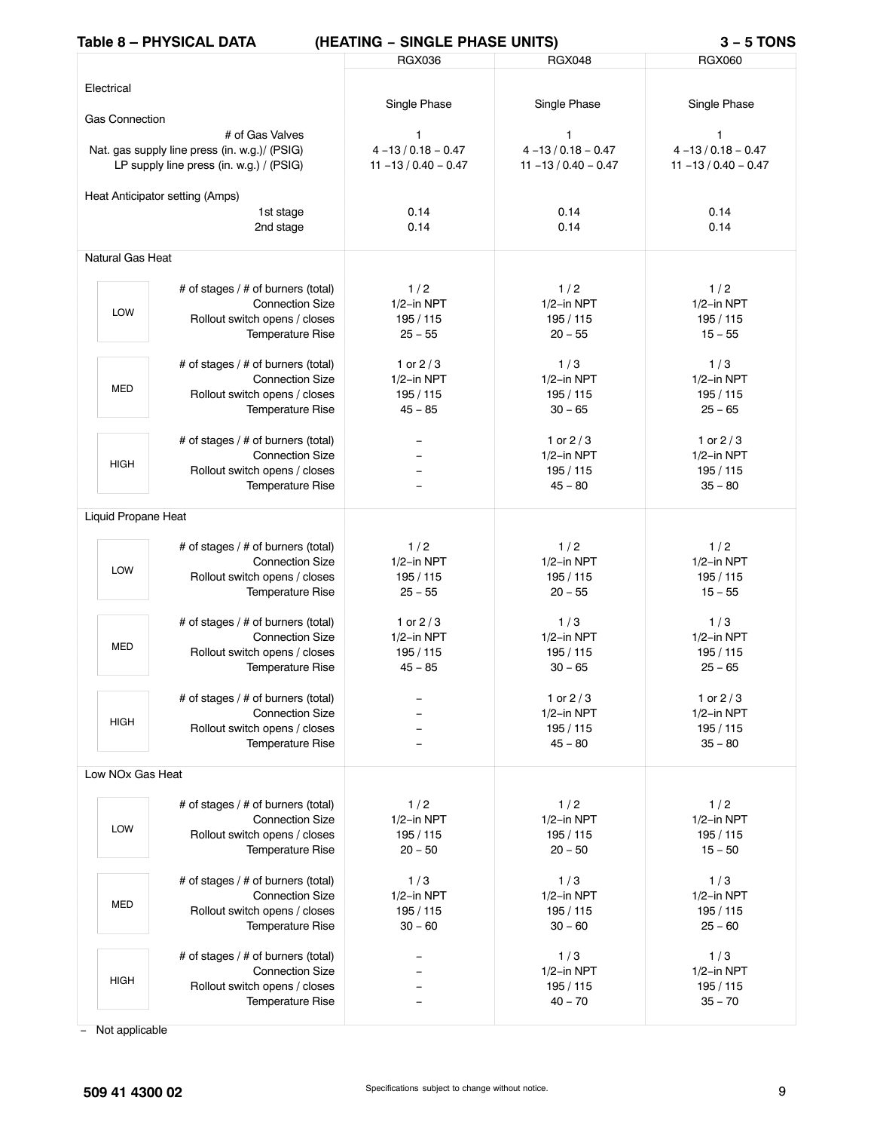# **Table 8 – PHYSICAL DATA (HEATING − SINGLE PHASE UNITS) 3 − 5 TONS**

| <b>IQUIE O – PHI SIGAL DAIA</b>               | (NEALING -<br><b>SINGLE FRASE UNITS</b> |                         | 3 – 9 IUNJ              |
|-----------------------------------------------|-----------------------------------------|-------------------------|-------------------------|
|                                               | <b>RGX036</b>                           | <b>RGX048</b>           | <b>RGX060</b>           |
|                                               |                                         |                         |                         |
| Electrical                                    |                                         |                         |                         |
|                                               | Single Phase                            | Single Phase            | Single Phase            |
| <b>Gas Connection</b>                         |                                         |                         |                         |
| # of Gas Valves                               | 1                                       | $\mathbf{1}$            | 1                       |
|                                               | $4 - 13 / 0.18 - 0.47$                  | $4 - 13 / 0.18 - 0.47$  | $4 - 13 / 0.18 - 0.47$  |
| Nat. gas supply line press (in. w.g.)/ (PSIG) |                                         |                         |                         |
| LP supply line press (in. w.g.) / (PSIG)      | $11 - 13 / 0.40 - 0.47$                 | $11 - 13 / 0.40 - 0.47$ | $11 - 13 / 0.40 - 0.47$ |
|                                               |                                         |                         |                         |
| Heat Anticipator setting (Amps)               |                                         |                         |                         |
| 1st stage                                     | 0.14                                    | 0.14                    | 0.14                    |
| 2nd stage                                     | 0.14                                    | 0.14                    | 0.14                    |
|                                               |                                         |                         |                         |
| Natural Gas Heat                              |                                         |                         |                         |
|                                               |                                         |                         |                         |
| # of stages / # of burners (total)            | 1/2                                     | 1/2                     | 1/2                     |
| <b>Connection Size</b><br>LOW                 | $1/2$ -in NPT                           | $1/2$ -in NPT           | 1/2-in NPT              |
| Rollout switch opens / closes                 | 195 / 115                               | 195 / 115               | 195/115                 |
| <b>Temperature Rise</b>                       | $25 - 55$                               | $20 - 55$               | $15 - 55$               |
|                                               |                                         |                         |                         |
| # of stages / # of burners (total)            | 1 or $2/3$                              | 1/3                     | 1/3                     |
| <b>Connection Size</b>                        | $1/2$ -in NPT                           | $1/2$ -in NPT           | $1/2$ -in NPT           |
| <b>MED</b><br>Rollout switch opens / closes   | 195 / 115                               | 195 / 115               | 195/115                 |
| Temperature Rise                              | $45 - 85$                               | $30 - 65$               | $25 - 65$               |
|                                               |                                         |                         |                         |
| # of stages / # of burners (total)            |                                         | 1 or $2/3$              | 1 or $2/3$              |
| <b>Connection Size</b>                        |                                         | $1/2$ -in NPT           | 1/2-in NPT              |
| <b>HIGH</b><br>Rollout switch opens / closes  |                                         | 195 / 115               | 195/115                 |
|                                               |                                         |                         |                         |
| <b>Temperature Rise</b>                       |                                         | $45 - 80$               | $35 - 80$               |
|                                               |                                         |                         |                         |
| Liquid Propane Heat                           |                                         |                         |                         |
|                                               |                                         |                         |                         |
| # of stages / # of burners (total)            | 1/2                                     | 1/2                     | 1/2                     |
| <b>Connection Size</b><br>LOW                 | $1/2$ -in NPT                           | $1/2$ -in NPT           | 1/2-in NPT              |
| Rollout switch opens / closes                 | 195 / 115                               | 195 / 115               | 195/115                 |
| Temperature Rise                              | $25 - 55$                               | $20 - 55$               | $15 - 55$               |
|                                               |                                         |                         |                         |
| # of stages / # of burners (total)            | 1 or $2/3$                              | 1/3                     | 1/3                     |
| <b>Connection Size</b>                        | $1/2$ -in NPT                           | $1/2$ -in NPT           | $1/2$ -in NPT           |
| <b>MED</b><br>Rollout switch opens / closes   | 195/115                                 | 195 / 115               | 195/115                 |
| <b>Temperature Rise</b>                       | $45 - 85$                               | $30 - 65$               | $25 - 65$               |
|                                               |                                         |                         |                         |
| # of stages / # of burners (total)            |                                         | 1 or $2/3$              | 1 or $2/3$              |
| <b>Connection Size</b>                        |                                         | $1/2$ -in NPT           | $1/2$ -in NPT           |
| <b>HIGH</b><br>Rollout switch opens / closes  |                                         | 195 / 115               | 195/115                 |
| Temperature Rise                              |                                         | $45 - 80$               | $35 - 80$               |
|                                               |                                         |                         |                         |
| Low NOx Gas Heat                              |                                         |                         |                         |
|                                               |                                         |                         |                         |
| # of stages / # of burners (total)            | 1/2                                     | 1/2                     | 1/2                     |
| <b>Connection Size</b>                        | $1/2$ -in NPT                           | $1/2$ -in NPT           | $1/2$ -in NPT           |
| LOW<br>Rollout switch opens / closes          | 195 / 115                               | 195 / 115               | 195/115                 |
|                                               |                                         |                         |                         |
| Temperature Rise                              | $20 - 50$                               | $20 - 50$               | $15 - 50$               |
|                                               |                                         |                         |                         |
| # of stages / # of burners (total)            | 1/3                                     | 1/3                     | 1/3                     |
| <b>Connection Size</b><br><b>MED</b>          | $1/2$ -in NPT                           | $1/2$ -in NPT           | $1/2$ -in NPT           |
| Rollout switch opens / closes                 | 195/115                                 | 195 / 115               | 195/115                 |
| Temperature Rise                              | $30 - 60$                               | $30 - 60$               | $25 - 60$               |
|                                               |                                         |                         |                         |
| # of stages / # of burners (total)            |                                         | 1/3                     | 1/3                     |
| <b>Connection Size</b>                        |                                         | $1/2$ -in NPT           | $1/2$ -in NPT           |
| <b>HIGH</b><br>Rollout switch opens / closes  |                                         | 195 / 115               | 195 / 115               |
| Temperature Rise                              |                                         | $40 - 70$               | $35 - 70$               |
|                                               |                                         |                         |                         |

− Not applicable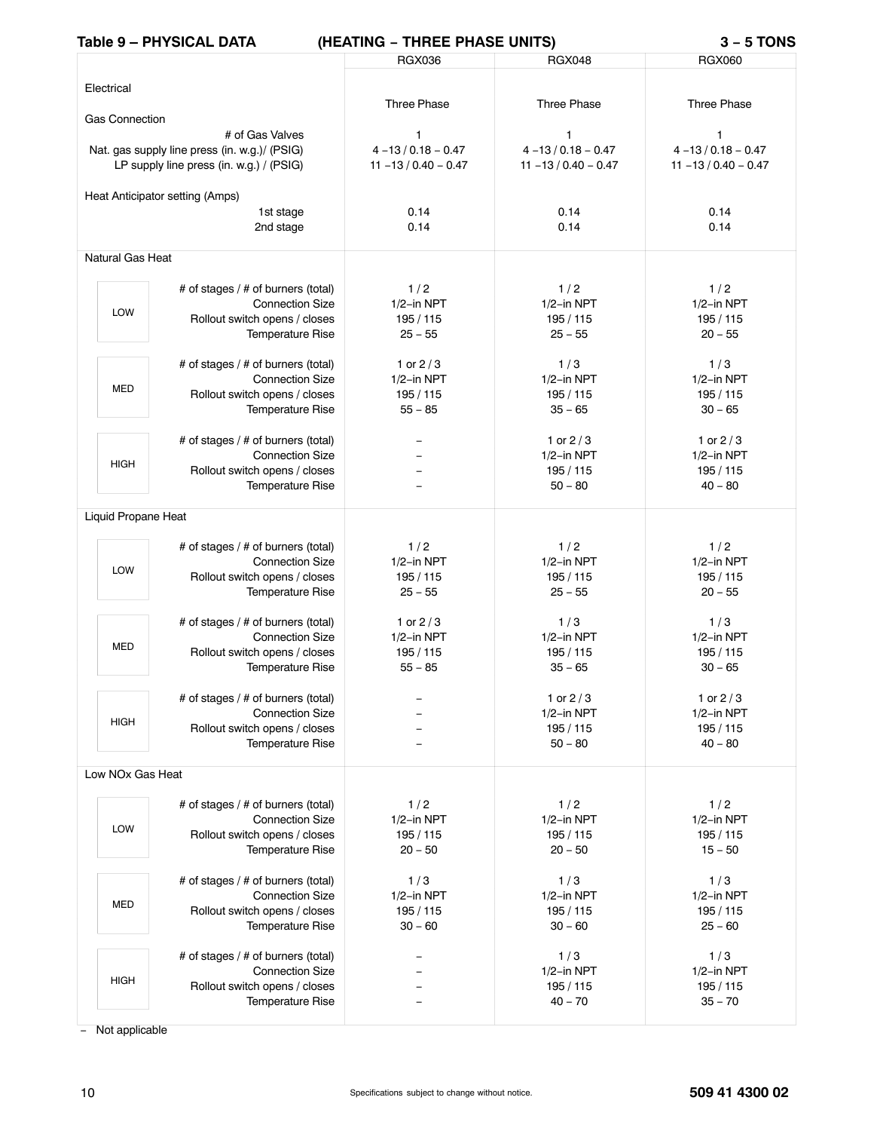# **Table 9 – PHYSICAL DATA (HEATING − THREE PHASE UNITS) 3 − 5 TONS**

|                              | IQUIE 5 – FITT JIVAL DATA                     | (TEATING - THREE FHASE UNITS) |                         | - ט וטוש                |
|------------------------------|-----------------------------------------------|-------------------------------|-------------------------|-------------------------|
|                              |                                               | <b>RGX036</b>                 | <b>RGX048</b>           | <b>RGX060</b>           |
|                              |                                               |                               |                         |                         |
| Electrical                   |                                               |                               |                         |                         |
|                              |                                               | <b>Three Phase</b>            | <b>Three Phase</b>      | <b>Three Phase</b>      |
| <b>Gas Connection</b>        |                                               |                               |                         |                         |
|                              | # of Gas Valves                               | $\mathbf{1}$                  | 1                       | 1                       |
|                              | Nat. gas supply line press (in. w.g.)/ (PSIG) | $4 - 13 / 0.18 - 0.47$        | $4 - 13 / 0.18 - 0.47$  | $4 - 13 / 0.18 - 0.47$  |
|                              | LP supply line press (in. w.g.) / (PSIG)      | $11 - 13 / 0.40 - 0.47$       | $11 - 13 / 0.40 - 0.47$ | $11 - 13 / 0.40 - 0.47$ |
|                              |                                               |                               |                         |                         |
|                              | Heat Anticipator setting (Amps)               |                               |                         |                         |
|                              | 1st stage                                     | 0.14                          | 0.14                    | 0.14                    |
|                              | 2nd stage                                     | 0.14                          | 0.14                    | 0.14                    |
|                              |                                               |                               |                         |                         |
| <b>Natural Gas Heat</b>      |                                               |                               |                         |                         |
|                              |                                               |                               |                         |                         |
|                              | # of stages / # of burners (total)            | 1/2                           | 1/2                     | 1/2                     |
|                              | <b>Connection Size</b>                        | $1/2$ -in NPT                 | $1/2$ -in NPT           | 1/2-in NPT              |
| <b>LOW</b>                   | Rollout switch opens / closes                 | 195 / 115                     | 195 / 115               | 195/115                 |
|                              | <b>Temperature Rise</b>                       | $25 - 55$                     | $25 - 55$               | $20 - 55$               |
|                              |                                               |                               |                         |                         |
|                              | # of stages / # of burners (total)            | 1 or $2/3$                    | 1/3                     | 1/3                     |
|                              | <b>Connection Size</b>                        | $1/2$ -in NPT                 | $1/2$ -in NPT           | $1/2$ -in NPT           |
| <b>MED</b>                   | Rollout switch opens / closes                 | 195 / 115                     | 195 / 115               | 195/115                 |
|                              | Temperature Rise                              | $55 - 85$                     | $35 - 65$               | $30 - 65$               |
|                              |                                               |                               |                         |                         |
|                              |                                               |                               |                         | 1 or $2/3$              |
|                              | # of stages / # of burners (total)            |                               | 1 or $2/3$              |                         |
| <b>HIGH</b>                  | <b>Connection Size</b>                        |                               | 1/2-in NPT              | $1/2$ -in NPT           |
|                              | Rollout switch opens / closes                 |                               | 195 / 115               | 195/115                 |
|                              | <b>Temperature Rise</b>                       |                               | $50 - 80$               | $40 - 80$               |
|                              |                                               |                               |                         |                         |
| Liquid Propane Heat          |                                               |                               |                         |                         |
|                              | # of stages / # of burners (total)            | 1/2                           | 1/2                     | 1/2                     |
|                              | <b>Connection Size</b>                        | $1/2$ -in NPT                 | 1/2-in NPT              | 1/2-in NPT              |
| LOW                          | Rollout switch opens / closes                 | 195 / 115                     | 195 / 115               | 195/115                 |
|                              |                                               | $25 - 55$                     | $25 - 55$               | $20 - 55$               |
|                              | <b>Temperature Rise</b>                       |                               |                         |                         |
|                              | # of stages / # of burners (total)            | 1 or $2/3$                    | 1/3                     | 1/3                     |
|                              | <b>Connection Size</b>                        | $1/2$ -in NPT                 | $1/2$ -in NPT           | $1/2$ -in NPT           |
| <b>MED</b>                   | Rollout switch opens / closes                 | 195/115                       | 195 / 115               | 195 / 115               |
|                              |                                               |                               | $35 - 65$               | $30 - 65$               |
|                              | <b>Temperature Rise</b>                       | $55 - 85$                     |                         |                         |
|                              | # of stages / # of burners (total)            |                               |                         | 1 or $2/3$              |
|                              | <b>Connection Size</b>                        |                               | 1 or $2/3$              |                         |
| <b>HIGH</b>                  |                                               |                               | $1/2$ -in NPT           | $1/2$ -in NPT           |
|                              | Rollout switch opens / closes                 |                               | 195 / 115               | 195/115                 |
|                              | <b>Temperature Rise</b>                       |                               | $50 - 80$               | $40 - 80$               |
| Low NO <sub>x</sub> Gas Heat |                                               |                               |                         |                         |
|                              |                                               |                               |                         |                         |
|                              | # of stages / # of burners (total)            | 1/2                           | 1/2                     | 1/2                     |
|                              | <b>Connection Size</b>                        | $1/2$ -in NPT                 | $1/2$ -in NPT           | $1/2$ -in NPT           |
| <b>LOW</b>                   |                                               |                               |                         |                         |
|                              | Rollout switch opens / closes                 | 195 / 115                     | 195 / 115               | 195/115                 |
|                              | <b>Temperature Rise</b>                       | $20 - 50$                     | $20 - 50$               | $15 - 50$               |
|                              |                                               |                               |                         |                         |
|                              | # of stages / # of burners (total)            | 1/3                           | 1/3                     | 1/3                     |
| <b>MED</b>                   | <b>Connection Size</b>                        | $1/2$ -in NPT                 | $1/2$ -in NPT           | $1/2$ -in NPT           |
|                              | Rollout switch opens / closes                 | 195 / 115                     | 195 / 115               | 195 / 115               |
|                              | <b>Temperature Rise</b>                       | $30 - 60$                     | $30 - 60$               | $25 - 60$               |
|                              |                                               |                               |                         |                         |
|                              | # of stages / # of burners (total)            |                               | 1/3                     | 1/3                     |
| <b>HIGH</b>                  | <b>Connection Size</b>                        |                               | $1/2$ -in NPT           | $1/2$ -in NPT           |
|                              | Rollout switch opens / closes                 |                               | 195 / 115               | 195/115                 |
|                              | <b>Temperature Rise</b>                       |                               | $40 - 70$               | $35 - 70$               |
|                              |                                               |                               |                         |                         |

− Not applicable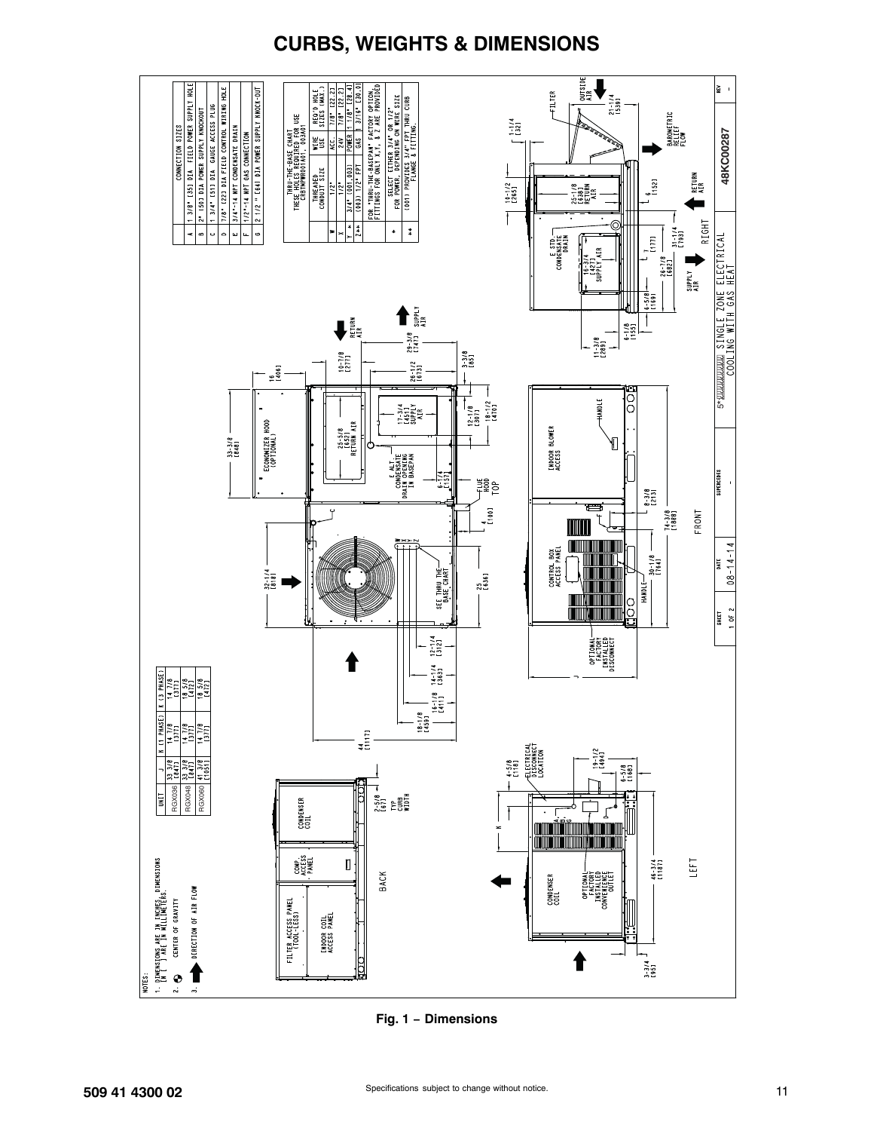

# **CURBS, WEIGHTS & DIMENSIONS**

**Fig. 1 − Dimensions**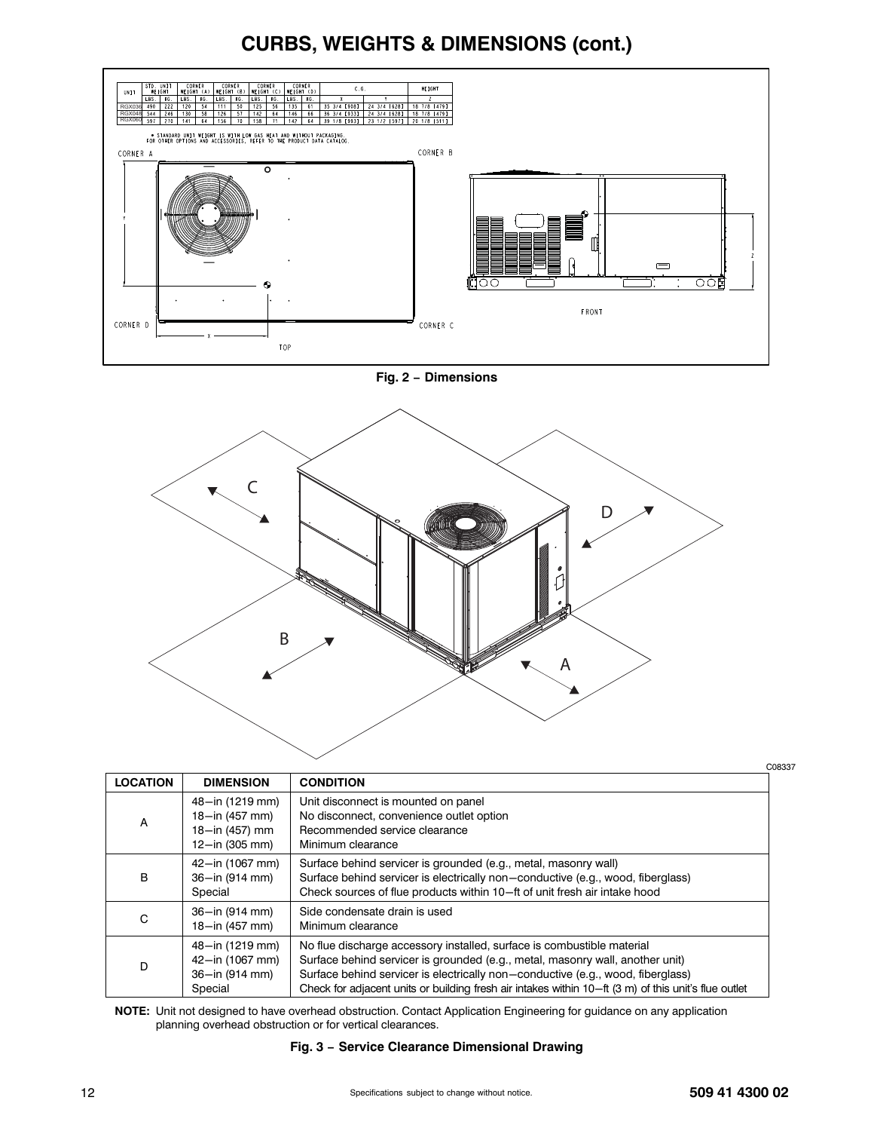# **CURBS, WEIGHTS & DIMENSIONS (cont.)**



**Fig. 2 − Dimensions**



|                 |                                                                       |                                                                                                                                                                                                                                                                                                                                                    | C08337 |
|-----------------|-----------------------------------------------------------------------|----------------------------------------------------------------------------------------------------------------------------------------------------------------------------------------------------------------------------------------------------------------------------------------------------------------------------------------------------|--------|
| <b>LOCATION</b> | <b>DIMENSION</b>                                                      | <b>CONDITION</b>                                                                                                                                                                                                                                                                                                                                   |        |
| Α               | 48-in (1219 mm)<br>18-in (457 mm)<br>18-in (457) mm<br>12-in (305 mm) | Unit disconnect is mounted on panel<br>No disconnect, convenience outlet option<br>Recommended service clearance<br>Minimum clearance                                                                                                                                                                                                              |        |
| B               | 42-in (1067 mm)<br>36-in (914 mm)<br>Special                          | Surface behind servicer is grounded (e.g., metal, masonry wall)<br>Surface behind servicer is electrically non-conductive (e.g., wood, fiberglass)<br>Check sources of flue products within 10-ft of unit fresh air intake hood                                                                                                                    |        |
| C               | 36-in (914 mm)<br>18-in (457 mm)                                      | Side condensate drain is used<br>Minimum clearance                                                                                                                                                                                                                                                                                                 |        |
| D               | 48-in (1219 mm)<br>42-in (1067 mm)<br>36-in (914 mm)<br>Special       | No flue discharge accessory installed, surface is combustible material<br>Surface behind servicer is grounded (e.g., metal, masonry wall, another unit)<br>Surface behind servicer is electrically non-conductive (e.g., wood, fiberglass)<br>Check for adjacent units or building fresh air intakes within 10-ft (3 m) of this unit's flue outlet |        |

**NOTE:** Unit not designed to have overhead obstruction. Contact Application Engineering for guidance on any application planning overhead obstruction or for vertical clearances.

#### **Fig. 3 − Service Clearance Dimensional Drawing**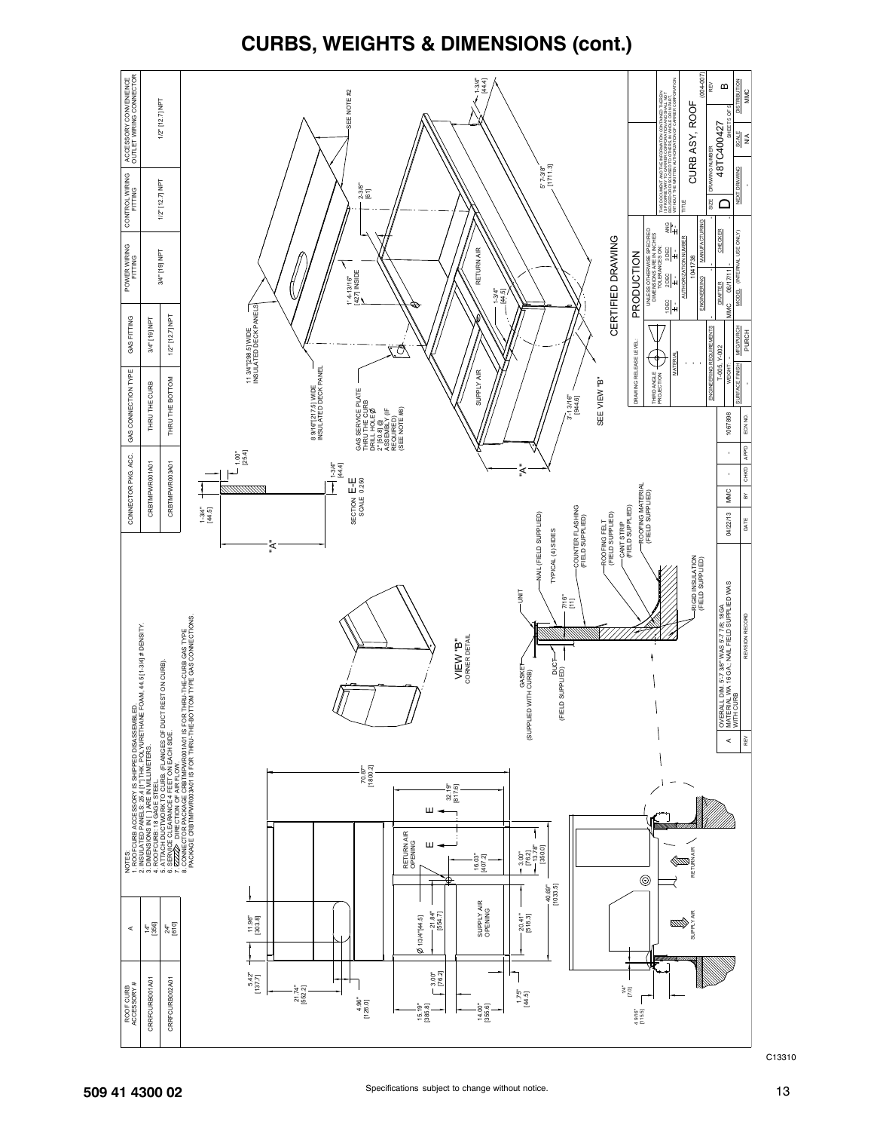

**CURBS, WEIGHTS & DIMENSIONS (cont.)**

C13310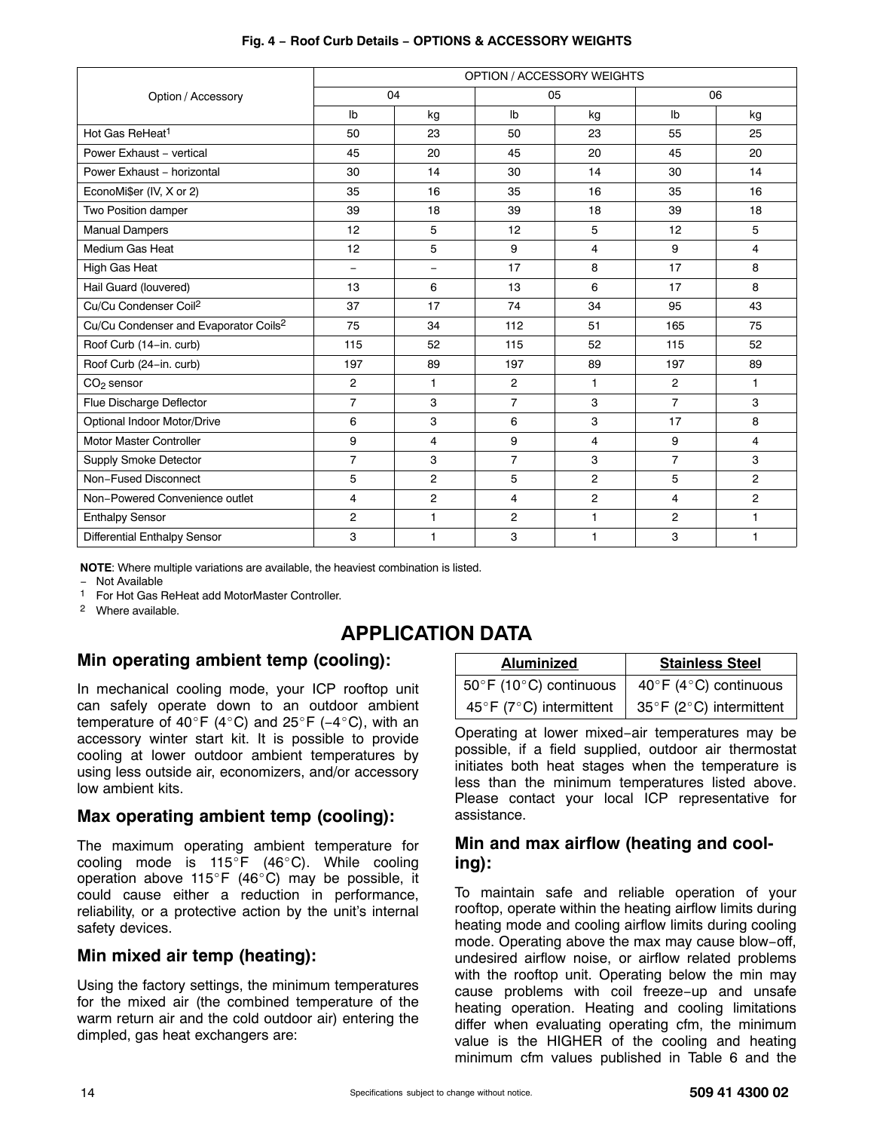|                                                   |                |                | OPTION / ACCESSORY WEIGHTS |                |                |                |
|---------------------------------------------------|----------------|----------------|----------------------------|----------------|----------------|----------------|
| Option / Accessory                                |                | 04             |                            | 05             |                | 06             |
|                                                   | Ib             | kg             | I <sub>b</sub>             | kg             | Ib             | kg             |
| Hot Gas ReHeat <sup>1</sup>                       | 50             | 23             | 50                         | 23             | 55             | 25             |
| Power Exhaust - vertical                          | 45             | 20             | 45                         | 20             | 45             | 20             |
| Power Exhaust - horizontal                        | 30             | 14             | 30                         | 14             | 30             | 14             |
| EconoMi\$er (IV, X or 2)                          | 35             | 16             | 35                         | 16             | 35             | 16             |
| Two Position damper                               | 39             | 18             | 39                         | 18             | 39             | 18             |
| <b>Manual Dampers</b>                             | 12             | 5              | 12                         | 5              | 12             | 5              |
| Medium Gas Heat                                   | 12             | 5              | 9                          | $\overline{4}$ | 9              | 4              |
| High Gas Heat                                     | $\equiv$       | ÷,             | 17                         | 8              | 17             | 8              |
| Hail Guard (louvered)                             | 13             | 6              | 13                         | 6              | 17             | 8              |
| Cu/Cu Condenser Coil <sup>2</sup>                 | 37             | 17             | 74                         | 34             | 95             | 43             |
| Cu/Cu Condenser and Evaporator Coils <sup>2</sup> | 75             | 34             | 112                        | 51             | 165            | 75             |
| Roof Curb (14-in. curb)                           | 115            | 52             | 115                        | 52             | 115            | 52             |
| Roof Curb (24-in. curb)                           | 197            | 89             | 197                        | 89             | 197            | 89             |
| $CO2$ sensor                                      | $\overline{2}$ | 1.             | $\overline{c}$             | 1.             | $\overline{2}$ | $\mathbf{1}$   |
| Flue Discharge Deflector                          | $\overline{7}$ | 3              | $\overline{7}$             | 3              | $\overline{7}$ | 3              |
| Optional Indoor Motor/Drive                       | 6              | 3              | 6                          | 3              | 17             | 8              |
| Motor Master Controller                           | 9              | $\overline{4}$ | 9                          | 4              | 9              | 4              |
| <b>Supply Smoke Detector</b>                      | $\overline{7}$ | 3              | $\overline{7}$             | 3              | $\overline{7}$ | 3              |
| Non-Fused Disconnect                              | 5              | $\overline{c}$ | 5                          | $\overline{2}$ | 5              | $\overline{c}$ |
| Non-Powered Convenience outlet                    | 4              | $\overline{c}$ | 4                          | $\overline{2}$ | 4              | $\overline{c}$ |
| <b>Enthalpy Sensor</b>                            | 2              | 1              | $\overline{2}$             | 1              | 2              | 1              |
| <b>Differential Enthalpy Sensor</b>               | 3              | 1              | 3                          | 1              | 3              | 1              |

#### **Fig. 4 − Roof Curb Details − OPTIONS & ACCESSORY WEIGHTS**

**NOTE**: Where multiple variations are available, the heaviest combination is listed.

− Not Available

1 For Hot Gas ReHeat add MotorMaster Controller.

2 Where available.

# **APPLICATION DATA**

# **Min operating ambient temp (cooling):**

In mechanical cooling mode, your ICP rooftop unit can safely operate down to an outdoor ambient temperature of 40°F (4°C) and 25°F (-4°C), with an accessory winter start kit. It is possible to provide cooling at lower outdoor ambient temperatures by using less outside air, economizers, and/or accessory low ambient kits.

## **Max operating ambient temp (cooling):**

The maximum operating ambient temperature for cooling mode is  $115^{\circ}F$  (46°C). While cooling operation above 115°F (46°C) may be possible, it could cause either a reduction in performance, reliability, or a protective action by the unit's internal safety devices.

## **Min mixed air temp (heating):**

Using the factory settings, the minimum temperatures for the mixed air (the combined temperature of the warm return air and the cold outdoor air) entering the dimpled, gas heat exchangers are:

| <b>Aluminized</b>       | <b>Stainless Steel</b>  |
|-------------------------|-------------------------|
| 50°F (10°C) continuous  | 40°F (4°C) continuous   |
| 45°F (7°C) intermittent | 35°F (2°C) intermittent |

Operating at lower mixed−air temperatures may be possible, if a field supplied, outdoor air thermostat initiates both heat stages when the temperature is less than the minimum temperatures listed above. Please contact your local ICP representative for assistance.

# **Min and max airflow (heating and cooling):**

To maintain safe and reliable operation of your rooftop, operate within the heating airflow limits during heating mode and cooling airflow limits during cooling mode. Operating above the max may cause blow−off, undesired airflow noise, or airflow related problems with the rooftop unit. Operating below the min may cause problems with coil freeze−up and unsafe heating operation. Heating and cooling limitations differ when evaluating operating cfm, the minimum value is the HIGHER of the cooling and heating minimum cfm values published in Table [6](#page-6-0) and the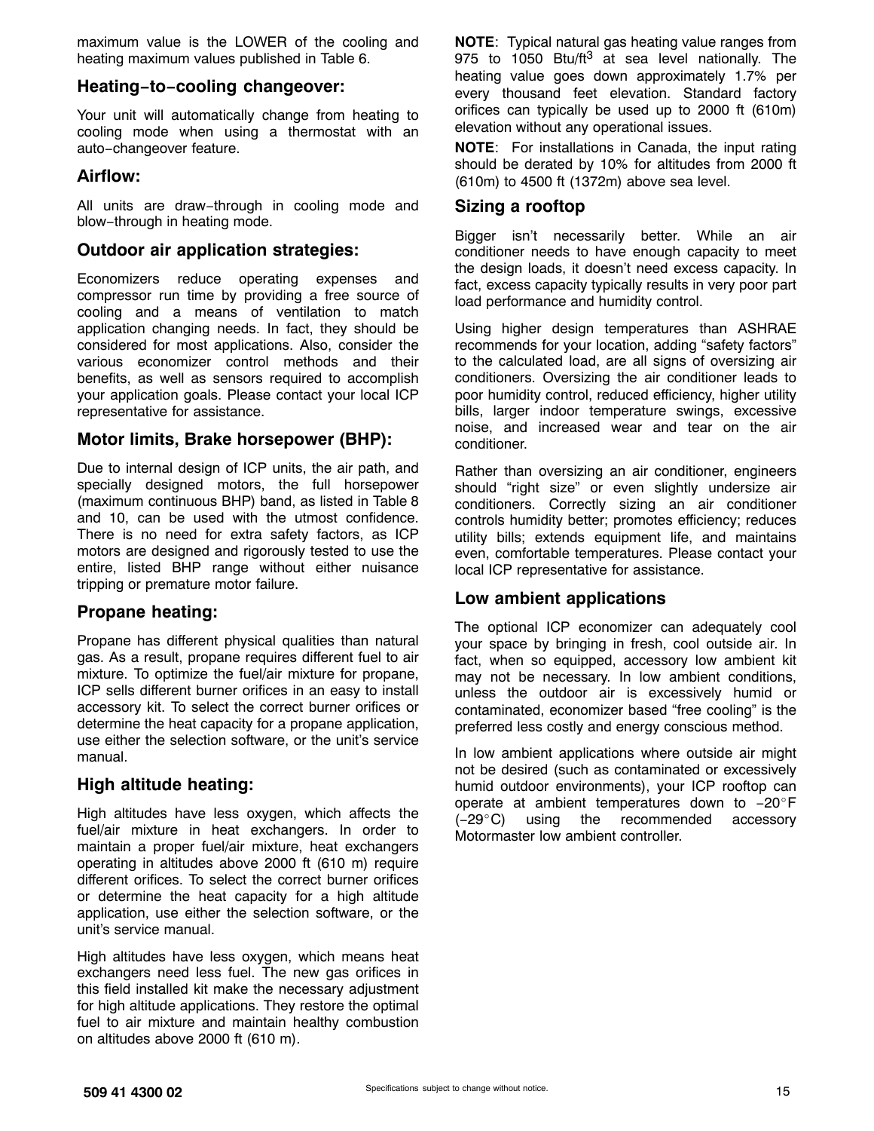maximum value is the LOWER of the cooling and heating maximum values published in Table [6.](#page-6-0)

## **Heating−to−cooling changeover:**

Your unit will automatically change from heating to cooling mode when using a thermostat with an auto−changeover feature.

## **Airflow:**

All units are draw−through in cooling mode and blow−through in heating mode.

## **Outdoor air application strategies:**

Economizers reduce operating expenses and compressor run time by providing a free source of cooling and a means of ventilation to match application changing needs. In fact, they should be considered for most applications. Also, consider the various economizer control methods and their benefits, as well as sensors required to accomplish your application goals. Please contact your local ICP representative for assistance.

## **Motor limits, Brake horsepower (BHP):**

Due to internal design of ICP units, the air path, and specially designed motors, the full horsepower (maximum continuous BHP) band, as listed in Table 8 and 10, can be used with the utmost confidence. There is no need for extra safety factors, as ICP motors are designed and rigorously tested to use the entire, listed BHP range without either nuisance tripping or premature motor failure.

## **Propane heating:**

Propane has different physical qualities than natural gas. As a result, propane requires different fuel to air mixture. To optimize the fuel/air mixture for propane, ICP sells different burner orifices in an easy to install accessory kit. To select the correct burner orifices or determine the heat capacity for a propane application, use either the selection software, or the unit's service manual.

## **High altitude heating:**

High altitudes have less oxygen, which affects the fuel/air mixture in heat exchangers. In order to maintain a proper fuel/air mixture, heat exchangers operating in altitudes above 2000 ft (610 m) require different orifices. To select the correct burner orifices or determine the heat capacity for a high altitude application, use either the selection software, or the unit's service manual.

High altitudes have less oxygen, which means heat exchangers need less fuel. The new gas orifices in this field installed kit make the necessary adjustment for high altitude applications. They restore the optimal fuel to air mixture and maintain healthy combustion on altitudes above 2000 ft (610 m).

**NOTE**: Typical natural gas heating value ranges from 975 to 1050 Btu/ft $3$  at sea level nationally. The heating value goes down approximately 1.7% per every thousand feet elevation. Standard factory orifices can typically be used up to 2000 ft (610m) elevation without any operational issues.

**NOTE**: For installations in Canada, the input rating should be derated by 10% for altitudes from 2000 ft (610m) to 4500 ft (1372m) above sea level.

# **Sizing a rooftop**

Bigger isn't necessarily better. While an air conditioner needs to have enough capacity to meet the design loads, it doesn't need excess capacity. In fact, excess capacity typically results in very poor part load performance and humidity control.

Using higher design temperatures than ASHRAE recommends for your location, adding "safety factors" to the calculated load, are all signs of oversizing air conditioners. Oversizing the air conditioner leads to poor humidity control, reduced efficiency, higher utility bills, larger indoor temperature swings, excessive noise, and increased wear and tear on the air conditioner.

Rather than oversizing an air conditioner, engineers should "right size" or even slightly undersize air conditioners. Correctly sizing an air conditioner controls humidity better; promotes efficiency; reduces utility bills; extends equipment life, and maintains even, comfortable temperatures. Please contact your local ICP representative for assistance.

## **Low ambient applications**

The optional ICP economizer can adequately cool your space by bringing in fresh, cool outside air. In fact, when so equipped, accessory low ambient kit may not be necessary. In low ambient conditions, unless the outdoor air is excessively humid or contaminated, economizer based "free cooling" is the preferred less costly and energy conscious method.

In low ambient applications where outside air might not be desired (such as contaminated or excessively humid outdoor environments), your ICP rooftop can operate at ambient temperatures down to -20°F (−29C) using the recommended accessory Motormaster low ambient controller.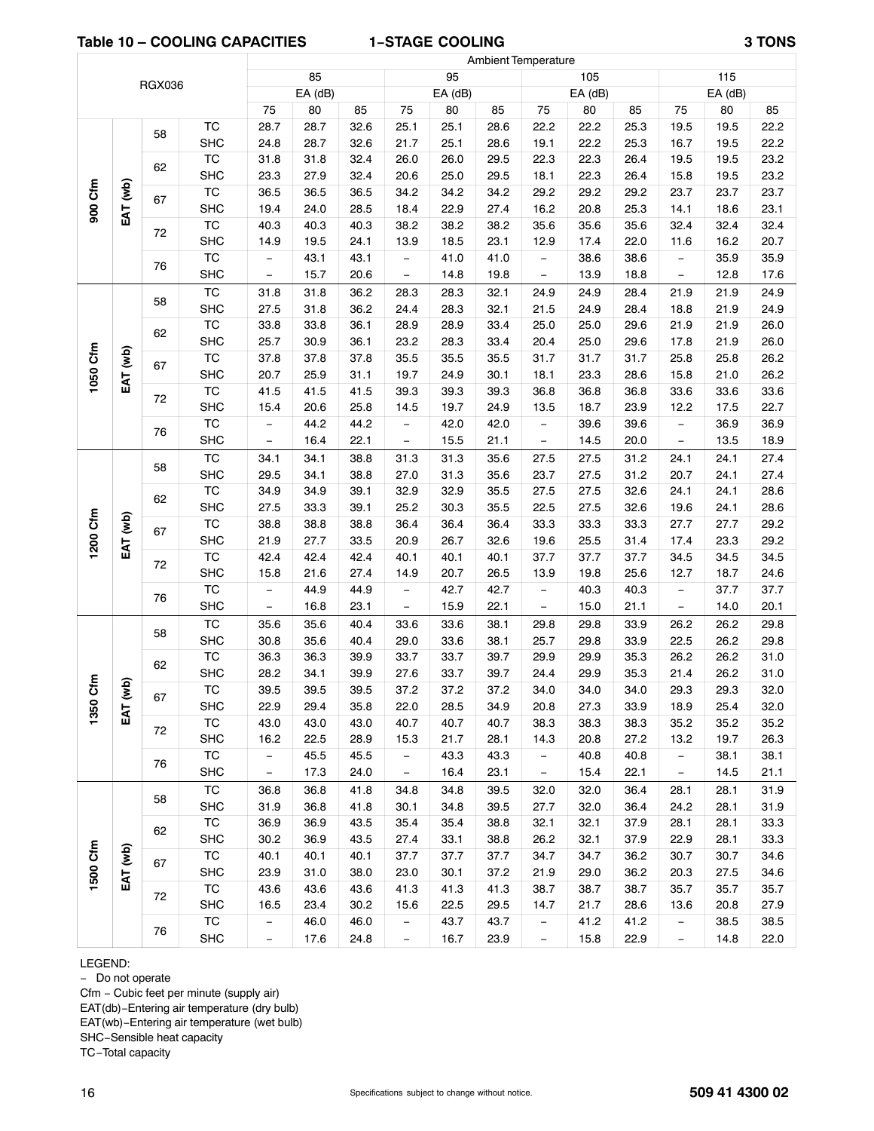#### **Table 10 – COOLING CAPACITIES 1−STAGE COOLING 3 TONS**

ſ

|                                                                                                                                                                                                                                                                                                                                                                                                                                                                                                                                                                                                                                                                                                                                                                                                                                                                                                                                                                                                                                                                                                                                                                                                                                                                                                                                                                                                                                                                                                                                                                                                                                                                                                                                                                                                                                                                                                                                                                                                                                                                                                                                                                                                                                                                                                                                                                                                                                                                                                                                                                                                                                                                                                                                                                                                                                                                                                                                                                                                                                                                                                                                                                                                                                                                                                                                                                                                                                                                                                                                                                                                                                                                                                                                                                                                                                                                                                                                                                                                                                                                                                                                                                                                                                                                                                                                                                                                                                                                                                                                                                                                                                                                                                                                                                                                                                                                                                                                |      |            |                          | 85   |      |                   | 95   |      |                          | 105  |      |                          | 115          |              |
|--------------------------------------------------------------------------------------------------------------------------------------------------------------------------------------------------------------------------------------------------------------------------------------------------------------------------------------------------------------------------------------------------------------------------------------------------------------------------------------------------------------------------------------------------------------------------------------------------------------------------------------------------------------------------------------------------------------------------------------------------------------------------------------------------------------------------------------------------------------------------------------------------------------------------------------------------------------------------------------------------------------------------------------------------------------------------------------------------------------------------------------------------------------------------------------------------------------------------------------------------------------------------------------------------------------------------------------------------------------------------------------------------------------------------------------------------------------------------------------------------------------------------------------------------------------------------------------------------------------------------------------------------------------------------------------------------------------------------------------------------------------------------------------------------------------------------------------------------------------------------------------------------------------------------------------------------------------------------------------------------------------------------------------------------------------------------------------------------------------------------------------------------------------------------------------------------------------------------------------------------------------------------------------------------------------------------------------------------------------------------------------------------------------------------------------------------------------------------------------------------------------------------------------------------------------------------------------------------------------------------------------------------------------------------------------------------------------------------------------------------------------------------------------------------------------------------------------------------------------------------------------------------------------------------------------------------------------------------------------------------------------------------------------------------------------------------------------------------------------------------------------------------------------------------------------------------------------------------------------------------------------------------------------------------------------------------------------------------------------------------------------------------------------------------------------------------------------------------------------------------------------------------------------------------------------------------------------------------------------------------------------------------------------------------------------------------------------------------------------------------------------------------------------------------------------------------------------------------------------------------------------------------------------------------------------------------------------------------------------------------------------------------------------------------------------------------------------------------------------------------------------------------------------------------------------------------------------------------------------------------------------------------------------------------------------------------------------------------------------------------------------------------------------------------------------------------------------------------------------------------------------------------------------------------------------------------------------------------------------------------------------------------------------------------------------------------------------------------------------------------------------------------------------------------------------------------------------------------------------------------------------------------------------------------------|------|------------|--------------------------|------|------|-------------------|------|------|--------------------------|------|------|--------------------------|--------------|--------------|
|                                                                                                                                                                                                                                                                                                                                                                                                                                                                                                                                                                                                                                                                                                                                                                                                                                                                                                                                                                                                                                                                                                                                                                                                                                                                                                                                                                                                                                                                                                                                                                                                                                                                                                                                                                                                                                                                                                                                                                                                                                                                                                                                                                                                                                                                                                                                                                                                                                                                                                                                                                                                                                                                                                                                                                                                                                                                                                                                                                                                                                                                                                                                                                                                                                                                                                                                                                                                                                                                                                                                                                                                                                                                                                                                                                                                                                                                                                                                                                                                                                                                                                                                                                                                                                                                                                                                                                                                                                                                                                                                                                                                                                                                                                                                                                                                                                                                                                                                |      |            |                          |      |      |                   |      |      |                          |      |      |                          | $EA$ (dB)    |              |
|                                                                                                                                                                                                                                                                                                                                                                                                                                                                                                                                                                                                                                                                                                                                                                                                                                                                                                                                                                                                                                                                                                                                                                                                                                                                                                                                                                                                                                                                                                                                                                                                                                                                                                                                                                                                                                                                                                                                                                                                                                                                                                                                                                                                                                                                                                                                                                                                                                                                                                                                                                                                                                                                                                                                                                                                                                                                                                                                                                                                                                                                                                                                                                                                                                                                                                                                                                                                                                                                                                                                                                                                                                                                                                                                                                                                                                                                                                                                                                                                                                                                                                                                                                                                                                                                                                                                                                                                                                                                                                                                                                                                                                                                                                                                                                                                                                                                                                                                |      |            | 75                       | 80   | 85   | 75                | 80   | 85   | 75                       | 80   | 85   | 75                       | 80           | 85           |
|                                                                                                                                                                                                                                                                                                                                                                                                                                                                                                                                                                                                                                                                                                                                                                                                                                                                                                                                                                                                                                                                                                                                                                                                                                                                                                                                                                                                                                                                                                                                                                                                                                                                                                                                                                                                                                                                                                                                                                                                                                                                                                                                                                                                                                                                                                                                                                                                                                                                                                                                                                                                                                                                                                                                                                                                                                                                                                                                                                                                                                                                                                                                                                                                                                                                                                                                                                                                                                                                                                                                                                                                                                                                                                                                                                                                                                                                                                                                                                                                                                                                                                                                                                                                                                                                                                                                                                                                                                                                                                                                                                                                                                                                                                                                                                                                                                                                                                                                |      |            |                          |      |      |                   |      |      |                          |      |      | 19.5                     | 19.5         | 22.2         |
|                                                                                                                                                                                                                                                                                                                                                                                                                                                                                                                                                                                                                                                                                                                                                                                                                                                                                                                                                                                                                                                                                                                                                                                                                                                                                                                                                                                                                                                                                                                                                                                                                                                                                                                                                                                                                                                                                                                                                                                                                                                                                                                                                                                                                                                                                                                                                                                                                                                                                                                                                                                                                                                                                                                                                                                                                                                                                                                                                                                                                                                                                                                                                                                                                                                                                                                                                                                                                                                                                                                                                                                                                                                                                                                                                                                                                                                                                                                                                                                                                                                                                                                                                                                                                                                                                                                                                                                                                                                                                                                                                                                                                                                                                                                                                                                                                                                                                                                                |      |            |                          |      |      |                   |      | 28.6 |                          |      |      | 16.7                     | 19.5         | 22.2         |
| <b>Ambient Temperature</b><br><b>RGX036</b><br>EA (dB)<br>EA (dB)<br>EA (dB)<br>TC<br>25.1<br>22.2<br>28.7<br>28.7<br>32.6<br>25.1<br>28.6<br>22.2<br>25.3<br>58<br><b>SHC</b><br>22.2<br>24.8<br>28.7<br>32.6<br>21.7<br>25.1<br>19.1<br>25.3<br>TC<br>22.3<br>31.8<br>32.4<br>26.0<br>29.5<br>22.3<br>31.8<br>26.0<br>26.4<br>62<br><b>SHC</b><br>22.3<br>27.9<br>32.4<br>25.0<br>29.5<br>18.1<br>26.4<br>23.3<br>20.6<br>900 Cfm<br>EAT (wb)<br>$\overline{\text{TC}}$<br>36.5<br>36.5<br>34.2<br>29.2<br>36.5<br>34.2<br>34.2<br>29.2<br>29.2<br>67<br><b>SHC</b><br>19.4<br>24.0<br>28.5<br>18.4<br>22.9<br>27.4<br>16.2<br>20.8<br>25.3<br>$\overline{\text{TC}}$<br>40.3<br>38.2<br>35.6<br>35.6<br>35.6<br>40.3<br>40.3<br>38.2<br>38.2<br>72<br><b>SHC</b><br>17.4<br>19.5<br>24.1<br>18.5<br>23.1<br>12.9<br>22.0<br>14.9<br>13.9<br>TC<br>43.1<br>43.1<br>41.0<br>41.0<br>38.6<br>38.6<br>$\overline{\phantom{0}}$<br>$\overline{\phantom{0}}$<br>$\overline{\phantom{m}}$<br>76<br><b>SHC</b><br>15.7<br>14.8<br>13.9<br>20.6<br>19.8<br>18.8<br>$\overline{\phantom{0}}$<br>$\overline{\phantom{0}}$<br>$\overline{\phantom{a}}$<br>TC<br>31.8<br>31.8<br>36.2<br>28.3<br>28.3<br>32.1<br>24.9<br>24.9<br>28.4<br>58<br><b>SHC</b><br>27.5<br>31.8<br>36.2<br>28.3<br>32.1<br>21.5<br>24.9<br>28.4<br>24.4<br>TC<br>28.9<br>25.0<br>33.8<br>33.8<br>36.1<br>28.9<br>33.4<br>25.0<br>29.6<br>62<br><b>SHC</b><br>25.7<br>30.9<br>36.1<br>23.2<br>28.3<br>33.4<br>20.4<br>25.0<br>29.6<br>1050 Cfm<br>EAT (wb)<br>$\overline{\text{TC}}$<br>37.8<br>37.8<br>35.5<br>35.5<br>35.5<br>31.7<br>31.7<br>37.8<br>31.7<br>67<br><b>SHC</b><br>20.7<br>25.9<br>23.3<br>31.1<br>19.7<br>24.9<br>30.1<br>18.1<br>28.6<br>$\overline{\text{TC}}$<br>41.5<br>41.5<br>41.5<br>39.3<br>39.3<br>39.3<br>36.8<br>36.8<br>36.8<br>72<br><b>SHC</b><br>20.6<br>25.8<br>19.7<br>24.9<br>18.7<br>23.9<br>15.4<br>14.5<br>13.5<br><b>TC</b><br>42.0<br>39.6<br>44.2<br>44.2<br>42.0<br>39.6<br>$\overline{\phantom{m}}$<br>$\qquad \qquad -$<br>$\overline{\phantom{0}}$<br>76<br><b>SHC</b><br>16.4<br>22.1<br>15.5<br>21.1<br>14.5<br>20.0<br>$\overline{\phantom{0}}$<br>$\overline{\phantom{0}}$<br>TC<br>31.3<br>27.5<br>34.1<br>34.1<br>38.8<br>31.3<br>35.6<br>27.5<br>31.2<br>58<br><b>SHC</b><br>31.3<br>29.5<br>34.1<br>38.8<br>27.0<br>35.6<br>23.7<br>27.5<br>31.2<br>$\overline{\text{TC}}$<br>32.9<br>34.9<br>34.9<br>39.1<br>32.9<br>35.5<br>27.5<br>27.5<br>32.6<br>62<br>35.5<br>27.5<br><b>SHC</b><br>27.5<br>33.3<br>39.1<br>25.2<br>30.3<br>22.5<br>32.6<br>1200 Cfm<br>EAT (wb)<br>$\overline{\text{TC}}$<br>38.8<br>38.8<br>38.8<br>36.4<br>36.4<br>36.4<br>33.3<br>33.3<br>33.3<br>67<br><b>SHC</b><br>26.7<br>25.5<br>21.9<br>27.7<br>33.5<br>20.9<br>32.6<br>19.6<br>31.4<br>TC<br>42.4<br>42.4<br>42.4<br>40.1<br>37.7<br>40.1<br>40.1<br>37.7<br>37.7<br>72<br><b>SHC</b><br>21.6<br>27.4<br>20.7<br>26.5<br>19.8<br>25.6<br>15.8<br>14.9<br>13.9<br>$\overline{\text{TC}}$<br>44.9<br>44.9<br>42.7<br>42.7<br>40.3<br>40.3<br>$\overline{\phantom{0}}$<br>$\overline{\phantom{0}}$<br>$\overline{\phantom{a}}$<br>76<br><b>SHC</b><br>15.9<br>15.0<br>16.8<br>23.1<br>22.1<br>21.1<br>$\overline{\phantom{a}}$<br>$\overline{\phantom{0}}$<br>$\overline{\phantom{0}}$<br>TC<br>35.6<br>40.4<br>33.6<br>29.8<br>35.6<br>33.6<br>38.1<br>29.8<br>33.9<br>58<br><b>SHC</b><br>35.6<br>33.6<br>38.1<br>29.8<br>30.8<br>40.4<br>29.0<br>25.7<br>33.9<br><b>TC</b><br>36.3<br>39.9<br>33.7<br>33.7<br>39.7<br>29.9<br>29.9<br>35.3<br>36.3<br>62<br><b>SHC</b><br>33.7<br>29.9<br>28.2<br>34.1<br>39.9<br>27.6<br>39.7<br>24.4<br>35.3<br>$\epsilon$<br>(wb)<br>TC<br>39.5<br>39.5<br>39.5<br>37.2<br>37.2<br>37.2<br>34.0<br>34.0<br>34.0<br>67<br>1350<br><b>SHC</b><br>22.9<br>29.4<br>35.8<br>22.0<br>28.5<br>34.9<br>27.3<br>20.8<br>33.9<br>EAT<br>TC<br>43.0<br>43.0<br>43.0<br>40.7<br>40.7<br>38.3<br>38.3<br>38.3<br>40.7<br>72<br>21.7<br>20.8<br><b>SHC</b><br>16.2<br>22.5<br>28.9<br>15.3<br>28.1<br>14.3<br>27.2<br>TC<br>45.5<br>45.5<br>43.3<br>40.8<br>40.8<br>43.3<br>-<br>-<br>$\overline{\phantom{a}}$<br>76<br><b>SHC</b><br>17.3<br>16.4<br>15.4<br>24.0<br>23.1<br>22.1<br>$\overline{\phantom{0}}$<br>$\overline{\phantom{0}}$<br>$\overline{\phantom{a}}$<br>TC<br>32.0<br>41.8<br>34.8<br>39.5<br>32.0<br>36.8<br>36.8<br>34.8<br>36.4<br>58<br><b>SHC</b><br>36.8<br>34.8<br>27.7<br>32.0<br>31.9<br>41.8<br>30.1<br>39.5<br>36.4<br>TC<br>36.9<br>43.5<br>35.4<br>35.4<br>32.1<br>36.9<br>38.8<br>32.1<br>37.9<br>62<br><b>SHC</b><br>30.2<br>36.9<br>43.5<br>27.4<br>33.1<br>32.1<br>37.9<br>38.8<br>26.2<br>1500 Cfm<br>EAT (wb)<br>TC<br>40.1<br>37.7<br>34.7<br>34.7<br>40.1<br>40.1<br>37.7<br>37.7<br>36.2<br>67<br>SHC<br>23.9<br>31.0<br>38.0<br>23.0<br>30.1<br>21.9<br>29.0<br>36.2<br>37.2<br>TC<br>43.6<br>43.6<br>43.6<br>41.3<br>41.3<br>38.7<br>38.7<br>41.3<br>38.7 | 19.5 | 19.5       | 23.2                     |      |      |                   |      |      |                          |      |      |                          |              |              |
|                                                                                                                                                                                                                                                                                                                                                                                                                                                                                                                                                                                                                                                                                                                                                                                                                                                                                                                                                                                                                                                                                                                                                                                                                                                                                                                                                                                                                                                                                                                                                                                                                                                                                                                                                                                                                                                                                                                                                                                                                                                                                                                                                                                                                                                                                                                                                                                                                                                                                                                                                                                                                                                                                                                                                                                                                                                                                                                                                                                                                                                                                                                                                                                                                                                                                                                                                                                                                                                                                                                                                                                                                                                                                                                                                                                                                                                                                                                                                                                                                                                                                                                                                                                                                                                                                                                                                                                                                                                                                                                                                                                                                                                                                                                                                                                                                                                                                                                                |      |            |                          |      |      |                   |      |      |                          |      |      | 15.8                     | 19.5         | 23.2         |
|                                                                                                                                                                                                                                                                                                                                                                                                                                                                                                                                                                                                                                                                                                                                                                                                                                                                                                                                                                                                                                                                                                                                                                                                                                                                                                                                                                                                                                                                                                                                                                                                                                                                                                                                                                                                                                                                                                                                                                                                                                                                                                                                                                                                                                                                                                                                                                                                                                                                                                                                                                                                                                                                                                                                                                                                                                                                                                                                                                                                                                                                                                                                                                                                                                                                                                                                                                                                                                                                                                                                                                                                                                                                                                                                                                                                                                                                                                                                                                                                                                                                                                                                                                                                                                                                                                                                                                                                                                                                                                                                                                                                                                                                                                                                                                                                                                                                                                                                |      |            |                          |      |      |                   |      |      |                          |      |      | 23.7                     | 23.7         | 23.7         |
|                                                                                                                                                                                                                                                                                                                                                                                                                                                                                                                                                                                                                                                                                                                                                                                                                                                                                                                                                                                                                                                                                                                                                                                                                                                                                                                                                                                                                                                                                                                                                                                                                                                                                                                                                                                                                                                                                                                                                                                                                                                                                                                                                                                                                                                                                                                                                                                                                                                                                                                                                                                                                                                                                                                                                                                                                                                                                                                                                                                                                                                                                                                                                                                                                                                                                                                                                                                                                                                                                                                                                                                                                                                                                                                                                                                                                                                                                                                                                                                                                                                                                                                                                                                                                                                                                                                                                                                                                                                                                                                                                                                                                                                                                                                                                                                                                                                                                                                                |      |            |                          |      |      |                   |      |      |                          |      |      | 14.1                     | 18.6         | 23.1         |
|                                                                                                                                                                                                                                                                                                                                                                                                                                                                                                                                                                                                                                                                                                                                                                                                                                                                                                                                                                                                                                                                                                                                                                                                                                                                                                                                                                                                                                                                                                                                                                                                                                                                                                                                                                                                                                                                                                                                                                                                                                                                                                                                                                                                                                                                                                                                                                                                                                                                                                                                                                                                                                                                                                                                                                                                                                                                                                                                                                                                                                                                                                                                                                                                                                                                                                                                                                                                                                                                                                                                                                                                                                                                                                                                                                                                                                                                                                                                                                                                                                                                                                                                                                                                                                                                                                                                                                                                                                                                                                                                                                                                                                                                                                                                                                                                                                                                                                                                |      |            |                          |      |      |                   |      |      |                          |      |      | 32.4                     | 32.4         | 32.4         |
|                                                                                                                                                                                                                                                                                                                                                                                                                                                                                                                                                                                                                                                                                                                                                                                                                                                                                                                                                                                                                                                                                                                                                                                                                                                                                                                                                                                                                                                                                                                                                                                                                                                                                                                                                                                                                                                                                                                                                                                                                                                                                                                                                                                                                                                                                                                                                                                                                                                                                                                                                                                                                                                                                                                                                                                                                                                                                                                                                                                                                                                                                                                                                                                                                                                                                                                                                                                                                                                                                                                                                                                                                                                                                                                                                                                                                                                                                                                                                                                                                                                                                                                                                                                                                                                                                                                                                                                                                                                                                                                                                                                                                                                                                                                                                                                                                                                                                                                                |      |            |                          |      |      |                   |      |      |                          |      |      | 11.6                     | 16.2         | 20.7         |
|                                                                                                                                                                                                                                                                                                                                                                                                                                                                                                                                                                                                                                                                                                                                                                                                                                                                                                                                                                                                                                                                                                                                                                                                                                                                                                                                                                                                                                                                                                                                                                                                                                                                                                                                                                                                                                                                                                                                                                                                                                                                                                                                                                                                                                                                                                                                                                                                                                                                                                                                                                                                                                                                                                                                                                                                                                                                                                                                                                                                                                                                                                                                                                                                                                                                                                                                                                                                                                                                                                                                                                                                                                                                                                                                                                                                                                                                                                                                                                                                                                                                                                                                                                                                                                                                                                                                                                                                                                                                                                                                                                                                                                                                                                                                                                                                                                                                                                                                |      |            |                          |      |      |                   |      |      |                          |      |      | $\qquad \qquad -$        | 35.9         | 35.9         |
|                                                                                                                                                                                                                                                                                                                                                                                                                                                                                                                                                                                                                                                                                                                                                                                                                                                                                                                                                                                                                                                                                                                                                                                                                                                                                                                                                                                                                                                                                                                                                                                                                                                                                                                                                                                                                                                                                                                                                                                                                                                                                                                                                                                                                                                                                                                                                                                                                                                                                                                                                                                                                                                                                                                                                                                                                                                                                                                                                                                                                                                                                                                                                                                                                                                                                                                                                                                                                                                                                                                                                                                                                                                                                                                                                                                                                                                                                                                                                                                                                                                                                                                                                                                                                                                                                                                                                                                                                                                                                                                                                                                                                                                                                                                                                                                                                                                                                                                                |      |            |                          |      |      |                   |      |      |                          |      |      | $\overline{\phantom{a}}$ | 12.8         | 17.6         |
|                                                                                                                                                                                                                                                                                                                                                                                                                                                                                                                                                                                                                                                                                                                                                                                                                                                                                                                                                                                                                                                                                                                                                                                                                                                                                                                                                                                                                                                                                                                                                                                                                                                                                                                                                                                                                                                                                                                                                                                                                                                                                                                                                                                                                                                                                                                                                                                                                                                                                                                                                                                                                                                                                                                                                                                                                                                                                                                                                                                                                                                                                                                                                                                                                                                                                                                                                                                                                                                                                                                                                                                                                                                                                                                                                                                                                                                                                                                                                                                                                                                                                                                                                                                                                                                                                                                                                                                                                                                                                                                                                                                                                                                                                                                                                                                                                                                                                                                                |      |            |                          |      |      |                   |      |      |                          |      |      | 21.9                     | 21.9         | 24.9         |
|                                                                                                                                                                                                                                                                                                                                                                                                                                                                                                                                                                                                                                                                                                                                                                                                                                                                                                                                                                                                                                                                                                                                                                                                                                                                                                                                                                                                                                                                                                                                                                                                                                                                                                                                                                                                                                                                                                                                                                                                                                                                                                                                                                                                                                                                                                                                                                                                                                                                                                                                                                                                                                                                                                                                                                                                                                                                                                                                                                                                                                                                                                                                                                                                                                                                                                                                                                                                                                                                                                                                                                                                                                                                                                                                                                                                                                                                                                                                                                                                                                                                                                                                                                                                                                                                                                                                                                                                                                                                                                                                                                                                                                                                                                                                                                                                                                                                                                                                |      |            |                          |      |      |                   |      |      |                          |      |      | 18.8                     | 21.9         | 24.9         |
|                                                                                                                                                                                                                                                                                                                                                                                                                                                                                                                                                                                                                                                                                                                                                                                                                                                                                                                                                                                                                                                                                                                                                                                                                                                                                                                                                                                                                                                                                                                                                                                                                                                                                                                                                                                                                                                                                                                                                                                                                                                                                                                                                                                                                                                                                                                                                                                                                                                                                                                                                                                                                                                                                                                                                                                                                                                                                                                                                                                                                                                                                                                                                                                                                                                                                                                                                                                                                                                                                                                                                                                                                                                                                                                                                                                                                                                                                                                                                                                                                                                                                                                                                                                                                                                                                                                                                                                                                                                                                                                                                                                                                                                                                                                                                                                                                                                                                                                                |      |            |                          |      |      |                   |      |      |                          |      |      | 21.9                     | 21.9         | 26.0         |
|                                                                                                                                                                                                                                                                                                                                                                                                                                                                                                                                                                                                                                                                                                                                                                                                                                                                                                                                                                                                                                                                                                                                                                                                                                                                                                                                                                                                                                                                                                                                                                                                                                                                                                                                                                                                                                                                                                                                                                                                                                                                                                                                                                                                                                                                                                                                                                                                                                                                                                                                                                                                                                                                                                                                                                                                                                                                                                                                                                                                                                                                                                                                                                                                                                                                                                                                                                                                                                                                                                                                                                                                                                                                                                                                                                                                                                                                                                                                                                                                                                                                                                                                                                                                                                                                                                                                                                                                                                                                                                                                                                                                                                                                                                                                                                                                                                                                                                                                |      |            |                          |      |      |                   |      |      |                          |      |      | 17.8<br>25.8             | 21.9<br>25.8 | 26.0<br>26.2 |
|                                                                                                                                                                                                                                                                                                                                                                                                                                                                                                                                                                                                                                                                                                                                                                                                                                                                                                                                                                                                                                                                                                                                                                                                                                                                                                                                                                                                                                                                                                                                                                                                                                                                                                                                                                                                                                                                                                                                                                                                                                                                                                                                                                                                                                                                                                                                                                                                                                                                                                                                                                                                                                                                                                                                                                                                                                                                                                                                                                                                                                                                                                                                                                                                                                                                                                                                                                                                                                                                                                                                                                                                                                                                                                                                                                                                                                                                                                                                                                                                                                                                                                                                                                                                                                                                                                                                                                                                                                                                                                                                                                                                                                                                                                                                                                                                                                                                                                                                |      |            |                          |      |      |                   |      |      |                          |      |      | 15.8                     | 21.0         | 26.2         |
|                                                                                                                                                                                                                                                                                                                                                                                                                                                                                                                                                                                                                                                                                                                                                                                                                                                                                                                                                                                                                                                                                                                                                                                                                                                                                                                                                                                                                                                                                                                                                                                                                                                                                                                                                                                                                                                                                                                                                                                                                                                                                                                                                                                                                                                                                                                                                                                                                                                                                                                                                                                                                                                                                                                                                                                                                                                                                                                                                                                                                                                                                                                                                                                                                                                                                                                                                                                                                                                                                                                                                                                                                                                                                                                                                                                                                                                                                                                                                                                                                                                                                                                                                                                                                                                                                                                                                                                                                                                                                                                                                                                                                                                                                                                                                                                                                                                                                                                                |      |            |                          |      |      |                   |      |      |                          |      |      | 33.6                     | 33.6         | 33.6         |
|                                                                                                                                                                                                                                                                                                                                                                                                                                                                                                                                                                                                                                                                                                                                                                                                                                                                                                                                                                                                                                                                                                                                                                                                                                                                                                                                                                                                                                                                                                                                                                                                                                                                                                                                                                                                                                                                                                                                                                                                                                                                                                                                                                                                                                                                                                                                                                                                                                                                                                                                                                                                                                                                                                                                                                                                                                                                                                                                                                                                                                                                                                                                                                                                                                                                                                                                                                                                                                                                                                                                                                                                                                                                                                                                                                                                                                                                                                                                                                                                                                                                                                                                                                                                                                                                                                                                                                                                                                                                                                                                                                                                                                                                                                                                                                                                                                                                                                                                |      |            |                          |      |      |                   |      |      |                          |      |      | 12.2                     | 17.5         | 22.7         |
|                                                                                                                                                                                                                                                                                                                                                                                                                                                                                                                                                                                                                                                                                                                                                                                                                                                                                                                                                                                                                                                                                                                                                                                                                                                                                                                                                                                                                                                                                                                                                                                                                                                                                                                                                                                                                                                                                                                                                                                                                                                                                                                                                                                                                                                                                                                                                                                                                                                                                                                                                                                                                                                                                                                                                                                                                                                                                                                                                                                                                                                                                                                                                                                                                                                                                                                                                                                                                                                                                                                                                                                                                                                                                                                                                                                                                                                                                                                                                                                                                                                                                                                                                                                                                                                                                                                                                                                                                                                                                                                                                                                                                                                                                                                                                                                                                                                                                                                                |      |            |                          |      |      |                   |      |      |                          |      |      | $\overline{\phantom{a}}$ | 36.9         | 36.9         |
|                                                                                                                                                                                                                                                                                                                                                                                                                                                                                                                                                                                                                                                                                                                                                                                                                                                                                                                                                                                                                                                                                                                                                                                                                                                                                                                                                                                                                                                                                                                                                                                                                                                                                                                                                                                                                                                                                                                                                                                                                                                                                                                                                                                                                                                                                                                                                                                                                                                                                                                                                                                                                                                                                                                                                                                                                                                                                                                                                                                                                                                                                                                                                                                                                                                                                                                                                                                                                                                                                                                                                                                                                                                                                                                                                                                                                                                                                                                                                                                                                                                                                                                                                                                                                                                                                                                                                                                                                                                                                                                                                                                                                                                                                                                                                                                                                                                                                                                                |      |            |                          |      |      |                   |      |      |                          |      |      | $\overline{\phantom{a}}$ | 13.5         | 18.9         |
|                                                                                                                                                                                                                                                                                                                                                                                                                                                                                                                                                                                                                                                                                                                                                                                                                                                                                                                                                                                                                                                                                                                                                                                                                                                                                                                                                                                                                                                                                                                                                                                                                                                                                                                                                                                                                                                                                                                                                                                                                                                                                                                                                                                                                                                                                                                                                                                                                                                                                                                                                                                                                                                                                                                                                                                                                                                                                                                                                                                                                                                                                                                                                                                                                                                                                                                                                                                                                                                                                                                                                                                                                                                                                                                                                                                                                                                                                                                                                                                                                                                                                                                                                                                                                                                                                                                                                                                                                                                                                                                                                                                                                                                                                                                                                                                                                                                                                                                                |      |            |                          |      |      |                   |      |      |                          |      |      | 24.1                     | 24.1         | 27.4         |
|                                                                                                                                                                                                                                                                                                                                                                                                                                                                                                                                                                                                                                                                                                                                                                                                                                                                                                                                                                                                                                                                                                                                                                                                                                                                                                                                                                                                                                                                                                                                                                                                                                                                                                                                                                                                                                                                                                                                                                                                                                                                                                                                                                                                                                                                                                                                                                                                                                                                                                                                                                                                                                                                                                                                                                                                                                                                                                                                                                                                                                                                                                                                                                                                                                                                                                                                                                                                                                                                                                                                                                                                                                                                                                                                                                                                                                                                                                                                                                                                                                                                                                                                                                                                                                                                                                                                                                                                                                                                                                                                                                                                                                                                                                                                                                                                                                                                                                                                |      |            |                          |      |      |                   |      |      |                          |      |      | 20.7                     | 24.1         | 27.4         |
|                                                                                                                                                                                                                                                                                                                                                                                                                                                                                                                                                                                                                                                                                                                                                                                                                                                                                                                                                                                                                                                                                                                                                                                                                                                                                                                                                                                                                                                                                                                                                                                                                                                                                                                                                                                                                                                                                                                                                                                                                                                                                                                                                                                                                                                                                                                                                                                                                                                                                                                                                                                                                                                                                                                                                                                                                                                                                                                                                                                                                                                                                                                                                                                                                                                                                                                                                                                                                                                                                                                                                                                                                                                                                                                                                                                                                                                                                                                                                                                                                                                                                                                                                                                                                                                                                                                                                                                                                                                                                                                                                                                                                                                                                                                                                                                                                                                                                                                                |      |            |                          |      |      |                   |      |      |                          |      |      | 24.1                     | 24.1         | 28.6         |
|                                                                                                                                                                                                                                                                                                                                                                                                                                                                                                                                                                                                                                                                                                                                                                                                                                                                                                                                                                                                                                                                                                                                                                                                                                                                                                                                                                                                                                                                                                                                                                                                                                                                                                                                                                                                                                                                                                                                                                                                                                                                                                                                                                                                                                                                                                                                                                                                                                                                                                                                                                                                                                                                                                                                                                                                                                                                                                                                                                                                                                                                                                                                                                                                                                                                                                                                                                                                                                                                                                                                                                                                                                                                                                                                                                                                                                                                                                                                                                                                                                                                                                                                                                                                                                                                                                                                                                                                                                                                                                                                                                                                                                                                                                                                                                                                                                                                                                                                |      |            |                          |      |      |                   |      |      |                          |      |      | 19.6                     | 24.1         | 28.6         |
|                                                                                                                                                                                                                                                                                                                                                                                                                                                                                                                                                                                                                                                                                                                                                                                                                                                                                                                                                                                                                                                                                                                                                                                                                                                                                                                                                                                                                                                                                                                                                                                                                                                                                                                                                                                                                                                                                                                                                                                                                                                                                                                                                                                                                                                                                                                                                                                                                                                                                                                                                                                                                                                                                                                                                                                                                                                                                                                                                                                                                                                                                                                                                                                                                                                                                                                                                                                                                                                                                                                                                                                                                                                                                                                                                                                                                                                                                                                                                                                                                                                                                                                                                                                                                                                                                                                                                                                                                                                                                                                                                                                                                                                                                                                                                                                                                                                                                                                                |      |            |                          |      |      |                   |      |      |                          |      |      | 27.7                     | 27.7         | 29.2         |
|                                                                                                                                                                                                                                                                                                                                                                                                                                                                                                                                                                                                                                                                                                                                                                                                                                                                                                                                                                                                                                                                                                                                                                                                                                                                                                                                                                                                                                                                                                                                                                                                                                                                                                                                                                                                                                                                                                                                                                                                                                                                                                                                                                                                                                                                                                                                                                                                                                                                                                                                                                                                                                                                                                                                                                                                                                                                                                                                                                                                                                                                                                                                                                                                                                                                                                                                                                                                                                                                                                                                                                                                                                                                                                                                                                                                                                                                                                                                                                                                                                                                                                                                                                                                                                                                                                                                                                                                                                                                                                                                                                                                                                                                                                                                                                                                                                                                                                                                |      |            |                          |      |      |                   |      |      |                          |      |      | 17.4                     | 23.3         | 29.2         |
|                                                                                                                                                                                                                                                                                                                                                                                                                                                                                                                                                                                                                                                                                                                                                                                                                                                                                                                                                                                                                                                                                                                                                                                                                                                                                                                                                                                                                                                                                                                                                                                                                                                                                                                                                                                                                                                                                                                                                                                                                                                                                                                                                                                                                                                                                                                                                                                                                                                                                                                                                                                                                                                                                                                                                                                                                                                                                                                                                                                                                                                                                                                                                                                                                                                                                                                                                                                                                                                                                                                                                                                                                                                                                                                                                                                                                                                                                                                                                                                                                                                                                                                                                                                                                                                                                                                                                                                                                                                                                                                                                                                                                                                                                                                                                                                                                                                                                                                                |      |            |                          |      |      |                   |      |      |                          |      |      | 34.5                     | 34.5         | 34.5         |
|                                                                                                                                                                                                                                                                                                                                                                                                                                                                                                                                                                                                                                                                                                                                                                                                                                                                                                                                                                                                                                                                                                                                                                                                                                                                                                                                                                                                                                                                                                                                                                                                                                                                                                                                                                                                                                                                                                                                                                                                                                                                                                                                                                                                                                                                                                                                                                                                                                                                                                                                                                                                                                                                                                                                                                                                                                                                                                                                                                                                                                                                                                                                                                                                                                                                                                                                                                                                                                                                                                                                                                                                                                                                                                                                                                                                                                                                                                                                                                                                                                                                                                                                                                                                                                                                                                                                                                                                                                                                                                                                                                                                                                                                                                                                                                                                                                                                                                                                |      |            |                          |      |      |                   |      |      |                          |      |      | 12.7                     | 18.7         | 24.6         |
|                                                                                                                                                                                                                                                                                                                                                                                                                                                                                                                                                                                                                                                                                                                                                                                                                                                                                                                                                                                                                                                                                                                                                                                                                                                                                                                                                                                                                                                                                                                                                                                                                                                                                                                                                                                                                                                                                                                                                                                                                                                                                                                                                                                                                                                                                                                                                                                                                                                                                                                                                                                                                                                                                                                                                                                                                                                                                                                                                                                                                                                                                                                                                                                                                                                                                                                                                                                                                                                                                                                                                                                                                                                                                                                                                                                                                                                                                                                                                                                                                                                                                                                                                                                                                                                                                                                                                                                                                                                                                                                                                                                                                                                                                                                                                                                                                                                                                                                                |      |            |                          |      |      |                   |      |      |                          |      |      | $\overline{\phantom{0}}$ | 37.7         | 37.7         |
|                                                                                                                                                                                                                                                                                                                                                                                                                                                                                                                                                                                                                                                                                                                                                                                                                                                                                                                                                                                                                                                                                                                                                                                                                                                                                                                                                                                                                                                                                                                                                                                                                                                                                                                                                                                                                                                                                                                                                                                                                                                                                                                                                                                                                                                                                                                                                                                                                                                                                                                                                                                                                                                                                                                                                                                                                                                                                                                                                                                                                                                                                                                                                                                                                                                                                                                                                                                                                                                                                                                                                                                                                                                                                                                                                                                                                                                                                                                                                                                                                                                                                                                                                                                                                                                                                                                                                                                                                                                                                                                                                                                                                                                                                                                                                                                                                                                                                                                                |      |            |                          |      |      |                   |      |      |                          |      |      | $\overline{\phantom{a}}$ | 14.0         | 20.1         |
|                                                                                                                                                                                                                                                                                                                                                                                                                                                                                                                                                                                                                                                                                                                                                                                                                                                                                                                                                                                                                                                                                                                                                                                                                                                                                                                                                                                                                                                                                                                                                                                                                                                                                                                                                                                                                                                                                                                                                                                                                                                                                                                                                                                                                                                                                                                                                                                                                                                                                                                                                                                                                                                                                                                                                                                                                                                                                                                                                                                                                                                                                                                                                                                                                                                                                                                                                                                                                                                                                                                                                                                                                                                                                                                                                                                                                                                                                                                                                                                                                                                                                                                                                                                                                                                                                                                                                                                                                                                                                                                                                                                                                                                                                                                                                                                                                                                                                                                                |      |            |                          |      |      |                   |      |      |                          |      |      | 26.2                     | 26.2         | 29.8         |
|                                                                                                                                                                                                                                                                                                                                                                                                                                                                                                                                                                                                                                                                                                                                                                                                                                                                                                                                                                                                                                                                                                                                                                                                                                                                                                                                                                                                                                                                                                                                                                                                                                                                                                                                                                                                                                                                                                                                                                                                                                                                                                                                                                                                                                                                                                                                                                                                                                                                                                                                                                                                                                                                                                                                                                                                                                                                                                                                                                                                                                                                                                                                                                                                                                                                                                                                                                                                                                                                                                                                                                                                                                                                                                                                                                                                                                                                                                                                                                                                                                                                                                                                                                                                                                                                                                                                                                                                                                                                                                                                                                                                                                                                                                                                                                                                                                                                                                                                |      |            |                          |      |      |                   |      |      |                          |      |      | 22.5                     | 26.2         | 29.8         |
|                                                                                                                                                                                                                                                                                                                                                                                                                                                                                                                                                                                                                                                                                                                                                                                                                                                                                                                                                                                                                                                                                                                                                                                                                                                                                                                                                                                                                                                                                                                                                                                                                                                                                                                                                                                                                                                                                                                                                                                                                                                                                                                                                                                                                                                                                                                                                                                                                                                                                                                                                                                                                                                                                                                                                                                                                                                                                                                                                                                                                                                                                                                                                                                                                                                                                                                                                                                                                                                                                                                                                                                                                                                                                                                                                                                                                                                                                                                                                                                                                                                                                                                                                                                                                                                                                                                                                                                                                                                                                                                                                                                                                                                                                                                                                                                                                                                                                                                                |      |            |                          |      |      |                   |      |      |                          |      |      | 26.2                     | 26.2         | 31.0         |
|                                                                                                                                                                                                                                                                                                                                                                                                                                                                                                                                                                                                                                                                                                                                                                                                                                                                                                                                                                                                                                                                                                                                                                                                                                                                                                                                                                                                                                                                                                                                                                                                                                                                                                                                                                                                                                                                                                                                                                                                                                                                                                                                                                                                                                                                                                                                                                                                                                                                                                                                                                                                                                                                                                                                                                                                                                                                                                                                                                                                                                                                                                                                                                                                                                                                                                                                                                                                                                                                                                                                                                                                                                                                                                                                                                                                                                                                                                                                                                                                                                                                                                                                                                                                                                                                                                                                                                                                                                                                                                                                                                                                                                                                                                                                                                                                                                                                                                                                |      |            |                          |      |      |                   |      |      |                          |      |      | 21.4                     | 26.2         | 31.0         |
|                                                                                                                                                                                                                                                                                                                                                                                                                                                                                                                                                                                                                                                                                                                                                                                                                                                                                                                                                                                                                                                                                                                                                                                                                                                                                                                                                                                                                                                                                                                                                                                                                                                                                                                                                                                                                                                                                                                                                                                                                                                                                                                                                                                                                                                                                                                                                                                                                                                                                                                                                                                                                                                                                                                                                                                                                                                                                                                                                                                                                                                                                                                                                                                                                                                                                                                                                                                                                                                                                                                                                                                                                                                                                                                                                                                                                                                                                                                                                                                                                                                                                                                                                                                                                                                                                                                                                                                                                                                                                                                                                                                                                                                                                                                                                                                                                                                                                                                                |      |            |                          |      |      |                   |      |      |                          |      |      | 29.3                     | 29.3         | 32.0         |
|                                                                                                                                                                                                                                                                                                                                                                                                                                                                                                                                                                                                                                                                                                                                                                                                                                                                                                                                                                                                                                                                                                                                                                                                                                                                                                                                                                                                                                                                                                                                                                                                                                                                                                                                                                                                                                                                                                                                                                                                                                                                                                                                                                                                                                                                                                                                                                                                                                                                                                                                                                                                                                                                                                                                                                                                                                                                                                                                                                                                                                                                                                                                                                                                                                                                                                                                                                                                                                                                                                                                                                                                                                                                                                                                                                                                                                                                                                                                                                                                                                                                                                                                                                                                                                                                                                                                                                                                                                                                                                                                                                                                                                                                                                                                                                                                                                                                                                                                |      |            |                          |      |      |                   |      |      |                          |      |      | 18.9                     | 25.4         | 32.0         |
|                                                                                                                                                                                                                                                                                                                                                                                                                                                                                                                                                                                                                                                                                                                                                                                                                                                                                                                                                                                                                                                                                                                                                                                                                                                                                                                                                                                                                                                                                                                                                                                                                                                                                                                                                                                                                                                                                                                                                                                                                                                                                                                                                                                                                                                                                                                                                                                                                                                                                                                                                                                                                                                                                                                                                                                                                                                                                                                                                                                                                                                                                                                                                                                                                                                                                                                                                                                                                                                                                                                                                                                                                                                                                                                                                                                                                                                                                                                                                                                                                                                                                                                                                                                                                                                                                                                                                                                                                                                                                                                                                                                                                                                                                                                                                                                                                                                                                                                                |      |            |                          |      |      |                   |      |      |                          |      |      | 35.2                     | 35.2         | 35.2         |
|                                                                                                                                                                                                                                                                                                                                                                                                                                                                                                                                                                                                                                                                                                                                                                                                                                                                                                                                                                                                                                                                                                                                                                                                                                                                                                                                                                                                                                                                                                                                                                                                                                                                                                                                                                                                                                                                                                                                                                                                                                                                                                                                                                                                                                                                                                                                                                                                                                                                                                                                                                                                                                                                                                                                                                                                                                                                                                                                                                                                                                                                                                                                                                                                                                                                                                                                                                                                                                                                                                                                                                                                                                                                                                                                                                                                                                                                                                                                                                                                                                                                                                                                                                                                                                                                                                                                                                                                                                                                                                                                                                                                                                                                                                                                                                                                                                                                                                                                |      |            |                          |      |      |                   |      |      |                          |      |      | 13.2                     | 19.7         | 26.3         |
|                                                                                                                                                                                                                                                                                                                                                                                                                                                                                                                                                                                                                                                                                                                                                                                                                                                                                                                                                                                                                                                                                                                                                                                                                                                                                                                                                                                                                                                                                                                                                                                                                                                                                                                                                                                                                                                                                                                                                                                                                                                                                                                                                                                                                                                                                                                                                                                                                                                                                                                                                                                                                                                                                                                                                                                                                                                                                                                                                                                                                                                                                                                                                                                                                                                                                                                                                                                                                                                                                                                                                                                                                                                                                                                                                                                                                                                                                                                                                                                                                                                                                                                                                                                                                                                                                                                                                                                                                                                                                                                                                                                                                                                                                                                                                                                                                                                                                                                                |      |            |                          |      |      |                   |      |      |                          |      |      | $\overline{\phantom{a}}$ | 38.1         | 38.1         |
|                                                                                                                                                                                                                                                                                                                                                                                                                                                                                                                                                                                                                                                                                                                                                                                                                                                                                                                                                                                                                                                                                                                                                                                                                                                                                                                                                                                                                                                                                                                                                                                                                                                                                                                                                                                                                                                                                                                                                                                                                                                                                                                                                                                                                                                                                                                                                                                                                                                                                                                                                                                                                                                                                                                                                                                                                                                                                                                                                                                                                                                                                                                                                                                                                                                                                                                                                                                                                                                                                                                                                                                                                                                                                                                                                                                                                                                                                                                                                                                                                                                                                                                                                                                                                                                                                                                                                                                                                                                                                                                                                                                                                                                                                                                                                                                                                                                                                                                                |      |            |                          |      |      |                   |      |      |                          |      |      | $\overline{\phantom{a}}$ | 14.5         | 21.1         |
|                                                                                                                                                                                                                                                                                                                                                                                                                                                                                                                                                                                                                                                                                                                                                                                                                                                                                                                                                                                                                                                                                                                                                                                                                                                                                                                                                                                                                                                                                                                                                                                                                                                                                                                                                                                                                                                                                                                                                                                                                                                                                                                                                                                                                                                                                                                                                                                                                                                                                                                                                                                                                                                                                                                                                                                                                                                                                                                                                                                                                                                                                                                                                                                                                                                                                                                                                                                                                                                                                                                                                                                                                                                                                                                                                                                                                                                                                                                                                                                                                                                                                                                                                                                                                                                                                                                                                                                                                                                                                                                                                                                                                                                                                                                                                                                                                                                                                                                                |      |            |                          |      |      |                   |      |      |                          |      |      | 28.1                     | 28.1         | 31.9         |
|                                                                                                                                                                                                                                                                                                                                                                                                                                                                                                                                                                                                                                                                                                                                                                                                                                                                                                                                                                                                                                                                                                                                                                                                                                                                                                                                                                                                                                                                                                                                                                                                                                                                                                                                                                                                                                                                                                                                                                                                                                                                                                                                                                                                                                                                                                                                                                                                                                                                                                                                                                                                                                                                                                                                                                                                                                                                                                                                                                                                                                                                                                                                                                                                                                                                                                                                                                                                                                                                                                                                                                                                                                                                                                                                                                                                                                                                                                                                                                                                                                                                                                                                                                                                                                                                                                                                                                                                                                                                                                                                                                                                                                                                                                                                                                                                                                                                                                                                |      |            |                          |      |      |                   |      |      |                          |      |      | 24.2<br>28.1             | 28.1<br>28.1 | 31.9<br>33.3 |
|                                                                                                                                                                                                                                                                                                                                                                                                                                                                                                                                                                                                                                                                                                                                                                                                                                                                                                                                                                                                                                                                                                                                                                                                                                                                                                                                                                                                                                                                                                                                                                                                                                                                                                                                                                                                                                                                                                                                                                                                                                                                                                                                                                                                                                                                                                                                                                                                                                                                                                                                                                                                                                                                                                                                                                                                                                                                                                                                                                                                                                                                                                                                                                                                                                                                                                                                                                                                                                                                                                                                                                                                                                                                                                                                                                                                                                                                                                                                                                                                                                                                                                                                                                                                                                                                                                                                                                                                                                                                                                                                                                                                                                                                                                                                                                                                                                                                                                                                |      |            |                          |      |      |                   |      |      |                          |      |      | 22.9                     | 28.1         | 33.3         |
|                                                                                                                                                                                                                                                                                                                                                                                                                                                                                                                                                                                                                                                                                                                                                                                                                                                                                                                                                                                                                                                                                                                                                                                                                                                                                                                                                                                                                                                                                                                                                                                                                                                                                                                                                                                                                                                                                                                                                                                                                                                                                                                                                                                                                                                                                                                                                                                                                                                                                                                                                                                                                                                                                                                                                                                                                                                                                                                                                                                                                                                                                                                                                                                                                                                                                                                                                                                                                                                                                                                                                                                                                                                                                                                                                                                                                                                                                                                                                                                                                                                                                                                                                                                                                                                                                                                                                                                                                                                                                                                                                                                                                                                                                                                                                                                                                                                                                                                                |      |            |                          |      |      |                   |      |      |                          |      |      | 30.7                     | 30.7         | 34.6         |
|                                                                                                                                                                                                                                                                                                                                                                                                                                                                                                                                                                                                                                                                                                                                                                                                                                                                                                                                                                                                                                                                                                                                                                                                                                                                                                                                                                                                                                                                                                                                                                                                                                                                                                                                                                                                                                                                                                                                                                                                                                                                                                                                                                                                                                                                                                                                                                                                                                                                                                                                                                                                                                                                                                                                                                                                                                                                                                                                                                                                                                                                                                                                                                                                                                                                                                                                                                                                                                                                                                                                                                                                                                                                                                                                                                                                                                                                                                                                                                                                                                                                                                                                                                                                                                                                                                                                                                                                                                                                                                                                                                                                                                                                                                                                                                                                                                                                                                                                |      |            |                          |      |      |                   |      |      |                          |      |      | 20.3                     | 27.5         | 34.6         |
|                                                                                                                                                                                                                                                                                                                                                                                                                                                                                                                                                                                                                                                                                                                                                                                                                                                                                                                                                                                                                                                                                                                                                                                                                                                                                                                                                                                                                                                                                                                                                                                                                                                                                                                                                                                                                                                                                                                                                                                                                                                                                                                                                                                                                                                                                                                                                                                                                                                                                                                                                                                                                                                                                                                                                                                                                                                                                                                                                                                                                                                                                                                                                                                                                                                                                                                                                                                                                                                                                                                                                                                                                                                                                                                                                                                                                                                                                                                                                                                                                                                                                                                                                                                                                                                                                                                                                                                                                                                                                                                                                                                                                                                                                                                                                                                                                                                                                                                                |      |            |                          |      |      |                   |      |      |                          |      |      | 35.7                     | 35.7         | 35.7         |
|                                                                                                                                                                                                                                                                                                                                                                                                                                                                                                                                                                                                                                                                                                                                                                                                                                                                                                                                                                                                                                                                                                                                                                                                                                                                                                                                                                                                                                                                                                                                                                                                                                                                                                                                                                                                                                                                                                                                                                                                                                                                                                                                                                                                                                                                                                                                                                                                                                                                                                                                                                                                                                                                                                                                                                                                                                                                                                                                                                                                                                                                                                                                                                                                                                                                                                                                                                                                                                                                                                                                                                                                                                                                                                                                                                                                                                                                                                                                                                                                                                                                                                                                                                                                                                                                                                                                                                                                                                                                                                                                                                                                                                                                                                                                                                                                                                                                                                                                | 72   | <b>SHC</b> | 16.5                     | 23.4 | 30.2 | 15.6              | 22.5 | 29.5 | 14.7                     | 21.7 | 28.6 | 13.6                     | 20.8         | 27.9         |
|                                                                                                                                                                                                                                                                                                                                                                                                                                                                                                                                                                                                                                                                                                                                                                                                                                                                                                                                                                                                                                                                                                                                                                                                                                                                                                                                                                                                                                                                                                                                                                                                                                                                                                                                                                                                                                                                                                                                                                                                                                                                                                                                                                                                                                                                                                                                                                                                                                                                                                                                                                                                                                                                                                                                                                                                                                                                                                                                                                                                                                                                                                                                                                                                                                                                                                                                                                                                                                                                                                                                                                                                                                                                                                                                                                                                                                                                                                                                                                                                                                                                                                                                                                                                                                                                                                                                                                                                                                                                                                                                                                                                                                                                                                                                                                                                                                                                                                                                |      | TC         | -                        | 46.0 | 46.0 | $\qquad \qquad -$ | 43.7 | 43.7 | $\overline{\phantom{a}}$ | 41.2 | 41.2 | $\overline{\phantom{a}}$ | 38.5         | 38.5         |
|                                                                                                                                                                                                                                                                                                                                                                                                                                                                                                                                                                                                                                                                                                                                                                                                                                                                                                                                                                                                                                                                                                                                                                                                                                                                                                                                                                                                                                                                                                                                                                                                                                                                                                                                                                                                                                                                                                                                                                                                                                                                                                                                                                                                                                                                                                                                                                                                                                                                                                                                                                                                                                                                                                                                                                                                                                                                                                                                                                                                                                                                                                                                                                                                                                                                                                                                                                                                                                                                                                                                                                                                                                                                                                                                                                                                                                                                                                                                                                                                                                                                                                                                                                                                                                                                                                                                                                                                                                                                                                                                                                                                                                                                                                                                                                                                                                                                                                                                | 76   | <b>SHC</b> | $\overline{\phantom{0}}$ | 17.6 | 24.8 | $\qquad \qquad -$ | 16.7 | 23.9 | $\overline{\phantom{0}}$ | 15.8 | 22.9 | $\overline{\phantom{a}}$ | 14.8         | 22.0         |

LEGEND:

− Do not operate

Cfm − Cubic feet per minute (supply air)

EAT(db)−Entering air temperature (dry bulb)

EAT(wb)−Entering air temperature (wet bulb)

SHC−Sensible heat capacity

TC−Total capacity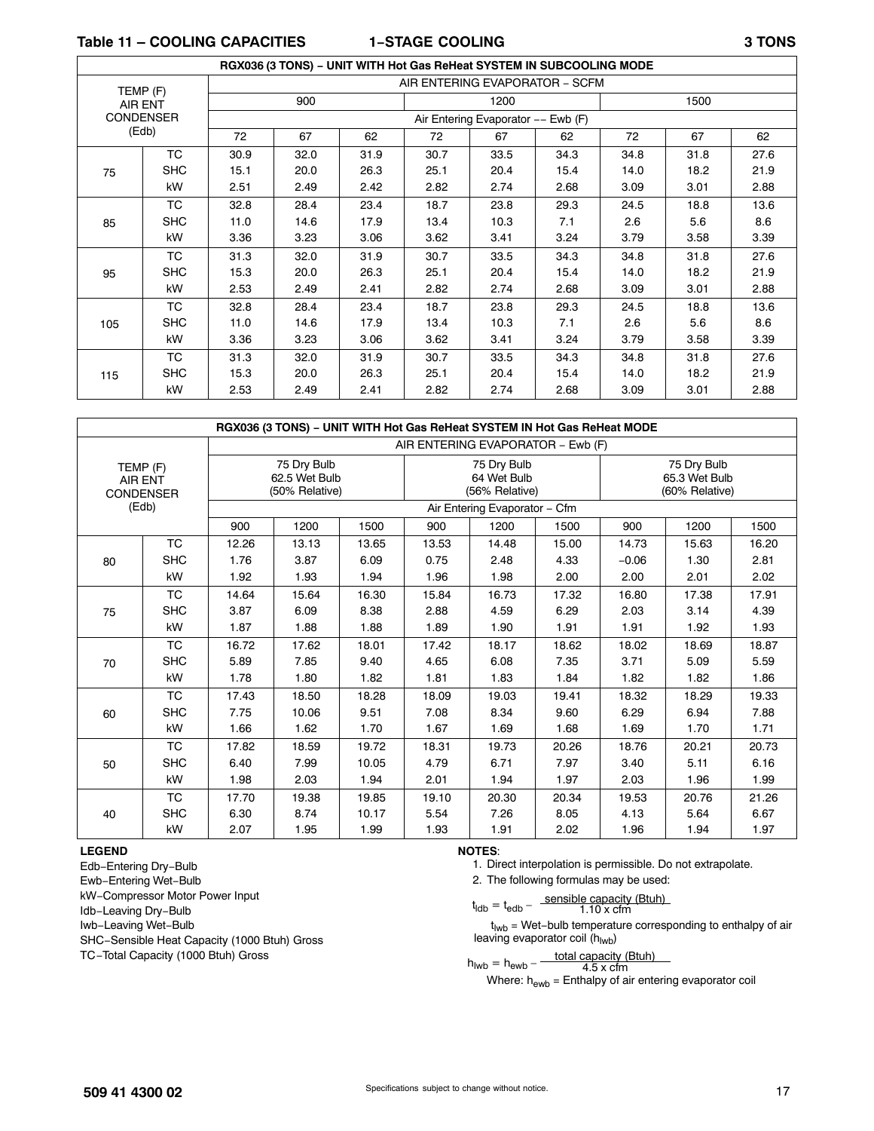**Table 11 – COOLING CAPACITIES 1−STAGE COOLING 3 TONS**

|     |                  |      |      | RGX036 (3 TONS) - UNIT WITH Hot Gas ReHeat SYSTEM IN SUBCOOLING MODE |      |                                    |      |      |      |      |
|-----|------------------|------|------|----------------------------------------------------------------------|------|------------------------------------|------|------|------|------|
|     | TEMP (F)         |      |      |                                                                      |      | AIR ENTERING EVAPORATOR - SCFM     |      |      |      |      |
|     | AIR ENT          |      | 900  |                                                                      |      | 1200                               |      |      | 1500 |      |
|     | <b>CONDENSER</b> |      |      |                                                                      |      | Air Entering Evaporator -- Ewb (F) |      |      |      |      |
|     | (Edb)            | 72   | 67   | 62                                                                   | 72   | 67                                 | 62   | 72   | 67   | 62   |
|     | TC               | 30.9 | 32.0 | 31.9                                                                 | 30.7 | 33.5                               | 34.3 | 34.8 | 31.8 | 27.6 |
| 75  | <b>SHC</b>       | 15.1 | 20.0 | 26.3                                                                 | 25.1 | 20.4                               | 15.4 | 14.0 | 18.2 | 21.9 |
|     | kW               | 2.51 | 2.49 | 2.42                                                                 | 2.82 | 2.74                               | 2.68 | 3.09 | 3.01 | 2.88 |
|     | TC               | 32.8 | 28.4 | 23.4                                                                 | 18.7 | 23.8                               | 29.3 | 24.5 | 18.8 | 13.6 |
| 85  | <b>SHC</b>       | 11.0 | 14.6 | 17.9                                                                 | 13.4 | 10.3                               | 7.1  | 2.6  | 5.6  | 8.6  |
|     | kW               | 3.36 | 3.23 | 3.06                                                                 | 3.62 | 3.41                               | 3.24 | 3.79 | 3.58 | 3.39 |
|     | TC               | 31.3 | 32.0 | 31.9                                                                 | 30.7 | 33.5                               | 34.3 | 34.8 | 31.8 | 27.6 |
| 95  | <b>SHC</b>       | 15.3 | 20.0 | 26.3                                                                 | 25.1 | 20.4                               | 15.4 | 14.0 | 18.2 | 21.9 |
|     | kW               | 2.53 | 2.49 | 2.41                                                                 | 2.82 | 2.74                               | 2.68 | 3.09 | 3.01 | 2.88 |
|     | ТC               | 32.8 | 28.4 | 23.4                                                                 | 18.7 | 23.8                               | 29.3 | 24.5 | 18.8 | 13.6 |
| 105 | <b>SHC</b>       | 11.0 | 14.6 | 17.9                                                                 | 13.4 | 10.3                               | 7.1  | 2.6  | 5.6  | 8.6  |
|     | kW               | 3.36 | 3.23 | 3.06                                                                 | 3.62 | 3.41                               | 3.24 | 3.79 | 3.58 | 3.39 |
|     | TC               | 31.3 | 32.0 | 31.9                                                                 | 30.7 | 33.5                               | 34.3 | 34.8 | 31.8 | 27.6 |
| 115 | <b>SHC</b>       | 15.3 | 20.0 | 26.3                                                                 | 25.1 | 20.4                               | 15.4 | 14.0 | 18.2 | 21.9 |
|     | kW               | 2.53 | 2.49 | 2.41                                                                 | 2.82 | 2.74                               | 2.68 | 3.09 | 3.01 | 2.88 |

|                                                |            |       |                                                |       |                               | RGX036 (3 TONS) - UNIT WITH Hot Gas ReHeat SYSTEM IN Hot Gas ReHeat MODE |       |         |                                                |       |  |  |  |
|------------------------------------------------|------------|-------|------------------------------------------------|-------|-------------------------------|--------------------------------------------------------------------------|-------|---------|------------------------------------------------|-------|--|--|--|
|                                                |            |       |                                                |       |                               | AIR ENTERING EVAPORATOR - Ewb (F)                                        |       |         |                                                |       |  |  |  |
| TEMP (F)<br><b>AIR ENT</b><br><b>CONDENSER</b> |            |       | 75 Dry Bulb<br>62.5 Wet Bulb<br>(50% Relative) |       |                               | 75 Dry Bulb<br>64 Wet Bulb<br>(56% Relative)                             |       |         | 75 Dry Bulb<br>65.3 Wet Bulb<br>(60% Relative) |       |  |  |  |
|                                                | (Edb)      |       |                                                |       | Air Entering Evaporator - Cfm |                                                                          |       |         |                                                |       |  |  |  |
|                                                |            | 900   | 1200                                           | 1500  | 900                           | 1200                                                                     | 1500  | 900     | 1200                                           | 1500  |  |  |  |
|                                                | <b>TC</b>  | 12.26 | 13.13                                          | 13.65 | 13.53                         | 14.48                                                                    | 15.00 | 14.73   | 15.63                                          | 16.20 |  |  |  |
| 80                                             | <b>SHC</b> | 1.76  | 3.87                                           | 6.09  | 0.75                          | 2.48                                                                     | 4.33  | $-0.06$ | 1.30                                           | 2.81  |  |  |  |
|                                                | kW         | 1.92  | 1.93                                           | 1.94  | 1.96                          | 1.98                                                                     | 2.00  | 2.00    | 2.01                                           | 2.02  |  |  |  |
|                                                | <b>TC</b>  | 14.64 | 15.64                                          | 16.30 | 15.84                         | 16.73                                                                    | 17.32 | 16.80   | 17.38                                          | 17.91 |  |  |  |
| 75                                             | <b>SHC</b> | 3.87  | 6.09                                           | 8.38  | 2.88                          | 4.59                                                                     | 6.29  | 2.03    | 3.14                                           | 4.39  |  |  |  |
|                                                | kW         | 1.87  | 1.88                                           | 1.88  | 1.89                          | 1.90                                                                     | 1.91  | 1.91    | 1.92                                           | 1.93  |  |  |  |
|                                                | <b>TC</b>  | 16.72 | 17.62                                          | 18.01 | 17.42                         | 18.17                                                                    | 18.62 | 18.02   | 18.69                                          | 18.87 |  |  |  |
| 70                                             | <b>SHC</b> | 5.89  | 7.85                                           | 9.40  | 4.65                          | 6.08                                                                     | 7.35  | 3.71    | 5.09                                           | 5.59  |  |  |  |
|                                                | kW         | 1.78  | 1.80                                           | 1.82  | 1.81                          | 1.83                                                                     | 1.84  | 1.82    | 1.82                                           | 1.86  |  |  |  |
|                                                | <b>TC</b>  | 17.43 | 18.50                                          | 18.28 | 18.09                         | 19.03                                                                    | 19.41 | 18.32   | 18.29                                          | 19.33 |  |  |  |
| 60                                             | <b>SHC</b> | 7.75  | 10.06                                          | 9.51  | 7.08                          | 8.34                                                                     | 9.60  | 6.29    | 6.94                                           | 7.88  |  |  |  |
|                                                | kW         | 1.66  | 1.62                                           | 1.70  | 1.67                          | 1.69                                                                     | 1.68  | 1.69    | 1.70                                           | 1.71  |  |  |  |
|                                                | <b>TC</b>  | 17.82 | 18.59                                          | 19.72 | 18.31                         | 19.73                                                                    | 20.26 | 18.76   | 20.21                                          | 20.73 |  |  |  |
| 50                                             | <b>SHC</b> | 6.40  | 7.99                                           | 10.05 | 4.79                          | 6.71                                                                     | 7.97  | 3.40    | 5.11                                           | 6.16  |  |  |  |
|                                                | kW         | 1.98  | 2.03                                           | 1.94  | 2.01                          | 1.94                                                                     | 1.97  | 2.03    | 1.96                                           | 1.99  |  |  |  |
|                                                | <b>TC</b>  | 17.70 | 19.38                                          | 19.85 | 19.10                         | 20.30                                                                    | 20.34 | 19.53   | 20.76                                          | 21.26 |  |  |  |
| 40                                             | <b>SHC</b> | 6.30  | 8.74                                           | 10.17 | 5.54                          | 7.26                                                                     | 8.05  | 4.13    | 5.64                                           | 6.67  |  |  |  |
|                                                | kW         | 2.07  | 1.95                                           | 1.99  | 1.93                          | 1.91                                                                     | 2.02  | 1.96    | 1.94                                           | 1.97  |  |  |  |

#### **LEGEND**

Edb−Entering Dry−Bulb Ewb−Entering Wet−Bulb kW−Compressor Motor Power Input Idb−Leaving Dry−Bulb Iwb−Leaving Wet−Bulb SHC−Sensible Heat Capacity (1000 Btuh) Gross TC−Total Capacity (1000 Btuh) Gross

#### **NOTES**:

1. Direct interpolation is permissible. Do not extrapolate.

2. The following formulas may be used:

$$
t_{\text{ldb}} = t_{\text{edb}} - \frac{\text{sensible capacity (Btuh)}}{1.10 \times \text{cfm}}
$$

t<sub>lwb</sub> = Wet-bulb temperature corresponding to enthalpy of air leaving evaporator coil (h<sub>lwb</sub>)

$$
h_{\text{Iwb}} = h_{\text{ewb}} - \frac{\text{total capacity (Btuh)}}{4.5 \times \text{cfm}}
$$

Where:  $h_{\text{ewb}}$  = Enthalpy of air entering evaporator coil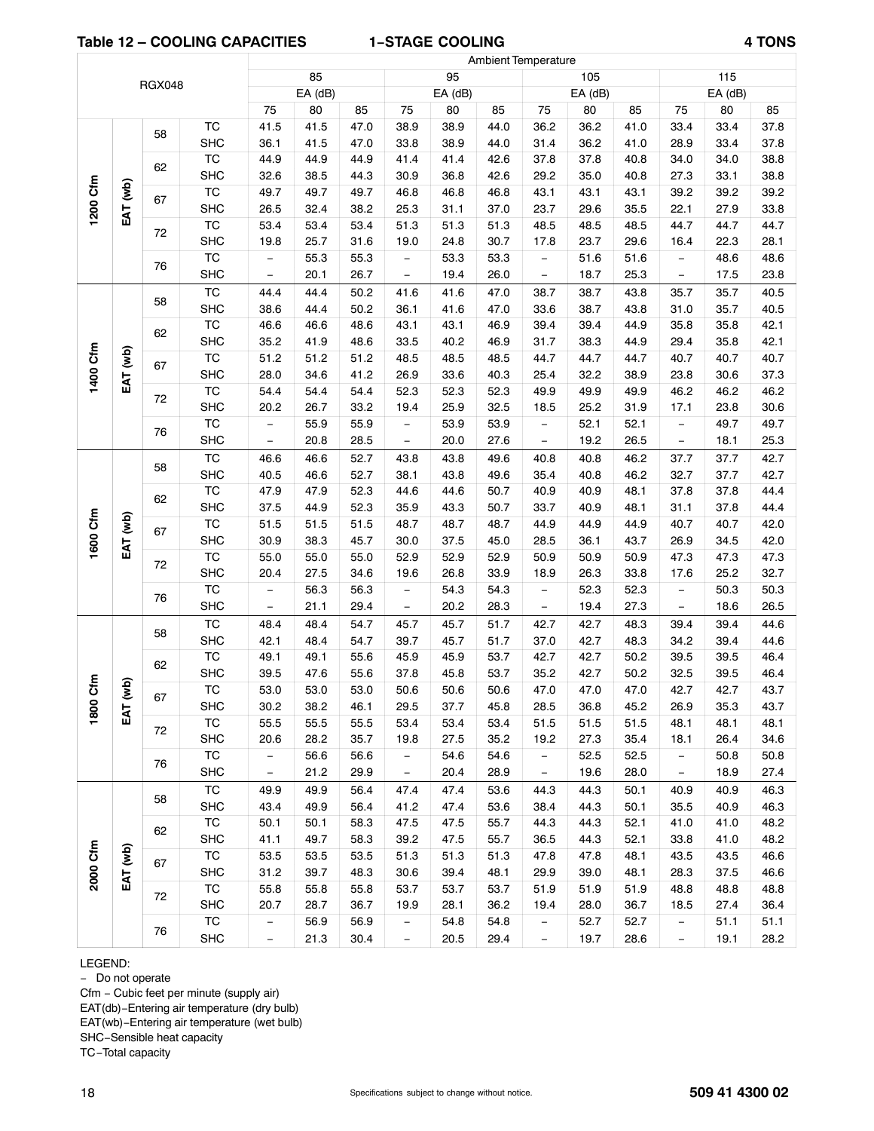#### **Table 12 – COOLING CAPACITIES 1−STAGE COOLING 4 TONS**

ſ

|                                                                                                                                                                                                                                                                                                                                                                                                                                                                                                                                                                                                                                                                                                                                                                                                                                                                                                                                                                                                                                                                                                                                                                                                                                                                                                                                                                                                                                                                                                                                                                                                                                                                                                                                                                                                                                                                                                                                                                                                                                                                                                                                                                                                                                                                                                                                                                                                                                                                                                                                                                                                                                                                                                                                                                                                                                                                                                                                                                                                                                                                                                                                                                                                                                                                                                                                                                                                                                                                                                                                                                                                                                                                                                                                                                                                                                                                                                                                                                                                                                                                                                                                                                                                                                                                                                                                 |      |            |                          | 85   |              |                          | 95   |      |                   | 105          |      |                          | 115          |      |
|---------------------------------------------------------------------------------------------------------------------------------------------------------------------------------------------------------------------------------------------------------------------------------------------------------------------------------------------------------------------------------------------------------------------------------------------------------------------------------------------------------------------------------------------------------------------------------------------------------------------------------------------------------------------------------------------------------------------------------------------------------------------------------------------------------------------------------------------------------------------------------------------------------------------------------------------------------------------------------------------------------------------------------------------------------------------------------------------------------------------------------------------------------------------------------------------------------------------------------------------------------------------------------------------------------------------------------------------------------------------------------------------------------------------------------------------------------------------------------------------------------------------------------------------------------------------------------------------------------------------------------------------------------------------------------------------------------------------------------------------------------------------------------------------------------------------------------------------------------------------------------------------------------------------------------------------------------------------------------------------------------------------------------------------------------------------------------------------------------------------------------------------------------------------------------------------------------------------------------------------------------------------------------------------------------------------------------------------------------------------------------------------------------------------------------------------------------------------------------------------------------------------------------------------------------------------------------------------------------------------------------------------------------------------------------------------------------------------------------------------------------------------------------------------------------------------------------------------------------------------------------------------------------------------------------------------------------------------------------------------------------------------------------------------------------------------------------------------------------------------------------------------------------------------------------------------------------------------------------------------------------------------------------------------------------------------------------------------------------------------------------------------------------------------------------------------------------------------------------------------------------------------------------------------------------------------------------------------------------------------------------------------------------------------------------------------------------------------------------------------------------------------------------------------------------------------------------------------------------------------------------------------------------------------------------------------------------------------------------------------------------------------------------------------------------------------------------------------------------------------------------------------------------------------------------------------------------------------------------------------------------------------------------------------------------------------------------|------|------------|--------------------------|------|--------------|--------------------------|------|------|-------------------|--------------|------|--------------------------|--------------|------|
|                                                                                                                                                                                                                                                                                                                                                                                                                                                                                                                                                                                                                                                                                                                                                                                                                                                                                                                                                                                                                                                                                                                                                                                                                                                                                                                                                                                                                                                                                                                                                                                                                                                                                                                                                                                                                                                                                                                                                                                                                                                                                                                                                                                                                                                                                                                                                                                                                                                                                                                                                                                                                                                                                                                                                                                                                                                                                                                                                                                                                                                                                                                                                                                                                                                                                                                                                                                                                                                                                                                                                                                                                                                                                                                                                                                                                                                                                                                                                                                                                                                                                                                                                                                                                                                                                                                                 |      |            |                          |      |              |                          |      |      |                   |              |      |                          | EA (dB)      |      |
|                                                                                                                                                                                                                                                                                                                                                                                                                                                                                                                                                                                                                                                                                                                                                                                                                                                                                                                                                                                                                                                                                                                                                                                                                                                                                                                                                                                                                                                                                                                                                                                                                                                                                                                                                                                                                                                                                                                                                                                                                                                                                                                                                                                                                                                                                                                                                                                                                                                                                                                                                                                                                                                                                                                                                                                                                                                                                                                                                                                                                                                                                                                                                                                                                                                                                                                                                                                                                                                                                                                                                                                                                                                                                                                                                                                                                                                                                                                                                                                                                                                                                                                                                                                                                                                                                                                                 |      |            | 75                       | 80   | 85           | 75                       | 80   | 85   | 75                |              | 85   | 75                       | 80           | 85   |
|                                                                                                                                                                                                                                                                                                                                                                                                                                                                                                                                                                                                                                                                                                                                                                                                                                                                                                                                                                                                                                                                                                                                                                                                                                                                                                                                                                                                                                                                                                                                                                                                                                                                                                                                                                                                                                                                                                                                                                                                                                                                                                                                                                                                                                                                                                                                                                                                                                                                                                                                                                                                                                                                                                                                                                                                                                                                                                                                                                                                                                                                                                                                                                                                                                                                                                                                                                                                                                                                                                                                                                                                                                                                                                                                                                                                                                                                                                                                                                                                                                                                                                                                                                                                                                                                                                                                 |      |            | 41.5                     |      |              |                          | 38.9 | 44.0 | 36.2              |              | 41.0 | 33.4                     | 33.4         | 37.8 |
|                                                                                                                                                                                                                                                                                                                                                                                                                                                                                                                                                                                                                                                                                                                                                                                                                                                                                                                                                                                                                                                                                                                                                                                                                                                                                                                                                                                                                                                                                                                                                                                                                                                                                                                                                                                                                                                                                                                                                                                                                                                                                                                                                                                                                                                                                                                                                                                                                                                                                                                                                                                                                                                                                                                                                                                                                                                                                                                                                                                                                                                                                                                                                                                                                                                                                                                                                                                                                                                                                                                                                                                                                                                                                                                                                                                                                                                                                                                                                                                                                                                                                                                                                                                                                                                                                                                                 |      |            | 36.1                     | 41.5 | 47.0         | 33.8                     | 38.9 | 44.0 | 31.4              | 36.2         | 41.0 | 28.9                     | 33.4         | 37.8 |
| <b>Ambient Temperature</b><br><b>RGX048</b><br>EA (dB)<br>EA (dB)<br>$EA$ (dB)<br>80<br><b>TC</b><br>41.5<br>47.0<br>38.9<br>36.2<br>58<br><b>SHC</b><br><b>TC</b><br>44.9<br>41.4<br>37.8<br>37.8<br>44.9<br>44.9<br>41.4<br>42.6<br>62<br><b>SHC</b><br>35.0<br>32.6<br>38.5<br>44.3<br>30.9<br>36.8<br>42.6<br>29.2<br>1200 Cfm<br>EAT (wb)<br><b>TC</b><br>49.7<br>49.7<br>46.8<br>43.1<br>43.1<br>49.7<br>46.8<br>46.8<br>67<br><b>SHC</b><br>31.1<br>26.5<br>32.4<br>38.2<br>25.3<br>37.0<br>23.7<br>29.6<br>$\overline{\text{TC}}$<br>53.4<br>53.4<br>51.3<br>51.3<br>51.3<br>48.5<br>53.4<br>48.5<br>72<br><b>SHC</b><br>25.7<br>31.6<br>24.8<br>30.7<br>17.8<br>23.7<br>19.8<br>19.0<br>TC<br>55.3<br>55.3<br>53.3<br>53.3<br>51.6<br>$\qquad \qquad -$<br>$\qquad \qquad -$<br>$\overline{\phantom{a}}$<br>76<br><b>SHC</b><br>20.1<br>26.7<br>19.4<br>18.7<br>26.0<br>$\overline{\phantom{m}}$<br>$\qquad \qquad -$<br>$\overline{\phantom{0}}$<br><b>TC</b><br>50.2<br>38.7<br>44.4<br>44.4<br>41.6<br>41.6<br>47.0<br>38.7<br>58<br><b>SHC</b><br>38.6<br>44.4<br>50.2<br>36.1<br>41.6<br>47.0<br>38.7<br>33.6<br><b>TC</b><br>48.6<br>43.1<br>39.4<br>46.6<br>46.6<br>43.1<br>46.9<br>39.4<br>62<br><b>SHC</b><br>35.2<br>41.9<br>48.6<br>33.5<br>40.2<br>46.9<br>31.7<br>38.3<br>1400 Cfm<br>EAT (wb)<br>$\overline{\text{TC}}$<br>51.2<br>51.2<br>48.5<br>48.5<br>44.7<br>44.7<br>51.2<br>48.5<br>67<br><b>SHC</b><br>28.0<br>34.6<br>26.9<br>33.6<br>32.2<br>41.2<br>40.3<br>25.4<br>$\overline{\text{TC}}$<br>54.4<br>54.4<br>54.4<br>52.3<br>52.3<br>52.3<br>49.9<br>49.9<br>72<br><b>SHC</b><br>20.2<br>26.7<br>33.2<br>25.9<br>32.5<br>25.2<br>19.4<br>18.5<br><b>TC</b><br>55.9<br>55.9<br>53.9<br>53.9<br>52.1<br>$\overline{\phantom{m}}$<br>$\qquad \qquad -$<br>$\overline{\phantom{a}}$<br>76<br><b>SHC</b><br>20.8<br>28.5<br>20.0<br>27.6<br>19.2<br>$\overline{\phantom{0}}$<br>$\overline{\phantom{0}}$<br><b>TC</b><br>43.8<br>40.8<br>46.6<br>46.6<br>52.7<br>43.8<br>49.6<br>40.8<br>58<br><b>SHC</b><br>52.7<br>43.8<br>40.5<br>46.6<br>38.1<br>49.6<br>35.4<br>40.8<br>$\overline{\text{TC}}$<br>44.6<br>47.9<br>47.9<br>52.3<br>44.6<br>50.7<br>40.9<br>40.9<br>62<br><b>SHC</b><br>37.5<br>44.9<br>52.3<br>35.9<br>43.3<br>50.7<br>33.7<br>40.9<br>1600 Cfm<br>EAT (wb)<br>$\overline{\text{TC}}$<br>51.5<br>51.5<br>51.5<br>48.7<br>48.7<br>44.9<br>48.7<br>44.9<br>67<br><b>SHC</b><br>38.3<br>30.9<br>45.7<br>30.0<br>37.5<br>45.0<br>28.5<br>36.1<br><b>TC</b><br>55.0<br>55.0<br>55.0<br>52.9<br>52.9<br>50.9<br>52.9<br>50.9<br>72<br><b>SHC</b><br>27.5<br>20.4<br>34.6<br>26.8<br>33.9<br>26.3<br>19.6<br>18.9<br>$\overline{\text{TC}}$<br>52.3<br>56.3<br>56.3<br>54.3<br>54.3<br>$\overline{\phantom{a}}$<br>$\qquad \qquad -$<br>$\overline{\phantom{a}}$<br>76<br><b>SHC</b><br>21.1<br>20.2<br>19.4<br>29.4<br>28.3<br>$\overline{\phantom{m}}$<br>$\qquad \qquad -$<br>$\qquad \qquad -$<br><b>TC</b><br>48.4<br>54.7<br>45.7<br>42.7<br>48.4<br>45.7<br>51.7<br>42.7<br>58<br><b>SHC</b><br>48.4<br>45.7<br>42.7<br>42.1<br>54.7<br>39.7<br>51.7<br>37.0<br>TC<br>55.6<br>45.9<br>45.9<br>53.7<br>42.7<br>42.7<br>49.1<br>49.1<br>62<br><b>SHC</b><br>39.5<br>47.6<br>55.6<br>37.8<br>45.8<br>53.7<br>35.2<br>42.7<br>$\epsilon$<br>$\mathbf{g}$<br><b>TC</b><br>50.6<br>47.0<br>53.0<br>53.0<br>53.0<br>50.6<br>50.6<br>47.0<br>67<br>1800<br><b>SHC</b><br>30.2<br>38.2<br>29.5<br>37.7<br>28.5<br>36.8<br>46.1<br>45.8<br>EAT<br>TC<br>55.5<br>55.5<br>55.5<br>53.4<br>53.4<br>53.4<br>51.5<br>51.5<br>72<br>27.5<br>27.3<br>SHC<br>20.6<br>28.2<br>35.7<br>19.8<br>35.2<br>19.2<br>TC<br>56.6<br>54.6<br>54.6<br>52.5<br>56.6<br>$\overline{\phantom{a}}$<br>$\overline{\phantom{a}}$<br>$\qquad \qquad -$<br>76<br><b>SHC</b><br>21.2<br>20.4<br>29.9<br>28.9<br>19.6<br>$\overline{\phantom{0}}$<br>$\qquad \qquad -$<br>$\overline{\phantom{a}}$<br>TC<br>49.9<br>56.4<br>47.4<br>47.4<br>44.3<br>49.9<br>53.6<br>44.3<br>58<br><b>SHC</b><br>49.9<br>41.2<br>47.4<br>44.3<br>43.4<br>56.4<br>53.6<br>38.4<br>TC<br>47.5<br>50.1<br>50.1<br>58.3<br>47.5<br>55.7<br>44.3<br>44.3<br>62<br><b>SHC</b><br>41.1<br>49.7<br>58.3<br>39.2<br>47.5<br>44.3<br>55.7<br>36.5<br>2000 Cfm<br>EAT (wb)<br>TC<br>53.5<br>53.5<br>53.5<br>51.3<br>51.3<br>47.8<br>47.8<br>51.3 | 40.8 | 34.0       | 34.0                     | 38.8 |              |                          |      |      |                   |              |      |                          |              |      |
|                                                                                                                                                                                                                                                                                                                                                                                                                                                                                                                                                                                                                                                                                                                                                                                                                                                                                                                                                                                                                                                                                                                                                                                                                                                                                                                                                                                                                                                                                                                                                                                                                                                                                                                                                                                                                                                                                                                                                                                                                                                                                                                                                                                                                                                                                                                                                                                                                                                                                                                                                                                                                                                                                                                                                                                                                                                                                                                                                                                                                                                                                                                                                                                                                                                                                                                                                                                                                                                                                                                                                                                                                                                                                                                                                                                                                                                                                                                                                                                                                                                                                                                                                                                                                                                                                                                                 |      |            |                          |      |              |                          |      |      |                   |              | 40.8 | 27.3                     | 33.1         | 38.8 |
|                                                                                                                                                                                                                                                                                                                                                                                                                                                                                                                                                                                                                                                                                                                                                                                                                                                                                                                                                                                                                                                                                                                                                                                                                                                                                                                                                                                                                                                                                                                                                                                                                                                                                                                                                                                                                                                                                                                                                                                                                                                                                                                                                                                                                                                                                                                                                                                                                                                                                                                                                                                                                                                                                                                                                                                                                                                                                                                                                                                                                                                                                                                                                                                                                                                                                                                                                                                                                                                                                                                                                                                                                                                                                                                                                                                                                                                                                                                                                                                                                                                                                                                                                                                                                                                                                                                                 |      |            |                          |      |              |                          |      |      |                   |              | 43.1 | 39.2                     | 39.2         | 39.2 |
|                                                                                                                                                                                                                                                                                                                                                                                                                                                                                                                                                                                                                                                                                                                                                                                                                                                                                                                                                                                                                                                                                                                                                                                                                                                                                                                                                                                                                                                                                                                                                                                                                                                                                                                                                                                                                                                                                                                                                                                                                                                                                                                                                                                                                                                                                                                                                                                                                                                                                                                                                                                                                                                                                                                                                                                                                                                                                                                                                                                                                                                                                                                                                                                                                                                                                                                                                                                                                                                                                                                                                                                                                                                                                                                                                                                                                                                                                                                                                                                                                                                                                                                                                                                                                                                                                                                                 |      |            |                          |      |              |                          |      |      |                   |              | 35.5 | 22.1                     | 27.9         | 33.8 |
|                                                                                                                                                                                                                                                                                                                                                                                                                                                                                                                                                                                                                                                                                                                                                                                                                                                                                                                                                                                                                                                                                                                                                                                                                                                                                                                                                                                                                                                                                                                                                                                                                                                                                                                                                                                                                                                                                                                                                                                                                                                                                                                                                                                                                                                                                                                                                                                                                                                                                                                                                                                                                                                                                                                                                                                                                                                                                                                                                                                                                                                                                                                                                                                                                                                                                                                                                                                                                                                                                                                                                                                                                                                                                                                                                                                                                                                                                                                                                                                                                                                                                                                                                                                                                                                                                                                                 |      |            |                          |      |              |                          |      |      |                   |              | 48.5 | 44.7                     | 44.7         | 44.7 |
|                                                                                                                                                                                                                                                                                                                                                                                                                                                                                                                                                                                                                                                                                                                                                                                                                                                                                                                                                                                                                                                                                                                                                                                                                                                                                                                                                                                                                                                                                                                                                                                                                                                                                                                                                                                                                                                                                                                                                                                                                                                                                                                                                                                                                                                                                                                                                                                                                                                                                                                                                                                                                                                                                                                                                                                                                                                                                                                                                                                                                                                                                                                                                                                                                                                                                                                                                                                                                                                                                                                                                                                                                                                                                                                                                                                                                                                                                                                                                                                                                                                                                                                                                                                                                                                                                                                                 |      |            |                          |      |              |                          |      |      |                   |              | 29.6 | 16.4                     | 22.3         | 28.1 |
|                                                                                                                                                                                                                                                                                                                                                                                                                                                                                                                                                                                                                                                                                                                                                                                                                                                                                                                                                                                                                                                                                                                                                                                                                                                                                                                                                                                                                                                                                                                                                                                                                                                                                                                                                                                                                                                                                                                                                                                                                                                                                                                                                                                                                                                                                                                                                                                                                                                                                                                                                                                                                                                                                                                                                                                                                                                                                                                                                                                                                                                                                                                                                                                                                                                                                                                                                                                                                                                                                                                                                                                                                                                                                                                                                                                                                                                                                                                                                                                                                                                                                                                                                                                                                                                                                                                                 |      |            |                          |      |              |                          |      |      |                   |              | 51.6 | $\equiv$                 | 48.6         | 48.6 |
|                                                                                                                                                                                                                                                                                                                                                                                                                                                                                                                                                                                                                                                                                                                                                                                                                                                                                                                                                                                                                                                                                                                                                                                                                                                                                                                                                                                                                                                                                                                                                                                                                                                                                                                                                                                                                                                                                                                                                                                                                                                                                                                                                                                                                                                                                                                                                                                                                                                                                                                                                                                                                                                                                                                                                                                                                                                                                                                                                                                                                                                                                                                                                                                                                                                                                                                                                                                                                                                                                                                                                                                                                                                                                                                                                                                                                                                                                                                                                                                                                                                                                                                                                                                                                                                                                                                                 |      |            |                          |      |              |                          |      |      |                   |              | 25.3 | $\overline{\phantom{a}}$ | 17.5         | 23.8 |
|                                                                                                                                                                                                                                                                                                                                                                                                                                                                                                                                                                                                                                                                                                                                                                                                                                                                                                                                                                                                                                                                                                                                                                                                                                                                                                                                                                                                                                                                                                                                                                                                                                                                                                                                                                                                                                                                                                                                                                                                                                                                                                                                                                                                                                                                                                                                                                                                                                                                                                                                                                                                                                                                                                                                                                                                                                                                                                                                                                                                                                                                                                                                                                                                                                                                                                                                                                                                                                                                                                                                                                                                                                                                                                                                                                                                                                                                                                                                                                                                                                                                                                                                                                                                                                                                                                                                 |      |            |                          |      |              |                          |      |      |                   |              | 43.8 | 35.7                     | 35.7         | 40.5 |
|                                                                                                                                                                                                                                                                                                                                                                                                                                                                                                                                                                                                                                                                                                                                                                                                                                                                                                                                                                                                                                                                                                                                                                                                                                                                                                                                                                                                                                                                                                                                                                                                                                                                                                                                                                                                                                                                                                                                                                                                                                                                                                                                                                                                                                                                                                                                                                                                                                                                                                                                                                                                                                                                                                                                                                                                                                                                                                                                                                                                                                                                                                                                                                                                                                                                                                                                                                                                                                                                                                                                                                                                                                                                                                                                                                                                                                                                                                                                                                                                                                                                                                                                                                                                                                                                                                                                 |      |            |                          |      |              |                          |      |      |                   |              | 43.8 | 31.0                     | 35.7         | 40.5 |
|                                                                                                                                                                                                                                                                                                                                                                                                                                                                                                                                                                                                                                                                                                                                                                                                                                                                                                                                                                                                                                                                                                                                                                                                                                                                                                                                                                                                                                                                                                                                                                                                                                                                                                                                                                                                                                                                                                                                                                                                                                                                                                                                                                                                                                                                                                                                                                                                                                                                                                                                                                                                                                                                                                                                                                                                                                                                                                                                                                                                                                                                                                                                                                                                                                                                                                                                                                                                                                                                                                                                                                                                                                                                                                                                                                                                                                                                                                                                                                                                                                                                                                                                                                                                                                                                                                                                 |      |            |                          |      |              |                          |      |      |                   |              | 44.9 | 35.8                     | 35.8         | 42.1 |
|                                                                                                                                                                                                                                                                                                                                                                                                                                                                                                                                                                                                                                                                                                                                                                                                                                                                                                                                                                                                                                                                                                                                                                                                                                                                                                                                                                                                                                                                                                                                                                                                                                                                                                                                                                                                                                                                                                                                                                                                                                                                                                                                                                                                                                                                                                                                                                                                                                                                                                                                                                                                                                                                                                                                                                                                                                                                                                                                                                                                                                                                                                                                                                                                                                                                                                                                                                                                                                                                                                                                                                                                                                                                                                                                                                                                                                                                                                                                                                                                                                                                                                                                                                                                                                                                                                                                 |      |            |                          |      |              |                          |      |      |                   |              | 44.9 | 29.4                     | 35.8         | 42.1 |
|                                                                                                                                                                                                                                                                                                                                                                                                                                                                                                                                                                                                                                                                                                                                                                                                                                                                                                                                                                                                                                                                                                                                                                                                                                                                                                                                                                                                                                                                                                                                                                                                                                                                                                                                                                                                                                                                                                                                                                                                                                                                                                                                                                                                                                                                                                                                                                                                                                                                                                                                                                                                                                                                                                                                                                                                                                                                                                                                                                                                                                                                                                                                                                                                                                                                                                                                                                                                                                                                                                                                                                                                                                                                                                                                                                                                                                                                                                                                                                                                                                                                                                                                                                                                                                                                                                                                 |      |            |                          |      |              |                          |      |      |                   |              | 44.7 | 40.7                     | 40.7         | 40.7 |
|                                                                                                                                                                                                                                                                                                                                                                                                                                                                                                                                                                                                                                                                                                                                                                                                                                                                                                                                                                                                                                                                                                                                                                                                                                                                                                                                                                                                                                                                                                                                                                                                                                                                                                                                                                                                                                                                                                                                                                                                                                                                                                                                                                                                                                                                                                                                                                                                                                                                                                                                                                                                                                                                                                                                                                                                                                                                                                                                                                                                                                                                                                                                                                                                                                                                                                                                                                                                                                                                                                                                                                                                                                                                                                                                                                                                                                                                                                                                                                                                                                                                                                                                                                                                                                                                                                                                 |      |            |                          |      |              |                          |      |      |                   |              | 38.9 | 23.8                     | 30.6         | 37.3 |
|                                                                                                                                                                                                                                                                                                                                                                                                                                                                                                                                                                                                                                                                                                                                                                                                                                                                                                                                                                                                                                                                                                                                                                                                                                                                                                                                                                                                                                                                                                                                                                                                                                                                                                                                                                                                                                                                                                                                                                                                                                                                                                                                                                                                                                                                                                                                                                                                                                                                                                                                                                                                                                                                                                                                                                                                                                                                                                                                                                                                                                                                                                                                                                                                                                                                                                                                                                                                                                                                                                                                                                                                                                                                                                                                                                                                                                                                                                                                                                                                                                                                                                                                                                                                                                                                                                                                 |      |            |                          |      |              |                          |      |      |                   |              | 49.9 | 46.2                     | 46.2         | 46.2 |
|                                                                                                                                                                                                                                                                                                                                                                                                                                                                                                                                                                                                                                                                                                                                                                                                                                                                                                                                                                                                                                                                                                                                                                                                                                                                                                                                                                                                                                                                                                                                                                                                                                                                                                                                                                                                                                                                                                                                                                                                                                                                                                                                                                                                                                                                                                                                                                                                                                                                                                                                                                                                                                                                                                                                                                                                                                                                                                                                                                                                                                                                                                                                                                                                                                                                                                                                                                                                                                                                                                                                                                                                                                                                                                                                                                                                                                                                                                                                                                                                                                                                                                                                                                                                                                                                                                                                 |      |            |                          |      |              |                          |      |      |                   |              | 31.9 | 17.1                     | 23.8         | 30.6 |
|                                                                                                                                                                                                                                                                                                                                                                                                                                                                                                                                                                                                                                                                                                                                                                                                                                                                                                                                                                                                                                                                                                                                                                                                                                                                                                                                                                                                                                                                                                                                                                                                                                                                                                                                                                                                                                                                                                                                                                                                                                                                                                                                                                                                                                                                                                                                                                                                                                                                                                                                                                                                                                                                                                                                                                                                                                                                                                                                                                                                                                                                                                                                                                                                                                                                                                                                                                                                                                                                                                                                                                                                                                                                                                                                                                                                                                                                                                                                                                                                                                                                                                                                                                                                                                                                                                                                 |      |            |                          |      |              |                          |      |      |                   |              | 52.1 | $\overline{\phantom{a}}$ | 49.7         | 49.7 |
|                                                                                                                                                                                                                                                                                                                                                                                                                                                                                                                                                                                                                                                                                                                                                                                                                                                                                                                                                                                                                                                                                                                                                                                                                                                                                                                                                                                                                                                                                                                                                                                                                                                                                                                                                                                                                                                                                                                                                                                                                                                                                                                                                                                                                                                                                                                                                                                                                                                                                                                                                                                                                                                                                                                                                                                                                                                                                                                                                                                                                                                                                                                                                                                                                                                                                                                                                                                                                                                                                                                                                                                                                                                                                                                                                                                                                                                                                                                                                                                                                                                                                                                                                                                                                                                                                                                                 |      |            |                          |      |              |                          |      |      |                   |              | 26.5 | $\qquad \qquad -$        | 18.1         | 25.3 |
|                                                                                                                                                                                                                                                                                                                                                                                                                                                                                                                                                                                                                                                                                                                                                                                                                                                                                                                                                                                                                                                                                                                                                                                                                                                                                                                                                                                                                                                                                                                                                                                                                                                                                                                                                                                                                                                                                                                                                                                                                                                                                                                                                                                                                                                                                                                                                                                                                                                                                                                                                                                                                                                                                                                                                                                                                                                                                                                                                                                                                                                                                                                                                                                                                                                                                                                                                                                                                                                                                                                                                                                                                                                                                                                                                                                                                                                                                                                                                                                                                                                                                                                                                                                                                                                                                                                                 |      |            |                          |      |              |                          |      |      |                   |              | 46.2 | 37.7                     | 37.7         | 42.7 |
|                                                                                                                                                                                                                                                                                                                                                                                                                                                                                                                                                                                                                                                                                                                                                                                                                                                                                                                                                                                                                                                                                                                                                                                                                                                                                                                                                                                                                                                                                                                                                                                                                                                                                                                                                                                                                                                                                                                                                                                                                                                                                                                                                                                                                                                                                                                                                                                                                                                                                                                                                                                                                                                                                                                                                                                                                                                                                                                                                                                                                                                                                                                                                                                                                                                                                                                                                                                                                                                                                                                                                                                                                                                                                                                                                                                                                                                                                                                                                                                                                                                                                                                                                                                                                                                                                                                                 |      |            |                          |      |              |                          |      |      |                   |              | 46.2 | 32.7                     | 37.7         | 42.7 |
|                                                                                                                                                                                                                                                                                                                                                                                                                                                                                                                                                                                                                                                                                                                                                                                                                                                                                                                                                                                                                                                                                                                                                                                                                                                                                                                                                                                                                                                                                                                                                                                                                                                                                                                                                                                                                                                                                                                                                                                                                                                                                                                                                                                                                                                                                                                                                                                                                                                                                                                                                                                                                                                                                                                                                                                                                                                                                                                                                                                                                                                                                                                                                                                                                                                                                                                                                                                                                                                                                                                                                                                                                                                                                                                                                                                                                                                                                                                                                                                                                                                                                                                                                                                                                                                                                                                                 |      |            |                          |      |              |                          |      |      |                   |              | 48.1 | 37.8                     | 37.8         | 44.4 |
|                                                                                                                                                                                                                                                                                                                                                                                                                                                                                                                                                                                                                                                                                                                                                                                                                                                                                                                                                                                                                                                                                                                                                                                                                                                                                                                                                                                                                                                                                                                                                                                                                                                                                                                                                                                                                                                                                                                                                                                                                                                                                                                                                                                                                                                                                                                                                                                                                                                                                                                                                                                                                                                                                                                                                                                                                                                                                                                                                                                                                                                                                                                                                                                                                                                                                                                                                                                                                                                                                                                                                                                                                                                                                                                                                                                                                                                                                                                                                                                                                                                                                                                                                                                                                                                                                                                                 |      |            |                          |      |              |                          |      |      |                   |              | 48.1 | 31.1                     | 37.8         | 44.4 |
|                                                                                                                                                                                                                                                                                                                                                                                                                                                                                                                                                                                                                                                                                                                                                                                                                                                                                                                                                                                                                                                                                                                                                                                                                                                                                                                                                                                                                                                                                                                                                                                                                                                                                                                                                                                                                                                                                                                                                                                                                                                                                                                                                                                                                                                                                                                                                                                                                                                                                                                                                                                                                                                                                                                                                                                                                                                                                                                                                                                                                                                                                                                                                                                                                                                                                                                                                                                                                                                                                                                                                                                                                                                                                                                                                                                                                                                                                                                                                                                                                                                                                                                                                                                                                                                                                                                                 |      |            |                          |      |              |                          |      |      |                   |              | 44.9 | 40.7                     | 40.7         | 42.0 |
|                                                                                                                                                                                                                                                                                                                                                                                                                                                                                                                                                                                                                                                                                                                                                                                                                                                                                                                                                                                                                                                                                                                                                                                                                                                                                                                                                                                                                                                                                                                                                                                                                                                                                                                                                                                                                                                                                                                                                                                                                                                                                                                                                                                                                                                                                                                                                                                                                                                                                                                                                                                                                                                                                                                                                                                                                                                                                                                                                                                                                                                                                                                                                                                                                                                                                                                                                                                                                                                                                                                                                                                                                                                                                                                                                                                                                                                                                                                                                                                                                                                                                                                                                                                                                                                                                                                                 |      |            |                          |      |              |                          |      |      |                   |              | 43.7 | 26.9                     | 34.5         | 42.0 |
|                                                                                                                                                                                                                                                                                                                                                                                                                                                                                                                                                                                                                                                                                                                                                                                                                                                                                                                                                                                                                                                                                                                                                                                                                                                                                                                                                                                                                                                                                                                                                                                                                                                                                                                                                                                                                                                                                                                                                                                                                                                                                                                                                                                                                                                                                                                                                                                                                                                                                                                                                                                                                                                                                                                                                                                                                                                                                                                                                                                                                                                                                                                                                                                                                                                                                                                                                                                                                                                                                                                                                                                                                                                                                                                                                                                                                                                                                                                                                                                                                                                                                                                                                                                                                                                                                                                                 |      |            |                          |      |              |                          |      |      |                   |              | 50.9 | 47.3                     | 47.3         | 47.3 |
|                                                                                                                                                                                                                                                                                                                                                                                                                                                                                                                                                                                                                                                                                                                                                                                                                                                                                                                                                                                                                                                                                                                                                                                                                                                                                                                                                                                                                                                                                                                                                                                                                                                                                                                                                                                                                                                                                                                                                                                                                                                                                                                                                                                                                                                                                                                                                                                                                                                                                                                                                                                                                                                                                                                                                                                                                                                                                                                                                                                                                                                                                                                                                                                                                                                                                                                                                                                                                                                                                                                                                                                                                                                                                                                                                                                                                                                                                                                                                                                                                                                                                                                                                                                                                                                                                                                                 |      |            |                          |      |              |                          |      |      |                   |              | 33.8 | 17.6                     | 25.2         | 32.7 |
|                                                                                                                                                                                                                                                                                                                                                                                                                                                                                                                                                                                                                                                                                                                                                                                                                                                                                                                                                                                                                                                                                                                                                                                                                                                                                                                                                                                                                                                                                                                                                                                                                                                                                                                                                                                                                                                                                                                                                                                                                                                                                                                                                                                                                                                                                                                                                                                                                                                                                                                                                                                                                                                                                                                                                                                                                                                                                                                                                                                                                                                                                                                                                                                                                                                                                                                                                                                                                                                                                                                                                                                                                                                                                                                                                                                                                                                                                                                                                                                                                                                                                                                                                                                                                                                                                                                                 |      |            |                          |      |              |                          |      |      |                   |              | 52.3 | $\overline{\phantom{0}}$ | 50.3         | 50.3 |
|                                                                                                                                                                                                                                                                                                                                                                                                                                                                                                                                                                                                                                                                                                                                                                                                                                                                                                                                                                                                                                                                                                                                                                                                                                                                                                                                                                                                                                                                                                                                                                                                                                                                                                                                                                                                                                                                                                                                                                                                                                                                                                                                                                                                                                                                                                                                                                                                                                                                                                                                                                                                                                                                                                                                                                                                                                                                                                                                                                                                                                                                                                                                                                                                                                                                                                                                                                                                                                                                                                                                                                                                                                                                                                                                                                                                                                                                                                                                                                                                                                                                                                                                                                                                                                                                                                                                 |      |            |                          |      |              |                          |      |      |                   |              | 27.3 | $\overline{\phantom{0}}$ | 18.6         | 26.5 |
|                                                                                                                                                                                                                                                                                                                                                                                                                                                                                                                                                                                                                                                                                                                                                                                                                                                                                                                                                                                                                                                                                                                                                                                                                                                                                                                                                                                                                                                                                                                                                                                                                                                                                                                                                                                                                                                                                                                                                                                                                                                                                                                                                                                                                                                                                                                                                                                                                                                                                                                                                                                                                                                                                                                                                                                                                                                                                                                                                                                                                                                                                                                                                                                                                                                                                                                                                                                                                                                                                                                                                                                                                                                                                                                                                                                                                                                                                                                                                                                                                                                                                                                                                                                                                                                                                                                                 |      |            |                          |      |              |                          |      |      |                   |              | 48.3 | 39.4                     | 39.4         | 44.6 |
|                                                                                                                                                                                                                                                                                                                                                                                                                                                                                                                                                                                                                                                                                                                                                                                                                                                                                                                                                                                                                                                                                                                                                                                                                                                                                                                                                                                                                                                                                                                                                                                                                                                                                                                                                                                                                                                                                                                                                                                                                                                                                                                                                                                                                                                                                                                                                                                                                                                                                                                                                                                                                                                                                                                                                                                                                                                                                                                                                                                                                                                                                                                                                                                                                                                                                                                                                                                                                                                                                                                                                                                                                                                                                                                                                                                                                                                                                                                                                                                                                                                                                                                                                                                                                                                                                                                                 |      |            |                          |      |              |                          |      |      |                   |              | 48.3 | 34.2                     | 39.4         | 44.6 |
|                                                                                                                                                                                                                                                                                                                                                                                                                                                                                                                                                                                                                                                                                                                                                                                                                                                                                                                                                                                                                                                                                                                                                                                                                                                                                                                                                                                                                                                                                                                                                                                                                                                                                                                                                                                                                                                                                                                                                                                                                                                                                                                                                                                                                                                                                                                                                                                                                                                                                                                                                                                                                                                                                                                                                                                                                                                                                                                                                                                                                                                                                                                                                                                                                                                                                                                                                                                                                                                                                                                                                                                                                                                                                                                                                                                                                                                                                                                                                                                                                                                                                                                                                                                                                                                                                                                                 |      |            |                          |      |              |                          |      |      |                   |              | 50.2 | 39.5                     | 39.5         | 46.4 |
|                                                                                                                                                                                                                                                                                                                                                                                                                                                                                                                                                                                                                                                                                                                                                                                                                                                                                                                                                                                                                                                                                                                                                                                                                                                                                                                                                                                                                                                                                                                                                                                                                                                                                                                                                                                                                                                                                                                                                                                                                                                                                                                                                                                                                                                                                                                                                                                                                                                                                                                                                                                                                                                                                                                                                                                                                                                                                                                                                                                                                                                                                                                                                                                                                                                                                                                                                                                                                                                                                                                                                                                                                                                                                                                                                                                                                                                                                                                                                                                                                                                                                                                                                                                                                                                                                                                                 |      |            |                          |      |              |                          |      |      |                   |              | 50.2 | 32.5                     | 39.5         | 46.4 |
|                                                                                                                                                                                                                                                                                                                                                                                                                                                                                                                                                                                                                                                                                                                                                                                                                                                                                                                                                                                                                                                                                                                                                                                                                                                                                                                                                                                                                                                                                                                                                                                                                                                                                                                                                                                                                                                                                                                                                                                                                                                                                                                                                                                                                                                                                                                                                                                                                                                                                                                                                                                                                                                                                                                                                                                                                                                                                                                                                                                                                                                                                                                                                                                                                                                                                                                                                                                                                                                                                                                                                                                                                                                                                                                                                                                                                                                                                                                                                                                                                                                                                                                                                                                                                                                                                                                                 |      |            |                          |      |              |                          |      |      |                   |              | 47.0 | 42.7                     | 42.7         | 43.7 |
|                                                                                                                                                                                                                                                                                                                                                                                                                                                                                                                                                                                                                                                                                                                                                                                                                                                                                                                                                                                                                                                                                                                                                                                                                                                                                                                                                                                                                                                                                                                                                                                                                                                                                                                                                                                                                                                                                                                                                                                                                                                                                                                                                                                                                                                                                                                                                                                                                                                                                                                                                                                                                                                                                                                                                                                                                                                                                                                                                                                                                                                                                                                                                                                                                                                                                                                                                                                                                                                                                                                                                                                                                                                                                                                                                                                                                                                                                                                                                                                                                                                                                                                                                                                                                                                                                                                                 |      |            |                          |      |              |                          |      |      |                   |              | 45.2 | 26.9                     | 35.3         | 43.7 |
|                                                                                                                                                                                                                                                                                                                                                                                                                                                                                                                                                                                                                                                                                                                                                                                                                                                                                                                                                                                                                                                                                                                                                                                                                                                                                                                                                                                                                                                                                                                                                                                                                                                                                                                                                                                                                                                                                                                                                                                                                                                                                                                                                                                                                                                                                                                                                                                                                                                                                                                                                                                                                                                                                                                                                                                                                                                                                                                                                                                                                                                                                                                                                                                                                                                                                                                                                                                                                                                                                                                                                                                                                                                                                                                                                                                                                                                                                                                                                                                                                                                                                                                                                                                                                                                                                                                                 |      |            |                          |      |              |                          |      |      |                   |              | 51.5 | 48.1                     | 48.1         | 48.1 |
|                                                                                                                                                                                                                                                                                                                                                                                                                                                                                                                                                                                                                                                                                                                                                                                                                                                                                                                                                                                                                                                                                                                                                                                                                                                                                                                                                                                                                                                                                                                                                                                                                                                                                                                                                                                                                                                                                                                                                                                                                                                                                                                                                                                                                                                                                                                                                                                                                                                                                                                                                                                                                                                                                                                                                                                                                                                                                                                                                                                                                                                                                                                                                                                                                                                                                                                                                                                                                                                                                                                                                                                                                                                                                                                                                                                                                                                                                                                                                                                                                                                                                                                                                                                                                                                                                                                                 |      |            |                          |      |              |                          |      |      |                   |              | 35.4 | 18.1                     | 26.4         | 34.6 |
|                                                                                                                                                                                                                                                                                                                                                                                                                                                                                                                                                                                                                                                                                                                                                                                                                                                                                                                                                                                                                                                                                                                                                                                                                                                                                                                                                                                                                                                                                                                                                                                                                                                                                                                                                                                                                                                                                                                                                                                                                                                                                                                                                                                                                                                                                                                                                                                                                                                                                                                                                                                                                                                                                                                                                                                                                                                                                                                                                                                                                                                                                                                                                                                                                                                                                                                                                                                                                                                                                                                                                                                                                                                                                                                                                                                                                                                                                                                                                                                                                                                                                                                                                                                                                                                                                                                                 |      |            |                          |      |              |                          |      |      |                   |              | 52.5 | $\overline{\phantom{a}}$ | 50.8         | 50.8 |
|                                                                                                                                                                                                                                                                                                                                                                                                                                                                                                                                                                                                                                                                                                                                                                                                                                                                                                                                                                                                                                                                                                                                                                                                                                                                                                                                                                                                                                                                                                                                                                                                                                                                                                                                                                                                                                                                                                                                                                                                                                                                                                                                                                                                                                                                                                                                                                                                                                                                                                                                                                                                                                                                                                                                                                                                                                                                                                                                                                                                                                                                                                                                                                                                                                                                                                                                                                                                                                                                                                                                                                                                                                                                                                                                                                                                                                                                                                                                                                                                                                                                                                                                                                                                                                                                                                                                 |      |            |                          |      |              |                          |      |      |                   |              | 28.0 | $\overline{\phantom{a}}$ | 18.9         | 27.4 |
|                                                                                                                                                                                                                                                                                                                                                                                                                                                                                                                                                                                                                                                                                                                                                                                                                                                                                                                                                                                                                                                                                                                                                                                                                                                                                                                                                                                                                                                                                                                                                                                                                                                                                                                                                                                                                                                                                                                                                                                                                                                                                                                                                                                                                                                                                                                                                                                                                                                                                                                                                                                                                                                                                                                                                                                                                                                                                                                                                                                                                                                                                                                                                                                                                                                                                                                                                                                                                                                                                                                                                                                                                                                                                                                                                                                                                                                                                                                                                                                                                                                                                                                                                                                                                                                                                                                                 |      |            |                          |      |              |                          |      |      |                   |              | 50.1 | 40.9                     | 40.9         | 46.3 |
|                                                                                                                                                                                                                                                                                                                                                                                                                                                                                                                                                                                                                                                                                                                                                                                                                                                                                                                                                                                                                                                                                                                                                                                                                                                                                                                                                                                                                                                                                                                                                                                                                                                                                                                                                                                                                                                                                                                                                                                                                                                                                                                                                                                                                                                                                                                                                                                                                                                                                                                                                                                                                                                                                                                                                                                                                                                                                                                                                                                                                                                                                                                                                                                                                                                                                                                                                                                                                                                                                                                                                                                                                                                                                                                                                                                                                                                                                                                                                                                                                                                                                                                                                                                                                                                                                                                                 |      |            |                          |      |              |                          |      |      |                   |              | 50.1 | 35.5                     | 40.9         | 46.3 |
|                                                                                                                                                                                                                                                                                                                                                                                                                                                                                                                                                                                                                                                                                                                                                                                                                                                                                                                                                                                                                                                                                                                                                                                                                                                                                                                                                                                                                                                                                                                                                                                                                                                                                                                                                                                                                                                                                                                                                                                                                                                                                                                                                                                                                                                                                                                                                                                                                                                                                                                                                                                                                                                                                                                                                                                                                                                                                                                                                                                                                                                                                                                                                                                                                                                                                                                                                                                                                                                                                                                                                                                                                                                                                                                                                                                                                                                                                                                                                                                                                                                                                                                                                                                                                                                                                                                                 |      |            |                          |      |              |                          |      |      |                   |              | 52.1 | 41.0                     | 41.0         | 48.2 |
|                                                                                                                                                                                                                                                                                                                                                                                                                                                                                                                                                                                                                                                                                                                                                                                                                                                                                                                                                                                                                                                                                                                                                                                                                                                                                                                                                                                                                                                                                                                                                                                                                                                                                                                                                                                                                                                                                                                                                                                                                                                                                                                                                                                                                                                                                                                                                                                                                                                                                                                                                                                                                                                                                                                                                                                                                                                                                                                                                                                                                                                                                                                                                                                                                                                                                                                                                                                                                                                                                                                                                                                                                                                                                                                                                                                                                                                                                                                                                                                                                                                                                                                                                                                                                                                                                                                                 |      |            |                          |      |              |                          |      |      |                   |              | 52.1 | 33.8                     | 41.0         | 48.2 |
|                                                                                                                                                                                                                                                                                                                                                                                                                                                                                                                                                                                                                                                                                                                                                                                                                                                                                                                                                                                                                                                                                                                                                                                                                                                                                                                                                                                                                                                                                                                                                                                                                                                                                                                                                                                                                                                                                                                                                                                                                                                                                                                                                                                                                                                                                                                                                                                                                                                                                                                                                                                                                                                                                                                                                                                                                                                                                                                                                                                                                                                                                                                                                                                                                                                                                                                                                                                                                                                                                                                                                                                                                                                                                                                                                                                                                                                                                                                                                                                                                                                                                                                                                                                                                                                                                                                                 | 67   |            |                          | 39.7 | 48.3         |                          | 39.4 |      |                   | 39.0         | 48.1 | 43.5<br>28.3             | 43.5<br>37.5 | 46.6 |
|                                                                                                                                                                                                                                                                                                                                                                                                                                                                                                                                                                                                                                                                                                                                                                                                                                                                                                                                                                                                                                                                                                                                                                                                                                                                                                                                                                                                                                                                                                                                                                                                                                                                                                                                                                                                                                                                                                                                                                                                                                                                                                                                                                                                                                                                                                                                                                                                                                                                                                                                                                                                                                                                                                                                                                                                                                                                                                                                                                                                                                                                                                                                                                                                                                                                                                                                                                                                                                                                                                                                                                                                                                                                                                                                                                                                                                                                                                                                                                                                                                                                                                                                                                                                                                                                                                                                 |      | SHC<br>TC  | 31.2                     | 55.8 |              | 30.6                     | 53.7 | 48.1 | 29.9<br>51.9      | 51.9         | 48.1 |                          | 48.8         | 46.6 |
|                                                                                                                                                                                                                                                                                                                                                                                                                                                                                                                                                                                                                                                                                                                                                                                                                                                                                                                                                                                                                                                                                                                                                                                                                                                                                                                                                                                                                                                                                                                                                                                                                                                                                                                                                                                                                                                                                                                                                                                                                                                                                                                                                                                                                                                                                                                                                                                                                                                                                                                                                                                                                                                                                                                                                                                                                                                                                                                                                                                                                                                                                                                                                                                                                                                                                                                                                                                                                                                                                                                                                                                                                                                                                                                                                                                                                                                                                                                                                                                                                                                                                                                                                                                                                                                                                                                                 | 72   |            | 55.8                     | 28.7 | 55.8<br>36.7 | 53.7                     | 28.1 | 53.7 |                   |              | 51.9 | 48.8                     |              | 48.8 |
|                                                                                                                                                                                                                                                                                                                                                                                                                                                                                                                                                                                                                                                                                                                                                                                                                                                                                                                                                                                                                                                                                                                                                                                                                                                                                                                                                                                                                                                                                                                                                                                                                                                                                                                                                                                                                                                                                                                                                                                                                                                                                                                                                                                                                                                                                                                                                                                                                                                                                                                                                                                                                                                                                                                                                                                                                                                                                                                                                                                                                                                                                                                                                                                                                                                                                                                                                                                                                                                                                                                                                                                                                                                                                                                                                                                                                                                                                                                                                                                                                                                                                                                                                                                                                                                                                                                                 |      | SHC<br>TC  | 20.7                     |      |              | 19.9                     | 54.8 | 36.2 | 19.4              | 28.0<br>52.7 | 36.7 | 18.5                     | 27.4         | 36.4 |
|                                                                                                                                                                                                                                                                                                                                                                                                                                                                                                                                                                                                                                                                                                                                                                                                                                                                                                                                                                                                                                                                                                                                                                                                                                                                                                                                                                                                                                                                                                                                                                                                                                                                                                                                                                                                                                                                                                                                                                                                                                                                                                                                                                                                                                                                                                                                                                                                                                                                                                                                                                                                                                                                                                                                                                                                                                                                                                                                                                                                                                                                                                                                                                                                                                                                                                                                                                                                                                                                                                                                                                                                                                                                                                                                                                                                                                                                                                                                                                                                                                                                                                                                                                                                                                                                                                                                 | 76   | <b>SHC</b> | $\qquad \qquad -$        | 56.9 | 56.9<br>30.4 | $\qquad \qquad -$        | 20.5 | 54.8 | $\qquad \qquad -$ |              | 52.7 | $\qquad \qquad -$        | 51.1         | 51.1 |
|                                                                                                                                                                                                                                                                                                                                                                                                                                                                                                                                                                                                                                                                                                                                                                                                                                                                                                                                                                                                                                                                                                                                                                                                                                                                                                                                                                                                                                                                                                                                                                                                                                                                                                                                                                                                                                                                                                                                                                                                                                                                                                                                                                                                                                                                                                                                                                                                                                                                                                                                                                                                                                                                                                                                                                                                                                                                                                                                                                                                                                                                                                                                                                                                                                                                                                                                                                                                                                                                                                                                                                                                                                                                                                                                                                                                                                                                                                                                                                                                                                                                                                                                                                                                                                                                                                                                 |      |            | $\overline{\phantom{a}}$ | 21.3 |              | $\overline{\phantom{0}}$ |      | 29.4 | $\qquad \qquad -$ | 19.7         | 28.6 | $\qquad \qquad -$        | 19.1         | 28.2 |

LEGEND:

− Do not operate

Cfm − Cubic feet per minute (supply air)

EAT(db)−Entering air temperature (dry bulb)

EAT(wb)−Entering air temperature (wet bulb)

SHC−Sensible heat capacity

TC−Total capacity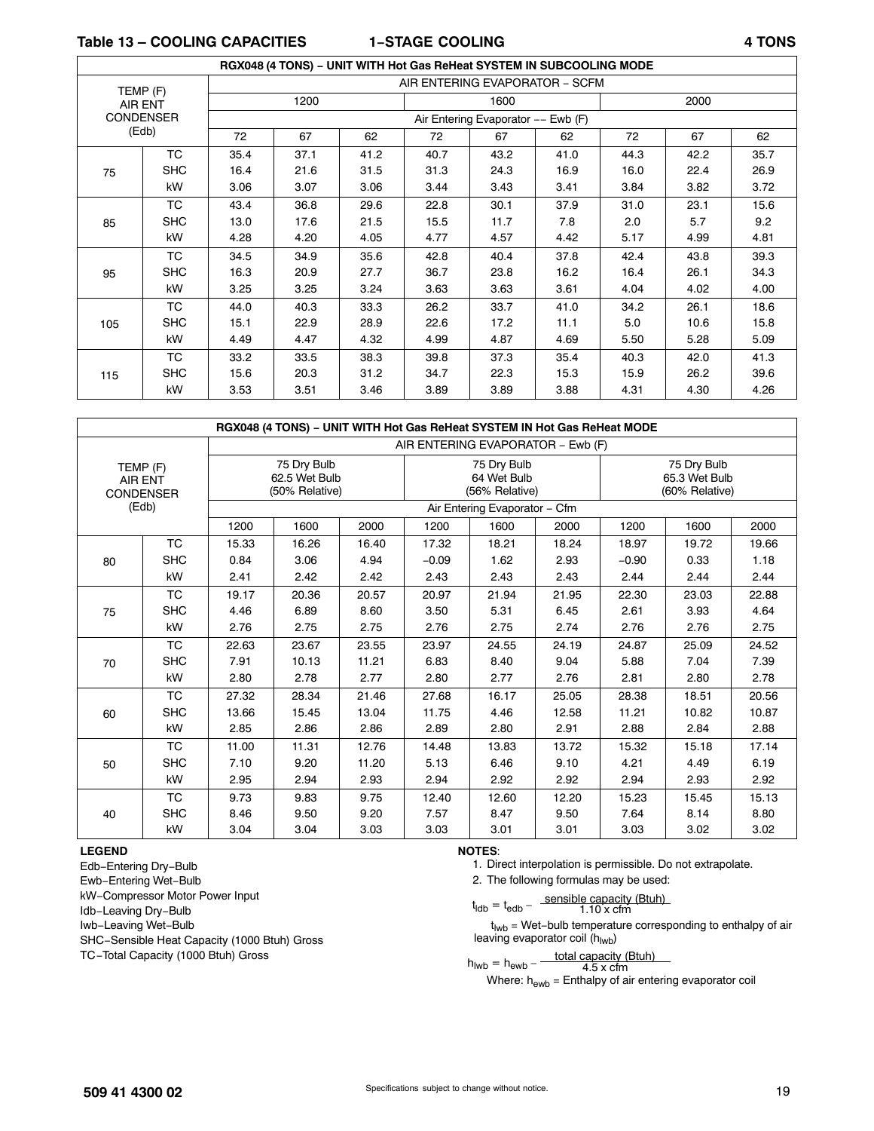**Table 13 – COOLING CAPACITIES 1−STAGE COOLING 4 TONS**

|     |                  |      | RGX048 (4 TONS) - UNIT WITH Hot Gas ReHeat SYSTEM IN SUBCOOLING MODE |      |                                |                                    |      |      |      |      |
|-----|------------------|------|----------------------------------------------------------------------|------|--------------------------------|------------------------------------|------|------|------|------|
|     | TEMP (F)         |      |                                                                      |      | AIR ENTERING EVAPORATOR - SCFM |                                    |      |      |      |      |
|     | AIR ENT          |      | 1200                                                                 |      |                                | 1600                               |      |      | 2000 |      |
|     | <b>CONDENSER</b> |      |                                                                      |      |                                | Air Entering Evaporator -- Ewb (F) |      |      |      |      |
|     | (Edb)            | 72   | 67                                                                   | 62   | 72                             | 67                                 | 62   | 72   | 67   | 62   |
|     | TC               | 35.4 | 37.1                                                                 | 41.2 | 40.7                           | 43.2                               | 41.0 | 44.3 | 42.2 | 35.7 |
| 75  | <b>SHC</b>       | 16.4 | 21.6                                                                 | 31.5 | 31.3                           | 24.3                               | 16.9 | 16.0 | 22.4 | 26.9 |
|     | kW               | 3.06 | 3.07                                                                 | 3.06 | 3.44                           | 3.43                               | 3.41 | 3.84 | 3.82 | 3.72 |
|     | <b>TC</b>        | 43.4 | 36.8                                                                 | 29.6 | 22.8                           | 30.1                               | 37.9 | 31.0 | 23.1 | 15.6 |
| 85  | <b>SHC</b>       | 13.0 | 17.6                                                                 | 21.5 | 15.5                           | 11.7                               | 7.8  | 2.0  | 5.7  | 9.2  |
|     | kW               | 4.28 | 4.20                                                                 | 4.05 | 4.77                           | 4.57                               | 4.42 | 5.17 | 4.99 | 4.81 |
|     | TC               | 34.5 | 34.9                                                                 | 35.6 | 42.8                           | 40.4                               | 37.8 | 42.4 | 43.8 | 39.3 |
| 95  | <b>SHC</b>       | 16.3 | 20.9                                                                 | 27.7 | 36.7                           | 23.8                               | 16.2 | 16.4 | 26.1 | 34.3 |
|     | kW               | 3.25 | 3.25                                                                 | 3.24 | 3.63                           | 3.63                               | 3.61 | 4.04 | 4.02 | 4.00 |
|     | <b>TC</b>        | 44.0 | 40.3                                                                 | 33.3 | 26.2                           | 33.7                               | 41.0 | 34.2 | 26.1 | 18.6 |
| 105 | <b>SHC</b>       | 15.1 | 22.9                                                                 | 28.9 | 22.6                           | 17.2                               | 11.1 | 5.0  | 10.6 | 15.8 |
|     | kW               | 4.49 | 4.47                                                                 | 4.32 | 4.99                           | 4.87                               | 4.69 | 5.50 | 5.28 | 5.09 |
|     | <b>TC</b>        | 33.2 | 33.5                                                                 | 38.3 | 39.8                           | 37.3                               | 35.4 | 40.3 | 42.0 | 41.3 |
| 115 | <b>SHC</b>       | 15.6 | 20.3                                                                 | 31.2 | 34.7                           | 22.3                               | 15.3 | 15.9 | 26.2 | 39.6 |
|     | kW               | 3.53 | 3.51                                                                 | 3.46 | 3.89                           | 3.89                               | 3.88 | 4.31 | 4.30 | 4.26 |

|                                                |            |       | RGX048 (4 TONS) - UNIT WITH Hot Gas ReHeat SYSTEM IN Hot Gas ReHeat MODE |       |                               |                                              |                                   |         |                                                |       |  |  |
|------------------------------------------------|------------|-------|--------------------------------------------------------------------------|-------|-------------------------------|----------------------------------------------|-----------------------------------|---------|------------------------------------------------|-------|--|--|
|                                                |            |       |                                                                          |       |                               |                                              | AIR ENTERING EVAPORATOR - Ewb (F) |         |                                                |       |  |  |
| TEMP (F)<br><b>AIR ENT</b><br><b>CONDENSER</b> |            |       | 75 Dry Bulb<br>62.5 Wet Bulb<br>(50% Relative)                           |       |                               | 75 Dry Bulb<br>64 Wet Bulb<br>(56% Relative) |                                   |         | 75 Dry Bulb<br>65.3 Wet Bulb<br>(60% Relative) |       |  |  |
|                                                | (Edb)      |       |                                                                          |       | Air Entering Evaporator - Cfm |                                              |                                   |         |                                                |       |  |  |
|                                                |            | 1200  | 1600                                                                     | 2000  | 1200                          | 1600                                         | 2000                              | 1200    | 1600                                           | 2000  |  |  |
|                                                | <b>TC</b>  | 15.33 | 16.26                                                                    | 16.40 | 17.32                         | 18.21                                        | 18.24                             | 18.97   | 19.72                                          | 19.66 |  |  |
| 80                                             | <b>SHC</b> | 0.84  | 3.06                                                                     | 4.94  | $-0.09$                       | 1.62                                         | 2.93                              | $-0.90$ | 0.33                                           | 1.18  |  |  |
|                                                | kW         | 2.41  | 2.42                                                                     | 2.42  | 2.43                          | 2.43                                         | 2.43                              | 2.44    | 2.44                                           | 2.44  |  |  |
|                                                | <b>TC</b>  | 19.17 | 20.36                                                                    | 20.57 | 20.97                         | 21.94                                        | 21.95                             | 22.30   | 23.03                                          | 22.88 |  |  |
| 75                                             | <b>SHC</b> | 4.46  | 6.89                                                                     | 8.60  | 3.50                          | 5.31                                         | 6.45                              | 2.61    | 3.93                                           | 4.64  |  |  |
|                                                | kW         | 2.76  | 2.75                                                                     | 2.75  | 2.76                          | 2.75                                         | 2.74                              | 2.76    | 2.76                                           | 2.75  |  |  |
|                                                | <b>TC</b>  | 22.63 | 23.67                                                                    | 23.55 | 23.97                         | 24.55                                        | 24.19                             | 24.87   | 25.09                                          | 24.52 |  |  |
| 70                                             | <b>SHC</b> | 7.91  | 10.13                                                                    | 11.21 | 6.83                          | 8.40                                         | 9.04                              | 5.88    | 7.04                                           | 7.39  |  |  |
|                                                | kW         | 2.80  | 2.78                                                                     | 2.77  | 2.80                          | 2.77                                         | 2.76                              | 2.81    | 2.80                                           | 2.78  |  |  |
|                                                | <b>TC</b>  | 27.32 | 28.34                                                                    | 21.46 | 27.68                         | 16.17                                        | 25.05                             | 28.38   | 18.51                                          | 20.56 |  |  |
| 60                                             | <b>SHC</b> | 13.66 | 15.45                                                                    | 13.04 | 11.75                         | 4.46                                         | 12.58                             | 11.21   | 10.82                                          | 10.87 |  |  |
|                                                | kW         | 2.85  | 2.86                                                                     | 2.86  | 2.89                          | 2.80                                         | 2.91                              | 2.88    | 2.84                                           | 2.88  |  |  |
|                                                | <b>TC</b>  | 11.00 | 11.31                                                                    | 12.76 | 14.48                         | 13.83                                        | 13.72                             | 15.32   | 15.18                                          | 17.14 |  |  |
| 50                                             | <b>SHC</b> | 7.10  | 9.20                                                                     | 11.20 | 5.13                          | 6.46                                         | 9.10                              | 4.21    | 4.49                                           | 6.19  |  |  |
|                                                | kW         | 2.95  | 2.94                                                                     | 2.93  | 2.94                          | 2.92                                         | 2.92                              | 2.94    | 2.93                                           | 2.92  |  |  |
|                                                | <b>TC</b>  | 9.73  | 9.83                                                                     | 9.75  | 12.40                         | 12.60                                        | 12.20                             | 15.23   | 15.45                                          | 15.13 |  |  |
| 40                                             | <b>SHC</b> | 8.46  | 9.50                                                                     | 9.20  | 7.57                          | 8.47                                         | 9.50                              | 7.64    | 8.14                                           | 8.80  |  |  |
|                                                | kW         | 3.04  | 3.04                                                                     | 3.03  | 3.03                          | 3.01                                         | 3.01                              | 3.03    | 3.02                                           | 3.02  |  |  |

#### **LEGEND**

Edb−Entering Dry−Bulb Ewb−Entering Wet−Bulb kW−Compressor Motor Power Input Idb−Leaving Dry−Bulb Iwb−Leaving Wet−Bulb SHC−Sensible Heat Capacity (1000 Btuh) Gross TC−Total Capacity (1000 Btuh) Gross

**NOTES**:

1. Direct interpolation is permissible. Do not extrapolate.

2. The following formulas may be used:

$$
t_{\text{ldb}} = t_{\text{edb}} - \frac{\text{sensible capacity (Btuh)}}{1.10 \times \text{cfm}}
$$

t<sub>lwb</sub> = Wet-bulb temperature corresponding to enthalpy of air leaving evaporator coil (hlwb)

$$
h_{\text{Iwb}} = h_{\text{ewb}} - \frac{\text{total capacity (Btuh)}}{4.5 \times \text{cfm}}
$$

Where:  $h_{\text{ewb}}$  = Enthalpy of air entering evaporator coil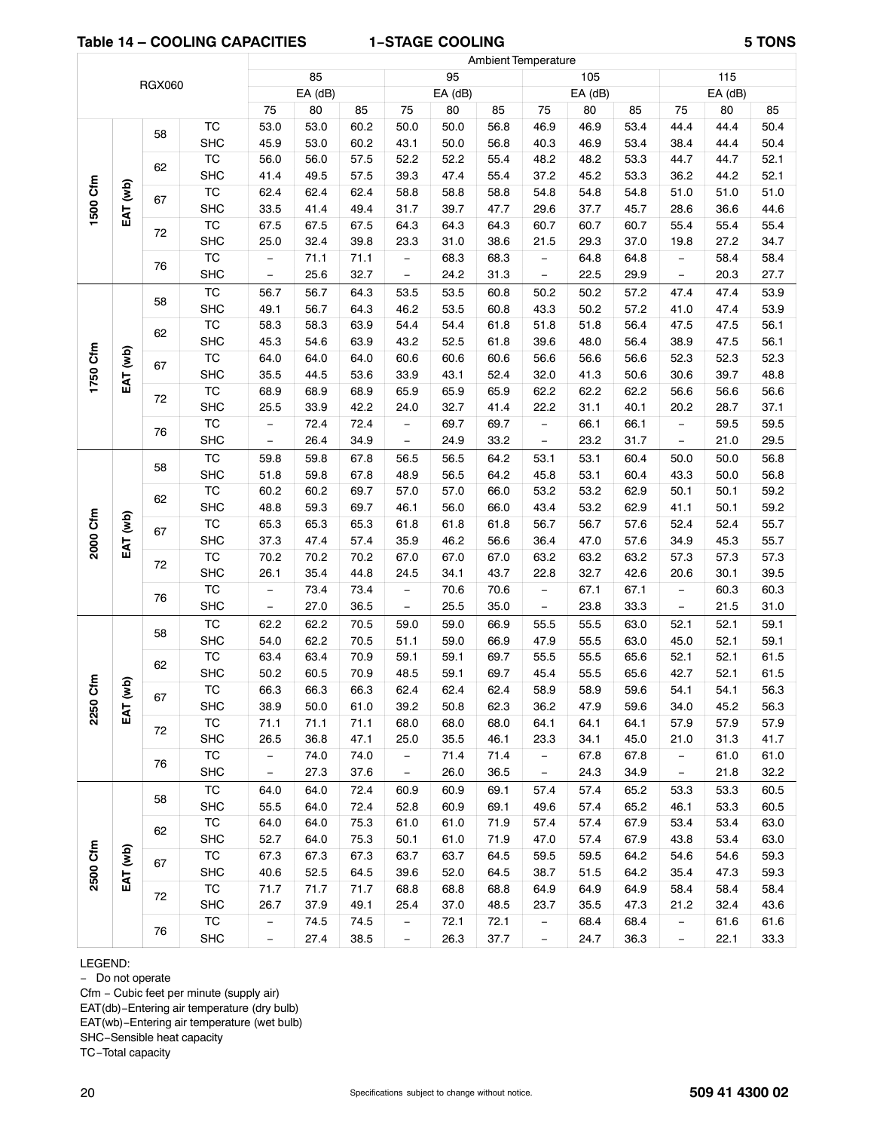#### **Table 14 – COOLING CAPACITIES 1−STAGE COOLING 5 TONS**

ſ

|                                                                                                                                                                                                                                                                                                                                                                                                                                                                                                                                                                                                                                                                                                                                                                                                                                                                                                                                                                                                                                                                                                                                                                                                                                                                                                                                                                                                                                                                                                                                                                                                                                                                                                                                                                                                                                                                                                                                                                                                                                                                                                                                                                                                                                                                                                                                                                                                                                                                                                                                                                                                                                                                                                                                                                                                                                                                                                                                                                                                                                                                                                                                                                                                                                                                                                                                                                                                                                                                                                |      |            |                          | 85   |      |                          | 95   |      |                          | 105          |              |                          | 115          |              |
|------------------------------------------------------------------------------------------------------------------------------------------------------------------------------------------------------------------------------------------------------------------------------------------------------------------------------------------------------------------------------------------------------------------------------------------------------------------------------------------------------------------------------------------------------------------------------------------------------------------------------------------------------------------------------------------------------------------------------------------------------------------------------------------------------------------------------------------------------------------------------------------------------------------------------------------------------------------------------------------------------------------------------------------------------------------------------------------------------------------------------------------------------------------------------------------------------------------------------------------------------------------------------------------------------------------------------------------------------------------------------------------------------------------------------------------------------------------------------------------------------------------------------------------------------------------------------------------------------------------------------------------------------------------------------------------------------------------------------------------------------------------------------------------------------------------------------------------------------------------------------------------------------------------------------------------------------------------------------------------------------------------------------------------------------------------------------------------------------------------------------------------------------------------------------------------------------------------------------------------------------------------------------------------------------------------------------------------------------------------------------------------------------------------------------------------------------------------------------------------------------------------------------------------------------------------------------------------------------------------------------------------------------------------------------------------------------------------------------------------------------------------------------------------------------------------------------------------------------------------------------------------------------------------------------------------------------------------------------------------------------------------------------------------------------------------------------------------------------------------------------------------------------------------------------------------------------------------------------------------------------------------------------------------------------------------------------------------------------------------------------------------------------------------------------------------------------------------------------------------------|------|------------|--------------------------|------|------|--------------------------|------|------|--------------------------|--------------|--------------|--------------------------|--------------|--------------|
|                                                                                                                                                                                                                                                                                                                                                                                                                                                                                                                                                                                                                                                                                                                                                                                                                                                                                                                                                                                                                                                                                                                                                                                                                                                                                                                                                                                                                                                                                                                                                                                                                                                                                                                                                                                                                                                                                                                                                                                                                                                                                                                                                                                                                                                                                                                                                                                                                                                                                                                                                                                                                                                                                                                                                                                                                                                                                                                                                                                                                                                                                                                                                                                                                                                                                                                                                                                                                                                                                                |      |            |                          |      |      |                          |      |      |                          | $EA$ (dB)    |              |                          | EA (dB)      |              |
|                                                                                                                                                                                                                                                                                                                                                                                                                                                                                                                                                                                                                                                                                                                                                                                                                                                                                                                                                                                                                                                                                                                                                                                                                                                                                                                                                                                                                                                                                                                                                                                                                                                                                                                                                                                                                                                                                                                                                                                                                                                                                                                                                                                                                                                                                                                                                                                                                                                                                                                                                                                                                                                                                                                                                                                                                                                                                                                                                                                                                                                                                                                                                                                                                                                                                                                                                                                                                                                                                                |      |            | 75                       | 80   | 85   | 75                       | 80   | 85   | 75                       | 80           | 85           | 75                       | 80           | 85           |
|                                                                                                                                                                                                                                                                                                                                                                                                                                                                                                                                                                                                                                                                                                                                                                                                                                                                                                                                                                                                                                                                                                                                                                                                                                                                                                                                                                                                                                                                                                                                                                                                                                                                                                                                                                                                                                                                                                                                                                                                                                                                                                                                                                                                                                                                                                                                                                                                                                                                                                                                                                                                                                                                                                                                                                                                                                                                                                                                                                                                                                                                                                                                                                                                                                                                                                                                                                                                                                                                                                |      |            |                          |      |      |                          |      |      | 46.9                     | 46.9         | 53.4         | 44.4                     | 44.4         | 50.4         |
|                                                                                                                                                                                                                                                                                                                                                                                                                                                                                                                                                                                                                                                                                                                                                                                                                                                                                                                                                                                                                                                                                                                                                                                                                                                                                                                                                                                                                                                                                                                                                                                                                                                                                                                                                                                                                                                                                                                                                                                                                                                                                                                                                                                                                                                                                                                                                                                                                                                                                                                                                                                                                                                                                                                                                                                                                                                                                                                                                                                                                                                                                                                                                                                                                                                                                                                                                                                                                                                                                                |      |            |                          |      |      |                          |      | 56.8 | 40.3                     | 46.9         | 53.4         | 38.4                     | 44.4         | 50.4         |
| <b>Ambient Temperature</b><br><b>RGX060</b><br>EA (dB)<br>EA (dB)<br><b>TC</b><br>53.0<br>50.0<br>53.0<br>60.2<br>50.0<br>56.8<br>58<br><b>SHC</b><br>45.9<br>53.0<br>60.2<br>43.1<br>50.0<br><b>TC</b><br>57.5<br>52.2<br>52.2<br>55.4<br>56.0<br>56.0<br>62<br><b>SHC</b><br>49.5<br>57.5<br>39.3<br>47.4<br>55.4<br>41.4<br>1500 Cfm<br>EAT (wb)<br><b>TC</b><br>62.4<br>62.4<br>58.8<br>58.8<br>62.4<br>58.8<br>67<br><b>SHC</b><br>41.4<br>39.7<br>33.5<br>49.4<br>31.7<br>47.7<br>$\overline{\text{TC}}$<br>67.5<br>64.3<br>67.5<br>67.5<br>64.3<br>64.3<br>72<br><b>SHC</b><br>25.0<br>32.4<br>39.8<br>23.3<br>31.0<br>38.6<br><b>TC</b><br>71.1<br>71.1<br>68.3<br>68.3<br>$\overline{\phantom{m}}$<br>$\qquad \qquad -$<br>76<br><b>SHC</b><br>25.6<br>32.7<br>24.2<br>31.3<br>$\overline{\phantom{m}}$<br>$\qquad \qquad -$<br><b>TC</b><br>56.7<br>53.5<br>56.7<br>64.3<br>53.5<br>60.8<br>58<br><b>SHC</b><br>49.1<br>56.7<br>64.3<br>46.2<br>53.5<br>60.8<br><b>TC</b><br>58.3<br>63.9<br>54.4<br>58.3<br>54.4<br>61.8<br>62<br><b>SHC</b><br>45.3<br>54.6<br>63.9<br>43.2<br>52.5<br>61.8<br>1750 Cfm<br>EAT (wb)<br>$\overline{\text{TC}}$<br>64.0<br>64.0<br>60.6<br>60.6<br>64.0<br>60.6<br>67<br><b>SHC</b><br>35.5<br>53.6<br>33.9<br>43.1<br>44.5<br>52.4<br>$\overline{\text{TC}}$<br>68.9<br>68.9<br>68.9<br>65.9<br>65.9<br>65.9<br>72<br><b>SHC</b><br>25.5<br>33.9<br>42.2<br>32.7<br>41.4<br>24.0<br><b>TC</b><br>72.4<br>69.7<br>69.7<br>72.4<br>$\overline{\phantom{m}}$<br>$\qquad \qquad -$<br>76<br><b>SHC</b><br>26.4<br>34.9<br>24.9<br>33.2<br>$\overline{\phantom{0}}$<br><b>TC</b><br>59.8<br>56.5<br>59.8<br>67.8<br>56.5<br>64.2<br>58<br><b>SHC</b><br>59.8<br>56.5<br>51.8<br>67.8<br>48.9<br>64.2<br>$\overline{\text{TC}}$<br>60.2<br>60.2<br>69.7<br>57.0<br>57.0<br>66.0<br>62<br><b>SHC</b><br>48.8<br>59.3<br>69.7<br>46.1<br>56.0<br>66.0<br>2000 Cfm<br>EAT (wb)<br>$\overline{\text{TC}}$<br>65.3<br>65.3<br>65.3<br>61.8<br>61.8<br>61.8<br>67<br><b>SHC</b><br>46.2<br>37.3<br>47.4<br>57.4<br>35.9<br>56.6<br><b>TC</b><br>70.2<br>70.2<br>70.2<br>67.0<br>67.0<br>67.0<br>72<br><b>SHC</b><br>35.4<br>26.1<br>44.8<br>24.5<br>34.1<br>43.7<br>$\overline{\text{TC}}$<br>73.4<br>73.4<br>70.6<br>70.6<br>$\overline{\phantom{a}}$<br>$\qquad \qquad -$<br>76<br><b>SHC</b><br>27.0<br>25.5<br>36.5<br>35.0<br>$\overline{\phantom{a}}$<br>$\qquad \qquad -$<br><b>TC</b><br>62.2<br>70.5<br>59.0<br>62.2<br>59.0<br>66.9<br>58<br><b>SHC</b><br>54.0<br>62.2<br>70.5<br>59.0<br>51.1<br>66.9<br>TC<br>70.9<br>63.4<br>63.4<br>59.1<br>59.1<br>69.7<br>62<br>59.1<br><b>SHC</b><br>50.2<br>60.5<br>70.9<br>48.5<br>69.7<br>ξ<br>$\mathbf{g}$<br><b>TC</b><br>66.3<br>66.3<br>66.3<br>62.4<br>62.4<br>62.4<br>67<br>2250<br><b>SHC</b><br>38.9<br>50.0<br>61.0<br>39.2<br>50.8<br>62.3<br>EAT<br><b>TC</b><br>71.1<br>71.1<br>71.1<br>68.0<br>68.0<br>68.0<br>72<br>35.5<br>SHC<br>26.5<br>36.8<br>47.1<br>25.0<br>46.1<br>TC<br>74.0<br>71.4<br>74.0<br>71.4<br>$\overline{\phantom{a}}$<br>-<br>76<br><b>SHC</b><br>27.3<br>26.0<br>37.6<br>36.5<br>$\overline{\phantom{0}}$<br>$\overline{\phantom{0}}$<br>TC<br>72.4<br>64.0<br>60.9<br>60.9<br>69.1<br>64.0<br>58<br><b>SHC</b><br>55.5<br>64.0<br>72.4<br>52.8<br>60.9<br>69.1<br>TC<br>64.0<br>64.0<br>75.3<br>61.0<br>61.0<br>71.9<br>62<br><b>SHC</b><br>52.7<br>64.0<br>75.3<br>61.0<br>71.9<br>50.1<br>2500 Cfm<br>EAT (wb)<br>TC<br>67.3<br>67.3<br>67.3<br>63.7<br>63.7<br>64.5 | 48.2 | 48.2       | 53.3                     | 44.7 | 44.7 | 52.1                     |      |      |                          |              |              |                          |              |              |
|                                                                                                                                                                                                                                                                                                                                                                                                                                                                                                                                                                                                                                                                                                                                                                                                                                                                                                                                                                                                                                                                                                                                                                                                                                                                                                                                                                                                                                                                                                                                                                                                                                                                                                                                                                                                                                                                                                                                                                                                                                                                                                                                                                                                                                                                                                                                                                                                                                                                                                                                                                                                                                                                                                                                                                                                                                                                                                                                                                                                                                                                                                                                                                                                                                                                                                                                                                                                                                                                                                |      |            |                          |      |      |                          |      |      | 37.2                     | 45.2         | 53.3         | 36.2                     | 44.2         | 52.1         |
|                                                                                                                                                                                                                                                                                                                                                                                                                                                                                                                                                                                                                                                                                                                                                                                                                                                                                                                                                                                                                                                                                                                                                                                                                                                                                                                                                                                                                                                                                                                                                                                                                                                                                                                                                                                                                                                                                                                                                                                                                                                                                                                                                                                                                                                                                                                                                                                                                                                                                                                                                                                                                                                                                                                                                                                                                                                                                                                                                                                                                                                                                                                                                                                                                                                                                                                                                                                                                                                                                                |      |            |                          |      |      |                          |      |      | 54.8                     | 54.8         | 54.8         | 51.0                     | 51.0         | 51.0         |
|                                                                                                                                                                                                                                                                                                                                                                                                                                                                                                                                                                                                                                                                                                                                                                                                                                                                                                                                                                                                                                                                                                                                                                                                                                                                                                                                                                                                                                                                                                                                                                                                                                                                                                                                                                                                                                                                                                                                                                                                                                                                                                                                                                                                                                                                                                                                                                                                                                                                                                                                                                                                                                                                                                                                                                                                                                                                                                                                                                                                                                                                                                                                                                                                                                                                                                                                                                                                                                                                                                |      |            |                          |      |      |                          |      |      | 29.6                     | 37.7         | 45.7         | 28.6                     | 36.6         | 44.6         |
|                                                                                                                                                                                                                                                                                                                                                                                                                                                                                                                                                                                                                                                                                                                                                                                                                                                                                                                                                                                                                                                                                                                                                                                                                                                                                                                                                                                                                                                                                                                                                                                                                                                                                                                                                                                                                                                                                                                                                                                                                                                                                                                                                                                                                                                                                                                                                                                                                                                                                                                                                                                                                                                                                                                                                                                                                                                                                                                                                                                                                                                                                                                                                                                                                                                                                                                                                                                                                                                                                                |      |            |                          |      |      |                          |      |      | 60.7                     | 60.7         | 60.7         | 55.4                     | 55.4         | 55.4         |
|                                                                                                                                                                                                                                                                                                                                                                                                                                                                                                                                                                                                                                                                                                                                                                                                                                                                                                                                                                                                                                                                                                                                                                                                                                                                                                                                                                                                                                                                                                                                                                                                                                                                                                                                                                                                                                                                                                                                                                                                                                                                                                                                                                                                                                                                                                                                                                                                                                                                                                                                                                                                                                                                                                                                                                                                                                                                                                                                                                                                                                                                                                                                                                                                                                                                                                                                                                                                                                                                                                |      |            |                          |      |      |                          |      |      | 21.5                     | 29.3         | 37.0         | 19.8                     | 27.2         | 34.7         |
|                                                                                                                                                                                                                                                                                                                                                                                                                                                                                                                                                                                                                                                                                                                                                                                                                                                                                                                                                                                                                                                                                                                                                                                                                                                                                                                                                                                                                                                                                                                                                                                                                                                                                                                                                                                                                                                                                                                                                                                                                                                                                                                                                                                                                                                                                                                                                                                                                                                                                                                                                                                                                                                                                                                                                                                                                                                                                                                                                                                                                                                                                                                                                                                                                                                                                                                                                                                                                                                                                                |      |            |                          |      |      |                          |      |      | $\qquad \qquad -$        | 64.8         | 64.8         | $\overline{\phantom{0}}$ | 58.4         | 58.4         |
|                                                                                                                                                                                                                                                                                                                                                                                                                                                                                                                                                                                                                                                                                                                                                                                                                                                                                                                                                                                                                                                                                                                                                                                                                                                                                                                                                                                                                                                                                                                                                                                                                                                                                                                                                                                                                                                                                                                                                                                                                                                                                                                                                                                                                                                                                                                                                                                                                                                                                                                                                                                                                                                                                                                                                                                                                                                                                                                                                                                                                                                                                                                                                                                                                                                                                                                                                                                                                                                                                                |      |            |                          |      |      |                          |      |      | $\overline{\phantom{0}}$ | 22.5         | 29.9         | $\overline{\phantom{0}}$ | 20.3         | 27.7         |
|                                                                                                                                                                                                                                                                                                                                                                                                                                                                                                                                                                                                                                                                                                                                                                                                                                                                                                                                                                                                                                                                                                                                                                                                                                                                                                                                                                                                                                                                                                                                                                                                                                                                                                                                                                                                                                                                                                                                                                                                                                                                                                                                                                                                                                                                                                                                                                                                                                                                                                                                                                                                                                                                                                                                                                                                                                                                                                                                                                                                                                                                                                                                                                                                                                                                                                                                                                                                                                                                                                |      |            |                          |      |      |                          |      |      | 50.2                     | 50.2         | 57.2         | 47.4                     | 47.4         | 53.9         |
|                                                                                                                                                                                                                                                                                                                                                                                                                                                                                                                                                                                                                                                                                                                                                                                                                                                                                                                                                                                                                                                                                                                                                                                                                                                                                                                                                                                                                                                                                                                                                                                                                                                                                                                                                                                                                                                                                                                                                                                                                                                                                                                                                                                                                                                                                                                                                                                                                                                                                                                                                                                                                                                                                                                                                                                                                                                                                                                                                                                                                                                                                                                                                                                                                                                                                                                                                                                                                                                                                                |      |            |                          |      |      |                          |      |      | 43.3                     | 50.2         | 57.2         | 41.0                     | 47.4         | 53.9         |
|                                                                                                                                                                                                                                                                                                                                                                                                                                                                                                                                                                                                                                                                                                                                                                                                                                                                                                                                                                                                                                                                                                                                                                                                                                                                                                                                                                                                                                                                                                                                                                                                                                                                                                                                                                                                                                                                                                                                                                                                                                                                                                                                                                                                                                                                                                                                                                                                                                                                                                                                                                                                                                                                                                                                                                                                                                                                                                                                                                                                                                                                                                                                                                                                                                                                                                                                                                                                                                                                                                |      |            |                          |      |      |                          |      |      | 51.8                     | 51.8         | 56.4         | 47.5                     | 47.5         | 56.1         |
|                                                                                                                                                                                                                                                                                                                                                                                                                                                                                                                                                                                                                                                                                                                                                                                                                                                                                                                                                                                                                                                                                                                                                                                                                                                                                                                                                                                                                                                                                                                                                                                                                                                                                                                                                                                                                                                                                                                                                                                                                                                                                                                                                                                                                                                                                                                                                                                                                                                                                                                                                                                                                                                                                                                                                                                                                                                                                                                                                                                                                                                                                                                                                                                                                                                                                                                                                                                                                                                                                                |      |            |                          |      |      |                          |      |      | 39.6<br>56.6             | 48.0<br>56.6 | 56.4<br>56.6 | 38.9<br>52.3             | 47.5<br>52.3 | 56.1<br>52.3 |
|                                                                                                                                                                                                                                                                                                                                                                                                                                                                                                                                                                                                                                                                                                                                                                                                                                                                                                                                                                                                                                                                                                                                                                                                                                                                                                                                                                                                                                                                                                                                                                                                                                                                                                                                                                                                                                                                                                                                                                                                                                                                                                                                                                                                                                                                                                                                                                                                                                                                                                                                                                                                                                                                                                                                                                                                                                                                                                                                                                                                                                                                                                                                                                                                                                                                                                                                                                                                                                                                                                |      |            |                          |      |      |                          |      |      | 32.0                     | 41.3         | 50.6         | 30.6                     | 39.7         | 48.8         |
|                                                                                                                                                                                                                                                                                                                                                                                                                                                                                                                                                                                                                                                                                                                                                                                                                                                                                                                                                                                                                                                                                                                                                                                                                                                                                                                                                                                                                                                                                                                                                                                                                                                                                                                                                                                                                                                                                                                                                                                                                                                                                                                                                                                                                                                                                                                                                                                                                                                                                                                                                                                                                                                                                                                                                                                                                                                                                                                                                                                                                                                                                                                                                                                                                                                                                                                                                                                                                                                                                                |      |            |                          |      |      |                          |      |      | 62.2                     | 62.2         | 62.2         | 56.6                     | 56.6         | 56.6         |
|                                                                                                                                                                                                                                                                                                                                                                                                                                                                                                                                                                                                                                                                                                                                                                                                                                                                                                                                                                                                                                                                                                                                                                                                                                                                                                                                                                                                                                                                                                                                                                                                                                                                                                                                                                                                                                                                                                                                                                                                                                                                                                                                                                                                                                                                                                                                                                                                                                                                                                                                                                                                                                                                                                                                                                                                                                                                                                                                                                                                                                                                                                                                                                                                                                                                                                                                                                                                                                                                                                |      |            |                          |      |      |                          |      |      | 22.2                     | 31.1         | 40.1         | 20.2                     | 28.7         | 37.1         |
|                                                                                                                                                                                                                                                                                                                                                                                                                                                                                                                                                                                                                                                                                                                                                                                                                                                                                                                                                                                                                                                                                                                                                                                                                                                                                                                                                                                                                                                                                                                                                                                                                                                                                                                                                                                                                                                                                                                                                                                                                                                                                                                                                                                                                                                                                                                                                                                                                                                                                                                                                                                                                                                                                                                                                                                                                                                                                                                                                                                                                                                                                                                                                                                                                                                                                                                                                                                                                                                                                                |      |            |                          |      |      |                          |      |      | $\qquad \qquad -$        | 66.1         | 66.1         | $\equiv$                 | 59.5         | 59.5         |
|                                                                                                                                                                                                                                                                                                                                                                                                                                                                                                                                                                                                                                                                                                                                                                                                                                                                                                                                                                                                                                                                                                                                                                                                                                                                                                                                                                                                                                                                                                                                                                                                                                                                                                                                                                                                                                                                                                                                                                                                                                                                                                                                                                                                                                                                                                                                                                                                                                                                                                                                                                                                                                                                                                                                                                                                                                                                                                                                                                                                                                                                                                                                                                                                                                                                                                                                                                                                                                                                                                |      |            |                          |      |      |                          |      |      | $\overline{\phantom{0}}$ | 23.2         | 31.7         | $\overline{\phantom{0}}$ | 21.0         | 29.5         |
|                                                                                                                                                                                                                                                                                                                                                                                                                                                                                                                                                                                                                                                                                                                                                                                                                                                                                                                                                                                                                                                                                                                                                                                                                                                                                                                                                                                                                                                                                                                                                                                                                                                                                                                                                                                                                                                                                                                                                                                                                                                                                                                                                                                                                                                                                                                                                                                                                                                                                                                                                                                                                                                                                                                                                                                                                                                                                                                                                                                                                                                                                                                                                                                                                                                                                                                                                                                                                                                                                                |      |            |                          |      |      |                          |      |      | 53.1                     | 53.1         | 60.4         | 50.0                     | 50.0         | 56.8         |
|                                                                                                                                                                                                                                                                                                                                                                                                                                                                                                                                                                                                                                                                                                                                                                                                                                                                                                                                                                                                                                                                                                                                                                                                                                                                                                                                                                                                                                                                                                                                                                                                                                                                                                                                                                                                                                                                                                                                                                                                                                                                                                                                                                                                                                                                                                                                                                                                                                                                                                                                                                                                                                                                                                                                                                                                                                                                                                                                                                                                                                                                                                                                                                                                                                                                                                                                                                                                                                                                                                |      |            |                          |      |      |                          |      |      | 45.8                     | 53.1         | 60.4         | 43.3                     | 50.0         | 56.8         |
|                                                                                                                                                                                                                                                                                                                                                                                                                                                                                                                                                                                                                                                                                                                                                                                                                                                                                                                                                                                                                                                                                                                                                                                                                                                                                                                                                                                                                                                                                                                                                                                                                                                                                                                                                                                                                                                                                                                                                                                                                                                                                                                                                                                                                                                                                                                                                                                                                                                                                                                                                                                                                                                                                                                                                                                                                                                                                                                                                                                                                                                                                                                                                                                                                                                                                                                                                                                                                                                                                                |      |            |                          |      |      |                          |      |      | 53.2                     | 53.2         | 62.9         | 50.1                     | 50.1         | 59.2         |
|                                                                                                                                                                                                                                                                                                                                                                                                                                                                                                                                                                                                                                                                                                                                                                                                                                                                                                                                                                                                                                                                                                                                                                                                                                                                                                                                                                                                                                                                                                                                                                                                                                                                                                                                                                                                                                                                                                                                                                                                                                                                                                                                                                                                                                                                                                                                                                                                                                                                                                                                                                                                                                                                                                                                                                                                                                                                                                                                                                                                                                                                                                                                                                                                                                                                                                                                                                                                                                                                                                |      |            |                          |      |      |                          |      |      | 43.4                     | 53.2         | 62.9         | 41.1                     | 50.1         | 59.2         |
|                                                                                                                                                                                                                                                                                                                                                                                                                                                                                                                                                                                                                                                                                                                                                                                                                                                                                                                                                                                                                                                                                                                                                                                                                                                                                                                                                                                                                                                                                                                                                                                                                                                                                                                                                                                                                                                                                                                                                                                                                                                                                                                                                                                                                                                                                                                                                                                                                                                                                                                                                                                                                                                                                                                                                                                                                                                                                                                                                                                                                                                                                                                                                                                                                                                                                                                                                                                                                                                                                                |      |            |                          |      |      |                          |      |      | 56.7                     | 56.7         | 57.6         | 52.4                     | 52.4         | 55.7         |
|                                                                                                                                                                                                                                                                                                                                                                                                                                                                                                                                                                                                                                                                                                                                                                                                                                                                                                                                                                                                                                                                                                                                                                                                                                                                                                                                                                                                                                                                                                                                                                                                                                                                                                                                                                                                                                                                                                                                                                                                                                                                                                                                                                                                                                                                                                                                                                                                                                                                                                                                                                                                                                                                                                                                                                                                                                                                                                                                                                                                                                                                                                                                                                                                                                                                                                                                                                                                                                                                                                |      |            |                          |      |      |                          |      |      | 36.4                     | 47.0         | 57.6         | 34.9                     | 45.3         | 55.7         |
|                                                                                                                                                                                                                                                                                                                                                                                                                                                                                                                                                                                                                                                                                                                                                                                                                                                                                                                                                                                                                                                                                                                                                                                                                                                                                                                                                                                                                                                                                                                                                                                                                                                                                                                                                                                                                                                                                                                                                                                                                                                                                                                                                                                                                                                                                                                                                                                                                                                                                                                                                                                                                                                                                                                                                                                                                                                                                                                                                                                                                                                                                                                                                                                                                                                                                                                                                                                                                                                                                                |      |            |                          |      |      |                          |      |      | 63.2                     | 63.2         | 63.2         | 57.3                     | 57.3         | 57.3         |
|                                                                                                                                                                                                                                                                                                                                                                                                                                                                                                                                                                                                                                                                                                                                                                                                                                                                                                                                                                                                                                                                                                                                                                                                                                                                                                                                                                                                                                                                                                                                                                                                                                                                                                                                                                                                                                                                                                                                                                                                                                                                                                                                                                                                                                                                                                                                                                                                                                                                                                                                                                                                                                                                                                                                                                                                                                                                                                                                                                                                                                                                                                                                                                                                                                                                                                                                                                                                                                                                                                |      |            |                          |      |      |                          |      |      | 22.8                     | 32.7         | 42.6         | 20.6                     | 30.1         | 39.5         |
|                                                                                                                                                                                                                                                                                                                                                                                                                                                                                                                                                                                                                                                                                                                                                                                                                                                                                                                                                                                                                                                                                                                                                                                                                                                                                                                                                                                                                                                                                                                                                                                                                                                                                                                                                                                                                                                                                                                                                                                                                                                                                                                                                                                                                                                                                                                                                                                                                                                                                                                                                                                                                                                                                                                                                                                                                                                                                                                                                                                                                                                                                                                                                                                                                                                                                                                                                                                                                                                                                                |      |            |                          |      |      |                          |      |      | $\overline{\phantom{0}}$ | 67.1         | 67.1         | $\overline{\phantom{0}}$ | 60.3         | 60.3         |
|                                                                                                                                                                                                                                                                                                                                                                                                                                                                                                                                                                                                                                                                                                                                                                                                                                                                                                                                                                                                                                                                                                                                                                                                                                                                                                                                                                                                                                                                                                                                                                                                                                                                                                                                                                                                                                                                                                                                                                                                                                                                                                                                                                                                                                                                                                                                                                                                                                                                                                                                                                                                                                                                                                                                                                                                                                                                                                                                                                                                                                                                                                                                                                                                                                                                                                                                                                                                                                                                                                |      |            |                          |      |      |                          |      |      | $\overline{\phantom{0}}$ | 23.8         | 33.3         | $\overline{\phantom{0}}$ | 21.5         | 31.0         |
|                                                                                                                                                                                                                                                                                                                                                                                                                                                                                                                                                                                                                                                                                                                                                                                                                                                                                                                                                                                                                                                                                                                                                                                                                                                                                                                                                                                                                                                                                                                                                                                                                                                                                                                                                                                                                                                                                                                                                                                                                                                                                                                                                                                                                                                                                                                                                                                                                                                                                                                                                                                                                                                                                                                                                                                                                                                                                                                                                                                                                                                                                                                                                                                                                                                                                                                                                                                                                                                                                                |      |            |                          |      |      |                          |      |      | 55.5                     | 55.5         | 63.0         | 52.1                     | 52.1         | 59.1         |
|                                                                                                                                                                                                                                                                                                                                                                                                                                                                                                                                                                                                                                                                                                                                                                                                                                                                                                                                                                                                                                                                                                                                                                                                                                                                                                                                                                                                                                                                                                                                                                                                                                                                                                                                                                                                                                                                                                                                                                                                                                                                                                                                                                                                                                                                                                                                                                                                                                                                                                                                                                                                                                                                                                                                                                                                                                                                                                                                                                                                                                                                                                                                                                                                                                                                                                                                                                                                                                                                                                |      |            |                          |      |      |                          |      |      | 47.9                     | 55.5         | 63.0         | 45.0                     | 52.1         | 59.1         |
|                                                                                                                                                                                                                                                                                                                                                                                                                                                                                                                                                                                                                                                                                                                                                                                                                                                                                                                                                                                                                                                                                                                                                                                                                                                                                                                                                                                                                                                                                                                                                                                                                                                                                                                                                                                                                                                                                                                                                                                                                                                                                                                                                                                                                                                                                                                                                                                                                                                                                                                                                                                                                                                                                                                                                                                                                                                                                                                                                                                                                                                                                                                                                                                                                                                                                                                                                                                                                                                                                                |      |            |                          |      |      |                          |      |      | 55.5                     | 55.5         | 65.6         | 52.1                     | 52.1         | 61.5         |
|                                                                                                                                                                                                                                                                                                                                                                                                                                                                                                                                                                                                                                                                                                                                                                                                                                                                                                                                                                                                                                                                                                                                                                                                                                                                                                                                                                                                                                                                                                                                                                                                                                                                                                                                                                                                                                                                                                                                                                                                                                                                                                                                                                                                                                                                                                                                                                                                                                                                                                                                                                                                                                                                                                                                                                                                                                                                                                                                                                                                                                                                                                                                                                                                                                                                                                                                                                                                                                                                                                |      |            |                          |      |      |                          |      |      | 45.4                     | 55.5         | 65.6         | 42.7                     | 52.1         | 61.5         |
|                                                                                                                                                                                                                                                                                                                                                                                                                                                                                                                                                                                                                                                                                                                                                                                                                                                                                                                                                                                                                                                                                                                                                                                                                                                                                                                                                                                                                                                                                                                                                                                                                                                                                                                                                                                                                                                                                                                                                                                                                                                                                                                                                                                                                                                                                                                                                                                                                                                                                                                                                                                                                                                                                                                                                                                                                                                                                                                                                                                                                                                                                                                                                                                                                                                                                                                                                                                                                                                                                                |      |            |                          |      |      |                          |      |      | 58.9                     | 58.9         | 59.6         | 54.1                     | 54.1         | 56.3         |
|                                                                                                                                                                                                                                                                                                                                                                                                                                                                                                                                                                                                                                                                                                                                                                                                                                                                                                                                                                                                                                                                                                                                                                                                                                                                                                                                                                                                                                                                                                                                                                                                                                                                                                                                                                                                                                                                                                                                                                                                                                                                                                                                                                                                                                                                                                                                                                                                                                                                                                                                                                                                                                                                                                                                                                                                                                                                                                                                                                                                                                                                                                                                                                                                                                                                                                                                                                                                                                                                                                |      |            |                          |      |      |                          |      |      | 36.2                     | 47.9         | 59.6         | 34.0                     | 45.2         | 56.3         |
|                                                                                                                                                                                                                                                                                                                                                                                                                                                                                                                                                                                                                                                                                                                                                                                                                                                                                                                                                                                                                                                                                                                                                                                                                                                                                                                                                                                                                                                                                                                                                                                                                                                                                                                                                                                                                                                                                                                                                                                                                                                                                                                                                                                                                                                                                                                                                                                                                                                                                                                                                                                                                                                                                                                                                                                                                                                                                                                                                                                                                                                                                                                                                                                                                                                                                                                                                                                                                                                                                                |      |            |                          |      |      |                          |      |      | 64.1                     | 64.1         | 64.1         | 57.9                     | 57.9         | 57.9         |
|                                                                                                                                                                                                                                                                                                                                                                                                                                                                                                                                                                                                                                                                                                                                                                                                                                                                                                                                                                                                                                                                                                                                                                                                                                                                                                                                                                                                                                                                                                                                                                                                                                                                                                                                                                                                                                                                                                                                                                                                                                                                                                                                                                                                                                                                                                                                                                                                                                                                                                                                                                                                                                                                                                                                                                                                                                                                                                                                                                                                                                                                                                                                                                                                                                                                                                                                                                                                                                                                                                |      |            |                          |      |      |                          |      |      | 23.3                     | 34.1         | 45.0         | 21.0                     | 31.3         | 41.7         |
|                                                                                                                                                                                                                                                                                                                                                                                                                                                                                                                                                                                                                                                                                                                                                                                                                                                                                                                                                                                                                                                                                                                                                                                                                                                                                                                                                                                                                                                                                                                                                                                                                                                                                                                                                                                                                                                                                                                                                                                                                                                                                                                                                                                                                                                                                                                                                                                                                                                                                                                                                                                                                                                                                                                                                                                                                                                                                                                                                                                                                                                                                                                                                                                                                                                                                                                                                                                                                                                                                                |      |            |                          |      |      |                          |      |      | $\qquad \qquad -$        | 67.8         | 67.8         | $\overline{\phantom{a}}$ | 61.0         | 61.0         |
|                                                                                                                                                                                                                                                                                                                                                                                                                                                                                                                                                                                                                                                                                                                                                                                                                                                                                                                                                                                                                                                                                                                                                                                                                                                                                                                                                                                                                                                                                                                                                                                                                                                                                                                                                                                                                                                                                                                                                                                                                                                                                                                                                                                                                                                                                                                                                                                                                                                                                                                                                                                                                                                                                                                                                                                                                                                                                                                                                                                                                                                                                                                                                                                                                                                                                                                                                                                                                                                                                                |      |            |                          |      |      |                          |      |      | $\overline{\phantom{a}}$ | 24.3         | 34.9         | $\overline{\phantom{a}}$ | 21.8         | 32.2         |
|                                                                                                                                                                                                                                                                                                                                                                                                                                                                                                                                                                                                                                                                                                                                                                                                                                                                                                                                                                                                                                                                                                                                                                                                                                                                                                                                                                                                                                                                                                                                                                                                                                                                                                                                                                                                                                                                                                                                                                                                                                                                                                                                                                                                                                                                                                                                                                                                                                                                                                                                                                                                                                                                                                                                                                                                                                                                                                                                                                                                                                                                                                                                                                                                                                                                                                                                                                                                                                                                                                |      |            |                          |      |      |                          |      |      | 57.4                     | 57.4         | 65.2         | 53.3                     | 53.3         | 60.5         |
|                                                                                                                                                                                                                                                                                                                                                                                                                                                                                                                                                                                                                                                                                                                                                                                                                                                                                                                                                                                                                                                                                                                                                                                                                                                                                                                                                                                                                                                                                                                                                                                                                                                                                                                                                                                                                                                                                                                                                                                                                                                                                                                                                                                                                                                                                                                                                                                                                                                                                                                                                                                                                                                                                                                                                                                                                                                                                                                                                                                                                                                                                                                                                                                                                                                                                                                                                                                                                                                                                                |      |            |                          |      |      |                          |      |      | 49.6<br>57.4             | 57.4<br>57.4 | 65.2<br>67.9 | 46.1<br>53.4             | 53.3<br>53.4 | 60.5<br>63.0 |
|                                                                                                                                                                                                                                                                                                                                                                                                                                                                                                                                                                                                                                                                                                                                                                                                                                                                                                                                                                                                                                                                                                                                                                                                                                                                                                                                                                                                                                                                                                                                                                                                                                                                                                                                                                                                                                                                                                                                                                                                                                                                                                                                                                                                                                                                                                                                                                                                                                                                                                                                                                                                                                                                                                                                                                                                                                                                                                                                                                                                                                                                                                                                                                                                                                                                                                                                                                                                                                                                                                |      |            |                          |      |      |                          |      |      | 47.0                     | 57.4         | 67.9         | 43.8                     | 53.4         | 63.0         |
|                                                                                                                                                                                                                                                                                                                                                                                                                                                                                                                                                                                                                                                                                                                                                                                                                                                                                                                                                                                                                                                                                                                                                                                                                                                                                                                                                                                                                                                                                                                                                                                                                                                                                                                                                                                                                                                                                                                                                                                                                                                                                                                                                                                                                                                                                                                                                                                                                                                                                                                                                                                                                                                                                                                                                                                                                                                                                                                                                                                                                                                                                                                                                                                                                                                                                                                                                                                                                                                                                                |      |            |                          |      |      |                          |      |      | 59.5                     | 59.5         | 64.2         | 54.6                     | 54.6         | 59.3         |
|                                                                                                                                                                                                                                                                                                                                                                                                                                                                                                                                                                                                                                                                                                                                                                                                                                                                                                                                                                                                                                                                                                                                                                                                                                                                                                                                                                                                                                                                                                                                                                                                                                                                                                                                                                                                                                                                                                                                                                                                                                                                                                                                                                                                                                                                                                                                                                                                                                                                                                                                                                                                                                                                                                                                                                                                                                                                                                                                                                                                                                                                                                                                                                                                                                                                                                                                                                                                                                                                                                | 67   | SHC        | 40.6                     | 52.5 | 64.5 | 39.6                     | 52.0 | 64.5 | 38.7                     | 51.5         | 64.2         | 35.4                     | 47.3         | 59.3         |
|                                                                                                                                                                                                                                                                                                                                                                                                                                                                                                                                                                                                                                                                                                                                                                                                                                                                                                                                                                                                                                                                                                                                                                                                                                                                                                                                                                                                                                                                                                                                                                                                                                                                                                                                                                                                                                                                                                                                                                                                                                                                                                                                                                                                                                                                                                                                                                                                                                                                                                                                                                                                                                                                                                                                                                                                                                                                                                                                                                                                                                                                                                                                                                                                                                                                                                                                                                                                                                                                                                |      | TC         | 71.7                     | 71.7 | 71.7 | 68.8                     | 68.8 | 68.8 | 64.9                     | 64.9         | 64.9         | 58.4                     | 58.4         | 58.4         |
|                                                                                                                                                                                                                                                                                                                                                                                                                                                                                                                                                                                                                                                                                                                                                                                                                                                                                                                                                                                                                                                                                                                                                                                                                                                                                                                                                                                                                                                                                                                                                                                                                                                                                                                                                                                                                                                                                                                                                                                                                                                                                                                                                                                                                                                                                                                                                                                                                                                                                                                                                                                                                                                                                                                                                                                                                                                                                                                                                                                                                                                                                                                                                                                                                                                                                                                                                                                                                                                                                                | 72   | <b>SHC</b> | 26.7                     | 37.9 | 49.1 | 25.4                     | 37.0 | 48.5 | 23.7                     | 35.5         | 47.3         | 21.2                     | 32.4         | 43.6         |
|                                                                                                                                                                                                                                                                                                                                                                                                                                                                                                                                                                                                                                                                                                                                                                                                                                                                                                                                                                                                                                                                                                                                                                                                                                                                                                                                                                                                                                                                                                                                                                                                                                                                                                                                                                                                                                                                                                                                                                                                                                                                                                                                                                                                                                                                                                                                                                                                                                                                                                                                                                                                                                                                                                                                                                                                                                                                                                                                                                                                                                                                                                                                                                                                                                                                                                                                                                                                                                                                                                |      | TC         | $\overline{\phantom{a}}$ | 74.5 | 74.5 | $\qquad \qquad -$        | 72.1 | 72.1 | $\qquad \qquad -$        | 68.4         | 68.4         | $\qquad \qquad -$        | 61.6         | 61.6         |
|                                                                                                                                                                                                                                                                                                                                                                                                                                                                                                                                                                                                                                                                                                                                                                                                                                                                                                                                                                                                                                                                                                                                                                                                                                                                                                                                                                                                                                                                                                                                                                                                                                                                                                                                                                                                                                                                                                                                                                                                                                                                                                                                                                                                                                                                                                                                                                                                                                                                                                                                                                                                                                                                                                                                                                                                                                                                                                                                                                                                                                                                                                                                                                                                                                                                                                                                                                                                                                                                                                | 76   | <b>SHC</b> | $\overline{\phantom{a}}$ | 27.4 | 38.5 | $\overline{\phantom{0}}$ | 26.3 | 37.7 | $\qquad \qquad -$        | 24.7         | 36.3         | $\overline{\phantom{a}}$ | 22.1         | 33.3         |

LEGEND:

− Do not operate

Cfm − Cubic feet per minute (supply air)

EAT(db)−Entering air temperature (dry bulb)

EAT(wb)−Entering air temperature (wet bulb)

SHC−Sensible heat capacity

TC−Total capacity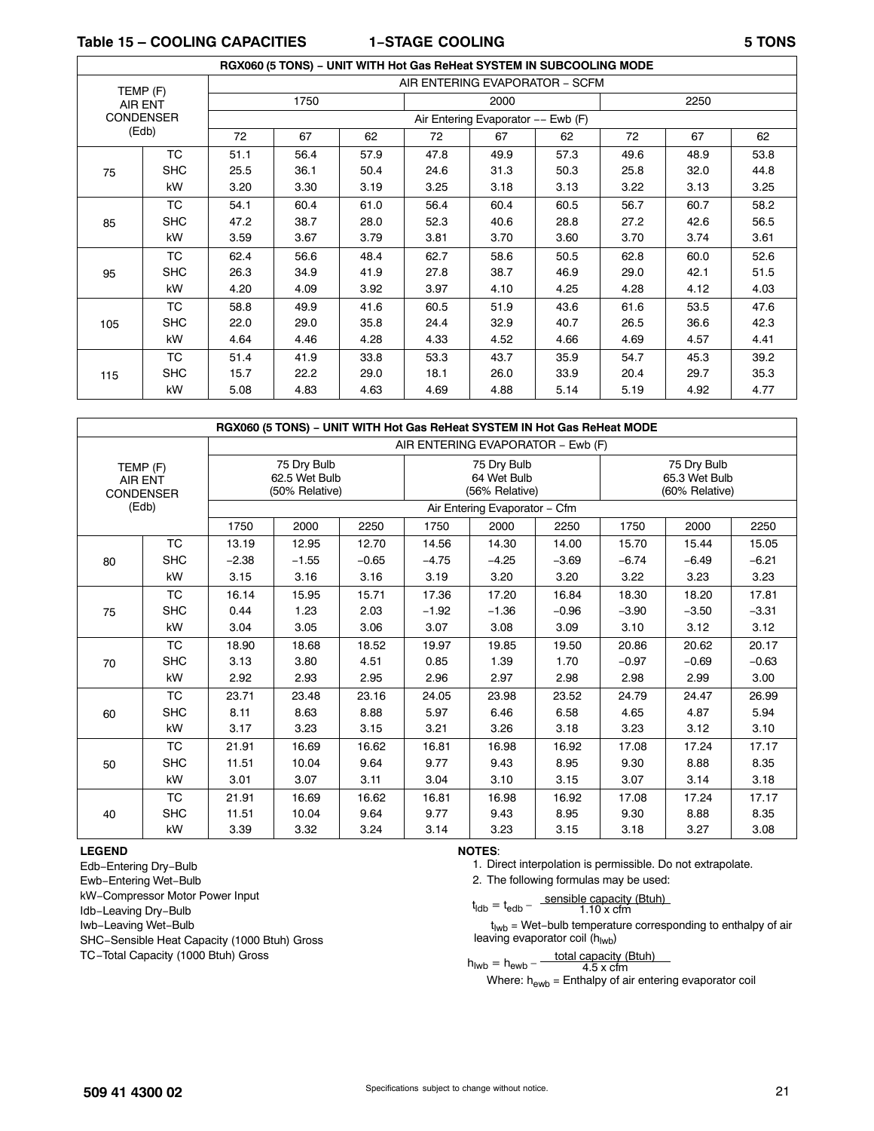**Table 15 – COOLING CAPACITIES 1−STAGE COOLING 5 TONS**

|     |                  |      |      | RGX060 (5 TONS) - UNIT WITH Hot Gas ReHeat SYSTEM IN SUBCOOLING MODE |      |                                    |      |      |      |      |  |  |  |  |  |  |
|-----|------------------|------|------|----------------------------------------------------------------------|------|------------------------------------|------|------|------|------|--|--|--|--|--|--|
|     | TEMP (F)         |      |      |                                                                      |      | AIR ENTERING EVAPORATOR - SCFM     |      |      |      |      |  |  |  |  |  |  |
|     | <b>AIR ENT</b>   |      | 1750 |                                                                      |      | 2000                               |      |      | 2250 |      |  |  |  |  |  |  |
|     | <b>CONDENSER</b> |      |      |                                                                      |      | Air Entering Evaporator -- Ewb (F) |      |      |      |      |  |  |  |  |  |  |
|     | (Edb)            | 72   | 67   | 62                                                                   | 72   | 67                                 | 62   | 72   | 67   | 62   |  |  |  |  |  |  |
|     | <b>TC</b>        | 51.1 | 56.4 | 57.9                                                                 | 47.8 | 49.9                               | 57.3 | 49.6 | 48.9 | 53.8 |  |  |  |  |  |  |
| 75  | <b>SHC</b>       | 25.5 | 36.1 | 50.4                                                                 | 24.6 | 31.3                               | 50.3 | 25.8 | 32.0 | 44.8 |  |  |  |  |  |  |
|     | kW               | 3.20 | 3.30 | 3.19                                                                 | 3.25 | 3.18                               | 3.13 | 3.22 | 3.13 | 3.25 |  |  |  |  |  |  |
|     | <b>TC</b>        | 54.1 | 60.4 | 61.0                                                                 | 56.4 | 60.4                               | 60.5 | 56.7 | 60.7 | 58.2 |  |  |  |  |  |  |
| 85  | <b>SHC</b>       | 47.2 | 38.7 | 28.0                                                                 | 52.3 | 40.6                               | 28.8 | 27.2 | 42.6 | 56.5 |  |  |  |  |  |  |
|     | kW               | 3.59 | 3.67 | 3.79                                                                 | 3.81 | 3.70                               | 3.60 | 3.70 | 3.74 | 3.61 |  |  |  |  |  |  |
|     | <b>TC</b>        | 62.4 | 56.6 | 48.4                                                                 | 62.7 | 58.6                               | 50.5 | 62.8 | 60.0 | 52.6 |  |  |  |  |  |  |
| 95  | <b>SHC</b>       | 26.3 | 34.9 | 41.9                                                                 | 27.8 | 38.7                               | 46.9 | 29.0 | 42.1 | 51.5 |  |  |  |  |  |  |
|     | kW               | 4.20 | 4.09 | 3.92                                                                 | 3.97 | 4.10                               | 4.25 | 4.28 | 4.12 | 4.03 |  |  |  |  |  |  |
|     | <b>TC</b>        | 58.8 | 49.9 | 41.6                                                                 | 60.5 | 51.9                               | 43.6 | 61.6 | 53.5 | 47.6 |  |  |  |  |  |  |
| 105 | <b>SHC</b>       | 22.0 | 29.0 | 35.8                                                                 | 24.4 | 32.9                               | 40.7 | 26.5 | 36.6 | 42.3 |  |  |  |  |  |  |
|     | kW               | 4.64 | 4.46 | 4.28                                                                 | 4.33 | 4.52                               | 4.66 | 4.69 | 4.57 | 4.41 |  |  |  |  |  |  |
|     | <b>TC</b>        | 51.4 | 41.9 | 33.8                                                                 | 53.3 | 43.7                               | 35.9 | 54.7 | 45.3 | 39.2 |  |  |  |  |  |  |
| 115 | <b>SHC</b>       | 15.7 | 22.2 | 29.0                                                                 | 18.1 | 26.0                               | 33.9 | 20.4 | 29.7 | 35.3 |  |  |  |  |  |  |
|     | kW               | 5.08 | 4.83 | 4.63                                                                 | 4.69 | 4.88                               | 5.14 | 5.19 | 4.92 | 4.77 |  |  |  |  |  |  |

|                |                              |         |                                                |         |         | RGX060 (5 TONS) - UNIT WITH Hot Gas ReHeat SYSTEM IN Hot Gas ReHeat MODE |         |         |                                                |         |  |  |
|----------------|------------------------------|---------|------------------------------------------------|---------|---------|--------------------------------------------------------------------------|---------|---------|------------------------------------------------|---------|--|--|
|                |                              |         |                                                |         |         | AIR ENTERING EVAPORATOR - Ewb (F)                                        |         |         |                                                |         |  |  |
| <b>AIR ENT</b> | TEMP (F)<br><b>CONDENSER</b> |         | 75 Dry Bulb<br>62.5 Wet Bulb<br>(50% Relative) |         |         | 75 Dry Bulb<br>64 Wet Bulb<br>(56% Relative)                             |         |         | 75 Dry Bulb<br>65.3 Wet Bulb<br>(60% Relative) |         |  |  |
|                | (Edb)                        |         |                                                |         |         | Air Entering Evaporator - Cfm                                            |         |         |                                                |         |  |  |
|                |                              | 1750    | 2000                                           | 2250    | 1750    | 2000                                                                     | 2250    | 1750    | 2000                                           | 2250    |  |  |
|                | <b>TC</b>                    | 13.19   | 12.95                                          | 12.70   | 14.56   | 14.30                                                                    | 14.00   | 15.70   | 15.44                                          | 15.05   |  |  |
| 80             | <b>SHC</b>                   | $-2.38$ | $-1.55$                                        | $-0.65$ | $-4.75$ | $-4.25$                                                                  | $-3.69$ | $-6.74$ | $-6.49$                                        | $-6.21$ |  |  |
|                | kW                           | 3.15    | 3.16                                           | 3.16    | 3.19    | 3.20                                                                     | 3.20    | 3.22    | 3.23                                           | 3.23    |  |  |
|                | ТC                           | 16.14   | 15.95                                          | 15.71   | 17.36   | 17.20                                                                    | 16.84   | 18.30   | 18.20                                          | 17.81   |  |  |
| 75             | <b>SHC</b>                   | 0.44    | 1.23                                           | 2.03    | $-1.92$ | $-1.36$                                                                  | $-0.96$ | $-3.90$ | $-3.50$                                        | $-3.31$ |  |  |
|                | kW                           | 3.04    | 3.05                                           | 3.06    | 3.07    | 3.08                                                                     | 3.09    | 3.10    | 3.12                                           | 3.12    |  |  |
|                | <b>TC</b>                    | 18.90   | 18.68                                          | 18.52   | 19.97   | 19.85                                                                    | 19.50   | 20.86   | 20.62                                          | 20.17   |  |  |
| 70             | <b>SHC</b>                   | 3.13    | 3.80                                           | 4.51    | 0.85    | 1.39                                                                     | 1.70    | $-0.97$ | $-0.69$                                        | $-0.63$ |  |  |
|                | kW                           | 2.92    | 2.93                                           | 2.95    | 2.96    | 2.97                                                                     | 2.98    | 2.98    | 2.99                                           | 3.00    |  |  |
|                | <b>TC</b>                    | 23.71   | 23.48                                          | 23.16   | 24.05   | 23.98                                                                    | 23.52   | 24.79   | 24.47                                          | 26.99   |  |  |
| 60             | <b>SHC</b>                   | 8.11    | 8.63                                           | 8.88    | 5.97    | 6.46                                                                     | 6.58    | 4.65    | 4.87                                           | 5.94    |  |  |
|                | kW                           | 3.17    | 3.23                                           | 3.15    | 3.21    | 3.26                                                                     | 3.18    | 3.23    | 3.12                                           | 3.10    |  |  |
|                | <b>TC</b>                    | 21.91   | 16.69                                          | 16.62   | 16.81   | 16.98                                                                    | 16.92   | 17.08   | 17.24                                          | 17.17   |  |  |
| 50             | <b>SHC</b>                   | 11.51   | 10.04                                          | 9.64    | 9.77    | 9.43                                                                     | 8.95    | 9.30    | 8.88                                           | 8.35    |  |  |
|                | kW                           | 3.01    | 3.07                                           | 3.11    | 3.04    | 3.10                                                                     | 3.15    | 3.07    | 3.14                                           | 3.18    |  |  |
|                | <b>TC</b>                    | 21.91   | 16.69                                          | 16.62   | 16.81   | 16.98                                                                    | 16.92   | 17.08   | 17.24                                          | 17.17   |  |  |
| 40             | <b>SHC</b>                   | 11.51   | 10.04                                          | 9.64    | 9.77    | 9.43                                                                     | 8.95    | 9.30    | 8.88                                           | 8.35    |  |  |
|                | kW                           | 3.39    | 3.32                                           | 3.24    | 3.14    | 3.23                                                                     | 3.15    | 3.18    | 3.27                                           | 3.08    |  |  |

#### **LEGEND**

Edb−Entering Dry−Bulb Ewb−Entering Wet−Bulb kW−Compressor Motor Power Input Idb−Leaving Dry−Bulb Iwb−Leaving Wet−Bulb SHC−Sensible Heat Capacity (1000 Btuh) Gross TC−Total Capacity (1000 Btuh) Gross

**NOTES**:

- 1. Direct interpolation is permissible. Do not extrapolate.
- 2. The following formulas may be used:

$$
t_{\text{ldb}} = t_{\text{edb}} - \frac{\text{sensible capacity (Btuh)}}{1.10 \times \text{cfm}}
$$

t<sub>lwb</sub> = Wet-bulb temperature corresponding to enthalpy of air leaving evaporator coil (hlwb)

$$
h_{\text{Iwb}} = h_{\text{ewb}} - \frac{\text{total capacity (Btuh)}}{4.5 \times \text{cfm}}
$$

Where:  $h_{\text{ewb}}$  = Enthalpy of air entering evaporator coil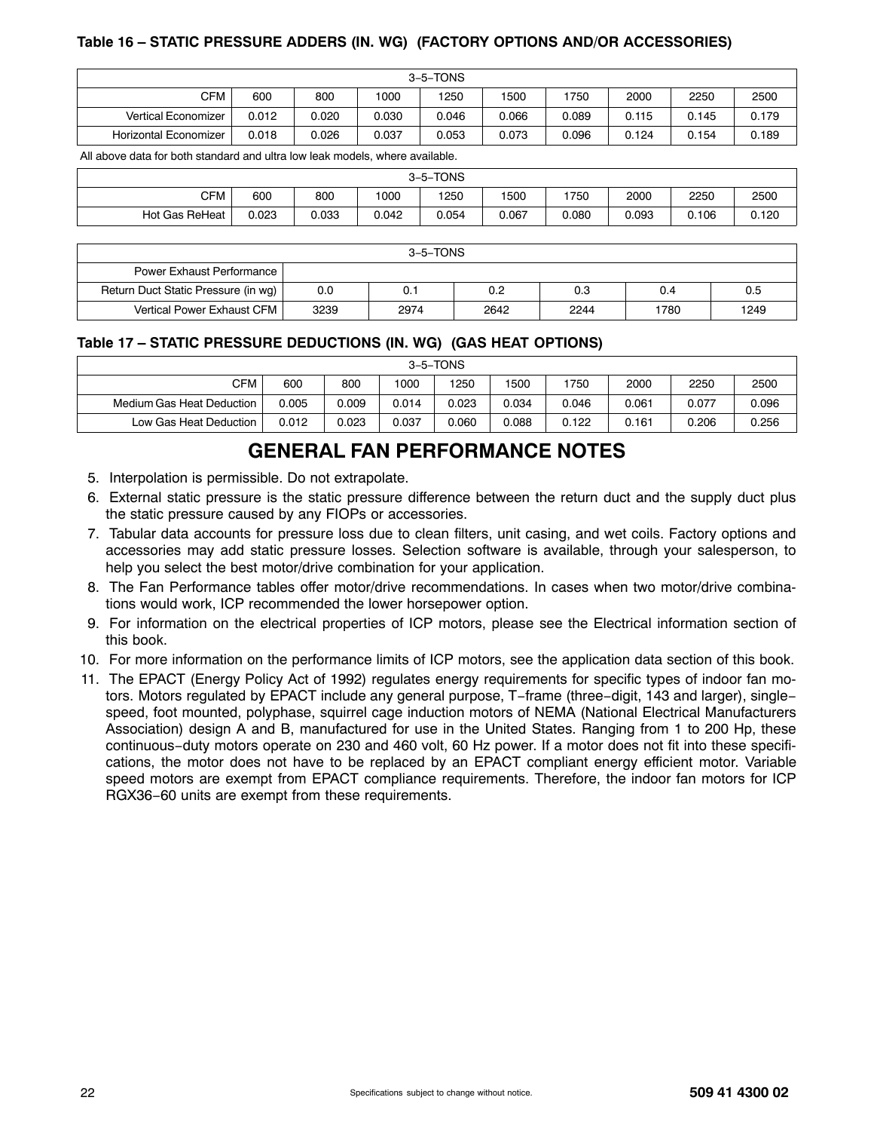## **Table 16 – STATIC PRESSURE ADDERS (IN. WG) (FACTORY OPTIONS AND/OR ACCESSORIES)**

| $3-5-TONS$            |       |       |       |       |       |       |       |       |       |
|-----------------------|-------|-------|-------|-------|-------|-------|-------|-------|-------|
| <b>CFM</b>            | 600   | 800   | 1000  | 1250  | 1500  | 1750  | 2000  | 2250  | 2500  |
| Vertical Economizer   | 0.012 | 0.020 | 0.030 | 0.046 | 0.066 | 0.089 | 0.115 | 0.145 | 0.179 |
| Horizontal Economizer | 0.018 | 0.026 | 0.037 | 0.053 | 0.073 | 0.096 | 0.124 | 0.154 | 0.189 |

All above data for both standard and ultra low leak models, where available.

|                |       |       |       | 3-5-TONS |       |       |       |       |       |
|----------------|-------|-------|-------|----------|-------|-------|-------|-------|-------|
| <b>CFM</b>     | 600   | 800   | 1000  | 1250     | 1500  | 1750  | 2000  | 2250  | 2500  |
| Hot Gas ReHeat | 0.023 | 0.033 | 0.042 | 0.054    | 0.067 | 0.080 | 0.093 | 0.106 | 0.120 |

| 3–5–TONS                            |      |      |      |      |      |      |  |  |
|-------------------------------------|------|------|------|------|------|------|--|--|
| Power Exhaust Performance           |      |      |      |      |      |      |  |  |
| Return Duct Static Pressure (in wg) | 0.0  | 0.7  | 0.2  | 0.3  | 0.4  | 0.5  |  |  |
| Vertical Power Exhaust CFM          | 3239 | 2974 | 2642 | 2244 | 1780 | 1249 |  |  |

### **Table 17 – STATIC PRESSURE DEDUCTIONS (IN. WG) (GAS HEAT OPTIONS)**

| 3–5–TONS                  |       |       |       |       |       |       |       |       |       |
|---------------------------|-------|-------|-------|-------|-------|-------|-------|-------|-------|
| <b>CFM</b>                | 600   | 800   | 1000  | 1250  | 1500  | 1750  | 2000  | 2250  | 2500  |
| Medium Gas Heat Deduction | 0.005 | 0.009 | 0.014 | 0.023 | 0.034 | 0.046 | 0.061 | 0.077 | 0.096 |
| Low Gas Heat Deduction    | 0.012 | 0.023 | 0.037 | 0.060 | 0.088 | 0.122 | 0.161 | 0.206 | 0.256 |

# **GENERAL FAN PERFORMANCE NOTES**

- 5. Interpolation is permissible. Do not extrapolate.
- 6. External static pressure is the static pressure difference between the return duct and the supply duct plus the static pressure caused by any FIOPs or accessories.
- 7. Tabular data accounts for pressure loss due to clean filters, unit casing, and wet coils. Factory options and accessories may add static pressure losses. Selection software is available, through your salesperson, to help you select the best motor/drive combination for your application.
- 8. The Fan Performance tables offer motor/drive recommendations. In cases when two motor/drive combinations would work, ICP recommended the lower horsepower option.
- 9. For information on the electrical properties of ICP motors, please see the Electrical information section of this book.
- 10. For more information on the performance limits of ICP motors, see the application data section of this book.
- 11. The EPACT (Energy Policy Act of 1992) regulates energy requirements for specific types of indoor fan motors. Motors regulated by EPACT include any general purpose, T−frame (three−digit, 143 and larger), single− speed, foot mounted, polyphase, squirrel cage induction motors of NEMA (National Electrical Manufacturers Association) design A and B, manufactured for use in the United States. Ranging from 1 to 200 Hp, these continuous−duty motors operate on 230 and 460 volt, 60 Hz power. If a motor does not fit into these specifications, the motor does not have to be replaced by an EPACT compliant energy efficient motor. Variable speed motors are exempt from EPACT compliance requirements. Therefore, the indoor fan motors for ICP RGX36−60 units are exempt from these requirements.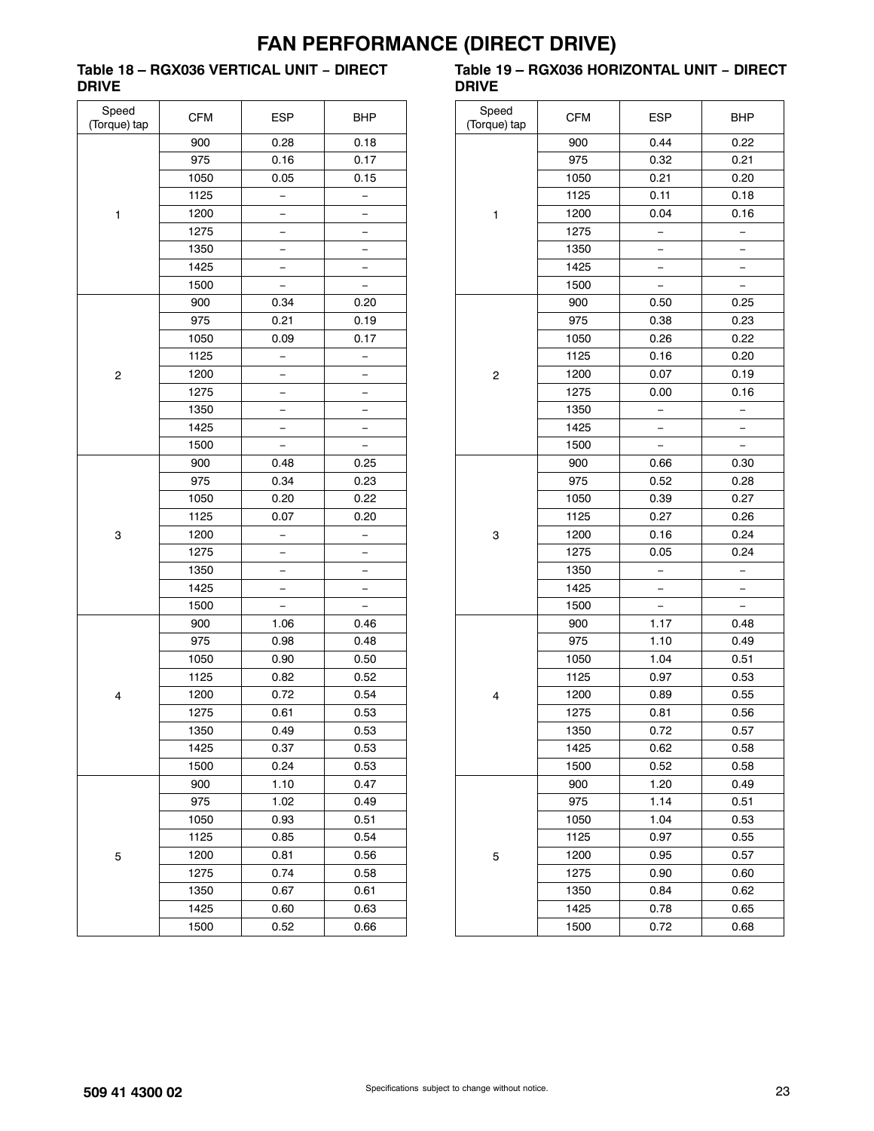# **FAN PERFORMANCE (DIRECT DRIVE)**

### **Table 18 – RGX036 VERTICAL UNIT − DIRECT DRIVE**

| Speed<br>(Torque) tap | <b>CFM</b> | <b>ESP</b> | <b>BHP</b>               |
|-----------------------|------------|------------|--------------------------|
|                       | 900        | 0.28       | 0.18                     |
|                       | 975        | 0.16       | 0.17                     |
|                       | 1050       | 0.05       | 0.15                     |
|                       | 1125       |            |                          |
| 1                     | 1200       |            |                          |
|                       | 1275       |            | —                        |
|                       | 1350       |            | -                        |
|                       | 1425       |            |                          |
|                       | 1500       |            | $\overline{\phantom{0}}$ |
|                       | 900        | 0.34       | 0.20                     |
|                       | 975        | 0.21       | 0.19                     |
|                       | 1050       | 0.09       | 0.17                     |
|                       | 1125       |            | -                        |
| 2                     | 1200       |            |                          |
|                       | 1275       |            |                          |
|                       | 1350       | -          | -                        |
|                       | 1425       |            | -                        |
|                       | 1500       |            |                          |
|                       | 900        | 0.48       | 0.25                     |
|                       | 975        | 0.34       | 0.23                     |
|                       | 1050       | 0.20       | 0.22                     |
|                       | 1125       | 0.07       | 0.20                     |
| 3                     | 1200       | —          | —                        |
|                       | 1275       |            | $\overline{\phantom{0}}$ |
|                       | 1350       |            | —                        |
|                       | 1425       |            |                          |
|                       | 1500       |            |                          |
|                       | 900        | 1.06       | 0.46                     |
|                       | 975        | 0.98       | 0.48                     |
|                       | 1050       | 0.90       | 0.50                     |
|                       | 1125       | 0.82       | 0.52                     |
| 4                     | 1200       | 0.72       | 0.54                     |
|                       | 1275       | 0.61       | 0.53                     |
|                       | 1350       | 0.49       | 0.53                     |
|                       | 1425       | 0.37       | 0.53                     |
|                       | 1500       | 0.24       | 0.53                     |
|                       | 900        | 1.10       | 0.47                     |
|                       | 975        | 1.02       | 0.49                     |
|                       | 1050       | 0.93       | 0.51                     |
|                       | 1125       | 0.85       | 0.54                     |
| 5                     | 1200       | 0.81       | 0.56                     |
|                       | 1275       | 0.74       | 0.58                     |
|                       | 1350       | 0.67       | 0.61                     |
|                       | 1425       | 0.60       | 0.63                     |
|                       | 1500       | 0.52       | 0.66                     |

### **Table 19 – RGX036 HORIZONTAL UNIT − DIRECT DRIVE**

| Speed<br>(Torque) tap | <b>CFM</b> | ESP  | <b>BHP</b>               |
|-----------------------|------------|------|--------------------------|
|                       | 900        | 0.44 | 0.22                     |
|                       | 975        | 0.32 | 0.21                     |
|                       | 1050       | 0.21 | 0.20                     |
|                       | 1125       | 0.11 | 0.18                     |
| 1                     | 1200       | 0.04 | 0.16                     |
|                       | 1275       | —    | $\overline{a}$           |
|                       | 1350       |      |                          |
|                       | 1425       |      |                          |
|                       | 1500       |      | $\overline{\phantom{0}}$ |
|                       | 900        | 0.50 | 0.25                     |
|                       | 975        | 0.38 | 0.23                     |
|                       | 1050       | 0.26 | 0.22                     |
|                       | 1125       | 0.16 | 0.20                     |
| 2                     | 1200       | 0.07 | 0.19                     |
|                       | 1275       | 0.00 | 0.16                     |
|                       | 1350       |      |                          |
|                       | 1425       |      |                          |
|                       | 1500       | -    |                          |
|                       | 900        | 0.66 | 0.30                     |
|                       | 975        | 0.52 | 0.28                     |
|                       | 1050       | 0.39 | 0.27                     |
|                       | 1125       | 0.27 | 0.26                     |
| 3                     | 1200       | 0.16 | 0.24                     |
|                       | 1275       | 0.05 | 0.24                     |
|                       | 1350       |      |                          |
|                       | 1425       |      |                          |
|                       | 1500       |      |                          |
|                       | 900        | 1.17 | 0.48                     |
|                       | 975        | 1.10 | 0.49                     |
|                       | 1050       | 1.04 | 0.51                     |
|                       | 1125       | 0.97 | 0.53                     |
| 4                     | 1200       | 0.89 | 0.55                     |
|                       | 1275       | 0.81 | 0.56                     |
|                       | 1350       | 0.72 | 0.57                     |
|                       | 1425       | 0.62 | 0.58                     |
|                       | 1500       | 0.52 | 0.58                     |
|                       | 900        | 1.20 | 0.49                     |
|                       | 975        | 1.14 | 0.51                     |
|                       | 1050       | 1.04 | 0.53                     |
|                       | 1125       | 0.97 | 0.55                     |
| 5                     | 1200       | 0.95 | 0.57                     |
|                       | 1275       | 0.90 | 0.60                     |
|                       | 1350       | 0.84 | 0.62                     |
|                       | 1425       | 0.78 | 0.65                     |
|                       | 1500       | 0.72 | 0.68                     |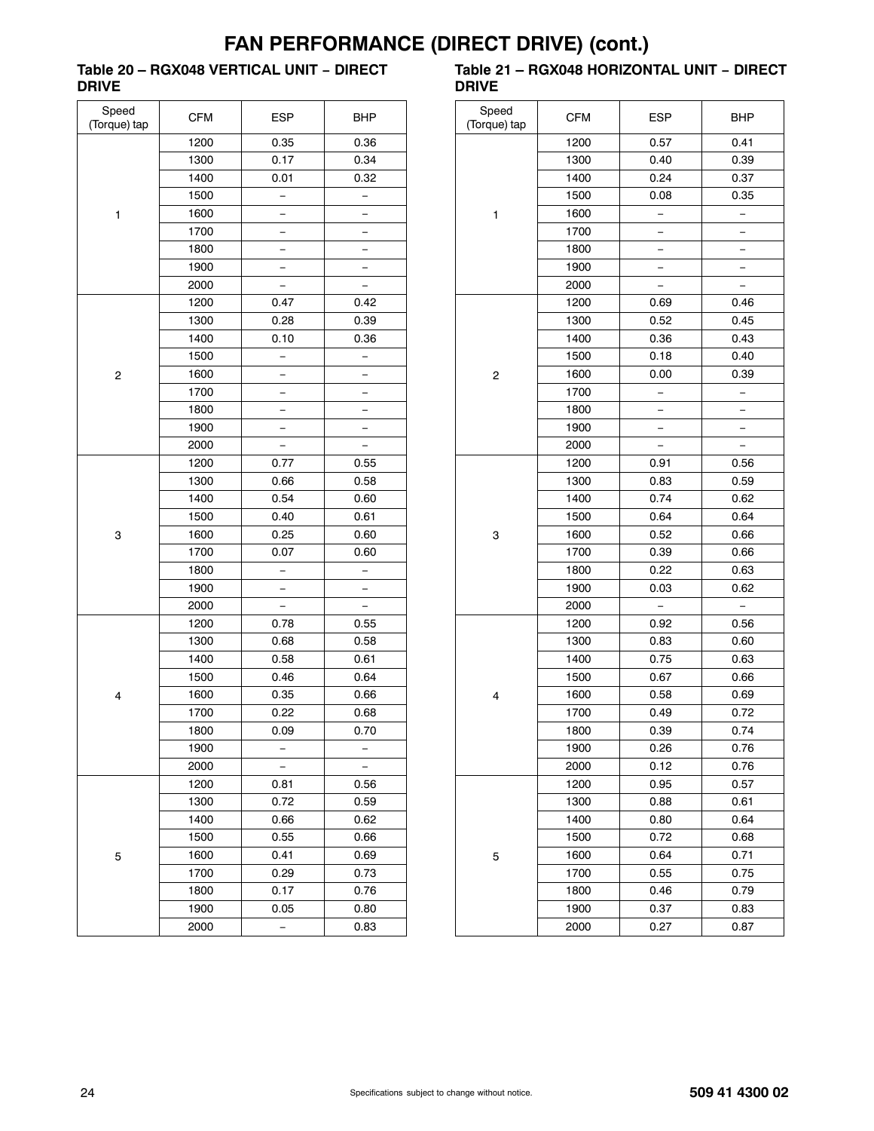### **Table 20 – RGX048 VERTICAL UNIT − DIRECT DRIVE**

| Speed<br>(Torque) tap | <b>CFM</b> | <b>ESP</b> | <b>BHP</b>               |  |
|-----------------------|------------|------------|--------------------------|--|
|                       | 1200       | 0.35       | 0.36                     |  |
|                       | 1300       | 0.17       | 0.34                     |  |
|                       | 1400       | 0.01       | 0.32                     |  |
|                       | 1500       |            |                          |  |
| 1                     | 1600       |            |                          |  |
|                       | 1700       |            | —                        |  |
|                       | 1800       |            |                          |  |
|                       | 1900       |            |                          |  |
|                       | 2000       |            | -                        |  |
|                       | 1200       | 0.47       | 0.42                     |  |
|                       | 1300       | 0.28       | 0.39                     |  |
|                       | 1400       | 0.10       | 0.36                     |  |
|                       | 1500       |            |                          |  |
| 2                     | 1600       |            |                          |  |
|                       | 1700       |            |                          |  |
|                       | 1800       |            | $\overline{\phantom{0}}$ |  |
|                       | 1900       |            |                          |  |
|                       | 2000       |            |                          |  |
|                       | 1200       | 0.77       | 0.55                     |  |
|                       | 1300       | 0.66       | 0.58                     |  |
|                       | 1400       | 0.54       | 0.60                     |  |
|                       | 1500       | 0.40       | 0.61                     |  |
| 3                     | 1600       | 0.25       | 0.60                     |  |
|                       | 1700       | 0.07       | 0.60                     |  |
|                       | 1800       |            |                          |  |
|                       | 1900       |            |                          |  |
|                       | 2000       |            |                          |  |
|                       | 1200       | 0.78       | 0.55                     |  |
|                       | 1300       | 0.68       | 0.58                     |  |
|                       | 1400       | 0.58       | 0.61                     |  |
|                       | 1500       | 0.46       | 0.64                     |  |
| 4                     | 1600       | 0.35       | 0.66                     |  |
|                       | 1700       | 0.22       | 0.68                     |  |
|                       | 1800       | 0.09       | 0.70                     |  |
|                       | 1900       |            |                          |  |
|                       | 2000       |            |                          |  |
|                       | 1200       | 0.81       | 0.56                     |  |
|                       | 1300       | 0.72       | 0.59                     |  |
|                       | 1400       | 0.66       | 0.62                     |  |
|                       | 1500       | 0.55       | 0.66                     |  |
| 5                     | 1600       | 0.41       | 0.69                     |  |
|                       | 1700       | 0.29       | 0.73                     |  |
|                       | 1800       | 0.17       | 0.76                     |  |
|                       | 1900       | 0.05       | 0.80                     |  |
|                       | 2000       |            | 0.83                     |  |

#### **Table 21 – RGX048 HORIZONTAL UNIT − DIRECT DRIVE**  $\overline{\phantom{0}}$

| Speed<br>(Torque) tap | <b>CFM</b> | <b>ESP</b>               | <b>BHP</b>               |  |
|-----------------------|------------|--------------------------|--------------------------|--|
|                       | 1200       | 0.57                     | 0.41                     |  |
|                       | 1300       | 0.40                     | 0.39                     |  |
|                       | 1400       | 0.24                     | 0.37                     |  |
|                       | 1500       | 0.08                     | 0.35                     |  |
| 1                     | 1600       | <sup>-</sup>             | $\overline{\phantom{0}}$ |  |
|                       | 1700       |                          |                          |  |
|                       | 1800       |                          |                          |  |
|                       | 1900       |                          |                          |  |
|                       | 2000       |                          |                          |  |
|                       | 1200       | 0.69                     | 0.46                     |  |
|                       | 1300       | 0.52                     | 0.45                     |  |
|                       | 1400       | 0.36                     | 0.43                     |  |
|                       | 1500       | 0.18                     | 0.40                     |  |
| $\overline{c}$        | 1600       | 0.00                     | 0.39                     |  |
|                       | 1700       | $\overline{\phantom{0}}$ | -                        |  |
|                       | 1800       | <sup>-</sup>             | ÷,                       |  |
|                       | 1900       |                          |                          |  |
|                       | 2000       |                          |                          |  |
| 3                     | 1200       | 0.91                     | 0.56                     |  |
|                       | 1300       | 0.83                     | 0.59                     |  |
|                       | 1400       | 0.74                     | 0.62                     |  |
|                       | 1500       | 0.64                     | 0.64                     |  |
|                       | 1600       | 0.52                     | 0.66                     |  |
|                       | 1700       | 0.39                     | 0.66                     |  |
|                       | 1800       | 0.22                     | 0.63                     |  |
|                       | 1900       | 0.03                     | 0.62                     |  |
|                       | 2000       |                          | $\overline{\phantom{0}}$ |  |
|                       | 1200       | 0.92                     | 0.56                     |  |
|                       | 1300       | 0.83                     | 0.60                     |  |
|                       | 1400       | 0.75                     | 0.63                     |  |
|                       | 1500       | 0.67                     | 0.66                     |  |
| 4                     | 1600       | 0.58                     | 0.69                     |  |
|                       | 1700       | 0.49                     | 0.72                     |  |
|                       | 1800       | 0.39                     | 0.74                     |  |
|                       | 1900       | 0.26                     | 0.76                     |  |
|                       | 2000       | 0.12                     | 0.76                     |  |
|                       | 1200       | 0.95                     | 0.57                     |  |
|                       | 1300       | 0.88                     | 0.61                     |  |
|                       | 1400       | 0.80                     | 0.64                     |  |
|                       | 1500       | 0.72                     | 0.68                     |  |
| 5                     | 1600       | 0.64                     | 0.71                     |  |
|                       | 1700       | 0.55                     | 0.75                     |  |
|                       | 1800       | 0.46                     | 0.79                     |  |
|                       | 1900       | 0.37                     | 0.83                     |  |
|                       | 2000       | 0.27                     | 0.87                     |  |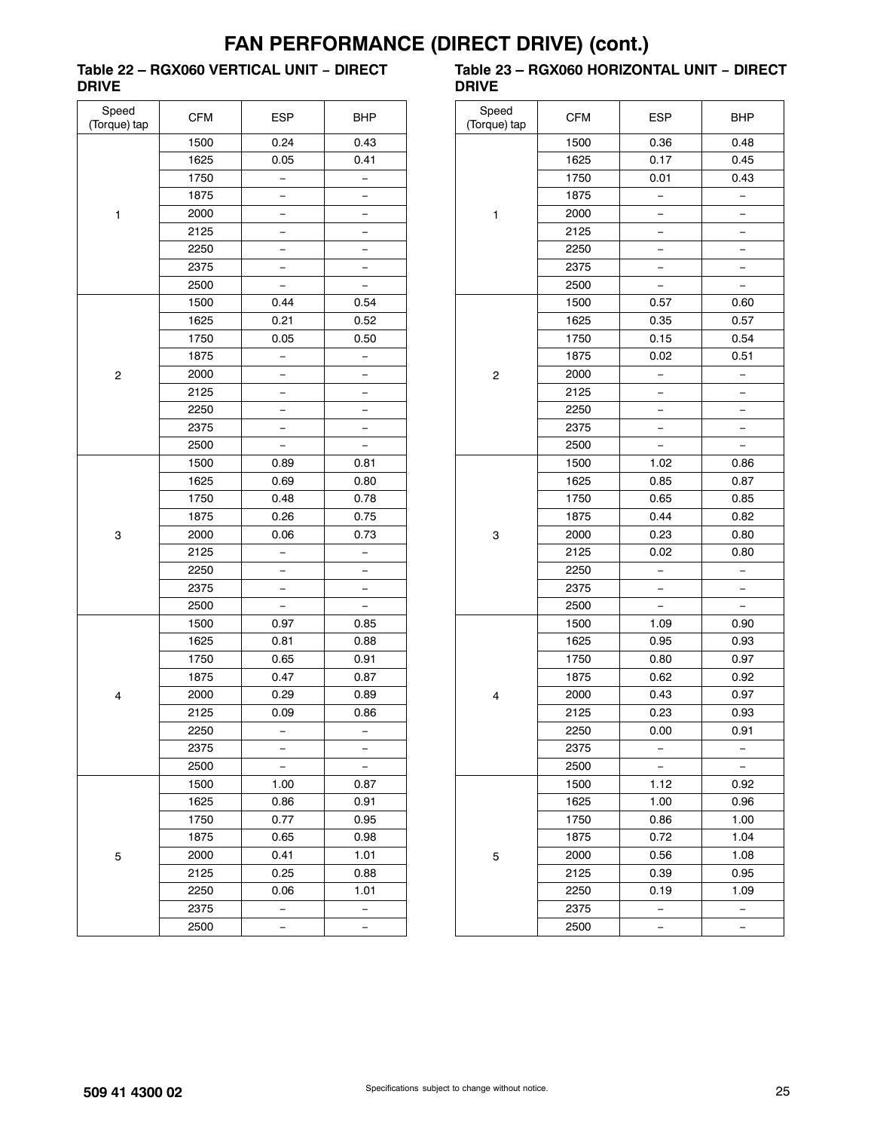### **Table 22 – RGX060 VERTICAL UNIT − DIRECT DRIVE**

| Speed<br>(Torque) tap   | <b>CFM</b> | <b>ESP</b>   | BHP                      |
|-------------------------|------------|--------------|--------------------------|
|                         | 1500       | 0.24         | 0.43                     |
|                         | 1625       | 0.05         | 0.41                     |
|                         | 1750       |              |                          |
|                         | 1875       |              |                          |
| 1                       | 2000       |              | -                        |
|                         | 2125       |              |                          |
|                         | 2250       |              |                          |
|                         | 2375       |              |                          |
|                         | 2500       |              | $\overline{\phantom{0}}$ |
|                         | 1500       | 0.44         | 0.54                     |
|                         | 1625       | 0.21         | 0.52                     |
|                         | 1750       | 0.05         | 0.50                     |
|                         | 1875       |              |                          |
| $\overline{\mathbf{c}}$ | 2000       |              |                          |
|                         | 2125       | —            | -                        |
|                         | 2250       | <sup>-</sup> | —                        |
|                         | 2375       |              |                          |
|                         | 2500       | -            | -                        |
|                         | 1500       | 0.89         | 0.81                     |
|                         | 1625       | 0.69         | 0.80                     |
|                         | 1750       | 0.48         | 0.78                     |
|                         | 1875       | 0.26         | 0.75                     |
| 3                       | 2000       | 0.06         | 0.73                     |
|                         | 2125       | —            | $\overline{\phantom{0}}$ |
|                         | 2250       |              |                          |
|                         | 2375       |              |                          |
|                         | 2500       |              |                          |
|                         | 1500       | 0.97         | 0.85                     |
|                         | 1625       | 0.81         | 0.88                     |
|                         | 1750       | 0.65         | 0.91                     |
|                         | 1875       | 0.47         | 0.87                     |
| 4                       | 2000       | 0.29         | 0.89                     |
|                         | 2125       | 0.09         | 0.86                     |
|                         | 2250       | -            | $\overline{\phantom{0}}$ |
|                         | 2375       |              |                          |
|                         | 2500       |              |                          |
|                         | 1500       | 1.00         | 0.87                     |
|                         | 1625       | 0.86         | 0.91                     |
|                         | 1750       | 0.77         | 0.95                     |
|                         | 1875       | 0.65         | 0.98                     |
| 5                       | 2000       | 0.41         | 1.01                     |
|                         | 2125       | 0.25         | 0.88                     |
|                         | 2250       | 0.06         | 1.01                     |
|                         | 2375       |              |                          |
|                         | 2500       |              |                          |

#### **Table 23 – RGX060 HORIZONTAL UNIT − DIRECT DRIVE**

| Speed<br>(Torque) tap | <b>CFM</b> | <b>ESP</b>               | <b>BHP</b> |
|-----------------------|------------|--------------------------|------------|
|                       | 1500       | 0.36                     | 0.48       |
|                       | 1625       | 0.17                     | 0.45       |
|                       | 1750       | 0.01                     | 0.43       |
|                       | 1875       |                          |            |
| 1                     | 2000       |                          |            |
|                       | 2125       |                          |            |
|                       | 2250       |                          |            |
|                       | 2375       | -                        | -          |
|                       | 2500       |                          |            |
|                       | 1500       | 0.57                     | 0.60       |
|                       | 1625       | 0.35                     | 0.57       |
|                       | 1750       | 0.15                     | 0.54       |
|                       | 1875       | 0.02                     | 0.51       |
| 2                     | 2000       | $\overline{\phantom{0}}$ | —          |
|                       | 2125       | -                        |            |
|                       | 2250       |                          |            |
|                       | 2375       | -                        | -          |
|                       | 2500       |                          |            |
|                       | 1500       | 1.02                     | 0.86       |
|                       | 1625       | 0.85                     | 0.87       |
|                       | 1750       | 0.65                     | 0.85       |
|                       | 1875       | 0.44                     | 0.82       |
| 3                     | 2000       | 0.23                     | 0.80       |
|                       | 2125       | 0.02                     | 0.80       |
|                       | 2250       |                          |            |
|                       | 2375       |                          |            |
|                       | 2500       |                          |            |
|                       | 1500       | 1.09                     | 0.90       |
|                       | 1625       | 0.95                     | 0.93       |
|                       | 1750       | 0.80                     | 0.97       |
|                       | 1875       | 0.62                     | 0.92       |
| 4                     | 2000       | 0.43                     | 0.97       |
|                       | 2125       | 0.23                     | 0.93       |
|                       | 2250       | 0.00                     | 0.91       |
|                       | 2375       |                          |            |
|                       | 2500       | -                        |            |
|                       | 1500       | 1.12                     | 0.92       |
|                       | 1625       | 1.00                     | 0.96       |
|                       | 1750       | 0.86                     | 1.00       |
|                       | 1875       | 0.72                     | 1.04       |
| 5                     | 2000       | 0.56                     | 1.08       |
|                       | 2125       | 0.39                     | 0.95       |
|                       | 2250       | 0.19                     | 1.09       |
|                       | 2375       | -                        | -          |
|                       | 2500       |                          |            |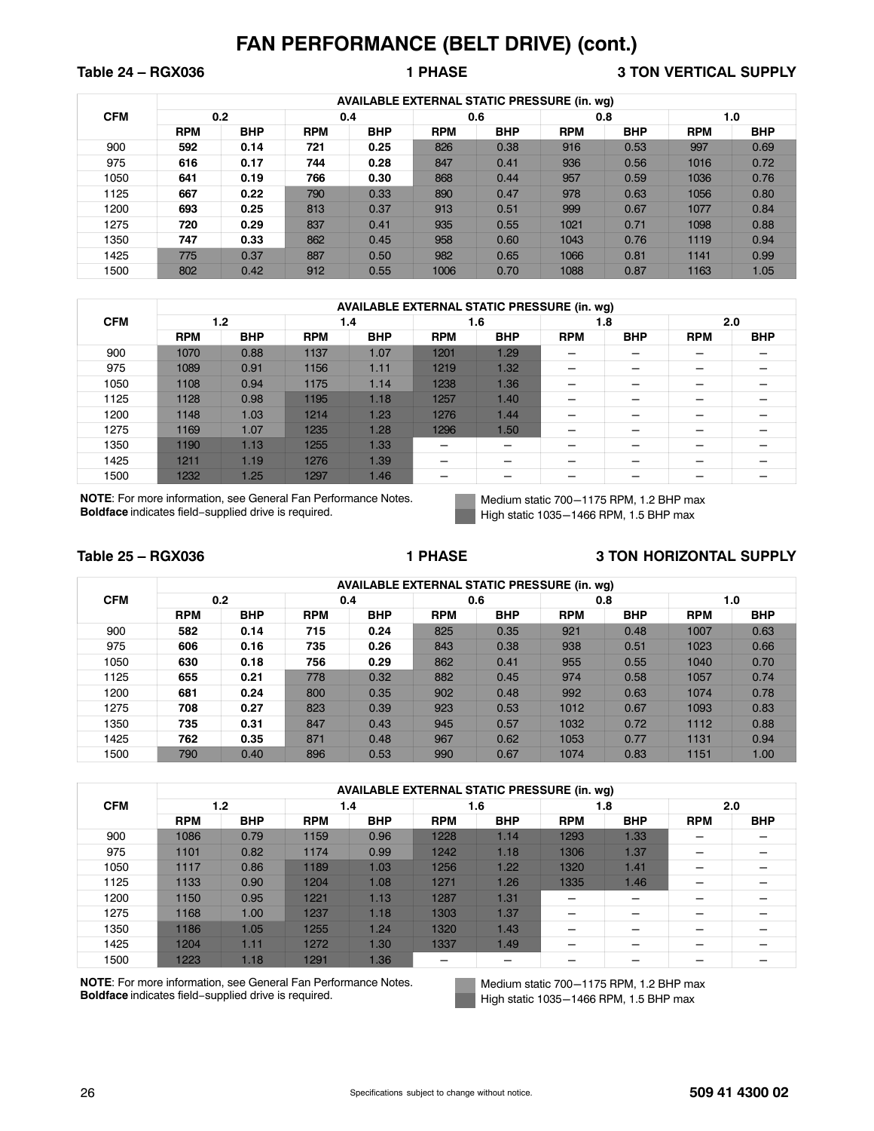**Table 24 – RGX036 1 PHASE 3 TON VERTICAL SUPPLY**

|            |            |            |            | <b>AVAILABLE EXTERNAL STATIC PRESSURE (in. wg)</b> |            |            |            |            | 1.0<br><b>RPM</b><br>997<br>1016<br>1036 |            |
|------------|------------|------------|------------|----------------------------------------------------|------------|------------|------------|------------|------------------------------------------|------------|
| <b>CFM</b> |            | 0.2        | 0.4        |                                                    |            | 0.6        |            | 0.8        |                                          |            |
|            | <b>RPM</b> | <b>BHP</b> | <b>RPM</b> | <b>BHP</b>                                         | <b>RPM</b> | <b>BHP</b> | <b>RPM</b> | <b>BHP</b> |                                          | <b>BHP</b> |
| 900        | 592        | 0.14       | 721        | 0.25                                               | 826        | 0.38       | 916        | 0.53       |                                          | 0.69       |
| 975        | 616        | 0.17       | 744        | 0.28                                               | 847        | 0.41       | 936        | 0.56       |                                          | 0.72       |
| 1050       | 641        | 0.19       | 766        | 0.30                                               | 868        | 0.44       | 957        | 0.59       |                                          | 0.76       |
| 1125       | 667        | 0.22       | 790        | 0.33                                               | 890        | 0.47       | 978        | 0.63       | 1056                                     | 0.80       |
| 1200       | 693        | 0.25       | 813        | 0.37                                               | 913        | 0.51       | 999        | 0.67       | 1077                                     | 0.84       |
| 1275       | 720        | 0.29       | 837        | 0.41                                               | 935        | 0.55       | 1021       | 0.71       | 1098                                     | 0.88       |
| 1350       | 747        | 0.33       | 862        | 0.45                                               | 958        | 0.60       | 1043       | 0.76       | 1119                                     | 0.94       |
| 1425       | 775        | 0.37       | 887        | 0.50                                               | 982        | 0.65       | 1066       | 0.81       | 1141                                     | 0.99       |
| 1500       | 802        | 0.42       | 912        | 0.55                                               | 1006       | 0.70       | 1088       | 0.87       | 1163                                     | 1.05       |

|            |            |            |            |            |            | <b>AVAILABLE EXTERNAL STATIC PRESSURE (in. wg)</b> |            |            |            |            |  |  |  |
|------------|------------|------------|------------|------------|------------|----------------------------------------------------|------------|------------|------------|------------|--|--|--|
| <b>CFM</b> |            | 1.2        |            | 1.4        |            | 1.6                                                |            | 1.8        |            | 2.0        |  |  |  |
|            | <b>RPM</b> | <b>BHP</b> | <b>RPM</b> | <b>BHP</b> | <b>RPM</b> | <b>BHP</b>                                         | <b>RPM</b> | <b>BHP</b> | <b>RPM</b> | <b>BHP</b> |  |  |  |
| 900        | 1070       | 0.88       | 1137       | 1.07       | 1201       | 1.29                                               |            |            |            | -          |  |  |  |
| 975        | 1089       | 0.91       | 1156       | 1.11       | 1219       | 1.32                                               | -          |            | -          | -          |  |  |  |
| 1050       | 1108       | 0.94       | 1175       | 1.14       | 1238       | 1.36                                               |            |            | -          |            |  |  |  |
| 1125       | 1128       | 0.98       | 1195       | 1.18       | 1257       | 1.40                                               | -          |            |            |            |  |  |  |
| 1200       | 1148       | 1.03       | 1214       | 1.23       | 1276       | 1.44                                               | -          |            |            |            |  |  |  |
| 1275       | 1169       | 1.07       | 1235       | 1.28       | 1296       | 1.50                                               |            |            |            |            |  |  |  |
| 1350       | 1190       | 1.13       | 1255       | 1.33       |            |                                                    |            |            |            |            |  |  |  |
| 1425       | 1211       | 1.19       | 1276       | 1.39       | -          |                                                    | -          |            | -          | -          |  |  |  |
| 1500       | 1232       | 1.25       | 1297       | 1.46       | –          |                                                    | -          |            |            |            |  |  |  |

**NOTE**: For more information, see General Fan Performance Notes. **Boldface** indicates field−supplied drive is required.

Medium static 700-1175 RPM, 1.2 BHP max High static 1035-1466 RPM, 1.5 BHP max

#### **Table 25 – RGX036 1 PHASE 3 TON HORIZONTAL SUPPLY**

|            |            |            |            |            |            | <b>AVAILABLE EXTERNAL STATIC PRESSURE (in. wg)</b> |            |            |            |            |
|------------|------------|------------|------------|------------|------------|----------------------------------------------------|------------|------------|------------|------------|
| <b>CFM</b> |            | 0.2        |            | 0.4        |            | 0.6                                                |            | 0.8        |            | 1.0        |
|            | <b>RPM</b> | <b>BHP</b> | <b>RPM</b> | <b>BHP</b> | <b>RPM</b> | <b>BHP</b>                                         | <b>RPM</b> | <b>BHP</b> | <b>RPM</b> | <b>BHP</b> |
| 900        | 582        | 0.14       | 715        | 0.24       | 825        | 0.35                                               | 921        | 0.48       | 1007       | 0.63       |
| 975        | 606        | 0.16       | 735        | 0.26       | 843        | 0.38                                               | 938        | 0.51       | 1023       | 0.66       |
| 1050       | 630        | 0.18       | 756        | 0.29       | 862        | 0.41                                               | 955        | 0.55       | 1040       | 0.70       |
| 1125       | 655        | 0.21       | 778        | 0.32       | 882        | 0.45                                               | 974        | 0.58       | 1057       | 0.74       |
| 1200       | 681        | 0.24       | 800        | 0.35       | 902        | 0.48                                               | 992        | 0.63       | 1074       | 0.78       |
| 1275       | 708        | 0.27       | 823        | 0.39       | 923        | 0.53                                               | 1012       | 0.67       | 1093       | 0.83       |
| 1350       | 735        | 0.31       | 847        | 0.43       | 945        | 0.57                                               | 1032       | 0.72       | 1112       | 0.88       |
| 1425       | 762        | 0.35       | 871        | 0.48       | 967        | 0.62                                               | 1053       | 0.77       | 1131       | 0.94       |
| 1500       | 790        | 0.40       | 896        | 0.53       | 990        | 0.67                                               | 1074       | 0.83       | 1151       | 1.00       |

|            |            |            |            |            | <b>AVAILABLE EXTERNAL STATIC PRESSURE (in. wq)</b> |            |            |            |            |            |
|------------|------------|------------|------------|------------|----------------------------------------------------|------------|------------|------------|------------|------------|
| <b>CFM</b> |            | 1.2        | 1.4        |            |                                                    | 1.6        |            | 1.8        | 2.0        |            |
|            | <b>RPM</b> | <b>BHP</b> | <b>RPM</b> | <b>BHP</b> | <b>RPM</b>                                         | <b>BHP</b> | <b>RPM</b> | <b>BHP</b> | <b>RPM</b> | <b>BHP</b> |
| 900        | 1086       | 0.79       | 1159       | 0.96       | 1228                                               | 1.14       | 1293       | 1.33       |            |            |
| 975        | 1101       | 0.82       | 1174       | 0.99       | 1242                                               | 1.18       | 1306       | 1.37       |            |            |
| 1050       | 1117       | 0.86       | 1189       | 1.03       | 1256                                               | 1.22       | 1320       | 1.41       |            |            |
| 1125       | 1133       | 0.90       | 1204       | 1.08       | 1271                                               | 1.26       | 1335       | 1.46       | -          |            |
| 1200       | 1150       | 0.95       | 1221       | 1.13       | 1287                                               | 1.31       | –          |            |            |            |
| 1275       | 1168       | 1.00       | 1237       | 1.18       | 1303                                               | 1.37       | –          |            |            |            |
| 1350       | 1186       | 1.05       | 1255       | 1.24       | 1320                                               | 1.43       | -          |            |            |            |
| 1425       | 1204       | 1.11       | 1272       | 1.30       | 1337                                               | 1.49       |            |            |            |            |
| 1500       | 1223       | 1.18       | 1291       | 1.36       | –                                                  |            |            |            |            |            |

**NOTE**: For more information, see General Fan Performance Notes. **Boldface** indicates field−supplied drive is required.

Medium static 700-1175 RPM, 1.2 BHP max High static 1035-1466 RPM, 1.5 BHP max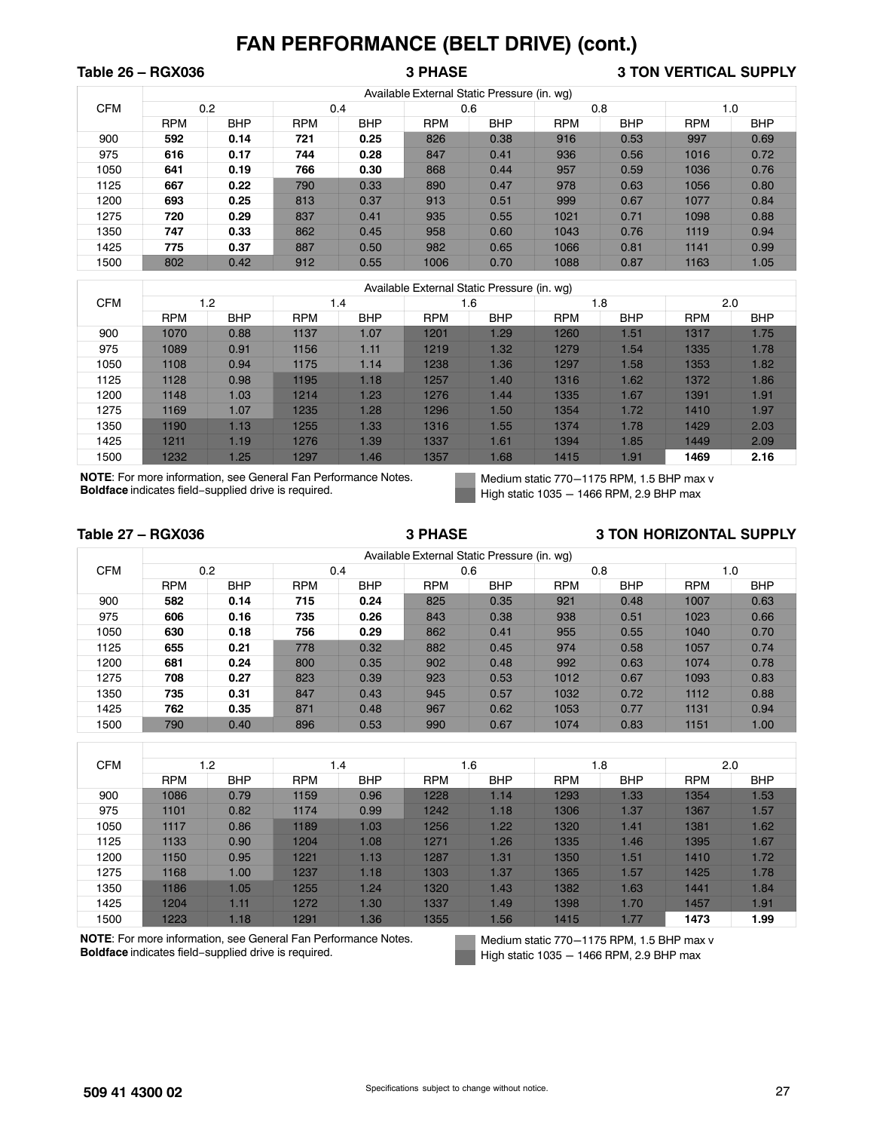## **Table 26 – RGX036 3 PHASE 3 TON VERTICAL SUPPLY**

|            |            |            |            |            |            | Available External Static Pressure (in. wg) |            |            |            |            |
|------------|------------|------------|------------|------------|------------|---------------------------------------------|------------|------------|------------|------------|
| <b>CFM</b> |            | 0.2        |            | 0.4        |            | 0.6                                         | 0.8        |            |            | 1.0        |
|            | <b>RPM</b> | <b>BHP</b> | <b>RPM</b> | <b>BHP</b> | <b>RPM</b> | <b>BHP</b>                                  | <b>RPM</b> | <b>BHP</b> | <b>RPM</b> | <b>BHP</b> |
| 900        | 592        | 0.14       | 721        | 0.25       | 826        | 0.38                                        | 916        | 0.53       | 997        | 0.69       |
| 975        | 616        | 0.17       | 744        | 0.28       | 847        | 0.41                                        | 936        | 0.56       | 1016       | 0.72       |
| 1050       | 641        | 0.19       | 766        | 0.30       | 868        | 0.44                                        | 957        | 0.59       | 1036       | 0.76       |
| 1125       | 667        | 0.22       | 790        | 0.33       | 890        | 0.47                                        | 978        | 0.63       | 1056       | 0.80       |
| 1200       | 693        | 0.25       | 813        | 0.37       | 913        | 0.51                                        | 999        | 0.67       | 1077       | 0.84       |
| 1275       | 720        | 0.29       | 837        | 0.41       | 935        | 0.55                                        | 1021       | 0.71       | 1098       | 0.88       |
| 1350       | 747        | 0.33       | 862        | 0.45       | 958        | 0.60                                        | 1043       | 0.76       | 1119       | 0.94       |
| 1425       | 775        | 0.37       | 887        | 0.50       | 982        | 0.65                                        | 1066       | 0.81       | 1141       | 0.99       |
| 1500       | 802        | 0.42       | 912        | 0.55       | 1006       | 0.70                                        | 1088       | 0.87       | 1163       | 1.05       |

|            |            |            |            |            |            | Available External Static Pressure (in. wg) |            |            |            |            |
|------------|------------|------------|------------|------------|------------|---------------------------------------------|------------|------------|------------|------------|
| <b>CFM</b> |            | 1.2        |            | 1.4        |            | 1.6                                         |            | 1.8        |            | 2.0        |
|            | <b>RPM</b> | <b>BHP</b> | <b>RPM</b> | <b>BHP</b> | <b>RPM</b> | <b>BHP</b>                                  | <b>RPM</b> | <b>BHP</b> | <b>RPM</b> | <b>BHP</b> |
| 900        | 1070       | 0.88       | 1137       | 1.07       | 1201       | 1.29                                        | 1260       | 1.51       | 1317       | 1.75       |
| 975        | 1089       | 0.91       | 1156       | 1.11       | 1219       | 1.32                                        | 1279       | 1.54       | 1335       | 1.78       |
| 1050       | 1108       | 0.94       | 1175       | 1.14       | 1238       | 1.36                                        | 1297       | 1.58       | 1353       | 1.82       |
| 1125       | 1128       | 0.98       | 1195       | 1.18       | 1257       | 1.40                                        | 1316       | 1.62       | 1372       | 1.86       |
| 1200       | 1148       | 1.03       | 1214       | 1.23       | 1276       | 1.44                                        | 1335       | 1.67       | 1391       | 1.91       |
| 1275       | 1169       | 1.07       | 1235       | 1.28       | 1296       | 1.50                                        | 1354       | 1.72       | 1410       | 1.97       |
| 1350       | 1190       | 1.13       | 1255       | 1.33       | 1316       | 1.55                                        | 1374       | 1.78       | 1429       | 2.03       |
| 1425       | 1211       | 1.19       | 1276       | 1.39       | 1337       | 1.61                                        | 1394       | 1.85       | 1449       | 2.09       |
| 1500       | 1232       | 1.25       | 1297       | 1.46       | 1357       | 1.68                                        | 1415       | 1.91       | 1469       | 2.16       |

**NOTE**: For more information, see General Fan Performance Notes. **Boldface** indicates field−supplied drive is required.

Medium static 770-1175 RPM, 1.5 BHP max v High static  $1035 - 1466$  RPM, 2.9 BHP max

#### Table 27 – RGX036 **3 PHASE** 3 **3 SHASE** 3 TON HORIZONTAL SUPPLY

|            |            |            |            |            |            | Available External Static Pressure (in. wg) |            |            |            |            |
|------------|------------|------------|------------|------------|------------|---------------------------------------------|------------|------------|------------|------------|
| <b>CFM</b> |            | 0.2        |            | 0.4        |            | 0.6                                         | 0.8        |            |            | 1.0        |
|            | <b>RPM</b> | <b>BHP</b> | <b>RPM</b> | <b>BHP</b> | <b>RPM</b> | <b>BHP</b>                                  | <b>RPM</b> | <b>BHP</b> | <b>RPM</b> | <b>BHP</b> |
| 900        | 582        | 0.14       | 715        | 0.24       | 825        | 0.35                                        | 921        | 0.48       | 1007       | 0.63       |
| 975        | 606        | 0.16       | 735        | 0.26       | 843        | 0.38                                        | 938        | 0.51       | 1023       | 0.66       |
| 1050       | 630        | 0.18       | 756        | 0.29       | 862        | 0.41                                        | 955        | 0.55       | 1040       | 0.70       |
| 1125       | 655        | 0.21       | 778        | 0.32       | 882        | 0.45                                        | 974        | 0.58       | 1057       | 0.74       |
| 1200       | 681        | 0.24       | 800        | 0.35       | 902        | 0.48                                        | 992        | 0.63       | 1074       | 0.78       |
| 1275       | 708        | 0.27       | 823        | 0.39       | 923        | 0.53                                        | 1012       | 0.67       | 1093       | 0.83       |
| 1350       | 735        | 0.31       | 847        | 0.43       | 945        | 0.57                                        | 1032       | 0.72       | 1112       | 0.88       |
| 1425       | 762        | 0.35       | 871        | 0.48       | 967        | 0.62                                        | 1053       | 0.77       | 1131       | 0.94       |
| 1500       | 790        | 0.40       | 896        | 0.53       | 990        | 0.67                                        | 1074       | 0.83       | 1151       | 1.00       |

| <b>CFM</b> | 1.2        |            |            | 1.4        |            | 1.6        |            | 1.8        |            | 2.0        |
|------------|------------|------------|------------|------------|------------|------------|------------|------------|------------|------------|
|            | <b>RPM</b> | <b>BHP</b> | <b>RPM</b> | <b>BHP</b> | <b>RPM</b> | <b>BHP</b> | <b>RPM</b> | <b>BHP</b> | <b>RPM</b> | <b>BHP</b> |
| 900        | 1086       | 0.79       | 1159       | 0.96       | 1228       | 1.14       | 1293       | 1.33       | 1354       | 1.53       |
| 975        | 1101       | 0.82       | 1174       | 0.99       | 1242       | 1.18       | 1306       | 1.37       | 1367       | 1.57       |
| 1050       | 1117       | 0.86       | 1189       | 1.03       | 1256       | 1.22       | 1320       | 1.41       | 1381       | 1.62       |
| 1125       | 1133       | 0.90       | 1204       | 1.08       | 1271       | 1.26       | 1335       | 1.46       | 1395       | 1.67       |
| 1200       | 1150       | 0.95       | 1221       | 1.13       | 1287       | 1.31       | 1350       | 1.51       | 1410       | 1.72       |
| 1275       | 1168       | 1.00       | 1237       | 1.18       | 1303       | 1.37       | 1365       | 1.57       | 1425       | 1.78       |
| 1350       | 1186       | 1.05       | 1255       | 1.24       | 1320       | 1.43       | 1382       | 1.63       | 1441       | 1.84       |
| 1425       | 1204       | 1.11       | 1272       | 1.30       | 1337       | 1.49       | 1398       | 1.70       | 1457       | 1.91       |
| 1500       | 1223       | 1.18       | 1291       | 1.36       | 1355       | 1.56       | 1415       | 1.77       | 1473       | 1.99       |

**NOTE**: For more information, see General Fan Performance Notes. **Boldface** indicates field−supplied drive is required.

Medium static 770-1175 RPM, 1.5 BHP max v High static  $1035 - 1466$  RPM, 2.9 BHP max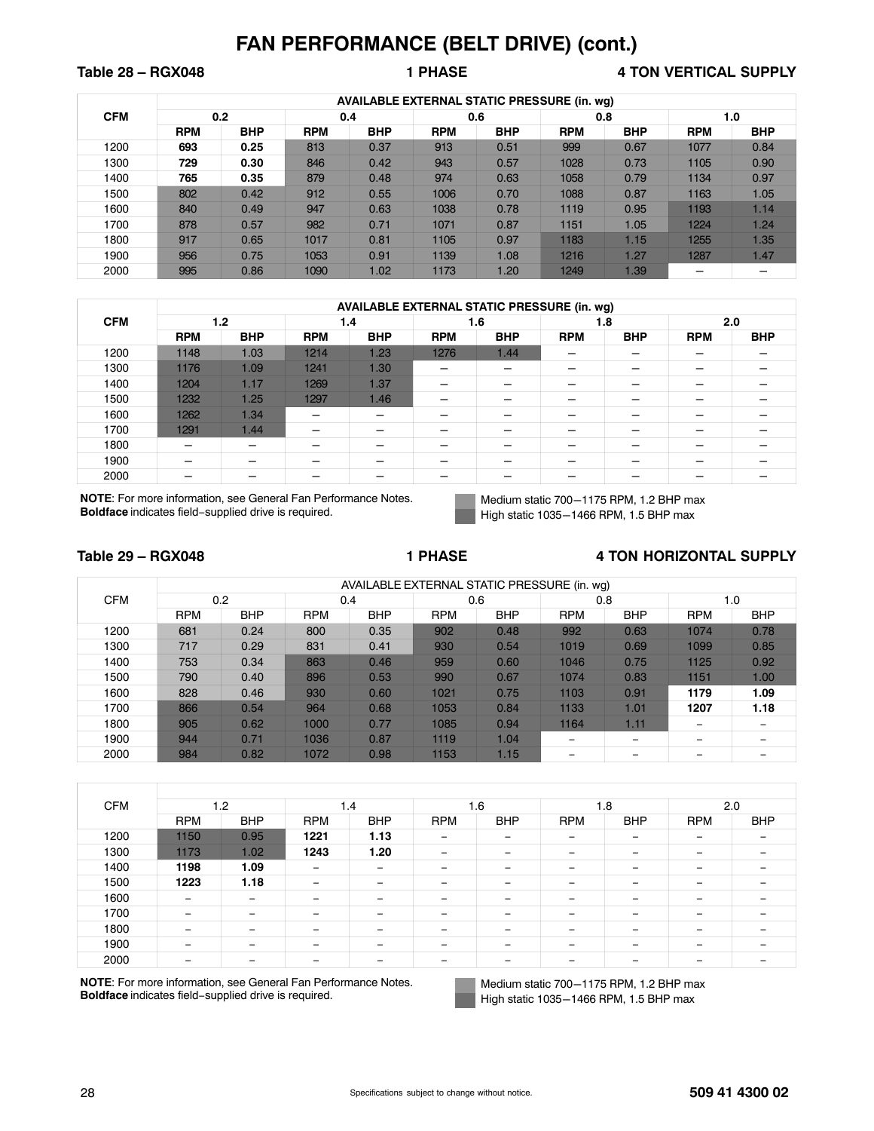## Table 28 – RGX048 **1 PHASE** 4 TON VERTICAL SUPPLY

|            |            |            |            | <b>AVAILABLE EXTERNAL STATIC PRESSURE (in. wg)</b> |            |            |            |            |            |            |
|------------|------------|------------|------------|----------------------------------------------------|------------|------------|------------|------------|------------|------------|
| <b>CFM</b> |            | 0.2        |            | 0.4                                                |            | 0.6        |            | 0.8        |            | 1.0        |
|            | <b>RPM</b> | <b>BHP</b> | <b>RPM</b> | <b>BHP</b>                                         | <b>RPM</b> | <b>BHP</b> | <b>RPM</b> | <b>BHP</b> | <b>RPM</b> | <b>BHP</b> |
| 1200       | 693        | 0.25       | 813        | 0.37                                               | 913        | 0.51       | 999        | 0.67       | 1077       | 0.84       |
| 1300       | 729        | 0.30       | 846        | 0.42                                               | 943        | 0.57       | 1028       | 0.73       | 1105       | 0.90       |
| 1400       | 765        | 0.35       | 879        | 0.48                                               | 974        | 0.63       | 1058       | 0.79       | 1134       | 0.97       |
| 1500       | 802        | 0.42       | 912        | 0.55                                               | 1006       | 0.70       | 1088       | 0.87       | 1163       | 1.05       |
| 1600       | 840        | 0.49       | 947        | 0.63                                               | 1038       | 0.78       | 1119       | 0.95       | 1193       | 1.14       |
| 1700       | 878        | 0.57       | 982        | 0.71                                               | 1071       | 0.87       | 1151       | 1.05       | 1224       | 1.24       |
| 1800       | 917        | 0.65       | 1017       | 0.81                                               | 1105       | 0.97       | 1183       | 1.15       | 1255       | 1.35       |
| 1900       | 956        | 0.75       | 1053       | 0.91                                               | 1139       | 1.08       | 1216       | 1.27       | 1287       | 1.47       |
| 2000       | 995        | 0.86       | 1090       | 1.02                                               | 1173       | 1.20       | 1249       | 1.39       |            |            |

|            |            |            |            |                          |            | <b>AVAILABLE EXTERNAL STATIC PRESSURE (in. wg)</b> |            |            |            |            |
|------------|------------|------------|------------|--------------------------|------------|----------------------------------------------------|------------|------------|------------|------------|
| <b>CFM</b> |            | 1.2        |            | 1.4                      |            | 1.6                                                |            | 1.8        |            | 2.0        |
|            | <b>RPM</b> | <b>BHP</b> | <b>RPM</b> | <b>BHP</b>               | <b>RPM</b> | <b>BHP</b>                                         | <b>RPM</b> | <b>BHP</b> | <b>RPM</b> | <b>BHP</b> |
| 1200       | 1148       | 1.03       | 1214       | 1.23                     | 1276       | 1.44                                               | –          |            |            |            |
| 1300       | 1176       | 1.09       | 1241       | 1.30                     | –          |                                                    | –          |            |            |            |
| 1400       | 1204       | 1.17       | 1269       | 1.37                     |            |                                                    | –          |            |            |            |
| 1500       | 1232       | 1.25       | 1297       | 1.46                     | –          |                                                    | –          | –          | -          |            |
| 1600       | 1262       | 1.34       |            | $\overline{\phantom{0}}$ | –          |                                                    | -          |            | -          |            |
| 1700       | 1291       | 1.44       | –          | -                        | –          |                                                    | –          |            | -          |            |
| 1800       |            |            |            | -                        |            |                                                    |            |            | -          |            |
| 1900       |            |            |            |                          |            |                                                    |            |            |            |            |
| 2000       |            |            |            |                          |            |                                                    |            |            |            |            |

**NOTE**: For more information, see General Fan Performance Notes. **Boldface** indicates field−supplied drive is required.

Medium static 700-1175 RPM, 1.2 BHP max High static 1035-1466 RPM, 1.5 BHP max

#### **Table 29 – RGX048 1 PHASE 4 TON HORIZONTAL SUPPLY**

|            |            |            |            |            |            | AVAILABLE EXTERNAL STATIC PRESSURE (in. wq) |            |            |                          |            |
|------------|------------|------------|------------|------------|------------|---------------------------------------------|------------|------------|--------------------------|------------|
| <b>CFM</b> |            | 0.2        |            | 0.4        |            | 0.6                                         |            | 0.8        |                          | 1.0        |
|            | <b>RPM</b> | <b>BHP</b> | <b>RPM</b> | <b>BHP</b> | <b>RPM</b> | <b>BHP</b>                                  | <b>RPM</b> | <b>BHP</b> | <b>RPM</b>               | <b>BHP</b> |
| 1200       | 681        | 0.24       | 800        | 0.35       | 902        | 0.48                                        | 992        | 0.63       | 1074                     | 0.78       |
| 1300       | 717        | 0.29       | 831        | 0.41       | 930        | 0.54                                        | 1019       | 0.69       | 1099                     | 0.85       |
| 1400       | 753        | 0.34       | 863        | 0.46       | 959        | 0.60                                        | 1046       | 0.75       | 1125                     | 0.92       |
| 1500       | 790        | 0.40       | 896        | 0.53       | 990        | 0.67                                        | 1074       | 0.83       | 1151                     | 1.00       |
| 1600       | 828        | 0.46       | 930        | 0.60       | 1021       | 0.75                                        | 1103       | 0.91       | 1179                     | 1.09       |
| 1700       | 866        | 0.54       | 964        | 0.68       | 1053       | 0.84                                        | 1133       | 1.01       | 1207                     | 1.18       |
| 1800       | 905        | 0.62       | 1000       | 0.77       | 1085       | 0.94                                        | 1164       | 1.11       |                          |            |
| 1900       | 944        | 0.71       | 1036       | 0.87       | 1119       | 1.04                                        | -          |            | $\overline{\phantom{0}}$ |            |
| 2000       | 984        | 0.82       | 1072       | 0.98       | 1153       | 1.15                                        | -          |            |                          | -          |

| <b>CFM</b> |                          | 1.2                      |                          | 1.4                      |                          | 1.6                      |                          | 1.8                      |                          | 2.0                      |
|------------|--------------------------|--------------------------|--------------------------|--------------------------|--------------------------|--------------------------|--------------------------|--------------------------|--------------------------|--------------------------|
|            | <b>RPM</b>               | <b>BHP</b>               | <b>RPM</b>               | <b>BHP</b>               | <b>RPM</b>               | <b>BHP</b>               | <b>RPM</b>               | <b>BHP</b>               | <b>RPM</b>               | <b>BHP</b>               |
| 1200       | 1150                     | 0.95                     | 1221                     | 1.13                     | $\overline{\phantom{m}}$ | $\overline{\phantom{0}}$ | $\overline{\phantom{m}}$ | $\overline{\phantom{0}}$ | $\overline{\phantom{0}}$ | -                        |
| 1300       | 1173                     | 1.02                     | 1243                     | 1.20                     | $\overline{\phantom{0}}$ | $\overline{\phantom{0}}$ | $\overline{\phantom{m}}$ | $\overline{\phantom{0}}$ | $\overline{\phantom{m}}$ | -                        |
| 1400       | 1198                     | 1.09                     | $\overline{\phantom{0}}$ | -                        | $\overline{\phantom{0}}$ | -                        | $\overline{\phantom{m}}$ | $\overline{\phantom{0}}$ | $\overline{\phantom{0}}$ | $\overline{\phantom{0}}$ |
| 1500       | 1223                     | 1.18                     | $\overline{\phantom{0}}$ | -                        | -                        | -                        | $\overline{\phantom{0}}$ | -                        | $\overline{\phantom{0}}$ | -                        |
| 1600       | $\qquad \qquad$          | $\overline{\phantom{m}}$ | $\overline{\phantom{0}}$ | -                        | $\qquad \qquad$          | -                        | $\overline{\phantom{m}}$ | -                        | $\overline{\phantom{0}}$ | -                        |
| 1700       | $\overline{\phantom{m}}$ | $\overline{\phantom{m}}$ | $\overline{\phantom{0}}$ | $\overline{\phantom{m}}$ | $\qquad \qquad$          | $\overline{\phantom{0}}$ | $\overline{\phantom{m}}$ | $\overline{\phantom{0}}$ | $\overline{\phantom{m}}$ | -                        |
| 1800       | $\overline{\phantom{m}}$ | $\overline{\phantom{0}}$ | $\overline{\phantom{0}}$ | $\overline{\phantom{0}}$ | $\qquad \qquad$          | $\overline{\phantom{0}}$ | $\overline{\phantom{a}}$ | $\qquad \qquad$          | $\overline{\phantom{0}}$ | -                        |
| 1900       | -                        | -                        | -                        | -                        | -                        | -                        | $\overline{\phantom{m}}$ | $\overline{\phantom{0}}$ | -                        |                          |
| 2000       | -                        |                          |                          | -                        |                          |                          | $\overline{\phantom{0}}$ | -                        |                          | -                        |

**NOTE**: For more information, see General Fan Performance Notes. **Boldface** indicates field−supplied drive is required.

Medium static 700-1175 RPM, 1.2 BHP max High static 1035-1466 RPM, 1.5 BHP max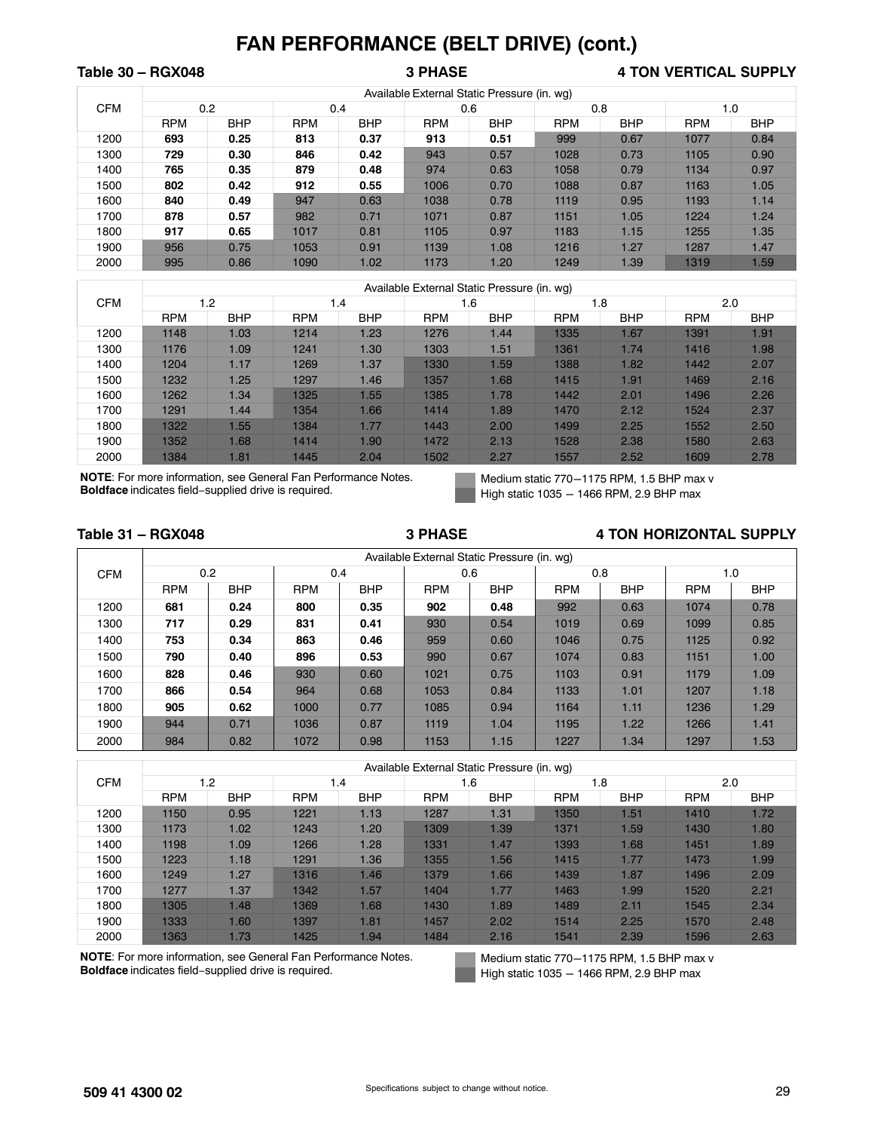## Table 30 – RGX048 **3 PHASE** 3 PHASE 4 TON VERTICAL SUPPLY

|            |            |            |            |            |            | Available External Static Pressure (in. wg) |            |            |            |            |
|------------|------------|------------|------------|------------|------------|---------------------------------------------|------------|------------|------------|------------|
| <b>CFM</b> |            | 0.2        |            | 0.4        |            | 0.6                                         | 0.8        |            |            | 1.0        |
|            | <b>RPM</b> | <b>BHP</b> | <b>RPM</b> | <b>BHP</b> | <b>RPM</b> | <b>BHP</b>                                  | <b>RPM</b> | <b>BHP</b> | <b>RPM</b> | <b>BHP</b> |
| 1200       | 693        | 0.25       | 813        | 0.37       | 913        | 0.51                                        | 999        | 0.67       | 1077       | 0.84       |
| 1300       | 729        | 0.30       | 846        | 0.42       | 943        | 0.57                                        | 1028       | 0.73       | 1105       | 0.90       |
| 1400       | 765        | 0.35       | 879        | 0.48       | 974        | 0.63                                        | 1058       | 0.79       | 1134       | 0.97       |
| 1500       | 802        | 0.42       | 912        | 0.55       | 1006       | 0.70                                        | 1088       | 0.87       | 1163       | 1.05       |
| 1600       | 840        | 0.49       | 947        | 0.63       | 1038       | 0.78                                        | 1119       | 0.95       | 1193       | 1.14       |
| 1700       | 878        | 0.57       | 982        | 0.71       | 1071       | 0.87                                        | 1151       | 1.05       | 1224       | 1.24       |
| 1800       | 917        | 0.65       | 1017       | 0.81       | 1105       | 0.97                                        | 1183       | 1.15       | 1255       | 1.35       |
| 1900       | 956        | 0.75       | 1053       | 0.91       | 1139       | 1.08                                        | 1216       | 1.27       | 1287       | 1.47       |
| 2000       | 995        | 0.86       | 1090       | 1.02       | 1173       | 1.20                                        | 1249       | 1.39       | 1319       | 1.59       |

|            |            |            |            |            |            | Available External Static Pressure (in. wq) |            |            |            |            |
|------------|------------|------------|------------|------------|------------|---------------------------------------------|------------|------------|------------|------------|
| <b>CFM</b> |            | 1.2        |            | 1.4        |            | 1.6                                         |            | 1.8        | 2.0        |            |
|            | <b>RPM</b> | <b>BHP</b> | <b>RPM</b> | <b>BHP</b> | <b>RPM</b> | <b>BHP</b>                                  | <b>RPM</b> | <b>BHP</b> | <b>RPM</b> | <b>BHP</b> |
| 1200       | 1148       | 1.03       | 1214       | 1.23       | 1276       | 1.44                                        | 1335       | 1.67       | 1391       | 1.91       |
| 1300       | 1176       | 1.09       | 1241       | 1.30       | 1303       | 1.51                                        | 1361       | 1.74       | 1416       | 1.98       |
| 1400       | 1204       | 1.17       | 1269       | 1.37       | 1330       | 1.59                                        | 1388       | 1.82       | 1442       | 2.07       |
| 1500       | 1232       | 1.25       | 1297       | 1.46       | 1357       | 1.68                                        | 1415       | 1.91       | 1469       | 2.16       |
| 1600       | 1262       | 1.34       | 1325       | 1.55       | 1385       | 1.78                                        | 1442       | 2.01       | 1496       | 2.26       |
| 1700       | 1291       | 1.44       | 1354       | 1.66       | 1414       | 1.89                                        | 1470       | 2.12       | 1524       | 2.37       |
| 1800       | 1322       | .55        | 1384       | 1.77       | 1443       | 2.00                                        | 1499       | 2.25       | 1552       | 2.50       |
| 1900       | 1352       | 1.68       | 1414       | 1.90       | 1472       | 2.13                                        | 1528       | 2.38       | 1580       | 2.63       |
| 2000       | 1384       | 1.81       | 1445       | 2.04       | 1502       | 2.27                                        | 1557       | 2.52       | 1609       | 2.78       |

**NOTE**: For more information, see General Fan Performance Notes. **Boldface** indicates field−supplied drive is required.

Medium static 770-1175 RPM, 1.5 BHP max v High static  $1035 - 1466$  RPM, 2.9 BHP max

#### Table 31 – RGX048 **3 PHASE** 3 PHASE 4 TON HORIZONTAL SUPPLY

|            |            |            |            |            |            | Available External Static Pressure (in. wg) |            |            |            |            |
|------------|------------|------------|------------|------------|------------|---------------------------------------------|------------|------------|------------|------------|
| <b>CFM</b> |            | 0.2        | 0.4        |            |            | 0.6                                         | 0.8        |            | 1.0        |            |
|            | <b>RPM</b> | <b>BHP</b> | <b>RPM</b> | <b>BHP</b> | <b>RPM</b> | <b>BHP</b>                                  | <b>RPM</b> | <b>BHP</b> | <b>RPM</b> | <b>BHP</b> |
| 1200       | 681        | 0.24       | 800        | 0.35       | 902        | 0.48                                        | 992        | 0.63       | 1074       | 0.78       |
| 1300       | 717        | 0.29       | 831        | 0.41       | 930        | 0.54                                        | 1019       | 0.69       | 1099       | 0.85       |
| 1400       | 753        | 0.34       | 863        | 0.46       | 959        | 0.60                                        | 1046       | 0.75       | 1125       | 0.92       |
| 1500       | 790        | 0.40       | 896        | 0.53       | 990        | 0.67                                        | 1074       | 0.83       | 1151       | 1.00       |
| 1600       | 828        | 0.46       | 930        | 0.60       | 1021       | 0.75                                        | 1103       | 0.91       | 1179       | 1.09       |
| 1700       | 866        | 0.54       | 964        | 0.68       | 1053       | 0.84                                        | 1133       | 1.01       | 1207       | 1.18       |
| 1800       | 905        | 0.62       | 1000       | 0.77       | 1085       | 0.94                                        | 1164       | 1.11       | 1236       | 1.29       |
| 1900       | 944        | 0.71       | 1036       | 0.87       | 1119       | 1.04                                        | 1195       | 1.22       | 1266       | 1.41       |
| 2000       | 984        | 0.82       | 1072       | 0.98       | 1153       | 1.15                                        | 1227       | 1.34       | 1297       | 1.53       |

|            |            |            |            |            | Available External Static Pressure (in. wg) |            |            |                  |            |            |
|------------|------------|------------|------------|------------|---------------------------------------------|------------|------------|------------------|------------|------------|
| <b>CFM</b> |            | 1.2        | 1.4        |            |                                             | 1.6        |            | 1.8              | 2.0        |            |
|            | <b>RPM</b> | <b>BHP</b> | <b>RPM</b> | <b>BHP</b> | <b>RPM</b>                                  | <b>BHP</b> | <b>RPM</b> | <b>BHP</b>       | <b>RPM</b> | <b>BHP</b> |
| 1200       | 1150       | 0.95       | 1221       | 1.13       | 1287                                        | 1.31       | 1350       | 1.51             | 1410       | 1.72       |
| 1300       | 1173       | 1.02       | 1243       | 1.20       | 1309                                        | 1.39       | 1371       | .59 <sub>1</sub> | 1430       | 1.80       |
| 1400       | 1198       | 1.09       | 1266       | 1.28       | 1331                                        | 1.47       | 1393       | 1.68             | 1451       | 1.89       |
| 1500       | 1223       | 1.18       | 1291       | 1.36       | 1355                                        | 1.56       | 1415       | 1.77             | 1473       | 1.99       |
| 1600       | 1249       | 1.27       | 1316       | 1.46       | 1379                                        | 1.66       | 1439       | 1.87             | 1496       | 2.09       |
| 1700       | 1277       | 1.37       | 1342       | 1.57       | 1404                                        | 1.77       | 1463       | 1.99             | 1520       | 2.21       |
| 1800       | 1305       | 1.48       | 1369       | 1.68       | 1430                                        | 1.89       | 1489       | 2.11             | 1545       | 2.34       |
| 1900       | 1333       | 1.60       | 1397       | 1.81       | 1457                                        | 2.02       | 1514       | 2.25             | 1570       | 2.48       |
| 2000       | 1363       | 1.73       | 1425       | 1.94       | 1484                                        | 2.16       | 1541       | 2.39             | 1596       | 2.63       |

**NOTE**: For more information, see General Fan Performance Notes. **Boldface** indicates field−supplied drive is required.

Medium static 770-1175 RPM, 1.5 BHP max v High static  $1035 - 1466$  RPM, 2.9 BHP max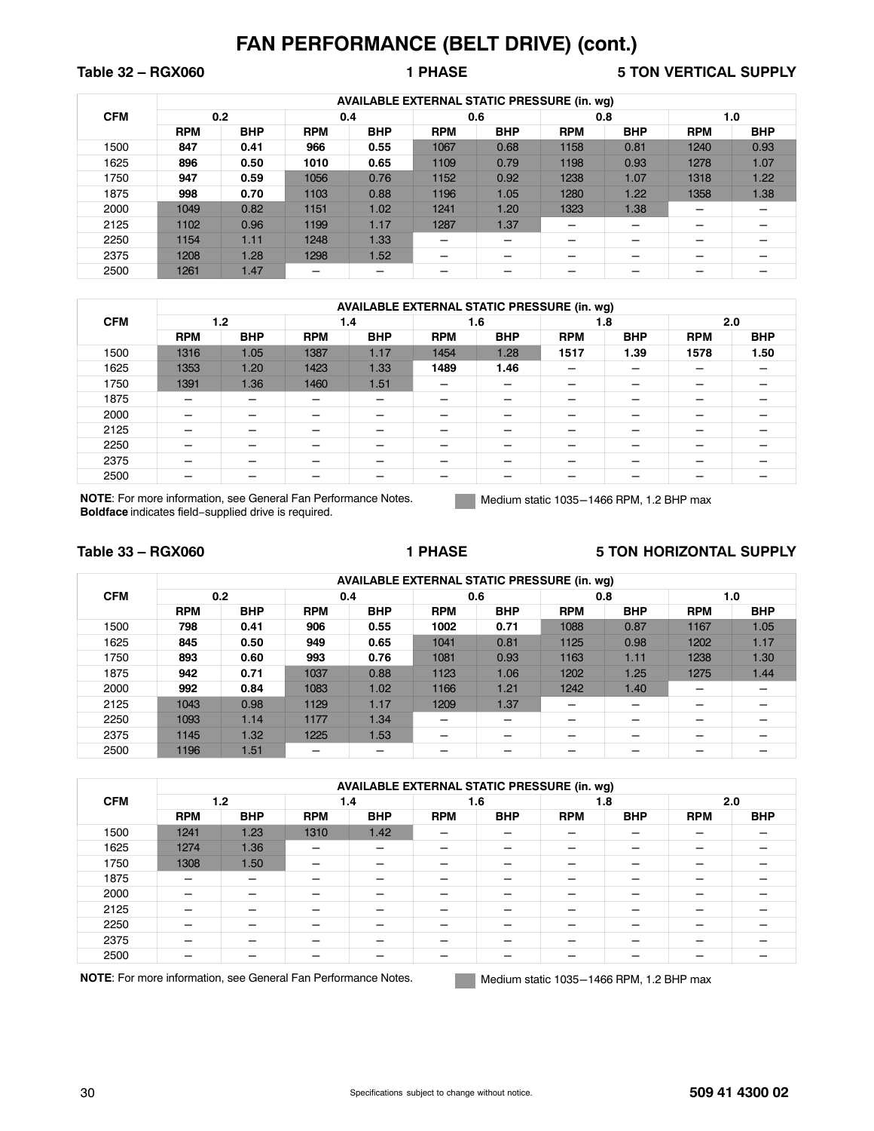Table 32 – RGX060 **1 PHASE** 1 PHASE 5 TON VERTICAL SUPPLY

|            |            |            |            | <b>AVAILABLE EXTERNAL STATIC PRESSURE (in. wq)</b> |            |            |            |            |            |            |
|------------|------------|------------|------------|----------------------------------------------------|------------|------------|------------|------------|------------|------------|
| <b>CFM</b> |            | 0.2        | 0.4        |                                                    |            | 0.6        | 0.8        |            | 1.0        |            |
|            | <b>RPM</b> | <b>BHP</b> | <b>RPM</b> | <b>BHP</b>                                         | <b>RPM</b> | <b>BHP</b> | <b>RPM</b> | <b>BHP</b> | <b>RPM</b> | <b>BHP</b> |
| 1500       | 847        | 0.41       | 966        | 0.55                                               | 1067       | 0.68       | 1158       | 0.81       | 1240       | 0.93       |
| 1625       | 896        | 0.50       | 1010       | 0.65                                               | 1109       | 0.79       | 1198       | 0.93       | 1278       | 1.07       |
| 1750       | 947        | 0.59       | 1056       | 0.76                                               | 1152       | 0.92       | 1238       | 1.07       | 1318       | 1.22       |
| 1875       | 998        | 0.70       | 1103       | 0.88                                               | 1196       | 1.05       | 1280       | 1.22       | 1358       | 1.38       |
| 2000       | 1049       | 0.82       | 1151       | 1.02                                               | 1241       | 1.20       | 1323       | 1.38       |            |            |
| 2125       | 1102       | 0.96       | 1199       | 1.17                                               | 1287       | 1.37       |            |            |            |            |
| 2250       | 1154       | 1.11       | 1248       | 1.33                                               |            |            | –          |            |            |            |
| 2375       | 1208       | 1.28       | 1298       | 1.52                                               | –          |            | –          |            |            |            |
| 2500       | 1261       | 1.47       |            |                                                    |            |            | –          |            |            |            |

|            |                          | <b>AVAILABLE EXTERNAL STATIC PRESSURE (in. wg)</b> |            |            |            |            |            |            |            |            |  |  |
|------------|--------------------------|----------------------------------------------------|------------|------------|------------|------------|------------|------------|------------|------------|--|--|
| <b>CFM</b> |                          | 1.2                                                |            | 1.4        |            | 1.6        | 1.8        |            | 2.0        |            |  |  |
|            | <b>RPM</b>               | <b>BHP</b>                                         | <b>RPM</b> | <b>BHP</b> | <b>RPM</b> | <b>BHP</b> | <b>RPM</b> | <b>BHP</b> | <b>RPM</b> | <b>BHP</b> |  |  |
| 1500       | 1316                     | 1.05                                               | 1387       | 1.17       | 1454       | 1.28       | 1517       | 1.39       | 1578       | 1.50       |  |  |
| 1625       | 1353                     | 1.20                                               | 1423       | 1.33       | 1489       | 1.46       | -          |            |            |            |  |  |
| 1750       | 1391                     | 1.36                                               | 1460       | 1.51       | –          |            | –          |            |            |            |  |  |
| 1875       |                          | –                                                  |            | -          | –          | -          | -          |            | -          | -          |  |  |
| 2000       |                          | -                                                  |            | -          | -          |            | -          |            | -          | -          |  |  |
| 2125       |                          | -                                                  |            | -          | -          | –          | -          |            | -          | -          |  |  |
| 2250       | $\overline{\phantom{0}}$ | -                                                  |            | —          | -          | –          | —          |            | -          |            |  |  |
| 2375       | -                        | -                                                  |            | -          | -          | –          | –          |            | -          | -          |  |  |
| 2500       | -                        | –                                                  |            | –          | -          |            | –          | -          | -          | -          |  |  |

**NOTE**: For more information, see General Fan Performance Notes. **Boldface** indicates field−supplied drive is required.

Medium static 1035-1466 RPM, 1.2 BHP max

### **Table 33 – RGX060 1 PHASE 5 TON HORIZONTAL SUPPLY**

|            |            | <b>AVAILABLE EXTERNAL STATIC PRESSURE (in. wq)</b> |            |            |            |            |            |            |            |            |  |  |  |
|------------|------------|----------------------------------------------------|------------|------------|------------|------------|------------|------------|------------|------------|--|--|--|
| <b>CFM</b> |            | 0.2                                                | 0.4        |            |            | 0.6        | 0.8        |            | 1.0        |            |  |  |  |
|            | <b>RPM</b> | <b>BHP</b>                                         | <b>RPM</b> | <b>BHP</b> | <b>RPM</b> | <b>BHP</b> | <b>RPM</b> | <b>BHP</b> | <b>RPM</b> | <b>BHP</b> |  |  |  |
| 1500       | 798        | 0.41                                               | 906        | 0.55       | 1002       | 0.71       | 1088       | 0.87       | 1167       | 1.05       |  |  |  |
| 1625       | 845        | 0.50                                               | 949        | 0.65       | 1041       | 0.81       | 1125       | 0.98       | 1202       | 1.17       |  |  |  |
| 1750       | 893        | 0.60                                               | 993        | 0.76       | 1081       | 0.93       | 1163       | 1.11       | 1238       | 1.30       |  |  |  |
| 1875       | 942        | 0.71                                               | 1037       | 0.88       | 1123       | 1.06       | 1202       | 1.25       | 1275       | 1.44       |  |  |  |
| 2000       | 992        | 0.84                                               | 1083       | 1.02       | 1166       | 1.21       | 1242       | 1.40       |            |            |  |  |  |
| 2125       | 1043       | 0.98                                               | 1129       | 1.17       | 1209       | 1.37       | -          | –          |            |            |  |  |  |
| 2250       | 1093       | 1.14                                               | 1177       | 1.34       |            |            | _          |            |            |            |  |  |  |
| 2375       | 1145       | 1.32                                               | 1225       | 1.53       |            |            |            |            |            |            |  |  |  |
| 2500       | 1196       | 1.51                                               |            |            |            |            |            |            |            |            |  |  |  |

|            |            |            |            | <b>AVAILABLE EXTERNAL STATIC PRESSURE (in. wg)</b> |            |            |            |            |                          |            |
|------------|------------|------------|------------|----------------------------------------------------|------------|------------|------------|------------|--------------------------|------------|
| <b>CFM</b> |            | 1.2        | 1.4        |                                                    |            | 1.6        | 1.8        |            | 2.0                      |            |
|            | <b>RPM</b> | <b>BHP</b> | <b>RPM</b> | <b>BHP</b>                                         | <b>RPM</b> | <b>BHP</b> | <b>RPM</b> | <b>BHP</b> | <b>RPM</b>               | <b>BHP</b> |
| 1500       | 1241       | 1.23       | 1310       | 1.42                                               |            |            |            |            |                          |            |
| 1625       | 1274       | 1.36       |            | -                                                  |            |            | -          |            |                          |            |
| 1750       | 1308       | 1.50       |            |                                                    |            |            |            |            |                          |            |
| 1875       |            |            |            |                                                    |            |            |            |            |                          |            |
| 2000       |            |            |            |                                                    |            |            |            |            |                          |            |
| 2125       | -          | -          | _          | -                                                  | –          |            | -          |            | $\overline{\phantom{a}}$ |            |
| 2250       |            |            |            |                                                    |            |            | -          |            |                          |            |
| 2375       | –          |            |            | -                                                  |            |            | -          |            |                          |            |
| 2500       |            |            |            |                                                    |            |            |            |            |                          |            |

NOTE: For more information, see General Fan Performance Notes. Medium static 1035-1466 RPM, 1.2 BHP max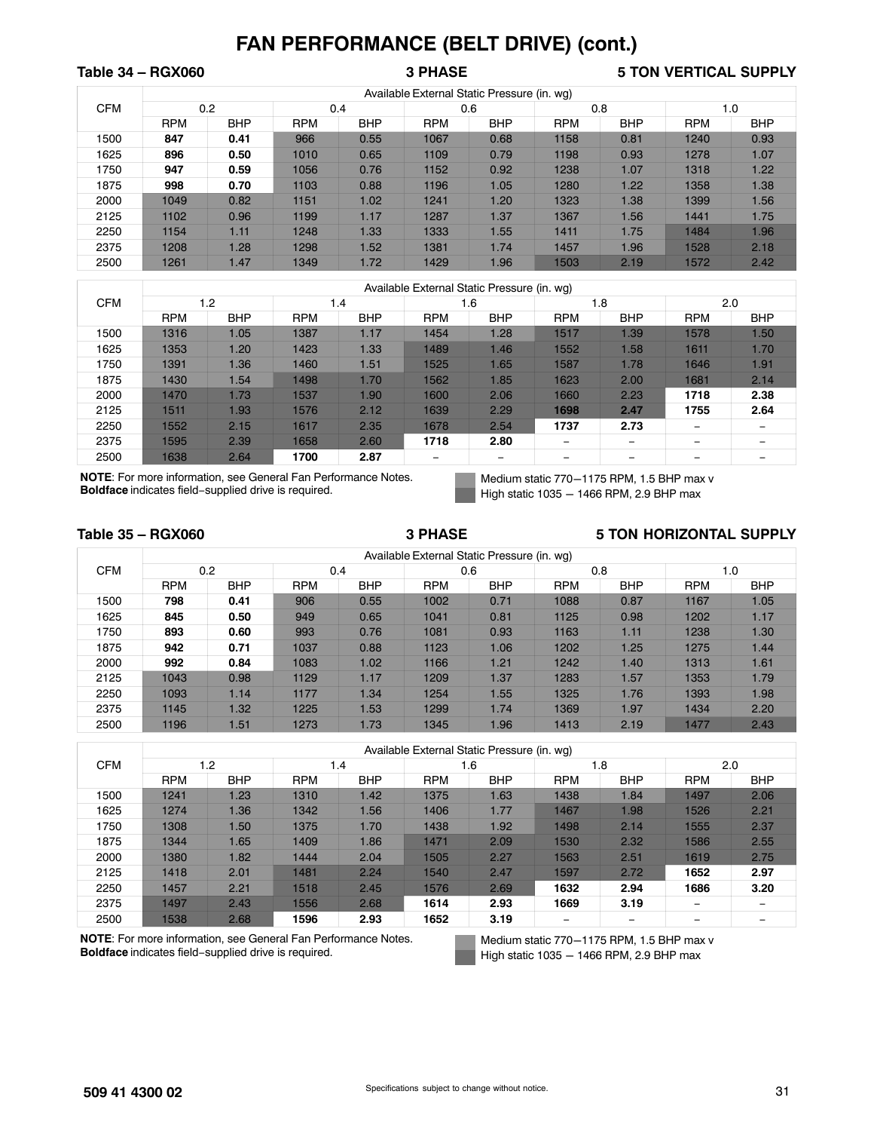## Table 34 – RGX060 **3 PHASE** 3 PHASE 5 TON VERTICAL SUPPLY

|            |            |            |            |            |            | Available External Static Pressure (in. wg) |            |            |            |            |
|------------|------------|------------|------------|------------|------------|---------------------------------------------|------------|------------|------------|------------|
| <b>CFM</b> | 0.2        |            | 0.4        |            |            | 0.6                                         | 0.8        |            | 1.0        |            |
|            | <b>RPM</b> | <b>BHP</b> | <b>RPM</b> | <b>BHP</b> | <b>RPM</b> | <b>BHP</b>                                  | <b>RPM</b> | <b>BHP</b> | <b>RPM</b> | <b>BHP</b> |
| 1500       | 847        | 0.41       | 966        | 0.55       | 1067       | 0.68                                        | 1158       | 0.81       | 1240       | 0.93       |
| 1625       | 896        | 0.50       | 1010       | 0.65       | 1109       | 0.79                                        | 1198       | 0.93       | 1278       | 1.07       |
| 1750       | 947        | 0.59       | 1056       | 0.76       | 1152       | 0.92                                        | 1238       | 1.07       | 1318       | 1.22       |
| 1875       | 998        | 0.70       | 1103       | 0.88       | 1196       | 1.05                                        | 1280       | 1.22       | 1358       | 1.38       |
| 2000       | 1049       | 0.82       | 1151       | 1.02       | 1241       | 1.20                                        | 1323       | 1.38       | 1399       | 1.56       |
| 2125       | 1102       | 0.96       | 1199       | 1.17       | 1287       | 1.37                                        | 1367       | 1.56       | 1441       | 1.75       |
| 2250       | 1154       | 1.11       | 1248       | 1.33       | 1333       | 1.55                                        | 1411       | 1.75       | 1484       | 1.96       |
| 2375       | 1208       | 1.28       | 1298       | 1.52       | 1381       | 1.74                                        | 1457       | 1.96       | 1528       | 2.18       |
| 2500       | 1261       | 1.47       | 1349       | 1.72       | 1429       | 1.96                                        | 1503       | 2.19       | 1572       | 2.42       |

|            |            |            |            |            |            | Available External Static Pressure (in. wg) |            |            |            |            |
|------------|------------|------------|------------|------------|------------|---------------------------------------------|------------|------------|------------|------------|
| <b>CFM</b> |            | 1.2        | 1.4        |            |            | 1.6                                         | 1.8        |            | 2.0        |            |
|            | <b>RPM</b> | <b>BHP</b> | <b>RPM</b> | <b>BHP</b> | <b>RPM</b> | <b>BHP</b>                                  | <b>RPM</b> | <b>BHP</b> | <b>RPM</b> | <b>BHP</b> |
| 1500       | 1316       | 1.05       | 1387       | 1.17       | 1454       | 1.28                                        | 1517       | 1.39       | 1578       | 1.50       |
| 1625       | 1353       | 1.20       | 1423       | 1.33       | 1489       | 1.46                                        | 1552       | .58        | 1611       | 1.70       |
| 1750       | 1391       | 1.36       | 1460       | 1.51       | 1525       | 1.65                                        | 1587       | 1.78       | 1646       | 1.91       |
| 1875       | 1430       | 1.54       | 1498       | 1.70       | 1562       | 1.85                                        | 1623       | 2.00       | 1681       | 2.14       |
| 2000       | 1470       | 1.73       | 1537       | 1.90       | 1600       | 2.06                                        | 1660       | 2.23       | 1718       | 2.38       |
| 2125       | 1511       | 1.93       | 1576       | 2.12       | 1639       | 2.29                                        | 1698       | 2.47       | 1755       | 2.64       |
| 2250       | 1552       | 2.15       | 1617       | 2.35       | 1678       | 2.54                                        | 1737       | 2.73       |            |            |
| 2375       | 1595       | 2.39       | 1658       | 2.60       | 1718       | 2.80                                        |            | -          | -          |            |
| 2500       | 1638       | 2.64       | 1700       | 2.87       | -          | -                                           | -          | -          | -          |            |

**NOTE**: For more information, see General Fan Performance Notes. **Boldface** indicates field−supplied drive is required.

Medium static 770-1175 RPM, 1.5 BHP max v High static  $1035 - 1466$  RPM, 2.9 BHP max

#### Table 35 – RGX060 **3 PHASE** 3 PHASE 5 TON HORIZONTAL SUPPLY

|            |            |            |            |            |            | Available External Static Pressure (in. wg) |            |            |            |            |
|------------|------------|------------|------------|------------|------------|---------------------------------------------|------------|------------|------------|------------|
| <b>CFM</b> |            | 0.2        | 0.4        |            |            | 0.6                                         | 0.8        |            | 1.0        |            |
|            | <b>RPM</b> | <b>BHP</b> | <b>RPM</b> | <b>BHP</b> | <b>RPM</b> | <b>BHP</b>                                  | <b>RPM</b> | <b>BHP</b> | <b>RPM</b> | <b>BHP</b> |
| 1500       | 798        | 0.41       | 906        | 0.55       | 1002       | 0.71                                        | 1088       | 0.87       | 1167       | 1.05       |
| 1625       | 845        | 0.50       | 949        | 0.65       | 1041       | 0.81                                        | 1125       | 0.98       | 1202       | 1.17       |
| 1750       | 893        | 0.60       | 993        | 0.76       | 1081       | 0.93                                        | 1163       | 1.11       | 1238       | 1.30       |
| 1875       | 942        | 0.71       | 1037       | 0.88       | 1123       | 1.06                                        | 1202       | 1.25       | 1275       | 1.44       |
| 2000       | 992        | 0.84       | 1083       | 1.02       | 1166       | 1.21                                        | 1242       | 1.40       | 1313       | 1.61       |
| 2125       | 1043       | 0.98       | 1129       | 1.17       | 1209       | 1.37                                        | 1283       | 1.57       | 1353       | 1.79       |
| 2250       | 1093       | 1.14       | 1177       | 1.34       | 1254       | 1.55                                        | 1325       | 1.76       | 1393       | 1.98       |
| 2375       | 1145       | 1.32       | 1225       | 1.53       | 1299       | 1.74                                        | 1369       | 1.97       | 1434       | 2.20       |
| 2500       | 1196       | 1.51       | 1273       | 1.73       | 1345       | 1.96                                        | 1413       | 2.19       | 1477       | 2.43       |

|            |            |            |            |            |            | Available External Static Pressure (in. wg) |            |            |                 |            |
|------------|------------|------------|------------|------------|------------|---------------------------------------------|------------|------------|-----------------|------------|
| <b>CFM</b> |            | 1.2        | 1.4        |            |            | 1.6                                         |            | 1.8        | 2.0             |            |
|            | <b>RPM</b> | <b>BHP</b> | <b>RPM</b> | <b>BHP</b> | <b>RPM</b> | <b>BHP</b>                                  | <b>RPM</b> | <b>BHP</b> | <b>RPM</b>      | <b>BHP</b> |
| 1500       | 1241       | 1.23       | 1310       | 1.42       | 1375       | 1.63                                        | 1438       | 1.84       | 1497            | 2.06       |
| 1625       | 1274       | 1.36       | 1342       | 1.56       | 1406       | 1.77                                        | 1467       | 1.98       | 1526            | 2.21       |
| 1750       | 1308       | 1.50       | 1375       | 1.70       | 1438       | 1.92                                        | 1498       | 2.14       | 1555            | 2.37       |
| 1875       | 1344       | 1.65       | 1409       | 1.86       | 1471       | 2.09                                        | 1530       | 2.32       | 1586            | 2.55       |
| 2000       | 1380       | 1.82       | 1444       | 2.04       | 1505       | 2.27                                        | 1563       | 2.51       | 1619            | 2.75       |
| 2125       | 1418       | 2.01       | 1481       | 2.24       | 1540       | 2.47                                        | 1597       | 2.72       | 1652            | 2.97       |
| 2250       | 1457       | 2.21       | 1518       | 2.45       | 1576       | 2.69                                        | 1632       | 2.94       | 1686            | 3.20       |
| 2375       | 1497       | 2.43       | 1556       | 2.68       | 1614       | 2.93                                        | 1669       | 3.19       | $\qquad \qquad$ | -          |
| 2500       | 1538       | 2.68       | 1596       | 2.93       | 1652       | 3.19                                        |            | -          |                 | -          |

**NOTE**: For more information, see General Fan Performance Notes. **Boldface** indicates field−supplied drive is required.

Medium static 770-1175 RPM, 1.5 BHP max v High static  $1035 - 1466$  RPM, 2.9 BHP max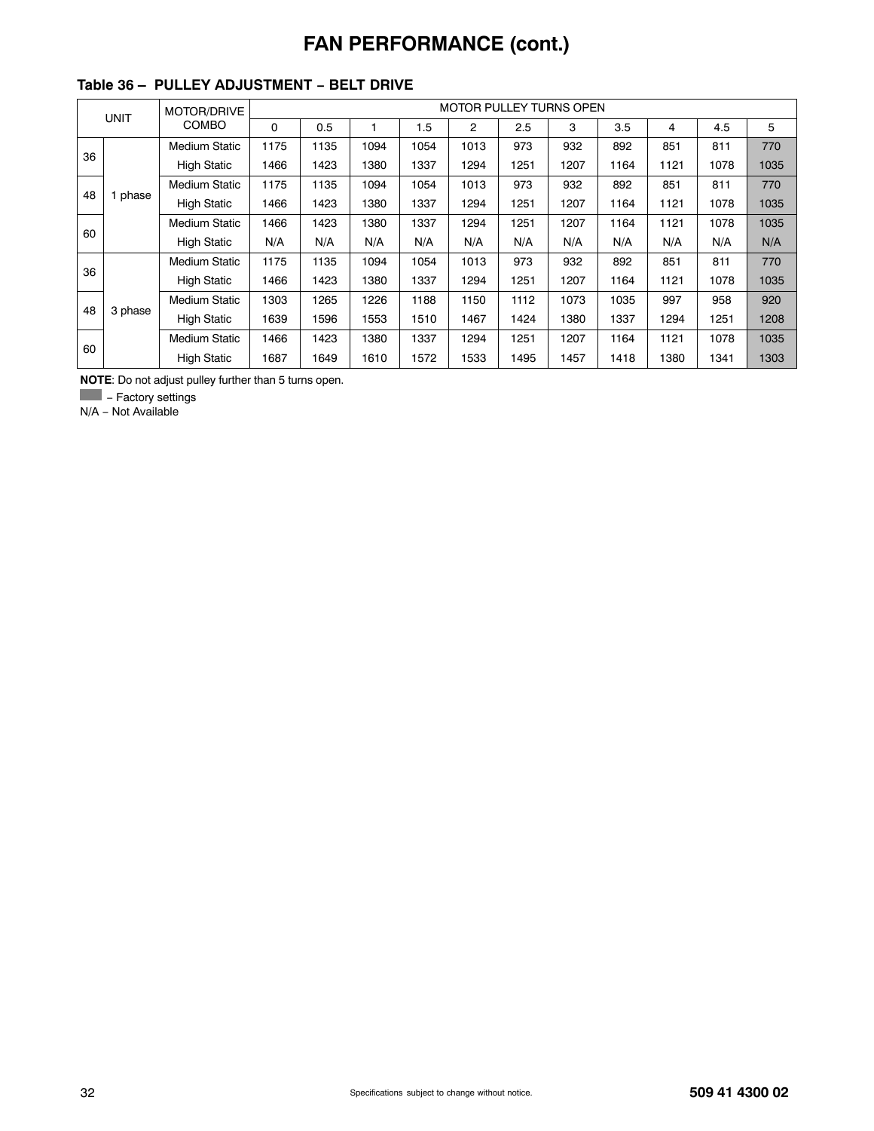# **FAN PERFORMANCE (cont.)**

#### UNIT MOTOR/DRIVE COMBO MOTOR PULLEY TURNS OPEN 0 0.5 1 1.5 2 2.5 3 3.5 4 4.5 5 36 1 phase Medium Static | 1175 | 1135 | 1094 | 1054 | 1013 | 973 | 932 | 892 | 851 | 811 | 770 High Static | 1466 | 1423 | 1380 | 1337 | 1294 | 1251 | 1207 | 1164 | 1121 | 1078 | 1035 48 Medium Static | 1175 | 1135 | 1094 | 1054 | 1013 | 973 | 932 | 892 | 851 | 811 | 770 High Static | 1466 | 1423 | 1380 | 1337 | 1294 | 1251 | 1207 | 1164 | 1121 | 1078 | 1035 60 Medium Static | 1466 | 1423 | 1380 | 1337 | 1294 | 1251 | 1207 | 1164 | 1121 | 1078 | 1035 High Static | N/A | N/A | N/A | N/A | N/A | N/A | N/A | N/A | N/A | N/A 36 3 phase Medium Static 1175 1135 1094 1054 1013 973 932 892 851 811 770 High Static 1466 1423 1380 1337 1294 1251 1207 1164 1121 1078 1035 48 Medium Static 1303 1265 1226 1188 1150 1112 1073 1035 997 958 920 High Static 1639 1596 1553 1510 1467 1424 1380 1337 1294 1251 1208 60 Medium Static | 1466 | 1423 | 1380 | 1337 | 1294 | 1251 | 1207 | 1164 | 1121 | 1078 | 1035 High Static | 1687 | 1649 | 1610 | 1572 | 1533 | 1495 | 1457 | 1418 | 1380 | 1341 | 1303

#### **Table 36 – PULLEY ADJUSTMENT − BELT DRIVE**

**NOTE**: Do not adjust pulley further than 5 turns open.

− Factory settings

N/A − Not Available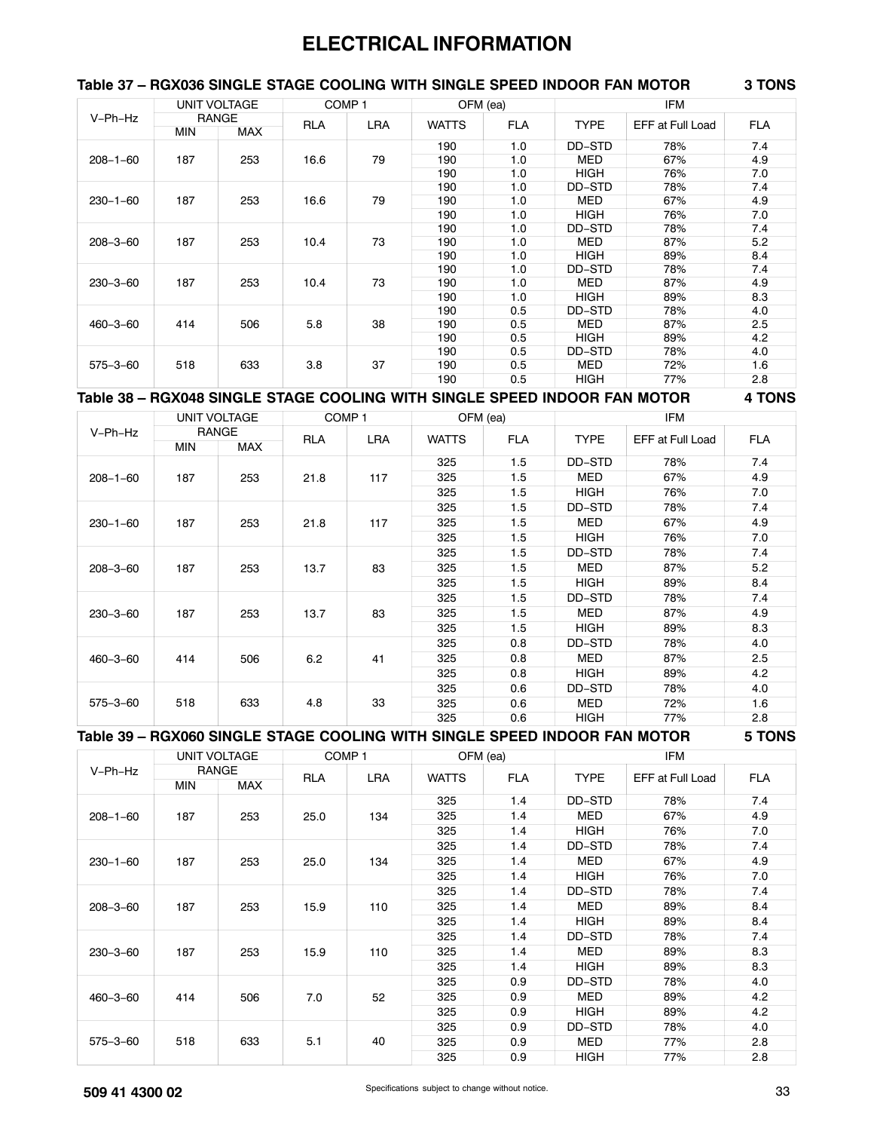# **ELECTRICAL INFORMATION**

#### **Table 37 – RGX036 SINGLE STAGE COOLING WITH SINGLE SPEED INDOOR FAN MOTOR 3 TONS**

| V-Ph-Hz        |            | UNIT VOLTAGE |            | COMP <sub>1</sub> |              | OFM (ea)   |             | <b>IFM</b>       |            |
|----------------|------------|--------------|------------|-------------------|--------------|------------|-------------|------------------|------------|
|                |            | <b>RANGE</b> | <b>RLA</b> | LRA               | <b>WATTS</b> | <b>FLA</b> | <b>TYPE</b> | EFF at Full Load | <b>FLA</b> |
|                | <b>MIN</b> | <b>MAX</b>   |            |                   |              |            |             |                  |            |
|                |            |              |            |                   | 190          | 1.0        | DD-STD      | 78%              | 7.4        |
| $208 - 1 - 60$ | 187        | 253          | 16.6       | 79                | 190          | 1.0        | MED         | 67%              | 4.9        |
|                |            |              |            |                   | 190          | 1.0        | <b>HIGH</b> | 76%              | 7.0        |
|                |            |              |            |                   | 190          | 1.0        | DD-STD      | 78%              | 7.4        |
| $230 - 1 - 60$ | 187        | 253          | 16.6       | 79                | 190          | 1.0        | MED         | 67%              | 4.9        |
|                |            |              |            |                   | 190          | 1.0        | <b>HIGH</b> | 76%              | 7.0        |
|                |            |              |            |                   | 190          | 1.0        | DD-STD      | 78%              | 7.4        |
| $208 - 3 - 60$ | 187        | 253          | 10.4       | 73                | 190          | 1.0        | <b>MED</b>  | 87%              | 5.2        |
|                |            |              |            |                   | 190          | 1.0        | <b>HIGH</b> | 89%              | 8.4        |
|                |            |              |            |                   | 190          | 1.0        | DD-STD      | 78%              | 7.4        |
| $230 - 3 - 60$ | 187        | 253          | 10.4       | 73                | 190          | 1.0        | MED         | 87%              | 4.9        |
|                |            |              |            |                   | 190          | 1.0        | <b>HIGH</b> | 89%              | 8.3        |
|                |            |              |            |                   | 190          | 0.5        | DD-STD      | 78%              | 4.0        |
| $460 - 3 - 60$ | 414        | 506          | 5.8        | 38                | 190          | 0.5        | MED         | 87%              | 2.5        |
|                |            |              |            |                   | 190          | 0.5        | <b>HIGH</b> | 89%              | 4.2        |
|                |            |              |            |                   | 190          | 0.5        | DD-STD      | 78%              | 4.0        |
| $575 - 3 - 60$ | 518        | 633          | 3.8        | 37                | 190          | 0.5        | <b>MED</b>  | 72%              | 1.6        |
|                |            |              |            |                   | 190          | 0.5        | <b>HIGH</b> | 77%              | 2.8        |

#### **Table 38 – RGX048 SINGLE STAGE COOLING WITH SINGLE SPEED INDOOR FAN MOTOR 4 TONS**

|                |            | UNIT VOLTAGE |            | COMP <sub>1</sub> |              | OFM (ea)   |             | <b>IFM</b>       |            |
|----------------|------------|--------------|------------|-------------------|--------------|------------|-------------|------------------|------------|
| V-Ph-Hz        |            | <b>RANGE</b> | <b>RLA</b> | <b>LRA</b>        | <b>WATTS</b> | <b>FLA</b> | <b>TYPE</b> | EFF at Full Load | <b>FLA</b> |
|                | <b>MIN</b> | MAX          |            |                   |              |            |             |                  |            |
|                |            |              |            |                   | 325          | 1.5        | DD-STD      | 78%              | 7.4        |
| $208 - 1 - 60$ | 187        | 253          | 21.8       | 117               | 325          | 1.5        | MED         | 67%              | 4.9        |
|                |            |              |            |                   | 325          | 1.5        | HIGH        | 76%              | 7.0        |
|                |            |              |            |                   | 325          | 1.5        | DD-STD      | 78%              | 7.4        |
| $230 - 1 - 60$ | 187        | 253          | 21.8       | 117               | 325          | 1.5        | <b>MED</b>  | 67%              | 4.9        |
|                |            |              |            |                   | 325          | 1.5        | HIGH        | 76%              | 7.0        |
|                |            |              |            |                   | 325          | 1.5        | DD-STD      | 78%              | 7.4        |
| $208 - 3 - 60$ | 187        | 253          | 13.7       | 83                | 325          | 1.5        | MED         | 87%              | 5.2        |
|                |            |              |            |                   | 325          | 1.5        | <b>HIGH</b> | 89%              | 8.4        |
|                |            |              |            |                   | 325          | 1.5        | DD-STD      | 78%              | 7.4        |
| $230 - 3 - 60$ | 187        | 253          | 13.7       | 83                | 325          | 1.5        | MED         | 87%              | 4.9        |
|                |            |              |            |                   | 325          | 1.5        | HIGH        | 89%              | 8.3        |
|                |            |              |            |                   | 325          | 0.8        | DD-STD      | 78%              | 4.0        |
| $460 - 3 - 60$ | 414        | 506          | 6.2        | 41                | 325          | 0.8        | MED         | 87%              | 2.5        |
|                |            |              |            |                   | 325          | 0.8        | <b>HIGH</b> | 89%              | 4.2        |
|                |            |              |            |                   | 325          | 0.6        | DD-STD      | 78%              | 4.0        |
| $575 - 3 - 60$ | 518        | 633          | 4.8        | 33                | 325          | 0.6        | MED         | 72%              | 1.6        |
|                |            |              |            |                   | 325          | 0.6        | HIGH        | 77%              | 2.8        |
|                |            |              |            |                   |              |            |             |                  |            |

**Table 39 – RGX060 SINGLE STAGE COOLING WITH SINGLE SPEED INDOOR FAN MOTOR 5 TONS**

|                |            | UNIT VOLTAGE | COMP <sub>1</sub> |            | OFM (ea)     |            |             | <b>IFM</b>       |            |
|----------------|------------|--------------|-------------------|------------|--------------|------------|-------------|------------------|------------|
| V-Ph-Hz        |            | <b>RANGE</b> | <b>RLA</b>        | <b>LRA</b> | <b>WATTS</b> | <b>FLA</b> | <b>TYPE</b> | EFF at Full Load | <b>FLA</b> |
|                | <b>MIN</b> | <b>MAX</b>   |                   |            |              |            |             |                  |            |
|                |            |              |                   |            | 325          | 1.4        | DD-STD      | 78%              | 7.4        |
| $208 - 1 - 60$ | 187        | 253          | 25.0              | 134        | 325          | 1.4        | <b>MED</b>  | 67%              | 4.9        |
|                |            |              |                   |            | 325          | 1.4        | HIGH        | 76%              | 7.0        |
|                |            |              |                   |            | 325          | 1.4        | DD-STD      | 78%              | 7.4        |
| $230 - 1 - 60$ | 187        | 253          | 25.0              | 134        | 325          | 1.4        | MED         | 67%              | 4.9        |
|                |            |              |                   |            | 325          | 1.4        | <b>HIGH</b> | 76%              | 7.0        |
|                |            |              |                   |            | 325          | 1.4        | DD-STD      | 78%              | 7.4        |
| $208 - 3 - 60$ | 187        | 253          | 15.9              | 110        | 325          | 1.4        | <b>MED</b>  | 89%              | 8.4        |
|                |            |              |                   |            | 325          | 1.4        | <b>HIGH</b> | 89%              | 8.4        |
|                |            |              |                   |            | 325          | 1.4        | DD-STD      | 78%              | 7.4        |
| $230 - 3 - 60$ | 187        | 253          | 15.9              | 110        | 325          | 1.4        | MED         | 89%              | 8.3        |
|                |            |              |                   |            | 325          | 1.4        | HIGH        | 89%              | 8.3        |
|                |            |              |                   |            | 325          | 0.9        | DD-STD      | 78%              | 4.0        |
| $460 - 3 - 60$ | 414        | 506          | 7.0               | 52         | 325          | 0.9        | <b>MED</b>  | 89%              | 4.2        |
|                |            |              |                   |            | 325          | 0.9        | <b>HIGH</b> | 89%              | 4.2        |
|                |            |              |                   |            | 325          | 0.9        | DD-STD      | 78%              | 4.0        |
| $575 - 3 - 60$ | 518        | 633          | 5.1               | 40         | 325          | 0.9        | <b>MED</b>  | 77%              | 2.8        |
|                |            |              |                   |            | 325          | 0.9        | <b>HIGH</b> | 77%              | 2.8        |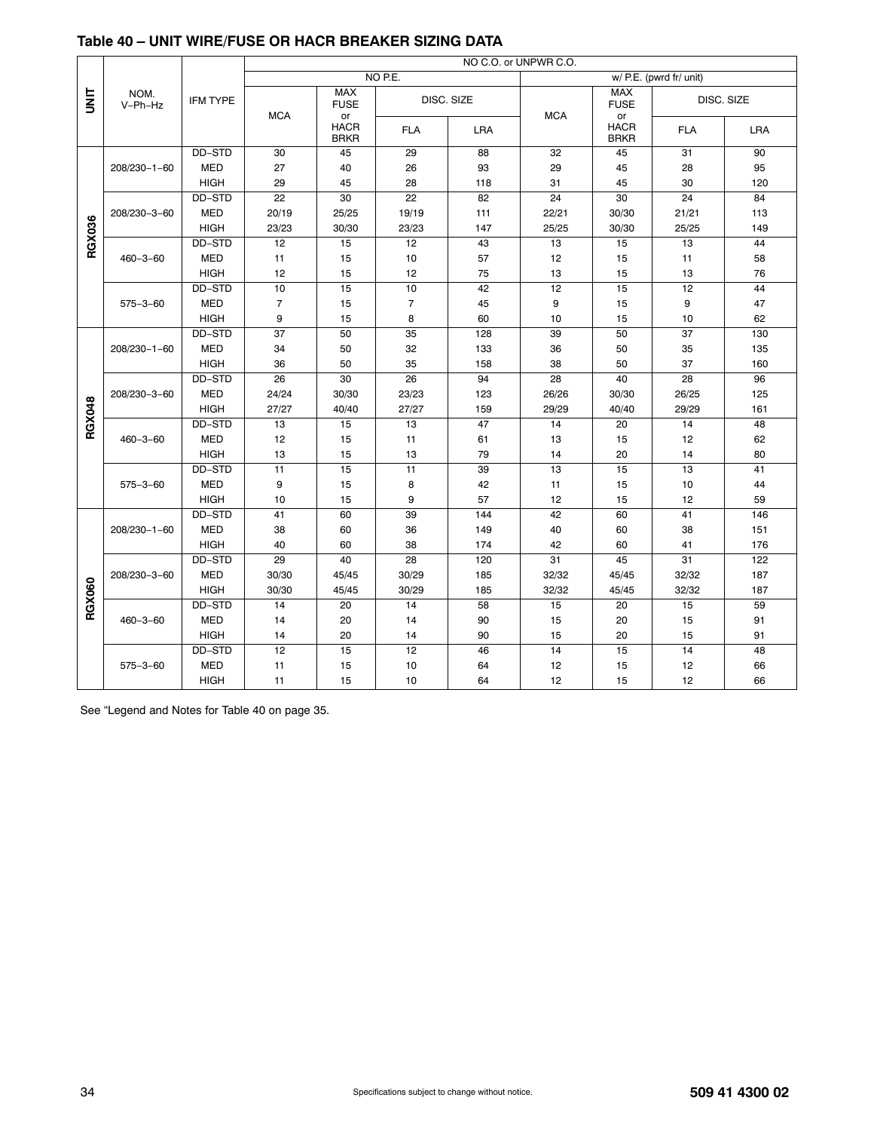|               |                    |                 | NO C.O. or UNPWR C.O. |                                  |                |            |            |                                  |                         |            |
|---------------|--------------------|-----------------|-----------------------|----------------------------------|----------------|------------|------------|----------------------------------|-------------------------|------------|
|               |                    |                 |                       |                                  | NO P.E.        |            |            |                                  | w/ P.E. (pwrd fr/ unit) |            |
| is<br>S       | NOM.<br>V-Ph-Hz    | <b>IFM TYPE</b> |                       | <b>MAX</b><br><b>FUSE</b>        | DISC. SIZE     |            |            | <b>MAX</b><br><b>FUSE</b>        |                         | DISC. SIZE |
|               |                    |                 | <b>MCA</b>            | or<br><b>HACR</b><br><b>BRKR</b> | <b>FLA</b>     | <b>LRA</b> | <b>MCA</b> | or<br><b>HACR</b><br><b>BRKR</b> | <b>FLA</b>              | <b>LRA</b> |
|               |                    | DD-STD          | 30                    | 45                               | 29             | 88         | 32         | 45                               | 31                      | 90         |
|               | $208/230 - 1 - 60$ | <b>MED</b>      | 27                    | 40                               | 26             | 93         | 29         | 45                               | 28                      | 95         |
|               |                    | <b>HIGH</b>     | 29                    | 45                               | 28             | 118        | 31         | 45                               | 30                      | 120        |
|               |                    | DD-STD          | 22                    | 30                               | 22             | 82         | 24         | 30                               | 24                      | 84         |
|               | 208/230-3-60       | <b>MED</b>      | 20/19                 | 25/25                            | 19/19          | 111        | 22/21      | 30/30                            | 21/21                   | 113        |
|               |                    | <b>HIGH</b>     | 23/23                 | 30/30                            | 23/23          | 147        | 25/25      | 30/30                            | 25/25                   | 149        |
| <b>RGX036</b> |                    | DD-STD          | 12                    | 15                               | 12             | 43         | 13         | 15                               | 13                      | 44         |
|               | $460 - 3 - 60$     | <b>MED</b>      | 11                    | 15                               | 10             | 57         | 12         | 15                               | 11                      | 58         |
|               |                    | <b>HIGH</b>     | 12                    | 15                               | 12             | 75         | 13         | 15                               | 13                      | 76         |
|               |                    | DD-STD          | 10                    | $\overline{15}$                  | 10             | 42         | 12         | 15                               | 12                      | 44         |
|               | $575 - 3 - 60$     | <b>MED</b>      | 7                     | 15                               | $\overline{7}$ | 45         | 9          | 15                               | 9                       | 47         |
|               |                    | <b>HIGH</b>     | 9                     | 15                               | 8              | 60         | 10         | 15                               | 10                      | 62         |
|               |                    | DD-STD          | 37                    | 50                               | 35             | 128        | 39         | 50                               | 37                      | 130        |
|               | $208/230 - 1 - 60$ | <b>MED</b>      | 34                    | 50                               | 32             | 133        | 36         | 50                               | 35                      | 135        |
|               |                    | <b>HIGH</b>     | 36                    | 50                               | 35             | 158        | 38         | 50                               | 37                      | 160        |
|               |                    | DD-STD          | 26                    | 30                               | 26             | 94         | 28         | 40                               | $\overline{28}$         | 96         |
|               | 208/230-3-60       | <b>MED</b>      | 24/24                 | 30/30                            | 23/23          | 123        | 26/26      | 30/30                            | 26/25                   | 125        |
|               |                    | <b>HIGH</b>     | 27/27                 | 40/40                            | 27/27          | 159        | 29/29      | 40/40                            | 29/29                   | 161        |
| RGX048        |                    | DD-STD          | 13                    | 15                               | 13             | 47         | 14         | 20                               | 14                      | 48         |
|               | $460 - 3 - 60$     | <b>MED</b>      | 12                    | 15                               | 11             | 61         | 13         | 15                               | 12                      | 62         |
|               |                    | <b>HIGH</b>     | 13                    | 15                               | 13             | 79         | 14         | 20                               | 14                      | 80         |
|               |                    | DD-STD          | 11                    | 15                               | 11             | 39         | 13         | 15                               | 13                      | 41         |
|               | $575 - 3 - 60$     | <b>MED</b>      | 9                     | 15                               | 8              | 42         | 11         | 15                               | 10                      | 44         |
|               |                    | <b>HIGH</b>     | 10                    | 15                               | 9              | 57         | 12         | 15                               | 12                      | 59         |
|               |                    | DD-STD          | 41                    | 60                               | 39             | 144        | 42         | 60                               | 41                      | 146        |
|               | $208/230 - 1 - 60$ | <b>MED</b>      | 38                    | 60                               | 36             | 149        | 40         | 60                               | 38                      | 151        |
|               |                    | <b>HIGH</b>     | 40                    | 60                               | 38             | 174        | 42         | 60                               | 41                      | 176        |
|               |                    | DD-STD          | 29                    | 40                               | 28             | 120        | 31         | 45                               | 31                      | 122        |
|               | 208/230-3-60       | <b>MED</b>      | 30/30                 | 45/45                            | 30/29          | 185        | 32/32      | 45/45                            | 32/32                   | 187        |
|               |                    | <b>HIGH</b>     | 30/30                 | 45/45                            | 30/29          | 185        | 32/32      | 45/45                            | 32/32                   | 187        |
| RGX060        |                    | DD-STD          | 14                    | 20                               | 14             | 58         | 15         | 20                               | $\overline{15}$         | 59         |
|               | $460 - 3 - 60$     | <b>MED</b>      | 14                    | 20                               | 14             | 90         | 15         | 20                               | 15                      | 91         |
|               |                    | <b>HIGH</b>     | 14                    | 20                               | 14             | 90         | 15         | 20                               | 15                      | 91         |
|               |                    | DD-STD          | 12                    | 15                               | 12             | 46         | 14         | 15                               | 14                      | 48         |
|               | $575 - 3 - 60$     | <b>MED</b>      | 11                    | 15                               | 10             | 64         | 12         | 15                               | 12                      | 66         |
|               |                    | <b>HIGH</b>     | 11                    | 15                               | 10             | 64         | 12         | 15                               | 12                      | 66         |

# <span id="page-33-0"></span>**Table 40 – UNIT WIRE/FUSE OR HACR BREAKER SIZING DATA**

See "Legend and Notes for Table 40 on page [35.](#page-34-0)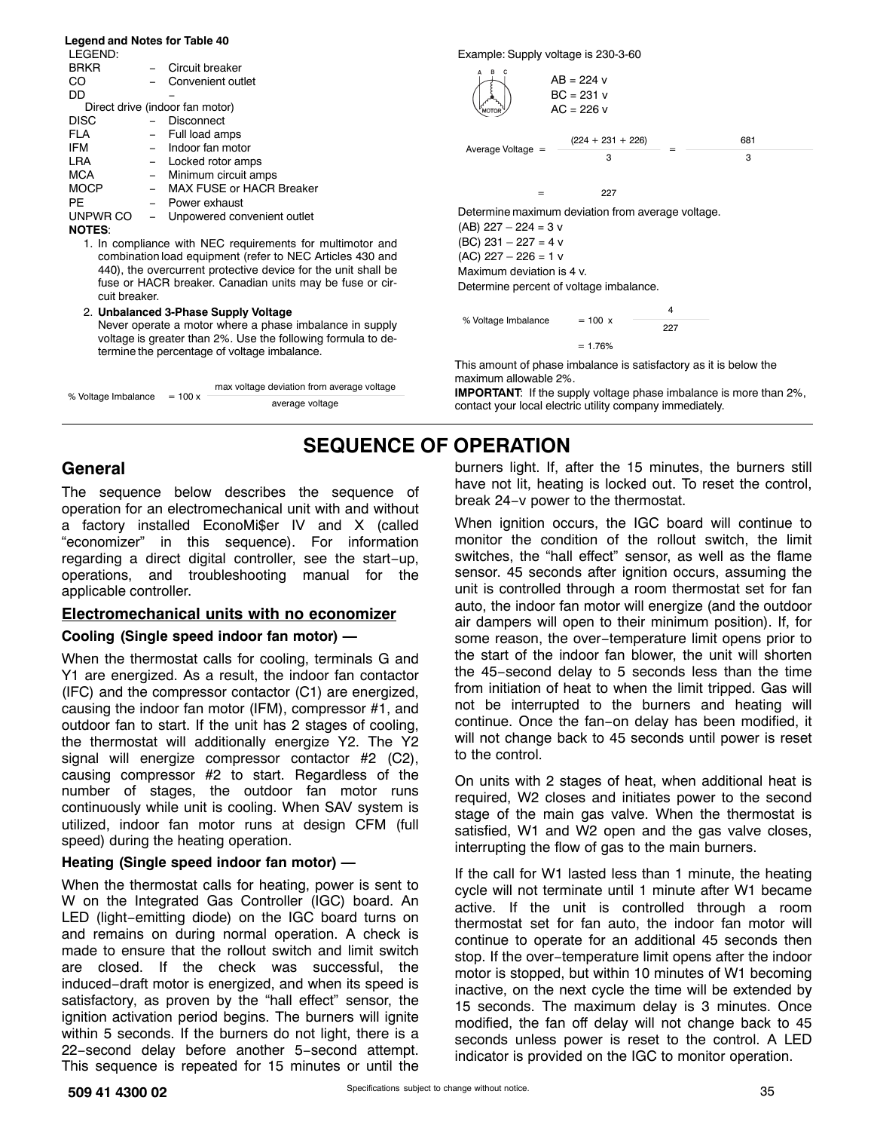#### <span id="page-34-0"></span>**Legend and Notes for Table [40](#page-33-0)**

| LEGEND:       |                                 |
|---------------|---------------------------------|
| <b>BRKR</b>   | Circuit breaker                 |
| ററ            | Convenient outlet               |
| חח            |                                 |
|               | Direct drive (indoor fan motor) |
| <b>DISC</b>   | Disconnect                      |
| FLA           | - Full load amps                |
| <b>IFM</b>    | - Indoor fan motor              |
| <b>LRA</b>    | Locked rotor amps               |
| <b>MCA</b>    | Minimum circuit amps            |
| <b>MOCP</b>   | MAX FUSE or HACR Breaker        |
| PF            | Power exhaust                   |
| UNPWR CO      | Unpowered convenient outlet     |
| <b>NOTES:</b> |                                 |

1. In compliance with NEC requirements for multimotor and combination load equipment (refer to NEC Articles 430 and 440), the overcurrent protective device for the unit shall be fuse or HACR breaker. Canadian units may be fuse or circuit breaker.

2. **Unbalanced 3-Phase Supply Voltage** Never operate a motor where a phase imbalance in supply voltage is greater than 2%. Use the following formula to determine the percentage of voltage imbalance.

|                     |           | max voltage deviation from average voltage |
|---------------------|-----------|--------------------------------------------|
| % Voltage Imbalance | $= 100 x$ | average voltage                            |

Example: Supply voltage is 230-3-60



% Voltage Imbalance  $= 100 \times 100$ 4 227  $= 1.76%$ 

This amount of phase imbalance is satisfactory as it is below the maximum allowable 2%.

**IMPORTANT**: If the supply voltage phase imbalance is more than 2%, contact your local electric utility company immediately.

# **SEQUENCE OF OPERATION**

#### **General**

The sequence below describes the sequence of operation for an electromechanical unit with and without a factory installed EconoMi\$er IV and X (called "economizer" in this sequence). For information regarding a direct digital controller, see the start−up, operations, and troubleshooting manual for the applicable controller.

#### **Electromechanical units with no economizer**

#### **Cooling (Single speed indoor fan motor) —**

When the thermostat calls for cooling, terminals G and Y1 are energized. As a result, the indoor fan contactor (IFC) and the compressor contactor (C1) are energized, causing the indoor fan motor (IFM), compressor #1, and outdoor fan to start. If the unit has 2 stages of cooling, the thermostat will additionally energize Y2. The Y2 signal will energize compressor contactor #2 (C2), causing compressor #2 to start. Regardless of the number of stages, the outdoor fan motor runs continuously while unit is cooling. When SAV system is utilized, indoor fan motor runs at design CFM (full speed) during the heating operation.

#### **Heating (Single speed indoor fan motor) —**

When the thermostat calls for heating, power is sent to W on the Integrated Gas Controller (IGC) board. An LED (light−emitting diode) on the IGC board turns on and remains on during normal operation. A check is made to ensure that the rollout switch and limit switch are closed. If the check was successful, the induced−draft motor is energized, and when its speed is satisfactory, as proven by the "hall effect" sensor, the ignition activation period begins. The burners will ignite within 5 seconds. If the burners do not light, there is a 22−second delay before another 5−second attempt. This sequence is repeated for 15 minutes or until the

burners light. If, after the 15 minutes, the burners still have not lit, heating is locked out. To reset the control, break 24−v power to the thermostat.

When ignition occurs, the IGC board will continue to monitor the condition of the rollout switch, the limit switches, the "hall effect" sensor, as well as the flame sensor. 45 seconds after ignition occurs, assuming the unit is controlled through a room thermostat set for fan auto, the indoor fan motor will energize (and the outdoor air dampers will open to their minimum position). If, for some reason, the over−temperature limit opens prior to the start of the indoor fan blower, the unit will shorten the 45−second delay to 5 seconds less than the time from initiation of heat to when the limit tripped. Gas will not be interrupted to the burners and heating will continue. Once the fan−on delay has been modified, it will not change back to 45 seconds until power is reset to the control.

On units with 2 stages of heat, when additional heat is required, W2 closes and initiates power to the second stage of the main gas valve. When the thermostat is satisfied, W1 and W2 open and the gas valve closes, interrupting the flow of gas to the main burners.

If the call for W1 lasted less than 1 minute, the heating cycle will not terminate until 1 minute after W1 became active. If the unit is controlled through a room thermostat set for fan auto, the indoor fan motor will continue to operate for an additional 45 seconds then stop. If the over−temperature limit opens after the indoor motor is stopped, but within 10 minutes of W1 becoming inactive, on the next cycle the time will be extended by 15 seconds. The maximum delay is 3 minutes. Once modified, the fan off delay will not change back to 45 seconds unless power is reset to the control. A LED indicator is provided on the IGC to monitor operation.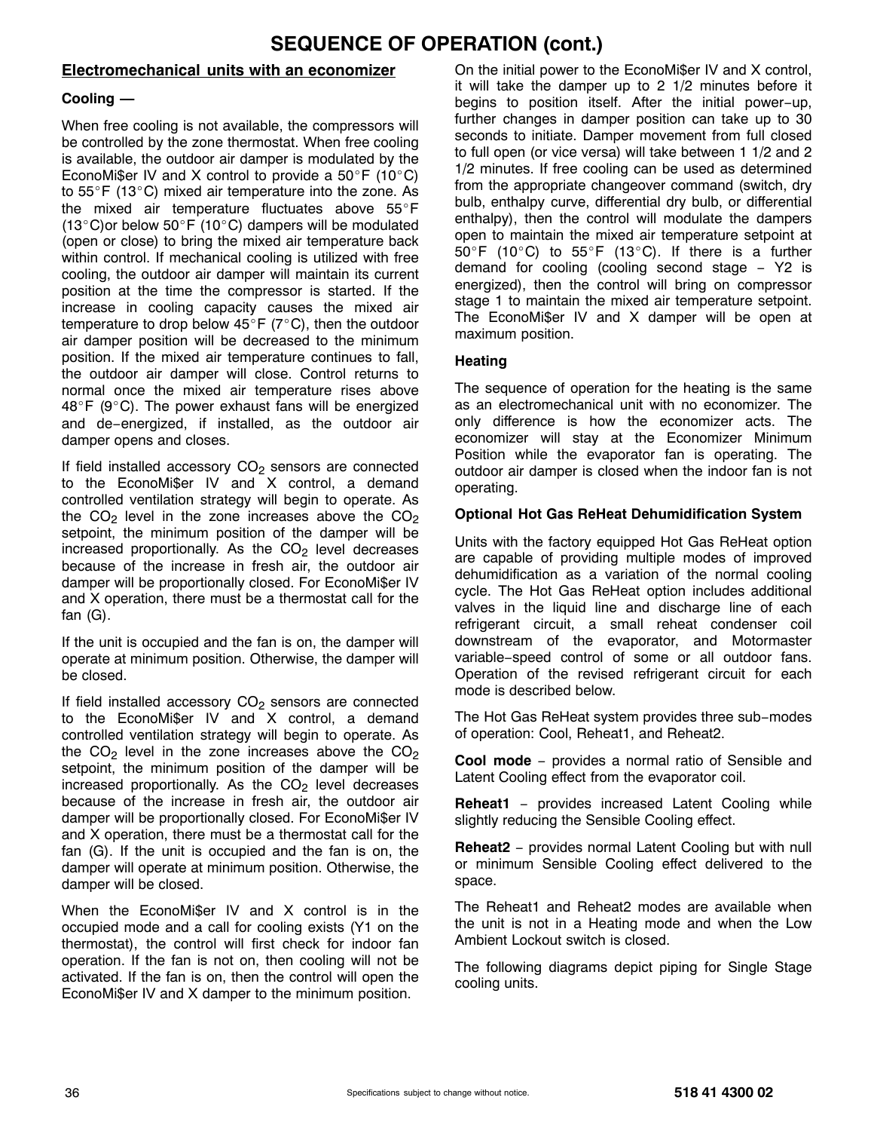# **SEQUENCE OF OPERATION (cont.)**

### **Electromechanical units with an economizer**

### **Cooling —**

When free cooling is not available, the compressors will be controlled by the zone thermostat. When free cooling is available, the outdoor air damper is modulated by the EconoMi\$er IV and X control to provide a  $50^{\circ}$ F (10 $^{\circ}$ C) to  $55^{\circ}$ F (13 $^{\circ}$ C) mixed air temperature into the zone. As the mixed air temperature fluctuates above  $55^{\circ}$ F (13 $^{\circ}$ C)or below 50 $^{\circ}$ F (10 $^{\circ}$ C) dampers will be modulated (open or close) to bring the mixed air temperature back within control. If mechanical cooling is utilized with free cooling, the outdoor air damper will maintain its current position at the time the compressor is started. If the increase in cooling capacity causes the mixed air temperature to drop below  $45^{\circ}$  F (7°C), then the outdoor air damper position will be decreased to the minimum position. If the mixed air temperature continues to fall, the outdoor air damper will close. Control returns to normal once the mixed air temperature rises above  $48^{\circ}$ F (9 $^{\circ}$ C). The power exhaust fans will be energized and de−energized, if installed, as the outdoor air damper opens and closes.

If field installed accessory  $CO<sub>2</sub>$  sensors are connected to the EconoMi\$er IV and X control, a demand controlled ventilation strategy will begin to operate. As the CO<sub>2</sub> level in the zone increases above the CO<sub>2</sub> setpoint, the minimum position of the damper will be increased proportionally. As the  $CO<sub>2</sub>$  level decreases because of the increase in fresh air, the outdoor air damper will be proportionally closed. For EconoMi\$er IV and X operation, there must be a thermostat call for the fan (G).

If the unit is occupied and the fan is on, the damper will operate at minimum position. Otherwise, the damper will be closed.

If field installed accessory CO<sub>2</sub> sensors are connected to the EconoMi\$er IV and X control, a demand controlled ventilation strategy will begin to operate. As the  $CO<sub>2</sub>$  level in the zone increases above the  $CO<sub>2</sub>$ setpoint, the minimum position of the damper will be increased proportionally. As the  $CO<sub>2</sub>$  level decreases because of the increase in fresh air, the outdoor air damper will be proportionally closed. For EconoMi\$er IV and X operation, there must be a thermostat call for the fan (G). If the unit is occupied and the fan is on, the damper will operate at minimum position. Otherwise, the damper will be closed.

When the EconoMi\$er IV and X control is in the occupied mode and a call for cooling exists (Y1 on the thermostat), the control will first check for indoor fan operation. If the fan is not on, then cooling will not be activated. If the fan is on, then the control will open the EconoMi\$er IV and X damper to the minimum position.

On the initial power to the EconoMi\$er IV and X control, it will take the damper up to 2 1/2 minutes before it begins to position itself. After the initial power−up, further changes in damper position can take up to 30 seconds to initiate. Damper movement from full closed to full open (or vice versa) will take between 1 1/2 and 2 1/2 minutes. If free cooling can be used as determined from the appropriate changeover command (switch, dry bulb, enthalpy curve, differential dry bulb, or differential enthalpy), then the control will modulate the dampers open to maintain the mixed air temperature setpoint at  $50^{\circ}$ F (10 $^{\circ}$ C) to  $55^{\circ}$ F (13 $^{\circ}$ C). If there is a further demand for cooling (cooling second stage − Y2 is energized), then the control will bring on compressor stage 1 to maintain the mixed air temperature setpoint. The EconoMi\$er IV and X damper will be open at maximum position.

#### **Heating**

The sequence of operation for the heating is the same as an electromechanical unit with no economizer. The only difference is how the economizer acts. The economizer will stay at the Economizer Minimum Position while the evaporator fan is operating. The outdoor air damper is closed when the indoor fan is not operating.

#### **Optional Hot Gas ReHeat Dehumidification System**

Units with the factory equipped Hot Gas ReHeat option are capable of providing multiple modes of improved dehumidification as a variation of the normal cooling cycle. The Hot Gas ReHeat option includes additional valves in the liquid line and discharge line of each refrigerant circuit, a small reheat condenser coil downstream of the evaporator, and Motormaster variable−speed control of some or all outdoor fans. Operation of the revised refrigerant circuit for each mode is described below.

The Hot Gas ReHeat system provides three sub−modes of operation: Cool, Reheat1, and Reheat2.

**Cool mode** − provides a normal ratio of Sensible and Latent Cooling effect from the evaporator coil.

**Reheat1** − provides increased Latent Cooling while slightly reducing the Sensible Cooling effect.

**Reheat2** − provides normal Latent Cooling but with null or minimum Sensible Cooling effect delivered to the space.

The Reheat1 and Reheat2 modes are available when the unit is not in a Heating mode and when the Low Ambient Lockout switch is closed.

The following diagrams depict piping for Single Stage cooling units.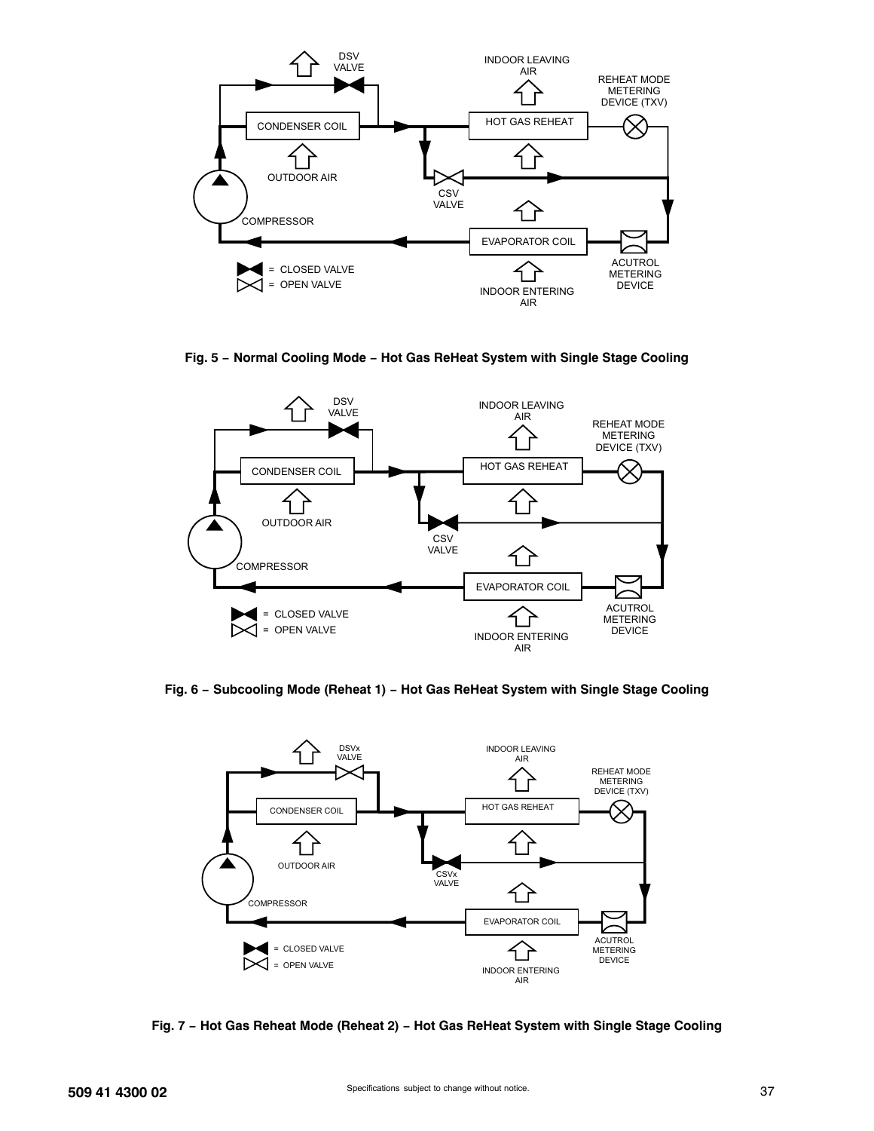

**Fig. 5 − Normal Cooling Mode − Hot Gas ReHeat System with Single Stage Cooling**



**Fig. 6 − Subcooling Mode (Reheat 1) − Hot Gas ReHeat System with Single Stage Cooling**



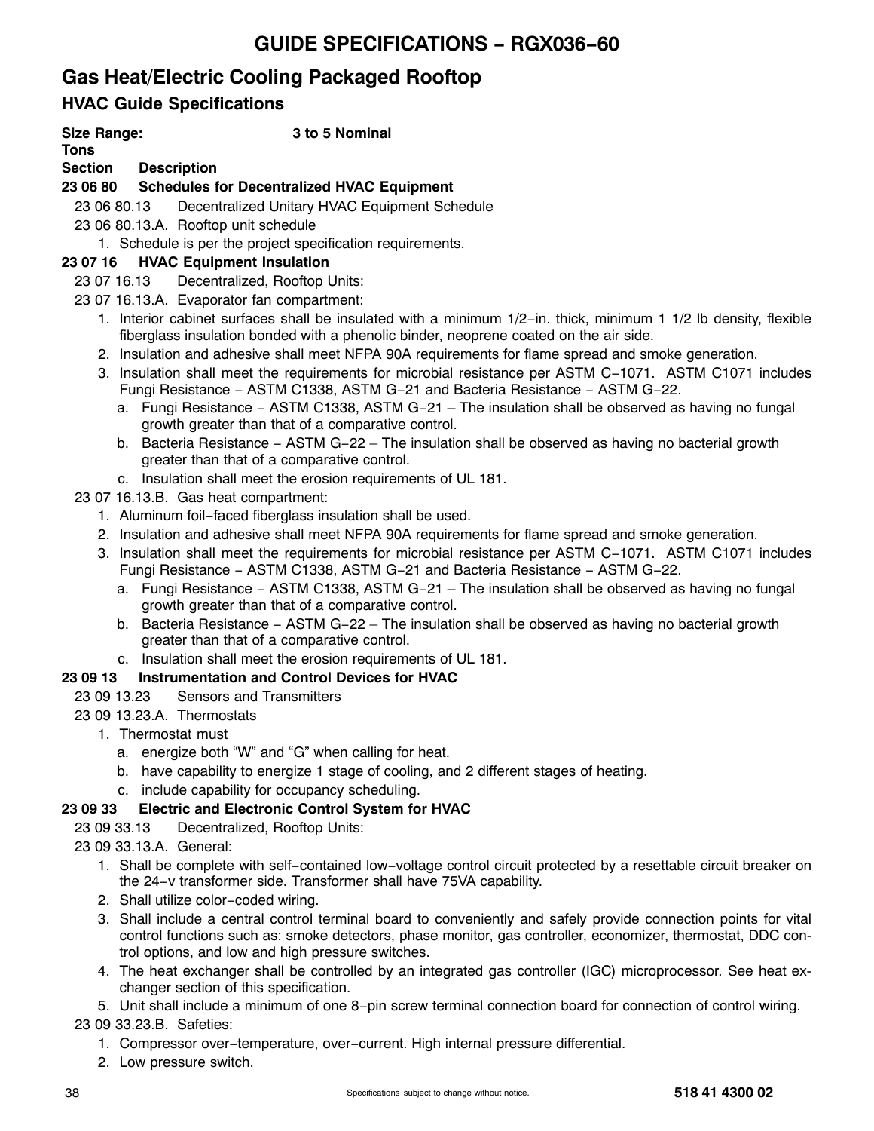# **GUIDE SPECIFICATIONS − RGX036−60**

# **Gas Heat/Electric Cooling Packaged Rooftop**

# **HVAC Guide Specifications**

### **Size Range: 3 to 5 Nominal**

**Tons**

### **Section Description**

## **23 06 80 Schedules for Decentralized HVAC Equipment**

23 06 80.13 Decentralized Unitary HVAC Equipment Schedule

- 23 06 80.13.A. Rooftop unit schedule
	- 1. Schedule is per the project specification requirements.

### **23 07 16 HVAC Equipment Insulation**

### 23 07 16.13 Decentralized, Rooftop Units:

- 23 07 16.13.A. Evaporator fan compartment:
	- 1. Interior cabinet surfaces shall be insulated with a minimum 1/2−in. thick, minimum 1 1/2 lb density, flexible fiberglass insulation bonded with a phenolic binder, neoprene coated on the air side.
	- 2. Insulation and adhesive shall meet NFPA 90A requirements for flame spread and smoke generation.
	- 3. Insulation shall meet the requirements for microbial resistance per ASTM C−1071. ASTM C1071 includes Fungi Resistance − ASTM C1338, ASTM G−21 and Bacteria Resistance − ASTM G−22.
		- a. Fungi Resistance − ASTM C1338, ASTM G−21 The insulation shall be observed as having no fungal growth greater than that of a comparative control.
		- b. Bacteria Resistance − ASTM G−22 The insulation shall be observed as having no bacterial growth greater than that of a comparative control.
		- c. Insulation shall meet the erosion requirements of UL 181.
- 23 07 16.13.B. Gas heat compartment:
	- 1. Aluminum foil−faced fiberglass insulation shall be used.
	- 2. Insulation and adhesive shall meet NFPA 90A requirements for flame spread and smoke generation.
	- 3. Insulation shall meet the requirements for microbial resistance per ASTM C−1071. ASTM C1071 includes Fungi Resistance − ASTM C1338, ASTM G−21 and Bacteria Resistance − ASTM G−22.
		- a. Fungi Resistance − ASTM C1338, ASTM G−21 The insulation shall be observed as having no fungal growth greater than that of a comparative control.
		- b. Bacteria Resistance − ASTM G−22 The insulation shall be observed as having no bacterial growth greater than that of a comparative control.
- c. Insulation shall meet the erosion requirements of UL 181.

## **23 09 13 Instrumentation and Control Devices for HVAC**

- 23 09 13.23 Sensors and Transmitters
- 23 09 13.23.A. Thermostats
	- 1. Thermostat must
		- a. energize both "W" and "G" when calling for heat.
		- b. have capability to energize 1 stage of cooling, and 2 different stages of heating.
		- c. include capability for occupancy scheduling.

## **23 09 33 Electric and Electronic Control System for HVAC**

### 23 09 33.13 Decentralized, Rooftop Units:

- 23 09 33.13.A. General:
	- 1. Shall be complete with self−contained low−voltage control circuit protected by a resettable circuit breaker on the 24−v transformer side. Transformer shall have 75VA capability.
	- 2. Shall utilize color−coded wiring.
	- 3. Shall include a central control terminal board to conveniently and safely provide connection points for vital control functions such as: smoke detectors, phase monitor, gas controller, economizer, thermostat, DDC control options, and low and high pressure switches.
	- 4. The heat exchanger shall be controlled by an integrated gas controller (IGC) microprocessor. See heat exchanger section of this specification.
	- 5. Unit shall include a minimum of one 8−pin screw terminal connection board for connection of control wiring.

### 23 09 33.23.B. Safeties:

- 1. Compressor over−temperature, over−current. High internal pressure differential.
- 2. Low pressure switch.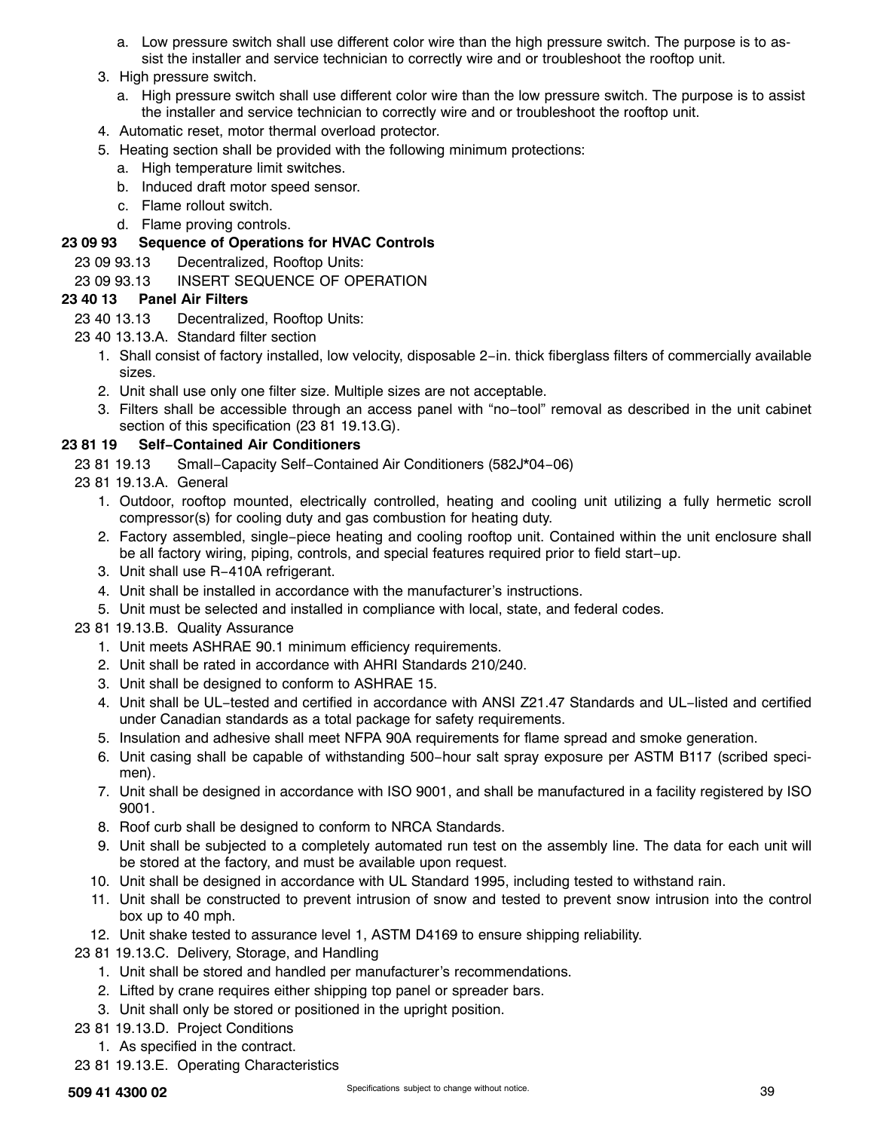- a. Low pressure switch shall use different color wire than the high pressure switch. The purpose is to assist the installer and service technician to correctly wire and or troubleshoot the rooftop unit.
- 3. High pressure switch.
	- a. High pressure switch shall use different color wire than the low pressure switch. The purpose is to assist the installer and service technician to correctly wire and or troubleshoot the rooftop unit.
- 4. Automatic reset, motor thermal overload protector.
- 5. Heating section shall be provided with the following minimum protections:
	- a. High temperature limit switches.
	- b. Induced draft motor speed sensor.
	- c. Flame rollout switch.
	- d. Flame proving controls.

### **23 09 93 Sequence of Operations for HVAC Controls**

23 09 93.13 Decentralized, Rooftop Units:

#### 23 09 93.13 INSERT SEQUENCE OF OPERATION

#### **23 40 13 Panel Air Filters**

- 23 40 13.13 Decentralized, Rooftop Units:
- 23 40 13.13.A. Standard filter section
	- 1. Shall consist of factory installed, low velocity, disposable 2−in. thick fiberglass filters of commercially available sizes.
	- 2. Unit shall use only one filter size. Multiple sizes are not acceptable.
	- 3. Filters shall be accessible through an access panel with "no−tool" removal as described in the unit cabinet section of this specification (23 81 19.13.G).

#### **23 81 19 Self−Contained Air Conditioners**

- 23 81 19.13 Small−Capacity Self−Contained Air Conditioners (582J\*04−06)
- 23 81 19.13.A. General
	- 1. Outdoor, rooftop mounted, electrically controlled, heating and cooling unit utilizing a fully hermetic scroll compressor(s) for cooling duty and gas combustion for heating duty.
	- 2. Factory assembled, single−piece heating and cooling rooftop unit. Contained within the unit enclosure shall be all factory wiring, piping, controls, and special features required prior to field start−up.
	- 3. Unit shall use R−410A refrigerant.
	- 4. Unit shall be installed in accordance with the manufacturer's instructions.
	- 5. Unit must be selected and installed in compliance with local, state, and federal codes.
- 23 81 19.13.B. Quality Assurance
	- 1. Unit meets ASHRAE 90.1 minimum efficiency requirements.
	- 2. Unit shall be rated in accordance with AHRI Standards 210/240.
	- 3. Unit shall be designed to conform to ASHRAE 15.
	- 4. Unit shall be UL−tested and certified in accordance with ANSI Z21.47 Standards and UL−listed and certified under Canadian standards as a total package for safety requirements.
	- 5. Insulation and adhesive shall meet NFPA 90A requirements for flame spread and smoke generation.
	- 6. Unit casing shall be capable of withstanding 500−hour salt spray exposure per ASTM B117 (scribed specimen).
	- 7. Unit shall be designed in accordance with ISO 9001, and shall be manufactured in a facility registered by ISO 9001.
	- 8. Roof curb shall be designed to conform to NRCA Standards.
	- 9. Unit shall be subjected to a completely automated run test on the assembly line. The data for each unit will be stored at the factory, and must be available upon request.
	- 10. Unit shall be designed in accordance with UL Standard 1995, including tested to withstand rain.
	- 11. Unit shall be constructed to prevent intrusion of snow and tested to prevent snow intrusion into the control box up to 40 mph.
	- 12. Unit shake tested to assurance level 1, ASTM D4169 to ensure shipping reliability.
- 23 81 19.13.C. Delivery, Storage, and Handling
	- 1. Unit shall be stored and handled per manufacturer's recommendations.
	- 2. Lifted by crane requires either shipping top panel or spreader bars.
	- 3. Unit shall only be stored or positioned in the upright position.
- 23 81 19.13.D. Project Conditions
	- 1. As specified in the contract.
- 23 81 19.13.E. Operating Characteristics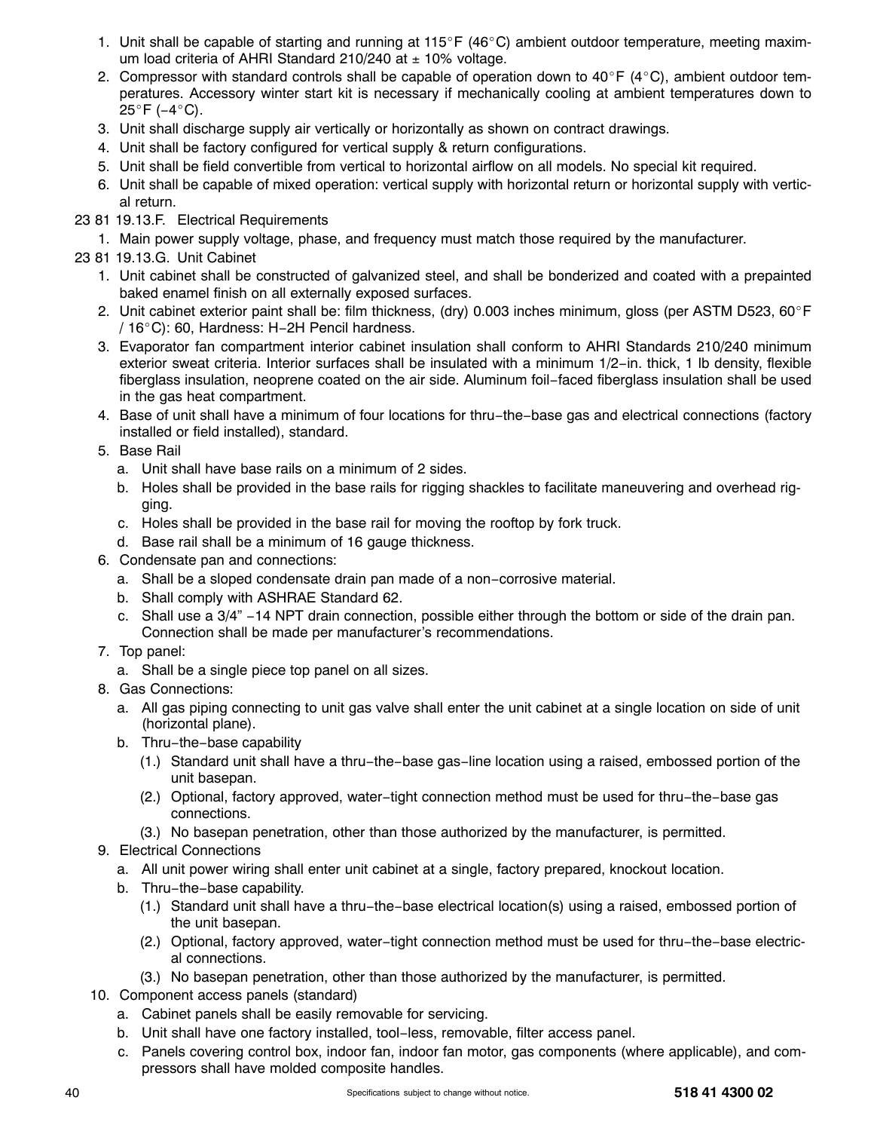- 1. Unit shall be capable of starting and running at  $115^{\circ}F$  (46°C) ambient outdoor temperature, meeting maximum load criteria of AHRI Standard 210/240 at  $\pm$  10% voltage.
- 2. Compressor with standard controls shall be capable of operation down to 40°F (4°C), ambient outdoor temperatures. Accessory winter start kit is necessary if mechanically cooling at ambient temperatures down to 25°F (−4°C).
- 3. Unit shall discharge supply air vertically or horizontally as shown on contract drawings.
- 4. Unit shall be factory configured for vertical supply & return configurations.
- 5. Unit shall be field convertible from vertical to horizontal airflow on all models. No special kit required.
- 6. Unit shall be capable of mixed operation: vertical supply with horizontal return or horizontal supply with vertical return.
- 23 81 19.13.F. Electrical Requirements
	- 1. Main power supply voltage, phase, and frequency must match those required by the manufacturer.
- 23 81 19.13.G. Unit Cabinet
	- 1. Unit cabinet shall be constructed of galvanized steel, and shall be bonderized and coated with a prepainted baked enamel finish on all externally exposed surfaces.
	- 2. Unit cabinet exterior paint shall be: film thickness, (dry) 0.003 inches minimum, gloss (per ASTM D523, 60°F / 16C): 60, Hardness: H−2H Pencil hardness.
	- 3. Evaporator fan compartment interior cabinet insulation shall conform to AHRI Standards 210/240 minimum exterior sweat criteria. Interior surfaces shall be insulated with a minimum 1/2−in. thick, 1 lb density, flexible fiberglass insulation, neoprene coated on the air side. Aluminum foil−faced fiberglass insulation shall be used in the gas heat compartment.
	- 4. Base of unit shall have a minimum of four locations for thru−the−base gas and electrical connections (factory installed or field installed), standard.
	- 5. Base Rail
		- a. Unit shall have base rails on a minimum of 2 sides.
		- b. Holes shall be provided in the base rails for rigging shackles to facilitate maneuvering and overhead rigging.
		- c. Holes shall be provided in the base rail for moving the rooftop by fork truck.
		- d. Base rail shall be a minimum of 16 gauge thickness.
	- 6. Condensate pan and connections:
		- a. Shall be a sloped condensate drain pan made of a non−corrosive material.
		- b. Shall comply with ASHRAE Standard 62.
		- c. Shall use a 3/4" −14 NPT drain connection, possible either through the bottom or side of the drain pan. Connection shall be made per manufacturer's recommendations.
	- 7. Top panel:
		- a. Shall be a single piece top panel on all sizes.
	- 8. Gas Connections:
		- a. All gas piping connecting to unit gas valve shall enter the unit cabinet at a single location on side of unit (horizontal plane).
		- b. Thru−the−base capability
			- (1.) Standard unit shall have a thru−the−base gas−line location using a raised, embossed portion of the unit basepan.
			- (2.) Optional, factory approved, water−tight connection method must be used for thru−the−base gas connections.
			- (3.) No basepan penetration, other than those authorized by the manufacturer, is permitted.
	- 9. Electrical Connections
		- a. All unit power wiring shall enter unit cabinet at a single, factory prepared, knockout location.
		- b. Thru−the−base capability.
			- (1.) Standard unit shall have a thru−the−base electrical location(s) using a raised, embossed portion of the unit basepan.
			- (2.) Optional, factory approved, water−tight connection method must be used for thru−the−base electrical connections.
			- (3.) No basepan penetration, other than those authorized by the manufacturer, is permitted.
	- 10. Component access panels (standard)
		- a. Cabinet panels shall be easily removable for servicing.
		- b. Unit shall have one factory installed, tool−less, removable, filter access panel.
		- c. Panels covering control box, indoor fan, indoor fan motor, gas components (where applicable), and compressors shall have molded composite handles.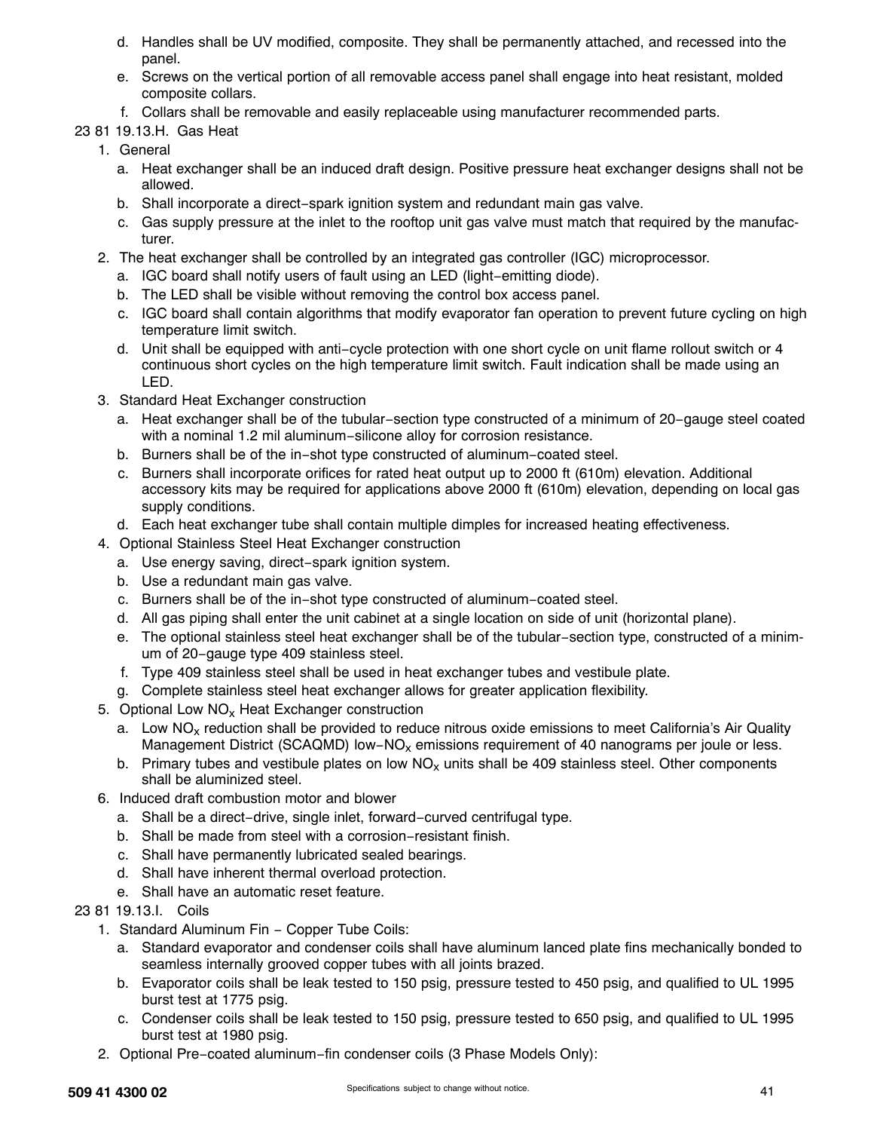- d. Handles shall be UV modified, composite. They shall be permanently attached, and recessed into the panel.
- e. Screws on the vertical portion of all removable access panel shall engage into heat resistant, molded composite collars.
- f. Collars shall be removable and easily replaceable using manufacturer recommended parts.
- 23 81 19.13.H. Gas Heat
	- 1. General
		- a. Heat exchanger shall be an induced draft design. Positive pressure heat exchanger designs shall not be allowed.
		- b. Shall incorporate a direct−spark ignition system and redundant main gas valve.
		- c. Gas supply pressure at the inlet to the rooftop unit gas valve must match that required by the manufacturer.
	- 2. The heat exchanger shall be controlled by an integrated gas controller (IGC) microprocessor.
		- a. IGC board shall notify users of fault using an LED (light−emitting diode).
		- b. The LED shall be visible without removing the control box access panel.
		- c. IGC board shall contain algorithms that modify evaporator fan operation to prevent future cycling on high temperature limit switch.
		- d. Unit shall be equipped with anti−cycle protection with one short cycle on unit flame rollout switch or 4 continuous short cycles on the high temperature limit switch. Fault indication shall be made using an LED.
	- 3. Standard Heat Exchanger construction
		- a. Heat exchanger shall be of the tubular−section type constructed of a minimum of 20−gauge steel coated with a nominal 1.2 mil aluminum−silicone alloy for corrosion resistance.
		- b. Burners shall be of the in−shot type constructed of aluminum−coated steel.
		- c. Burners shall incorporate orifices for rated heat output up to 2000 ft (610m) elevation. Additional accessory kits may be required for applications above 2000 ft (610m) elevation, depending on local gas supply conditions.
		- d. Each heat exchanger tube shall contain multiple dimples for increased heating effectiveness.
	- 4. Optional Stainless Steel Heat Exchanger construction
		- a. Use energy saving, direct−spark ignition system.
		- b. Use a redundant main gas valve.
		- c. Burners shall be of the in−shot type constructed of aluminum−coated steel.
		- d. All gas piping shall enter the unit cabinet at a single location on side of unit (horizontal plane).
		- e. The optional stainless steel heat exchanger shall be of the tubular−section type, constructed of a minimum of 20−gauge type 409 stainless steel.
		- f. Type 409 stainless steel shall be used in heat exchanger tubes and vestibule plate.
		- g. Complete stainless steel heat exchanger allows for greater application flexibility.
	- 5. Optional Low  $NO<sub>x</sub>$  Heat Exchanger construction
		- a. Low NO<sub>x</sub> reduction shall be provided to reduce nitrous oxide emissions to meet California's Air Quality Management District (SCAQMD) low−NO<sub>x</sub> emissions requirement of 40 nanograms per joule or less.
		- b. Primary tubes and vestibule plates on low  $NO<sub>x</sub>$  units shall be 409 stainless steel. Other components shall be aluminized steel.
	- 6. Induced draft combustion motor and blower
		- a. Shall be a direct−drive, single inlet, forward−curved centrifugal type.
		- b. Shall be made from steel with a corrosion−resistant finish.
		- c. Shall have permanently lubricated sealed bearings.
		- d. Shall have inherent thermal overload protection.
		- e. Shall have an automatic reset feature.
- 23 81 19.13.I. Coils
	- 1. Standard Aluminum Fin Copper Tube Coils:
		- a. Standard evaporator and condenser coils shall have aluminum lanced plate fins mechanically bonded to seamless internally grooved copper tubes with all joints brazed.
		- b. Evaporator coils shall be leak tested to 150 psig, pressure tested to 450 psig, and qualified to UL 1995 burst test at 1775 psig.
		- c. Condenser coils shall be leak tested to 150 psig, pressure tested to 650 psig, and qualified to UL 1995 burst test at 1980 psig.
	- 2. Optional Pre−coated aluminum−fin condenser coils (3 Phase Models Only):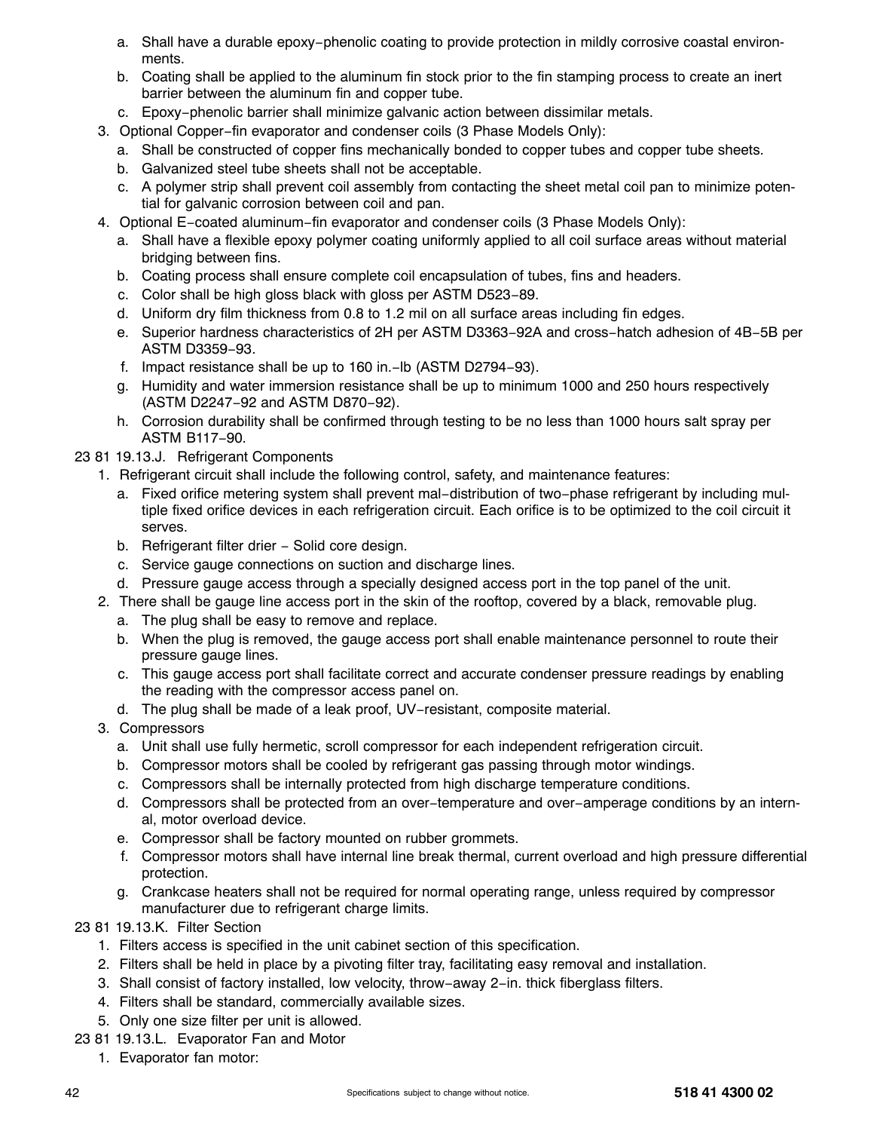- a. Shall have a durable epoxy−phenolic coating to provide protection in mildly corrosive coastal environments.
- b. Coating shall be applied to the aluminum fin stock prior to the fin stamping process to create an inert barrier between the aluminum fin and copper tube.
- c. Epoxy−phenolic barrier shall minimize galvanic action between dissimilar metals.
- 3. Optional Copper−fin evaporator and condenser coils (3 Phase Models Only):
	- a. Shall be constructed of copper fins mechanically bonded to copper tubes and copper tube sheets.
	- b. Galvanized steel tube sheets shall not be acceptable.
	- c. A polymer strip shall prevent coil assembly from contacting the sheet metal coil pan to minimize potential for galvanic corrosion between coil and pan.
- 4. Optional E−coated aluminum−fin evaporator and condenser coils (3 Phase Models Only):
	- a. Shall have a flexible epoxy polymer coating uniformly applied to all coil surface areas without material bridging between fins.
	- b. Coating process shall ensure complete coil encapsulation of tubes, fins and headers.
	- c. Color shall be high gloss black with gloss per ASTM D523−89.
	- d. Uniform dry film thickness from 0.8 to 1.2 mil on all surface areas including fin edges.
	- e. Superior hardness characteristics of 2H per ASTM D3363−92A and cross−hatch adhesion of 4B−5B per ASTM D3359−93.
	- f. Impact resistance shall be up to 160 in.−lb (ASTM D2794−93).
	- g. Humidity and water immersion resistance shall be up to minimum 1000 and 250 hours respectively (ASTM D2247−92 and ASTM D870−92).
	- h. Corrosion durability shall be confirmed through testing to be no less than 1000 hours salt spray per ASTM B117−90.
- 23 81 19.13.J. Refrigerant Components
	- 1. Refrigerant circuit shall include the following control, safety, and maintenance features:
		- a. Fixed orifice metering system shall prevent mal−distribution of two−phase refrigerant by including multiple fixed orifice devices in each refrigeration circuit. Each orifice is to be optimized to the coil circuit it serves.
		- b. Refrigerant filter drier Solid core design.
		- c. Service gauge connections on suction and discharge lines.
		- d. Pressure gauge access through a specially designed access port in the top panel of the unit.
	- 2. There shall be gauge line access port in the skin of the rooftop, covered by a black, removable plug.
		- a. The plug shall be easy to remove and replace.
		- b. When the plug is removed, the gauge access port shall enable maintenance personnel to route their pressure gauge lines.
		- c. This gauge access port shall facilitate correct and accurate condenser pressure readings by enabling the reading with the compressor access panel on.
		- d. The plug shall be made of a leak proof, UV−resistant, composite material.
	- 3. Compressors
		- a. Unit shall use fully hermetic, scroll compressor for each independent refrigeration circuit.
		- b. Compressor motors shall be cooled by refrigerant gas passing through motor windings.
		- c. Compressors shall be internally protected from high discharge temperature conditions.
		- d. Compressors shall be protected from an over−temperature and over−amperage conditions by an internal, motor overload device.
		- e. Compressor shall be factory mounted on rubber grommets.
		- f. Compressor motors shall have internal line break thermal, current overload and high pressure differential protection.
		- g. Crankcase heaters shall not be required for normal operating range, unless required by compressor manufacturer due to refrigerant charge limits.
- 23 81 19.13.K. Filter Section
	- 1. Filters access is specified in the unit cabinet section of this specification.
	- 2. Filters shall be held in place by a pivoting filter tray, facilitating easy removal and installation.
	- 3. Shall consist of factory installed, low velocity, throw−away 2−in. thick fiberglass filters.
	- 4. Filters shall be standard, commercially available sizes.
	- 5. Only one size filter per unit is allowed.
- 23 81 19.13.L. Evaporator Fan and Motor
	- 1. Evaporator fan motor: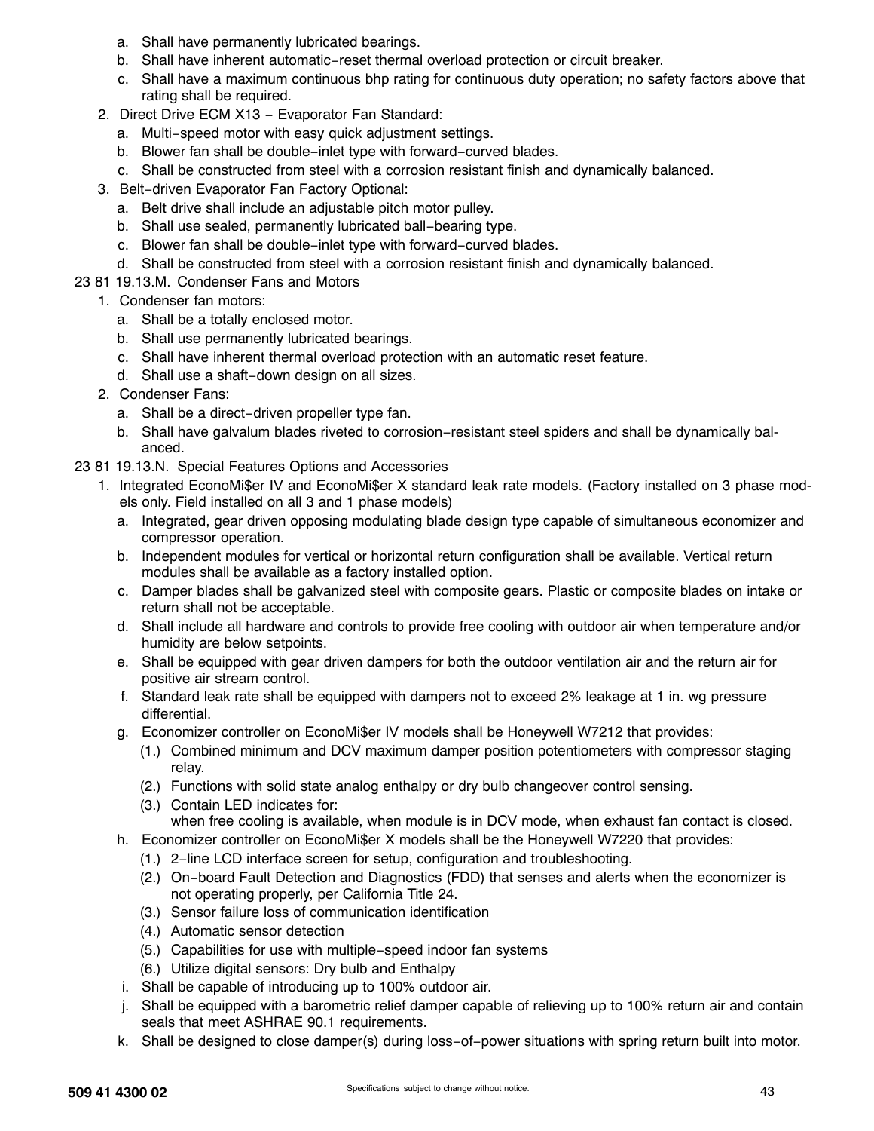- a. Shall have permanently lubricated bearings.
- b. Shall have inherent automatic−reset thermal overload protection or circuit breaker.
- c. Shall have a maximum continuous bhp rating for continuous duty operation; no safety factors above that rating shall be required.
- 2. Direct Drive ECM X13 Evaporator Fan Standard:
	- a. Multi−speed motor with easy quick adjustment settings.
	- b. Blower fan shall be double−inlet type with forward−curved blades.
	- c. Shall be constructed from steel with a corrosion resistant finish and dynamically balanced.
- 3. Belt−driven Evaporator Fan Factory Optional:
	- a. Belt drive shall include an adjustable pitch motor pulley.
	- b. Shall use sealed, permanently lubricated ball−bearing type.
	- c. Blower fan shall be double−inlet type with forward−curved blades.
	- d. Shall be constructed from steel with a corrosion resistant finish and dynamically balanced.
- 23 81 19.13.M. Condenser Fans and Motors
	- 1. Condenser fan motors:
		- a. Shall be a totally enclosed motor.
		- b. Shall use permanently lubricated bearings.
		- c. Shall have inherent thermal overload protection with an automatic reset feature.
		- d. Shall use a shaft−down design on all sizes.
	- 2. Condenser Fans:
		- a. Shall be a direct−driven propeller type fan.
		- b. Shall have galvalum blades riveted to corrosion−resistant steel spiders and shall be dynamically balanced.
- 23 81 19.13.N. Special Features Options and Accessories
	- 1. Integrated EconoMi\$er IV and EconoMi\$er X standard leak rate models. (Factory installed on 3 phase models only. Field installed on all 3 and 1 phase models)
		- a. Integrated, gear driven opposing modulating blade design type capable of simultaneous economizer and compressor operation.
		- b. Independent modules for vertical or horizontal return configuration shall be available. Vertical return modules shall be available as a factory installed option.
		- c. Damper blades shall be galvanized steel with composite gears. Plastic or composite blades on intake or return shall not be acceptable.
		- d. Shall include all hardware and controls to provide free cooling with outdoor air when temperature and/or humidity are below setpoints.
		- e. Shall be equipped with gear driven dampers for both the outdoor ventilation air and the return air for positive air stream control.
		- f. Standard leak rate shall be equipped with dampers not to exceed 2% leakage at 1 in. wg pressure differential.
		- g. Economizer controller on EconoMi\$er IV models shall be Honeywell W7212 that provides:
			- (1.) Combined minimum and DCV maximum damper position potentiometers with compressor staging relay.
			- (2.) Functions with solid state analog enthalpy or dry bulb changeover control sensing.
			- (3.) Contain LED indicates for: when free cooling is available, when module is in DCV mode, when exhaust fan contact is closed.
		- h. Economizer controller on EconoMi\$er X models shall be the Honeywell W7220 that provides:
			- (1.) 2−line LCD interface screen for setup, configuration and troubleshooting.
			- (2.) On−board Fault Detection and Diagnostics (FDD) that senses and alerts when the economizer is not operating properly, per California Title 24.
			- (3.) Sensor failure loss of communication identification
			- (4.) Automatic sensor detection
			- (5.) Capabilities for use with multiple−speed indoor fan systems
			- (6.) Utilize digital sensors: Dry bulb and Enthalpy
		- i. Shall be capable of introducing up to 100% outdoor air.
		- j. Shall be equipped with a barometric relief damper capable of relieving up to 100% return air and contain seals that meet ASHRAE 90.1 requirements.
		- k. Shall be designed to close damper(s) during loss−of−power situations with spring return built into motor.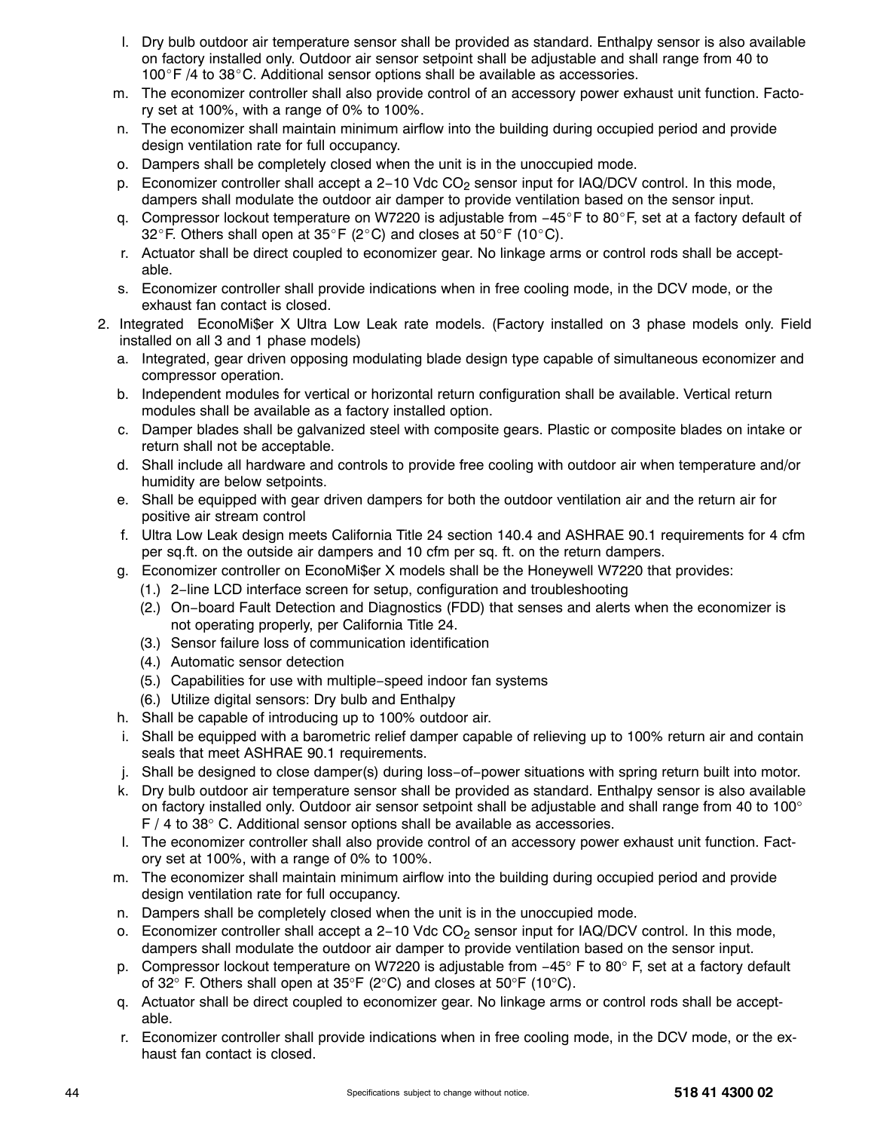- l. Dry bulb outdoor air temperature sensor shall be provided as standard. Enthalpy sensor is also available on factory installed only. Outdoor air sensor setpoint shall be adjustable and shall range from 40 to  $100^{\circ}$  F /4 to 38 $^{\circ}$ C. Additional sensor options shall be available as accessories.
- m. The economizer controller shall also provide control of an accessory power exhaust unit function. Factory set at 100%, with a range of 0% to 100%.
- n. The economizer shall maintain minimum airflow into the building during occupied period and provide design ventilation rate for full occupancy.
- o. Dampers shall be completely closed when the unit is in the unoccupied mode.
- p. Economizer controller shall accept a 2-10 Vdc CO<sub>2</sub> sensor input for IAQ/DCV control. In this mode, dampers shall modulate the outdoor air damper to provide ventilation based on the sensor input.
- q. Compressor lockout temperature on W7220 is adjustable from −45°F to 80°F, set at a factory default of 32°F. Others shall open at 35°F (2°C) and closes at 50°F (10°C).
- r. Actuator shall be direct coupled to economizer gear. No linkage arms or control rods shall be acceptable.
- s. Economizer controller shall provide indications when in free cooling mode, in the DCV mode, or the exhaust fan contact is closed.
- 2. Integrated EconoMi\$er X Ultra Low Leak rate models. (Factory installed on 3 phase models only. Field installed on all 3 and 1 phase models)
	- a. Integrated, gear driven opposing modulating blade design type capable of simultaneous economizer and compressor operation.
	- b. Independent modules for vertical or horizontal return configuration shall be available. Vertical return modules shall be available as a factory installed option.
	- c. Damper blades shall be galvanized steel with composite gears. Plastic or composite blades on intake or return shall not be acceptable.
	- d. Shall include all hardware and controls to provide free cooling with outdoor air when temperature and/or humidity are below setpoints.
	- e. Shall be equipped with gear driven dampers for both the outdoor ventilation air and the return air for positive air stream control
	- f. Ultra Low Leak design meets California Title 24 section 140.4 and ASHRAE 90.1 requirements for 4 cfm per sq.ft. on the outside air dampers and 10 cfm per sq. ft. on the return dampers.
	- g. Economizer controller on EconoMi\$er X models shall be the Honeywell W7220 that provides:
		- (1.) 2−line LCD interface screen for setup, configuration and troubleshooting
		- (2.) On−board Fault Detection and Diagnostics (FDD) that senses and alerts when the economizer is not operating properly, per California Title 24.
		- (3.) Sensor failure loss of communication identification
		- (4.) Automatic sensor detection
		- (5.) Capabilities for use with multiple−speed indoor fan systems
		- (6.) Utilize digital sensors: Dry bulb and Enthalpy
	- h. Shall be capable of introducing up to 100% outdoor air.
	- i. Shall be equipped with a barometric relief damper capable of relieving up to 100% return air and contain seals that meet ASHRAE 90.1 requirements.
	- j. Shall be designed to close damper(s) during loss−of−power situations with spring return built into motor.
	- k. Dry bulb outdoor air temperature sensor shall be provided as standard. Enthalpy sensor is also available on factory installed only. Outdoor air sensor setpoint shall be adjustable and shall range from 40 to 100° F / 4 to 38° C. Additional sensor options shall be available as accessories.
	- l. The economizer controller shall also provide control of an accessory power exhaust unit function. Factory set at 100%, with a range of 0% to 100%.
	- m. The economizer shall maintain minimum airflow into the building during occupied period and provide design ventilation rate for full occupancy.
	- n. Dampers shall be completely closed when the unit is in the unoccupied mode.
	- o. Economizer controller shall accept a 2-10 Vdc CO<sub>2</sub> sensor input for IAQ/DCV control. In this mode, dampers shall modulate the outdoor air damper to provide ventilation based on the sensor input.
	- p. Compressor lockout temperature on W7220 is adjustable from −45° F to 80° F, set at a factory default of 32° F. Others shall open at 35°F (2°C) and closes at 50°F (10°C).
	- q. Actuator shall be direct coupled to economizer gear. No linkage arms or control rods shall be acceptable.
	- r. Economizer controller shall provide indications when in free cooling mode, in the DCV mode, or the exhaust fan contact is closed.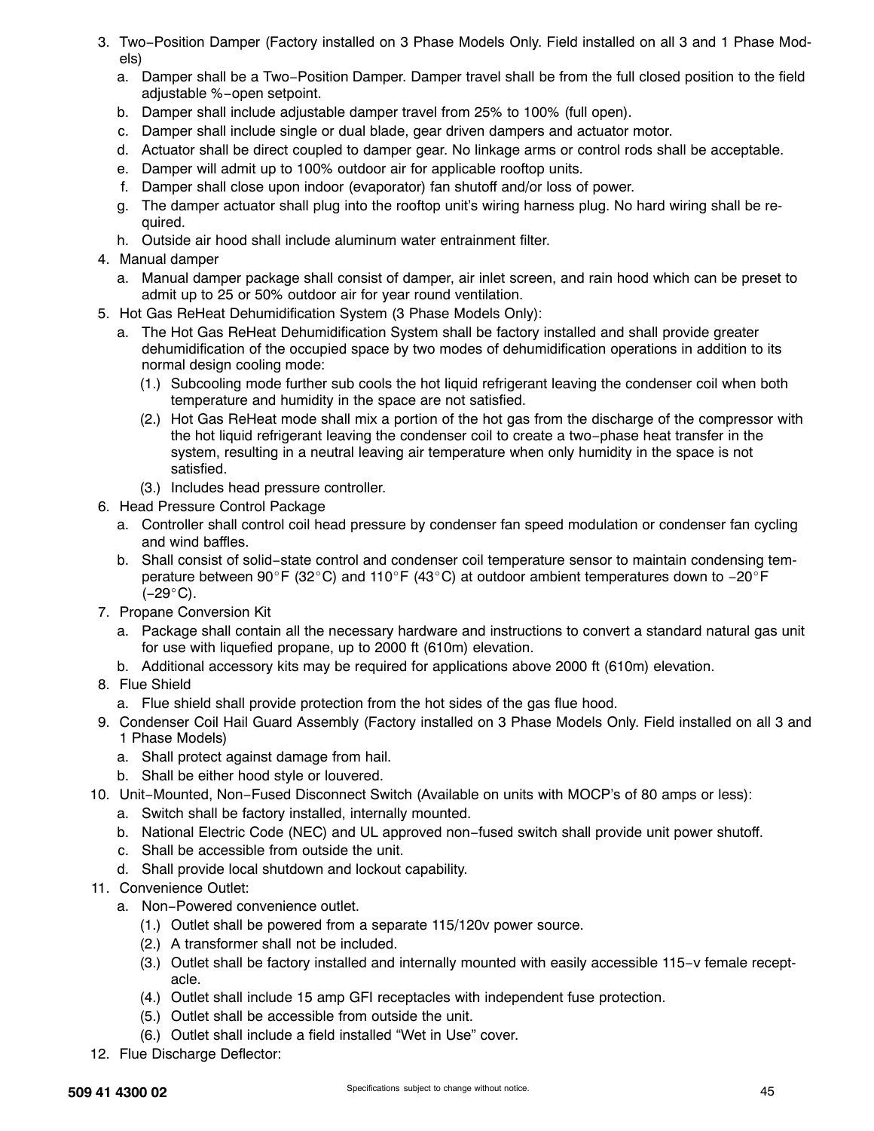- 3. Two−Position Damper (Factory installed on 3 Phase Models Only. Field installed on all 3 and 1 Phase Models)
	- a. Damper shall be a Two−Position Damper. Damper travel shall be from the full closed position to the field adjustable %−open setpoint.
	- b. Damper shall include adjustable damper travel from 25% to 100% (full open).
	- c. Damper shall include single or dual blade, gear driven dampers and actuator motor.
	- d. Actuator shall be direct coupled to damper gear. No linkage arms or control rods shall be acceptable.
	- e. Damper will admit up to 100% outdoor air for applicable rooftop units.
	- f. Damper shall close upon indoor (evaporator) fan shutoff and/or loss of power.
	- g. The damper actuator shall plug into the rooftop unit's wiring harness plug. No hard wiring shall be required.
	- h. Outside air hood shall include aluminum water entrainment filter.
- 4. Manual damper
	- a. Manual damper package shall consist of damper, air inlet screen, and rain hood which can be preset to admit up to 25 or 50% outdoor air for year round ventilation.
- 5. Hot Gas ReHeat Dehumidification System (3 Phase Models Only):
	- a. The Hot Gas ReHeat Dehumidification System shall be factory installed and shall provide greater dehumidification of the occupied space by two modes of dehumidification operations in addition to its normal design cooling mode:
		- (1.) Subcooling mode further sub cools the hot liquid refrigerant leaving the condenser coil when both temperature and humidity in the space are not satisfied.
		- (2.) Hot Gas ReHeat mode shall mix a portion of the hot gas from the discharge of the compressor with the hot liquid refrigerant leaving the condenser coil to create a two−phase heat transfer in the system, resulting in a neutral leaving air temperature when only humidity in the space is not satisfied.
		- (3.) Includes head pressure controller.
- 6. Head Pressure Control Package
	- a. Controller shall control coil head pressure by condenser fan speed modulation or condenser fan cycling and wind baffles.
	- b. Shall consist of solid−state control and condenser coil temperature sensor to maintain condensing temperature between 90°F (32°C) and 110°F (43°C) at outdoor ambient temperatures down to −20°F  $(-29^{\circ}C)$ .
- 7. Propane Conversion Kit
	- a. Package shall contain all the necessary hardware and instructions to convert a standard natural gas unit for use with liquefied propane, up to 2000 ft (610m) elevation.
	- b. Additional accessory kits may be required for applications above 2000 ft (610m) elevation.
- 8. Flue Shield
	- a. Flue shield shall provide protection from the hot sides of the gas flue hood.
- 9. Condenser Coil Hail Guard Assembly (Factory installed on 3 Phase Models Only. Field installed on all 3 and 1 Phase Models)
	- a. Shall protect against damage from hail.
	- b. Shall be either hood style or louvered.
- 10. Unit−Mounted, Non−Fused Disconnect Switch (Available on units with MOCP's of 80 amps or less):
	- a. Switch shall be factory installed, internally mounted.
	- b. National Electric Code (NEC) and UL approved non−fused switch shall provide unit power shutoff.
	- c. Shall be accessible from outside the unit.
	- d. Shall provide local shutdown and lockout capability.
- 11. Convenience Outlet:
	- a. Non−Powered convenience outlet.
		- (1.) Outlet shall be powered from a separate 115/120v power source.
		- (2.) A transformer shall not be included.
		- (3.) Outlet shall be factory installed and internally mounted with easily accessible 115−v female receptacle.
		- (4.) Outlet shall include 15 amp GFI receptacles with independent fuse protection.
		- (5.) Outlet shall be accessible from outside the unit.
		- (6.) Outlet shall include a field installed "Wet in Use" cover.
- 12. Flue Discharge Deflector: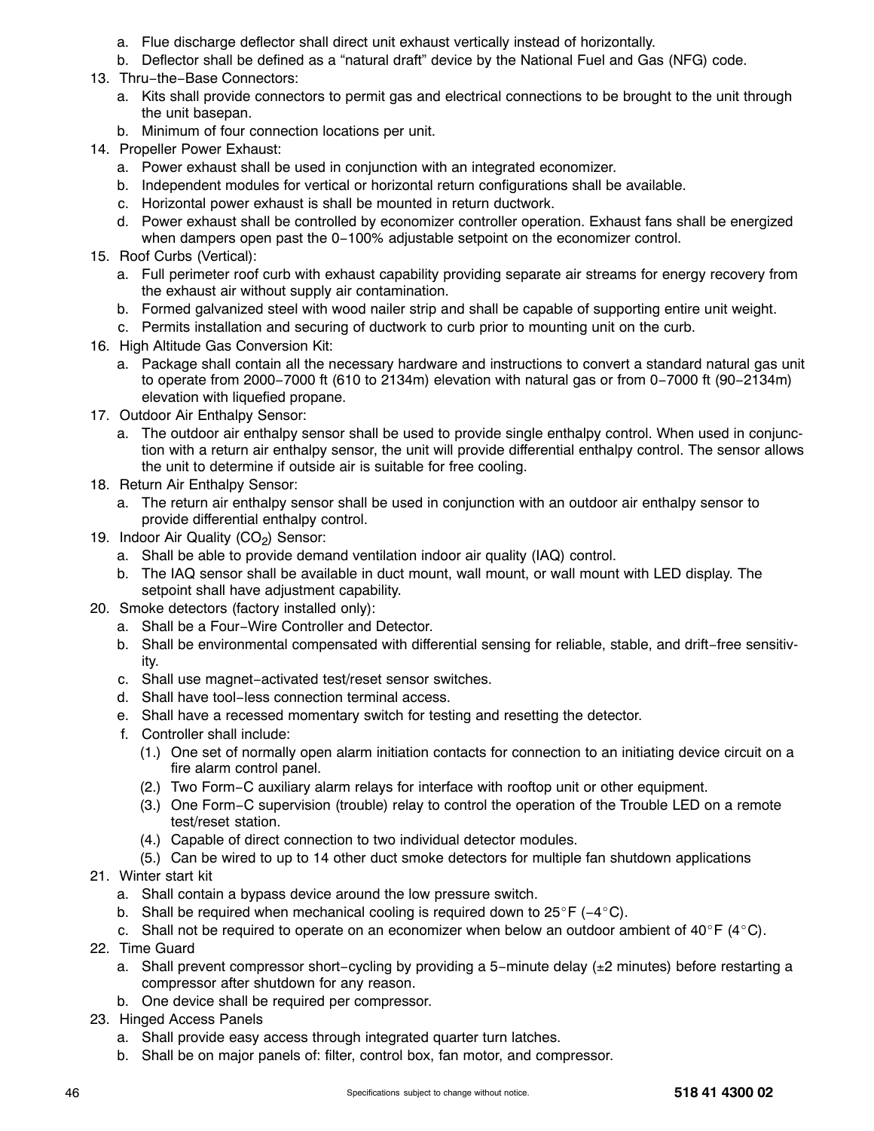- a. Flue discharge deflector shall direct unit exhaust vertically instead of horizontally.
- b. Deflector shall be defined as a "natural draft" device by the National Fuel and Gas (NFG) code.
- 13. Thru−the−Base Connectors:
	- a. Kits shall provide connectors to permit gas and electrical connections to be brought to the unit through the unit basepan.
	- b. Minimum of four connection locations per unit.
- 14. Propeller Power Exhaust:
	- a. Power exhaust shall be used in conjunction with an integrated economizer.
	- b. Independent modules for vertical or horizontal return configurations shall be available.
	- c. Horizontal power exhaust is shall be mounted in return ductwork.
	- d. Power exhaust shall be controlled by economizer controller operation. Exhaust fans shall be energized when dampers open past the 0−100% adjustable setpoint on the economizer control.
- 15. Roof Curbs (Vertical):
	- a. Full perimeter roof curb with exhaust capability providing separate air streams for energy recovery from the exhaust air without supply air contamination.
	- b. Formed galvanized steel with wood nailer strip and shall be capable of supporting entire unit weight.
	- c. Permits installation and securing of ductwork to curb prior to mounting unit on the curb.
- 16. High Altitude Gas Conversion Kit:
	- a. Package shall contain all the necessary hardware and instructions to convert a standard natural gas unit to operate from 2000−7000 ft (610 to 2134m) elevation with natural gas or from 0−7000 ft (90−2134m) elevation with liquefied propane.
- 17. Outdoor Air Enthalpy Sensor:
	- a. The outdoor air enthalpy sensor shall be used to provide single enthalpy control. When used in conjunction with a return air enthalpy sensor, the unit will provide differential enthalpy control. The sensor allows the unit to determine if outside air is suitable for free cooling.
- 18. Return Air Enthalpy Sensor:
	- a. The return air enthalpy sensor shall be used in conjunction with an outdoor air enthalpy sensor to provide differential enthalpy control.
- 19. Indoor Air Quality  $(CO<sub>2</sub>)$  Sensor:
	- a. Shall be able to provide demand ventilation indoor air quality (IAQ) control.
	- b. The IAQ sensor shall be available in duct mount, wall mount, or wall mount with LED display. The setpoint shall have adjustment capability.
- 20. Smoke detectors (factory installed only):
	- a. Shall be a Four−Wire Controller and Detector.
	- b. Shall be environmental compensated with differential sensing for reliable, stable, and drift−free sensitivity.
	- c. Shall use magnet−activated test/reset sensor switches.
	- d. Shall have tool−less connection terminal access.
	- e. Shall have a recessed momentary switch for testing and resetting the detector.
	- f. Controller shall include:
		- (1.) One set of normally open alarm initiation contacts for connection to an initiating device circuit on a fire alarm control panel.
		- (2.) Two Form−C auxiliary alarm relays for interface with rooftop unit or other equipment.
		- (3.) One Form−C supervision (trouble) relay to control the operation of the Trouble LED on a remote test/reset station.
		- (4.) Capable of direct connection to two individual detector modules.
		- (5.) Can be wired to up to 14 other duct smoke detectors for multiple fan shutdown applications
- 21. Winter start kit
	- a. Shall contain a bypass device around the low pressure switch.
	- b. Shall be required when mechanical cooling is required down to  $25^{\circ}F$  (-4°C).
	- c. Shall not be required to operate on an economizer when below an outdoor ambient of  $40^{\circ}$ F (4 $^{\circ}$ C).
- 22. Time Guard
	- a. Shall prevent compressor short-cycling by providing a 5-minute delay (±2 minutes) before restarting a compressor after shutdown for any reason.
	- b. One device shall be required per compressor.
- 23. Hinged Access Panels
	- a. Shall provide easy access through integrated quarter turn latches.
	- b. Shall be on major panels of: filter, control box, fan motor, and compressor.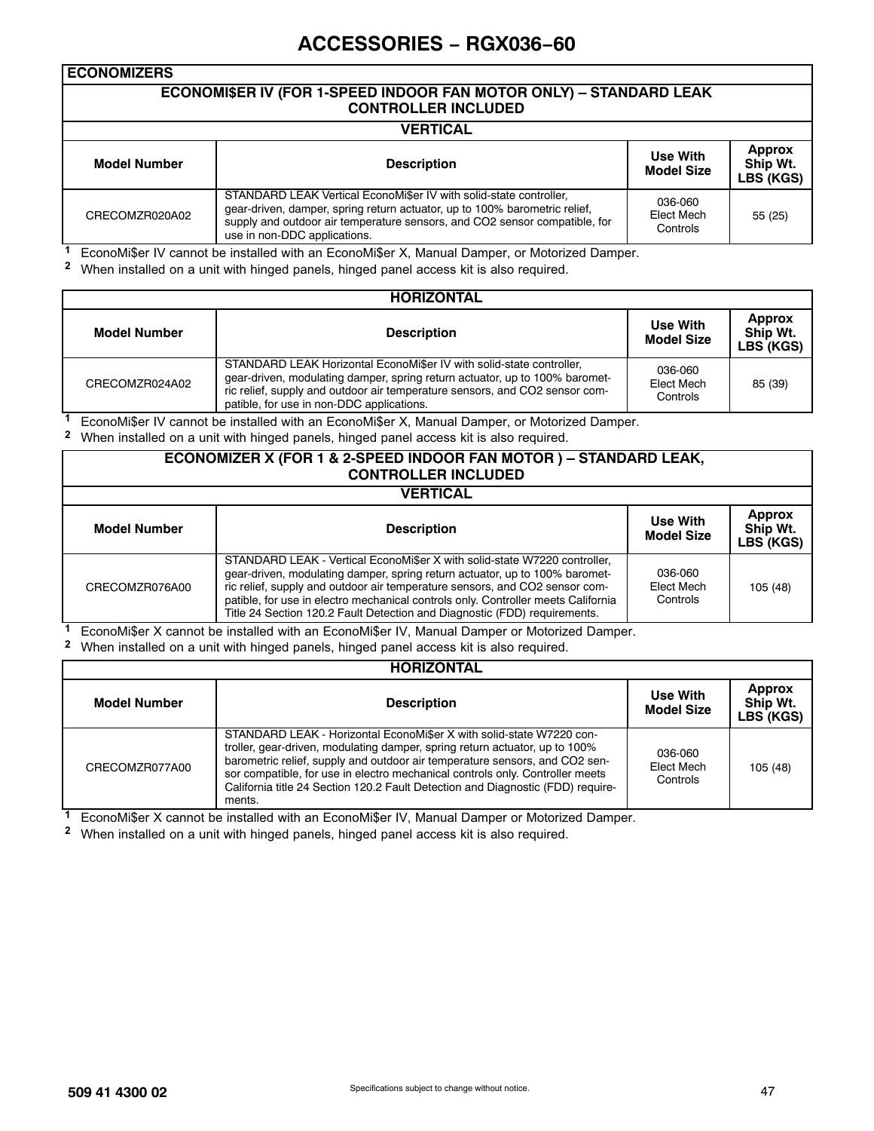# **ACCESSORIES − RGX036−60**

#### **ECONOMIZERS ECONOMI\$ER IV (FOR 1-SPEED INDOOR FAN MOTOR ONLY) – STANDARD LEAK CONTROLLER INCLUDED VERTICAL Model Number Description Use With Model Size Approx Ship Wt. LBS (KGS)** CRECOMZR020A02 STANDARD LEAK Vertical EconoMi\$er IV with solid-state controller, gear-driven, damper, spring return actuator, up to 100% barometric relief, supply and outdoor air temperature sensors, and CO2 sensor compatible, for 036-060 Elect Mech **Controls** 55 (25)

**<sup>1</sup>** EconoMi\$er IV cannot be installed with an EconoMi\$er X, Manual Damper, or Motorized Damper.

**<sup>2</sup>** When installed on a unit with hinged panels, hinged panel access kit is also required.

use in non-DDC applications.

|                | <b>HORIZONTAL</b>                                                                                                                                                                                                                                                               |                                   |                                        |
|----------------|---------------------------------------------------------------------------------------------------------------------------------------------------------------------------------------------------------------------------------------------------------------------------------|-----------------------------------|----------------------------------------|
| Model Number   | <b>Description</b>                                                                                                                                                                                                                                                              | Use With<br><b>Model Size</b>     | <b>Approx</b><br>Ship Wt.<br>LBS (KGS) |
| CRECOMZR024A02 | STANDARD LEAK Horizontal EconoMi\$er IV with solid-state controller,<br>gear-driven, modulating damper, spring return actuator, up to 100% baromet-<br>ric relief, supply and outdoor air temperature sensors, and CO2 sensor com-<br>patible, for use in non-DDC applications. | 036-060<br>Elect Mech<br>Controls | 85 (39)                                |

**<sup>1</sup>** EconoMi\$er IV cannot be installed with an EconoMi\$er X, Manual Damper, or Motorized Damper.

**<sup>2</sup>** When installed on a unit with hinged panels, hinged panel access kit is also required.

#### **ECONOMIZER X (FOR 1 & 2-SPEED INDOOR FAN MOTOR ) – STANDARD LEAK, CONTROLLER INCLUDED**

#### **VERTICAL**

| .              |                                                                                                                                                                                                                                                                                                                                                                                                           |                                      |                                        |  |  |
|----------------|-----------------------------------------------------------------------------------------------------------------------------------------------------------------------------------------------------------------------------------------------------------------------------------------------------------------------------------------------------------------------------------------------------------|--------------------------------------|----------------------------------------|--|--|
| Model Number   | <b>Description</b>                                                                                                                                                                                                                                                                                                                                                                                        | <b>Use With</b><br><b>Model Size</b> | <b>Approx</b><br>Ship Wt.<br>LBS (KGS) |  |  |
| CRECOMZR076A00 | STANDARD LEAK - Vertical EconoMi\$er X with solid-state W7220 controller,<br>gear-driven, modulating damper, spring return actuator, up to 100% baromet-<br>ric relief, supply and outdoor air temperature sensors, and CO2 sensor com-<br>patible, for use in electro mechanical controls only. Controller meets California<br>Title 24 Section 120.2 Fault Detection and Diagnostic (FDD) requirements. | 036-060<br>Elect Mech<br>Controls    | 105 (48)                               |  |  |

**<sup>1</sup>** EconoMi\$er X cannot be installed with an EconoMi\$er IV, Manual Damper or Motorized Damper.

**<sup>2</sup>** When installed on a unit with hinged panels, hinged panel access kit is also required.

| <b>HORIZONTAL</b>   |                                                                                                                                                                                                                                                                                                                                                                                                                  |                                   |                                        |  |  |
|---------------------|------------------------------------------------------------------------------------------------------------------------------------------------------------------------------------------------------------------------------------------------------------------------------------------------------------------------------------------------------------------------------------------------------------------|-----------------------------------|----------------------------------------|--|--|
| <b>Model Number</b> | <b>Description</b>                                                                                                                                                                                                                                                                                                                                                                                               | Use With<br><b>Model Size</b>     | <b>Approx</b><br>Ship Wt.<br>LBS (KGS) |  |  |
| CRECOMZR077A00      | STANDARD LEAK - Horizontal EconoMi\$er X with solid-state W7220 con-<br>troller, gear-driven, modulating damper, spring return actuator, up to 100%<br>barometric relief, supply and outdoor air temperature sensors, and CO2 sen-<br>sor compatible, for use in electro mechanical controls only. Controller meets<br>California title 24 Section 120.2 Fault Detection and Diagnostic (FDD) require-<br>ments. | 036-060<br>Elect Mech<br>Controls | 105(48)                                |  |  |

**<sup>1</sup>** EconoMi\$er X cannot be installed with an EconoMi\$er IV, Manual Damper or Motorized Damper.

**<sup>2</sup>** When installed on a unit with hinged panels, hinged panel access kit is also required.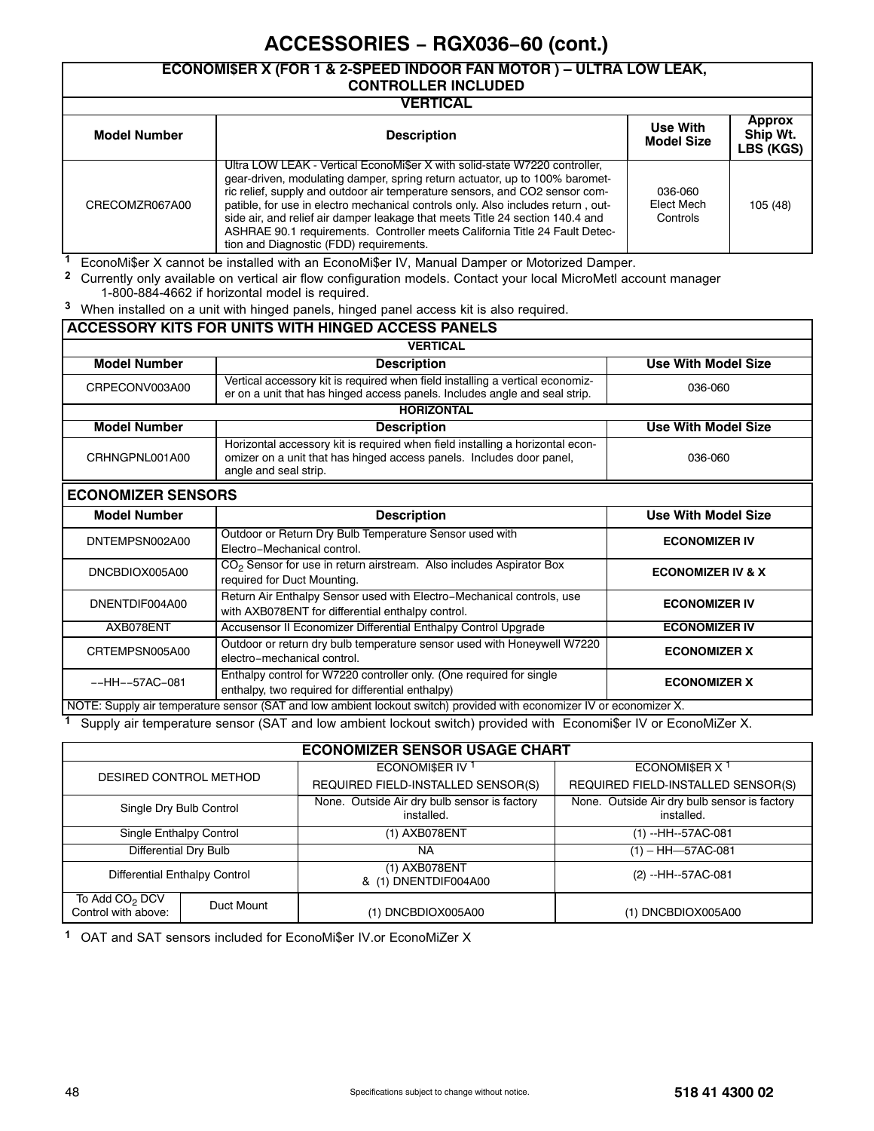#### **ECONOMI\$ER X (FOR 1 & 2-SPEED INDOOR FAN MOTOR ) – ULTRA LOW LEAK, CONTROLLER INCLUDED**

| VERTICAL            |                                                                                                                                                                                                                                                                                                                                                                                                                                                                                                                                         |                                      |                                        |  |  |
|---------------------|-----------------------------------------------------------------------------------------------------------------------------------------------------------------------------------------------------------------------------------------------------------------------------------------------------------------------------------------------------------------------------------------------------------------------------------------------------------------------------------------------------------------------------------------|--------------------------------------|----------------------------------------|--|--|
| <b>Model Number</b> | <b>Description</b>                                                                                                                                                                                                                                                                                                                                                                                                                                                                                                                      | <b>Use With</b><br><b>Model Size</b> | <b>Approx</b><br>Ship Wt.<br>LBS (KGS) |  |  |
| CRECOMZR067A00      | Ultra LOW LEAK - Vertical EconoMi\$er X with solid-state W7220 controller,<br>gear-driven, modulating damper, spring return actuator, up to 100% baromet-<br>ric relief, supply and outdoor air temperature sensors, and CO2 sensor com-<br>patible, for use in electro mechanical controls only. Also includes return, out-<br>side air, and relief air damper leakage that meets Title 24 section 140.4 and<br>ASHRAE 90.1 requirements. Controller meets California Title 24 Fault Detec-<br>tion and Diagnostic (FDD) requirements. | 036-060<br>Elect Mech<br>Controls    | 105 (48)                               |  |  |

**<sup>1</sup>** EconoMi\$er X cannot be installed with an EconoMi\$er IV, Manual Damper or Motorized Damper.

**<sup>2</sup>** Currently only available on vertical air flow configuration models. Contact your local MicroMetl account manager 1-800-884-4662 if horizontal model is required.

**<sup>3</sup>** When installed on a unit with hinged panels, hinged panel access kit is also required.

|                           | ACCESSORY KITS FOR UNITS WITH HINGED ACCESS PANELS                                                                                                                             |                              |
|---------------------------|--------------------------------------------------------------------------------------------------------------------------------------------------------------------------------|------------------------------|
|                           | <b>VERTICAL</b>                                                                                                                                                                |                              |
| <b>Model Number</b>       | <b>Description</b>                                                                                                                                                             | <b>Use With Model Size</b>   |
| CRPECONV003A00            | Vertical accessory kit is required when field installing a vertical economiz-<br>er on a unit that has hinged access panels. Includes angle and seal strip.                    | 036-060                      |
|                           | <b>HORIZONTAL</b>                                                                                                                                                              |                              |
| <b>Model Number</b>       | <b>Description</b>                                                                                                                                                             | <b>Use With Model Size</b>   |
| CRHNGPNL001A00            | Horizontal accessory kit is required when field installing a horizontal econ-<br>omizer on a unit that has hinged access panels. Includes door panel,<br>angle and seal strip. | 036-060                      |
| <b>ECONOMIZER SENSORS</b> |                                                                                                                                                                                |                              |
| <b>Model Number</b>       | <b>Description</b>                                                                                                                                                             | <b>Use With Model Size</b>   |
| DNTEMPSN002A00            | Outdoor or Return Dry Bulb Temperature Sensor used with<br>Flectro-Mechanical control.                                                                                         | <b>ECONOMIZER IV</b>         |
| DNCBDIOX005A00            | CO <sub>2</sub> Sensor for use in return airstream. Also includes Aspirator Box<br>required for Duct Mounting.                                                                 | <b>ECONOMIZER IV &amp; X</b> |
| DNENTDIF004A00            | Return Air Enthalpy Sensor used with Electro-Mechanical controls, use<br>with AXB078ENT for differential enthalpy control.                                                     | <b>ECONOMIZER IV</b>         |
| AXB078ENT                 | Accusensor II Economizer Differential Enthalpy Control Upgrade                                                                                                                 | <b>ECONOMIZER IV</b>         |
| CRTEMPSN005A00            | Outdoor or return dry bulb temperature sensor used with Honeywell W7220<br>electro-mechanical control.                                                                         | <b>ECONOMIZER X</b>          |
| $--HH--57AC-081$          | Enthalpy control for W7220 controller only. (One required for single<br>enthalpy, two required for differential enthalpy)                                                      | <b>ECONOMIZER X</b>          |
|                           | NOTE: Supply air temperature sensor (SAT and low ambient lockout switch) provided with economizer IV or economizer X.                                                          |                              |

**<sup>1</sup>** Supply air temperature sensor (SAT and low ambient lockout switch) provided with Economi\$er IV or EconoMiZer X.

#### **ECONOMIZER SENSOR USAGE CHART**

| DESIRED CONTROL METHOD                            |            | ECONOMISER IV <sup>1</sup>                                 | ECONOMISER $X1$                                            |
|---------------------------------------------------|------------|------------------------------------------------------------|------------------------------------------------------------|
|                                                   |            | REQUIRED FIELD-INSTALLED SENSOR(S)                         | REQUIRED FIELD-INSTALLED SENSOR(S)                         |
| Single Dry Bulb Control                           |            | None. Outside Air dry bulb sensor is factory<br>installed. | None. Outside Air dry bulb sensor is factory<br>installed. |
| Single Enthalpy Control                           |            | (1) AXB078ENT                                              | $(1) - HH - 57AC - 081$                                    |
| Differential Dry Bulb                             |            | NA                                                         | $(1) - HH$ -57AC-081                                       |
| Differential Enthalpy Control                     |            | (1) AXB078ENT<br>& (1) DNENTDIF004A00                      | (2) --HH--57AC-081                                         |
| To Add CO <sub>2</sub> DCV<br>Control with above: | Duct Mount | (1) DNCBDIOX005A00                                         | (1) DNCBDIOX005A00                                         |

**<sup>1</sup>** OAT and SAT sensors included for EconoMi\$er IV.or EconoMiZer X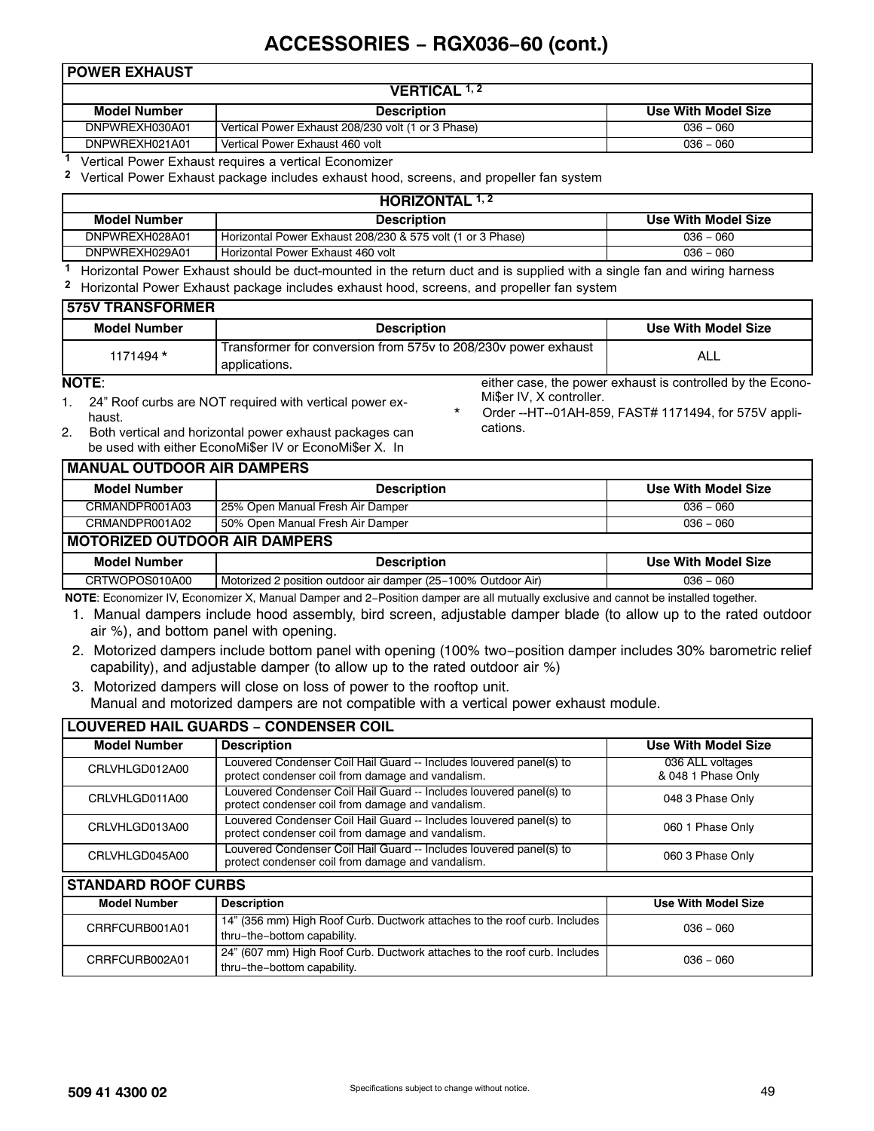#### **POWER EXHAUST**

| <b>VERTICAL 1, 2</b> |                                                    |                     |  |  |  |
|----------------------|----------------------------------------------------|---------------------|--|--|--|
| Model Number         | <b>Description</b>                                 | Use With Model Size |  |  |  |
| DNPWREXH030A01       | Vertical Power Exhaust 208/230 volt (1 or 3 Phase) | $036 - 060$         |  |  |  |
| DNPWREXH021A01       | Vertical Power Exhaust 460 volt                    | $036 - 060$         |  |  |  |
|                      |                                                    |                     |  |  |  |

**<sup>1</sup>** Vertical Power Exhaust requires a vertical Economizer

**<sup>2</sup>** Vertical Power Exhaust package includes exhaust hood, screens, and propeller fan system

| <b>HORIZONTAL 1, 2</b> |                                                            |                     |  |  |
|------------------------|------------------------------------------------------------|---------------------|--|--|
| Model Number           | <b>Description</b>                                         | Use With Model Size |  |  |
| DNPWREXH028A01         | Horizontal Power Exhaust 208/230 & 575 volt (1 or 3 Phase) | $036 - 060$         |  |  |
| DNPWREXH029A01         | Horizontal Power Exhaust 460 volt                          | $036 - 060$         |  |  |
|                        |                                                            |                     |  |  |

**<sup>1</sup>** Horizontal Power Exhaust should be duct-mounted in the return duct and is supplied with a single fan and wiring harness **<sup>2</sup>** Horizontal Power Exhaust package includes exhaust hood, screens, and propeller fan system

| <b>575V TRANSFORMER</b> |                                                                                 |                                                            |
|-------------------------|---------------------------------------------------------------------------------|------------------------------------------------------------|
| <b>Model Number</b>     | <b>Description</b>                                                              | Use With Model Size                                        |
| 1171494 *               | Transformer for conversion from 575y to 208/230y power exhaust<br>applications. | ALL                                                        |
| <b>NOTE:</b>            |                                                                                 | either case, the power exhaust is controlled by the Econo- |

#### **NOTE**:

- 1. 24" Roof curbs are NOT required with vertical power exhaust.
- Mi\$er IV, X controller. Order --HT--01AH-859, FAST# 1171494, for 575V applications.
- 2. Both vertical and horizontal power exhaust packages can be used with either EconoMi\$er IV or EconoMi\$er X. In

| <b>MANUAL OUTDOOR AIR DAMPERS</b>    |                                                               |                     |  |
|--------------------------------------|---------------------------------------------------------------|---------------------|--|
| <b>Model Number</b>                  | <b>Description</b>                                            | Use With Model Size |  |
| CRMANDPR001A03                       | 25% Open Manual Fresh Air Damper                              | $036 - 060$         |  |
| CRMANDPR001A02                       | 50% Open Manual Fresh Air Damper                              | $036 - 060$         |  |
| <b>MOTORIZED OUTDOOR AIR DAMPERS</b> |                                                               |                     |  |
| <b>Model Number</b>                  | <b>Description</b>                                            | Use With Model Size |  |
| CRTWOPOS010A00                       | Motorized 2 position outdoor air damper (25–100% Outdoor Air) | $036 - 060$         |  |

**NOTE**: Economizer IV, Economizer X, Manual Damper and 2−Position damper are all mutually exclusive and cannot be installed together.

- 1. Manual dampers include hood assembly, bird screen, adjustable damper blade (to allow up to the rated outdoor air %), and bottom panel with opening.
- 2. Motorized dampers include bottom panel with opening (100% two−position damper includes 30% barometric relief capability), and adjustable damper (to allow up to the rated outdoor air %)
- 3. Motorized dampers will close on loss of power to the rooftop unit. Manual and motorized dampers are not compatible with a vertical power exhaust module.

| <b>LOUVERED HAIL GUARDS - CONDENSER COIL</b> |                                                                                                                          |                                        |  |
|----------------------------------------------|--------------------------------------------------------------------------------------------------------------------------|----------------------------------------|--|
| <b>Model Number</b>                          | <b>Description</b>                                                                                                       | <b>Use With Model Size</b>             |  |
| CRLVHLGD012A00                               | Louvered Condenser Coil Hail Guard -- Includes louvered panel(s) to<br>protect condenser coil from damage and vandalism. | 036 ALL voltages<br>& 048 1 Phase Only |  |
| CRLVHLGD011A00                               | Louvered Condenser Coil Hail Guard -- Includes louvered panel(s) to<br>protect condenser coil from damage and vandalism. | 048 3 Phase Only                       |  |
| CRLVHLGD013A00                               | Louvered Condenser Coil Hail Guard -- Includes louvered panel(s) to<br>protect condenser coil from damage and vandalism. | 060 1 Phase Only                       |  |
| CRLVHLGD045A00                               | Louvered Condenser Coil Hail Guard -- Includes louvered panel(s) to<br>protect condenser coil from damage and vandalism. | 060 3 Phase Only                       |  |
| <b>STANDARD ROOF CURBS</b>                   |                                                                                                                          |                                        |  |
| <b>Model Number</b>                          | <b>Description</b>                                                                                                       | <b>Use With Model Size</b>             |  |
| CRRFCURB001A01                               | 14" (356 mm) High Roof Curb. Ductwork attaches to the roof curb. Includes<br>thru-the-bottom capability.                 | $036 - 060$                            |  |
| CRRFCURB002A01                               | 24" (607 mm) High Roof Curb. Ductwork attaches to the roof curb. Includes<br>thru-the-bottom capability.                 | $036 - 060$                            |  |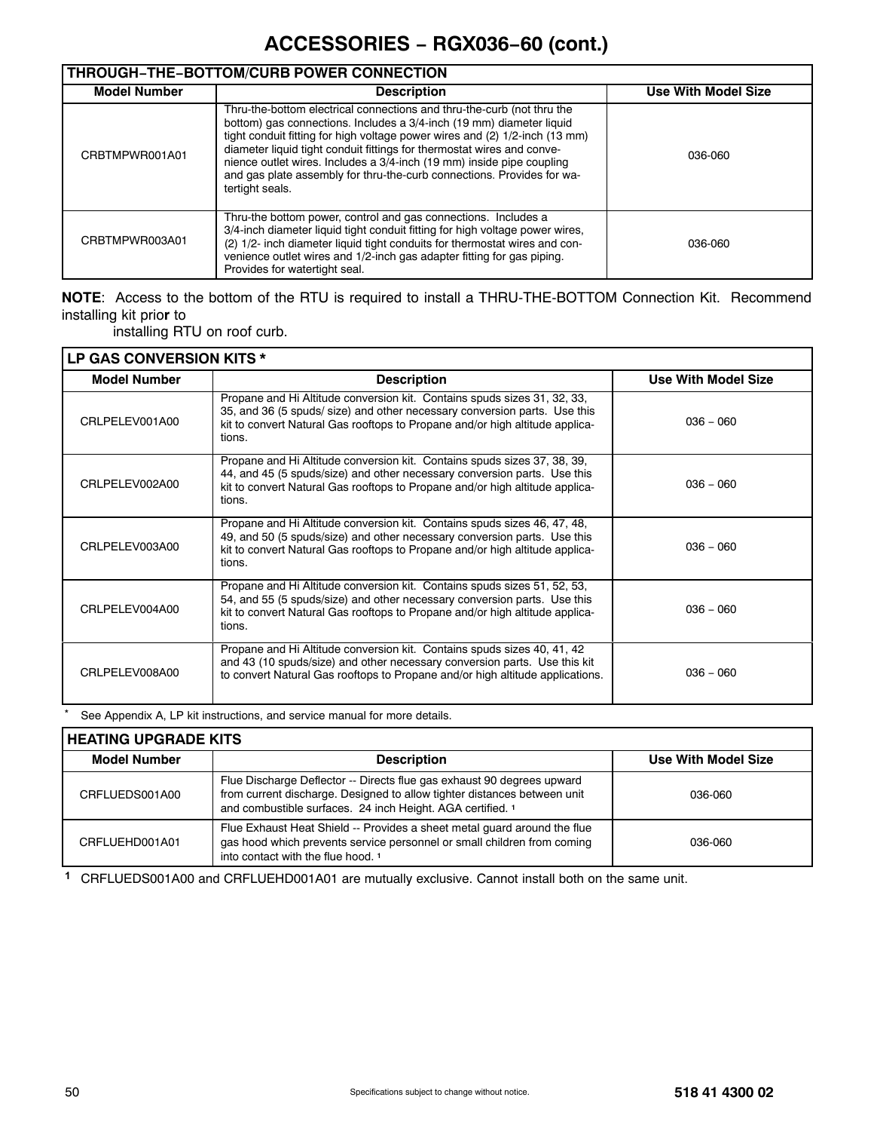# **THROUGH−THE−BOTTOM/CURB POWER CONNECTION**

| <b>Model Number</b> | <b>Description</b>                                                                                                                                                                                                                                                                                                                                                                                                                                                            | Use With Model Size |  |
|---------------------|-------------------------------------------------------------------------------------------------------------------------------------------------------------------------------------------------------------------------------------------------------------------------------------------------------------------------------------------------------------------------------------------------------------------------------------------------------------------------------|---------------------|--|
| CRBTMPWR001A01      | Thru-the-bottom electrical connections and thru-the-curb (not thru the<br>bottom) gas connections. Includes a 3/4-inch (19 mm) diameter liquid<br>tight conduit fitting for high voltage power wires and (2) 1/2-inch (13 mm)<br>diameter liquid tight conduit fittings for thermostat wires and conve-<br>nience outlet wires. Includes a 3/4-inch (19 mm) inside pipe coupling<br>and gas plate assembly for thru-the-curb connections. Provides for wa-<br>tertight seals. | 036-060             |  |
| CRBTMPWR003A01      | Thru-the bottom power, control and gas connections. Includes a<br>3/4-inch diameter liquid tight conduit fitting for high voltage power wires,<br>(2) 1/2- inch diameter liquid tight conduits for thermostat wires and con-<br>venience outlet wires and 1/2-inch gas adapter fitting for gas piping.<br>Provides for watertight seal.                                                                                                                                       | 036-060             |  |

## **NOTE**: Access to the bottom of the RTU is required to install a THRU-THE-BOTTOM Connection Kit. Recommend installing kit prio**r** to

installing RTU on roof curb.

| LP GAS CONVERSION KITS * |                                                                                                                                                                                                                                                 |                            |  |
|--------------------------|-------------------------------------------------------------------------------------------------------------------------------------------------------------------------------------------------------------------------------------------------|----------------------------|--|
| <b>Model Number</b>      | <b>Description</b>                                                                                                                                                                                                                              | <b>Use With Model Size</b> |  |
| CRLPELEV001A00           | Propane and Hi Altitude conversion kit. Contains spuds sizes 31, 32, 33,<br>35, and 36 (5 spuds/ size) and other necessary conversion parts. Use this<br>kit to convert Natural Gas rooftops to Propane and/or high altitude applica-<br>tions. | $036 - 060$                |  |
| CRI PFI FV002A00         | Propane and Hi Altitude conversion kit. Contains spuds sizes 37, 38, 39,<br>44, and 45 (5 spuds/size) and other necessary conversion parts. Use this<br>kit to convert Natural Gas rooftops to Propane and/or high altitude applica-<br>tions.  | $036 - 060$                |  |
| CRLPELEV003A00           | Propane and Hi Altitude conversion kit. Contains spuds sizes 46, 47, 48,<br>49, and 50 (5 spuds/size) and other necessary conversion parts. Use this<br>kit to convert Natural Gas rooftops to Propane and/or high altitude applica-<br>tions.  | $036 - 060$                |  |
| CRLPELEV004A00           | Propane and Hi Altitude conversion kit. Contains spuds sizes 51, 52, 53,<br>54, and 55 (5 spuds/size) and other necessary conversion parts. Use this<br>kit to convert Natural Gas rooftops to Propane and/or high altitude applica-<br>tions.  | $036 - 060$                |  |
| CRLPELEV008A00           | Propane and Hi Altitude conversion kit. Contains spuds sizes 40, 41, 42<br>and 43 (10 spuds/size) and other necessary conversion parts. Use this kit<br>to convert Natural Gas rooftops to Propane and/or high altitude applications.           | $036 - 060$                |  |

**\*** See Appendix A, LP kit instructions, and service manual for more details.

| <b>HEATING UPGRADE KITS</b> |                                                                                                                                                                                                                  |                     |  |
|-----------------------------|------------------------------------------------------------------------------------------------------------------------------------------------------------------------------------------------------------------|---------------------|--|
| <b>Model Number</b>         | <b>Description</b>                                                                                                                                                                                               | Use With Model Size |  |
| CRFLUEDS001A00              | Flue Discharge Deflector -- Directs flue gas exhaust 90 degrees upward<br>from current discharge. Designed to allow tighter distances between unit<br>and combustible surfaces. 24 inch Height. AGA certified. 1 | 036-060             |  |
| CRFLUEHD001A01              | Flue Exhaust Heat Shield -- Provides a sheet metal quard around the flue<br>gas hood which prevents service personnel or small children from coming<br>into contact with the flue hood. <sup>1</sup>             | 036-060             |  |

**<sup>1</sup>** CRFLUEDS001A00 and CRFLUEHD001A01 are mutually exclusive. Cannot install both on the same unit.

٦